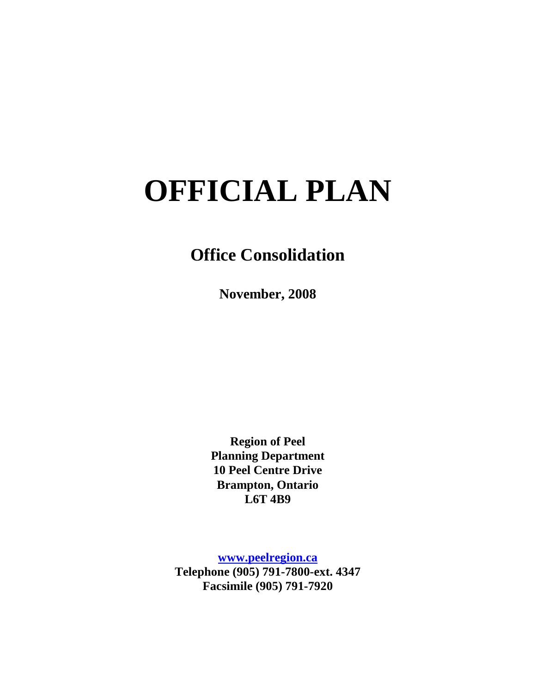# **OFFICIAL PLAN**

## **Office Consolidation**

**November, 2008** 

**Region of Peel Planning Department 10 Peel Centre Drive Brampton, Ontario L6T 4B9** 

**www.peelregion.ca Telephone (905) 791-7800-ext. 4347 Facsimile (905) 791-7920**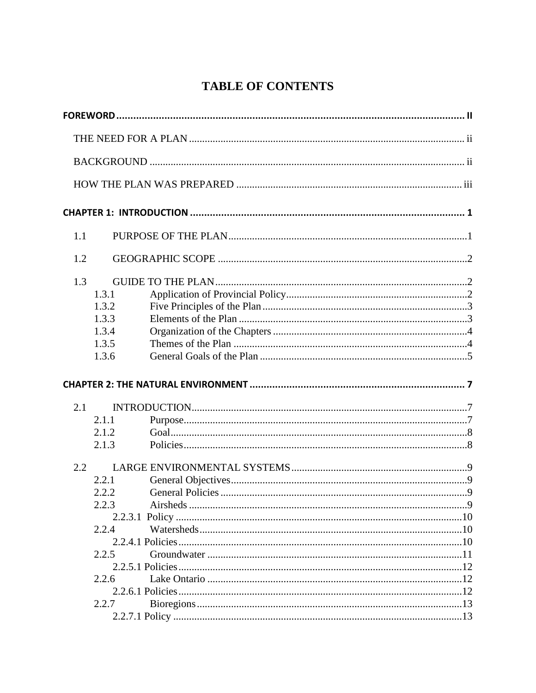### **TABLE OF CONTENTS**

| 1.1<br>1.2<br>1.3<br>1.3.1<br>1.3.2<br>1.3.3<br>1.3.4<br>1.3.5<br>1.3.6<br>2.1<br>2.1.1<br>2.1.2<br>2.1.3<br>2.2<br>2.2.1<br>2.2.2<br>2.2.3<br>2.2.4<br>2.2.5<br>2.2.6 |  |  |
|------------------------------------------------------------------------------------------------------------------------------------------------------------------------|--|--|
|                                                                                                                                                                        |  |  |
|                                                                                                                                                                        |  |  |
|                                                                                                                                                                        |  |  |
|                                                                                                                                                                        |  |  |
|                                                                                                                                                                        |  |  |
|                                                                                                                                                                        |  |  |
|                                                                                                                                                                        |  |  |
|                                                                                                                                                                        |  |  |
|                                                                                                                                                                        |  |  |
|                                                                                                                                                                        |  |  |
|                                                                                                                                                                        |  |  |
|                                                                                                                                                                        |  |  |
|                                                                                                                                                                        |  |  |
|                                                                                                                                                                        |  |  |
|                                                                                                                                                                        |  |  |
|                                                                                                                                                                        |  |  |
|                                                                                                                                                                        |  |  |
|                                                                                                                                                                        |  |  |
|                                                                                                                                                                        |  |  |
|                                                                                                                                                                        |  |  |
|                                                                                                                                                                        |  |  |
|                                                                                                                                                                        |  |  |
|                                                                                                                                                                        |  |  |
|                                                                                                                                                                        |  |  |
|                                                                                                                                                                        |  |  |
|                                                                                                                                                                        |  |  |
|                                                                                                                                                                        |  |  |
|                                                                                                                                                                        |  |  |
| 2.2.7                                                                                                                                                                  |  |  |
|                                                                                                                                                                        |  |  |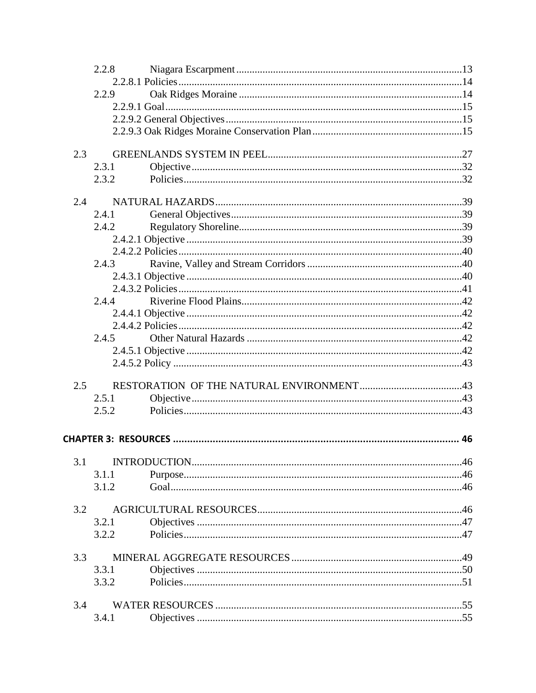|     | 2.2.8 |  |
|-----|-------|--|
|     |       |  |
|     | 2.2.9 |  |
|     |       |  |
|     |       |  |
|     |       |  |
| 2.3 |       |  |
|     | 2.3.1 |  |
|     | 2.3.2 |  |
| 2.4 |       |  |
|     | 2.4.1 |  |
|     | 2.4.2 |  |
|     |       |  |
|     |       |  |
|     | 2.4.3 |  |
|     |       |  |
|     |       |  |
|     | 2.4.4 |  |
|     |       |  |
|     |       |  |
|     | 2.4.5 |  |
|     |       |  |
|     |       |  |
| 2.5 |       |  |
|     | 2.5.1 |  |
|     | 2.5.2 |  |
|     |       |  |
|     |       |  |
| 3.1 |       |  |
|     | 3.1.1 |  |
|     | 3.1.2 |  |
| 3.2 |       |  |
|     | 3.2.1 |  |
|     | 3.2.2 |  |
| 3.3 |       |  |
|     | 3.3.1 |  |
|     | 3.3.2 |  |
| 3.4 |       |  |
|     | 3.4.1 |  |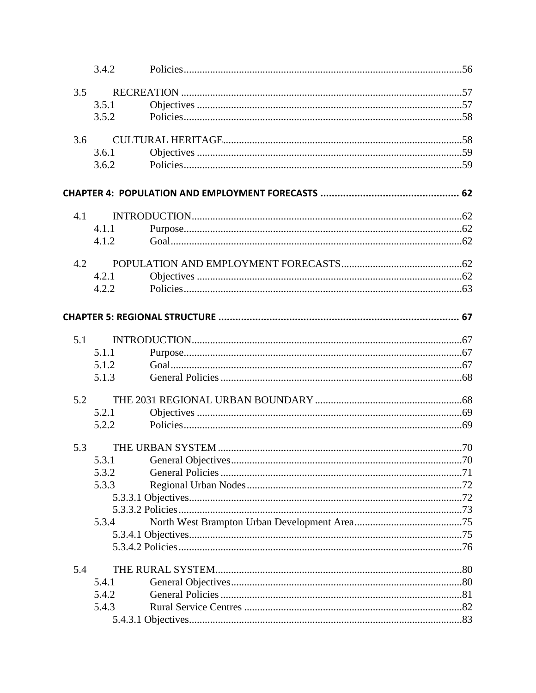|     | 3.4.2 |  |
|-----|-------|--|
| 3.5 |       |  |
|     | 3.5.1 |  |
|     | 3.5.2 |  |
| 3.6 |       |  |
|     | 3.6.1 |  |
|     | 3.6.2 |  |
|     |       |  |
| 4.1 |       |  |
|     | 4.1.1 |  |
|     | 4.1.2 |  |
| 4.2 |       |  |
|     | 4.2.1 |  |
|     | 4.2.2 |  |
|     |       |  |
| 5.1 |       |  |
|     | 5.1.1 |  |
|     | 5.1.2 |  |
|     | 5.1.3 |  |
| 5.2 |       |  |
|     | 5.2.1 |  |
|     | 5.2.2 |  |
| 5.3 |       |  |
|     | 5.3.1 |  |
|     | 5.3.2 |  |
|     | 5.3.3 |  |
|     |       |  |
|     |       |  |
|     | 5.3.4 |  |
|     |       |  |
|     |       |  |
| 5.4 |       |  |
|     | 5.4.1 |  |
|     | 5.4.2 |  |
|     | 5.4.3 |  |
|     |       |  |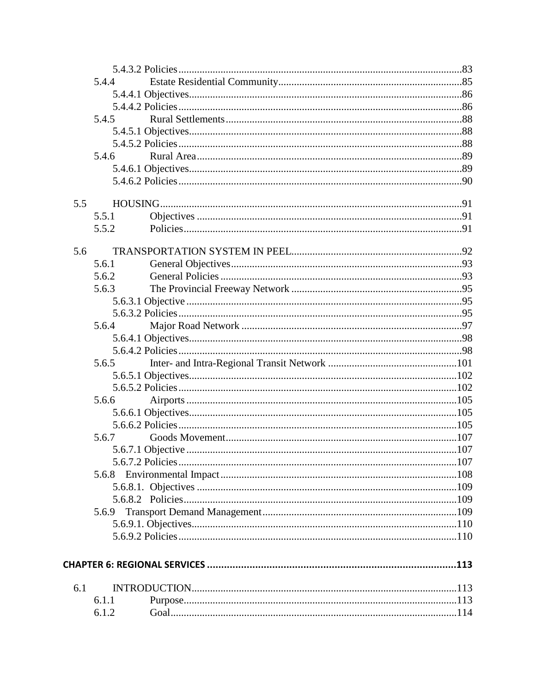|     | 5.4.4 |  |
|-----|-------|--|
|     |       |  |
|     |       |  |
|     | 5.4.5 |  |
|     |       |  |
|     |       |  |
|     | 5.4.6 |  |
|     |       |  |
|     |       |  |
| 5.5 |       |  |
|     | 5.5.1 |  |
|     | 5.5.2 |  |
|     |       |  |
| 5.6 |       |  |
|     | 5.6.1 |  |
|     | 5.6.2 |  |
|     | 5.6.3 |  |
|     |       |  |
|     |       |  |
|     | 5.6.4 |  |
|     |       |  |
|     |       |  |
|     | 5.6.5 |  |
|     |       |  |
|     |       |  |
|     | 5.6.6 |  |
|     |       |  |
|     |       |  |
|     | 5.6.7 |  |
|     |       |  |
|     |       |  |
|     |       |  |
|     |       |  |
|     |       |  |
|     | 5.6.9 |  |
|     |       |  |
|     |       |  |
|     |       |  |
|     |       |  |
| 6.1 |       |  |
|     | 6.1.1 |  |
|     | 6.1.2 |  |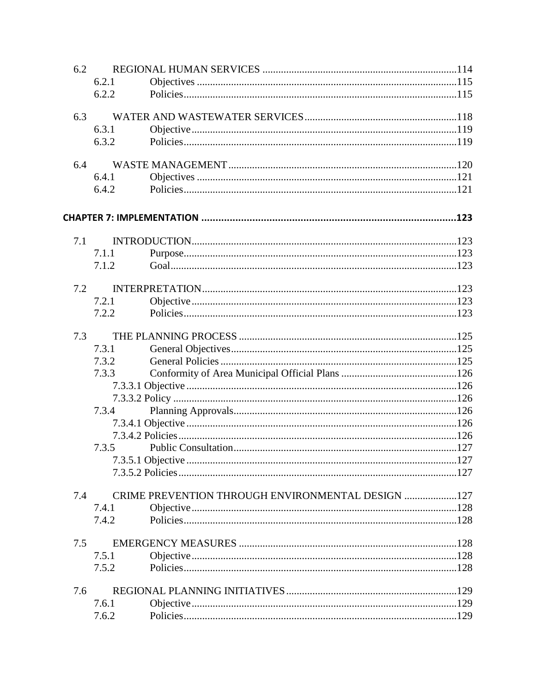| 6.2 |       |                                                   |  |
|-----|-------|---------------------------------------------------|--|
|     | 6.2.1 |                                                   |  |
|     | 6.2.2 |                                                   |  |
| 6.3 |       |                                                   |  |
|     | 6.3.1 |                                                   |  |
|     | 6.3.2 |                                                   |  |
| 6.4 |       |                                                   |  |
|     | 6.4.1 |                                                   |  |
|     | 6.4.2 |                                                   |  |
|     |       |                                                   |  |
| 7.1 |       |                                                   |  |
|     | 7.1.1 |                                                   |  |
|     | 7.1.2 |                                                   |  |
| 7.2 |       |                                                   |  |
|     | 7.2.1 |                                                   |  |
|     | 7.2.2 |                                                   |  |
| 7.3 |       |                                                   |  |
|     | 7.3.1 |                                                   |  |
|     | 7.3.2 |                                                   |  |
|     | 7.3.3 |                                                   |  |
|     |       |                                                   |  |
|     |       |                                                   |  |
|     | 7.3.4 |                                                   |  |
|     |       |                                                   |  |
|     |       |                                                   |  |
|     | 7.3.5 |                                                   |  |
|     |       |                                                   |  |
|     |       |                                                   |  |
| 7.4 |       | CRIME PREVENTION THROUGH ENVIRONMENTAL DESIGN 127 |  |
|     | 7.4.1 |                                                   |  |
|     | 7.4.2 |                                                   |  |
| 7.5 |       |                                                   |  |
|     | 7.5.1 |                                                   |  |
|     | 7.5.2 |                                                   |  |
| 7.6 |       |                                                   |  |
|     | 7.6.1 |                                                   |  |
|     | 7.6.2 |                                                   |  |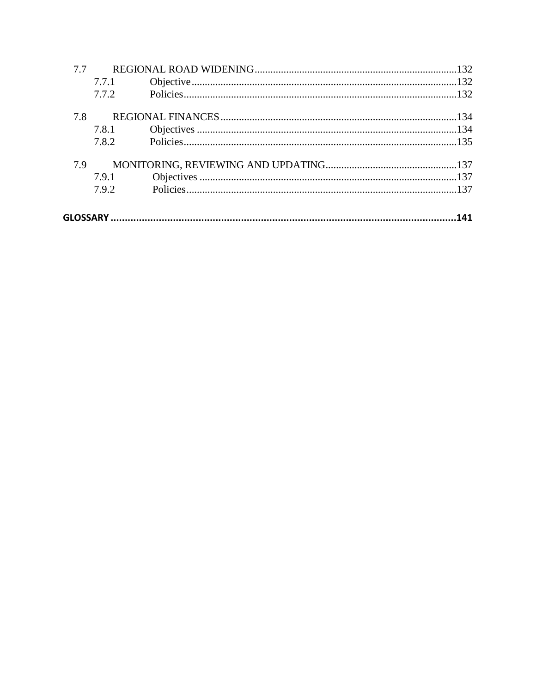|     | 7.7.1 |     |
|-----|-------|-----|
|     | 772   |     |
| 7.8 |       |     |
|     | 7.8.1 |     |
|     | 7.8.2 |     |
| 7.9 |       |     |
|     | 7.9.1 |     |
|     | 792   | 137 |
|     |       |     |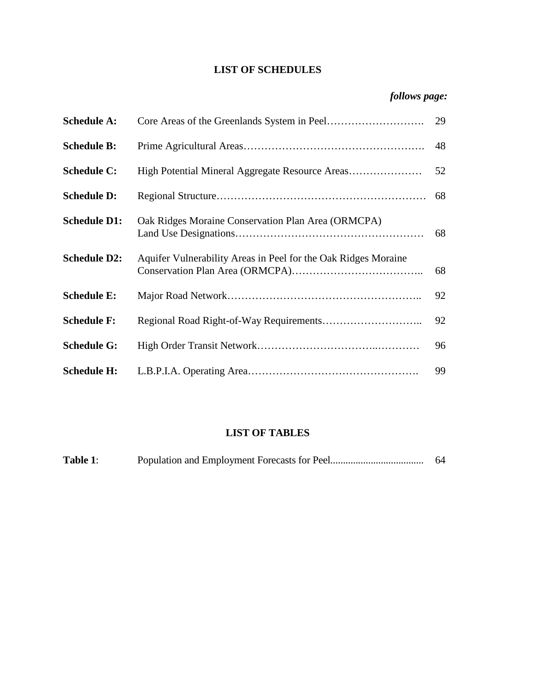#### **LIST OF SCHEDULES**

| <b>Schedule A:</b>  |                                                                | 29 |
|---------------------|----------------------------------------------------------------|----|
| <b>Schedule B:</b>  |                                                                | 48 |
| <b>Schedule C:</b>  |                                                                | 52 |
| <b>Schedule D:</b>  |                                                                | 68 |
| <b>Schedule D1:</b> | Oak Ridges Moraine Conservation Plan Area (ORMCPA)             | 68 |
| <b>Schedule D2:</b> | Aquifer Vulnerability Areas in Peel for the Oak Ridges Moraine | 68 |
| <b>Schedule E:</b>  |                                                                | 92 |
| <b>Schedule F:</b>  |                                                                | 92 |
| <b>Schedule G:</b>  |                                                                | 96 |
| <b>Schedule H:</b>  |                                                                | 99 |

#### **LIST OF TABLES**

| <b>Table 1:</b> | 64 |
|-----------------|----|
|                 |    |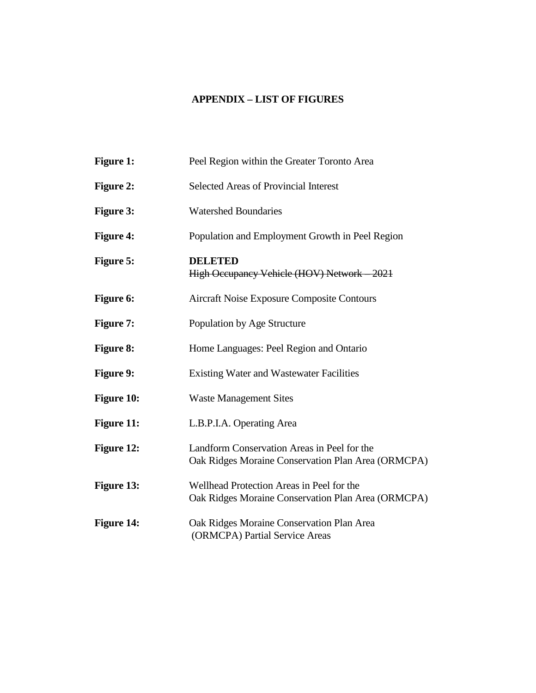#### **APPENDIX – LIST OF FIGURES**

| <b>Figure 1:</b>  | Peel Region within the Greater Toronto Area                                                       |
|-------------------|---------------------------------------------------------------------------------------------------|
| <b>Figure 2:</b>  | <b>Selected Areas of Provincial Interest</b>                                                      |
| <b>Figure 3:</b>  | <b>Watershed Boundaries</b>                                                                       |
| <b>Figure 4:</b>  | Population and Employment Growth in Peel Region                                                   |
| <b>Figure 5:</b>  | <b>DELETED</b><br>High Occupancy Vehicle (HOV) Network - 2021                                     |
| <b>Figure 6:</b>  | <b>Aircraft Noise Exposure Composite Contours</b>                                                 |
| <b>Figure 7:</b>  | Population by Age Structure                                                                       |
| <b>Figure 8:</b>  | Home Languages: Peel Region and Ontario                                                           |
| <b>Figure 9:</b>  | Existing Water and Wastewater Facilities                                                          |
| <b>Figure 10:</b> | <b>Waste Management Sites</b>                                                                     |
| <b>Figure 11:</b> | L.B.P.I.A. Operating Area                                                                         |
| <b>Figure 12:</b> | Landform Conservation Areas in Peel for the<br>Oak Ridges Moraine Conservation Plan Area (ORMCPA) |
| <b>Figure 13:</b> | Wellhead Protection Areas in Peel for the<br>Oak Ridges Moraine Conservation Plan Area (ORMCPA)   |
| <b>Figure 14:</b> | Oak Ridges Moraine Conservation Plan Area<br>(ORMCPA) Partial Service Areas                       |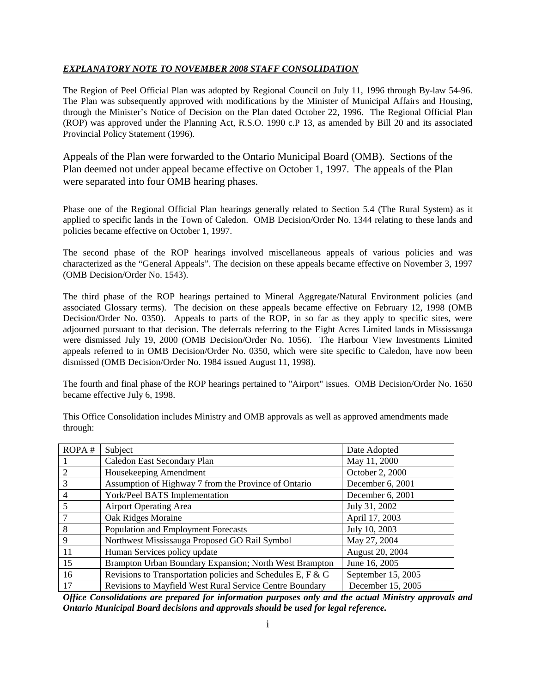#### *EXPLANATORY NOTE TO NOVEMBER 2008 STAFF CONSOLIDATION*

The Region of Peel Official Plan was adopted by Regional Council on July 11, 1996 through By-law 54-96. The Plan was subsequently approved with modifications by the Minister of Municipal Affairs and Housing, through the Minister's Notice of Decision on the Plan dated October 22, 1996. The Regional Official Plan (ROP) was approved under the Planning Act, R.S.O. 1990 c.P 13, as amended by Bill 20 and its associated Provincial Policy Statement (1996).

Appeals of the Plan were forwarded to the Ontario Municipal Board (OMB). Sections of the Plan deemed not under appeal became effective on October 1, 1997. The appeals of the Plan were separated into four OMB hearing phases.

Phase one of the Regional Official Plan hearings generally related to Section 5.4 (The Rural System) as it applied to specific lands in the Town of Caledon. OMB Decision/Order No. 1344 relating to these lands and policies became effective on October 1, 1997.

The second phase of the ROP hearings involved miscellaneous appeals of various policies and was characterized as the "General Appeals". The decision on these appeals became effective on November 3, 1997 (OMB Decision/Order No. 1543).

The third phase of the ROP hearings pertained to Mineral Aggregate/Natural Environment policies (and associated Glossary terms). The decision on these appeals became effective on February 12, 1998 (OMB Decision/Order No. 0350). Appeals to parts of the ROP, in so far as they apply to specific sites, were adjourned pursuant to that decision. The deferrals referring to the Eight Acres Limited lands in Mississauga were dismissed July 19, 2000 (OMB Decision/Order No. 1056). The Harbour View Investments Limited appeals referred to in OMB Decision/Order No. 0350, which were site specific to Caledon, have now been dismissed (OMB Decision/Order No. 1984 issued August 11, 1998).

The fourth and final phase of the ROP hearings pertained to "Airport" issues. OMB Decision/Order No. 1650 became effective July 6, 1998.

| ROPA#          | Subject                                                     | Date Adopted       |
|----------------|-------------------------------------------------------------|--------------------|
|                | Caledon East Secondary Plan                                 | May 11, 2000       |
| $\overline{2}$ | Housekeeping Amendment                                      | October 2, 2000    |
| 3              | Assumption of Highway 7 from the Province of Ontario        | December 6, 2001   |
| $\overline{4}$ | York/Peel BATS Implementation                               | December 6, 2001   |
| 5              | <b>Airport Operating Area</b>                               | July 31, 2002      |
| 7              | Oak Ridges Moraine                                          | April 17, 2003     |
| 8              | Population and Employment Forecasts                         | July 10, 2003      |
| 9              | Northwest Mississauga Proposed GO Rail Symbol               | May 27, 2004       |
| 11             | Human Services policy update                                | August 20, 2004    |
| 15             | Brampton Urban Boundary Expansion; North West Brampton      | June 16, 2005      |
| 16             | Revisions to Transportation policies and Schedules E, F & G | September 15, 2005 |
| 17             | Revisions to Mayfield West Rural Service Centre Boundary    | December 15, 2005  |

This Office Consolidation includes Ministry and OMB approvals as well as approved amendments made through:

*Office Consolidations are prepared for information purposes only and the actual Ministry approvals and Ontario Municipal Board decisions and approvals should be used for legal reference.*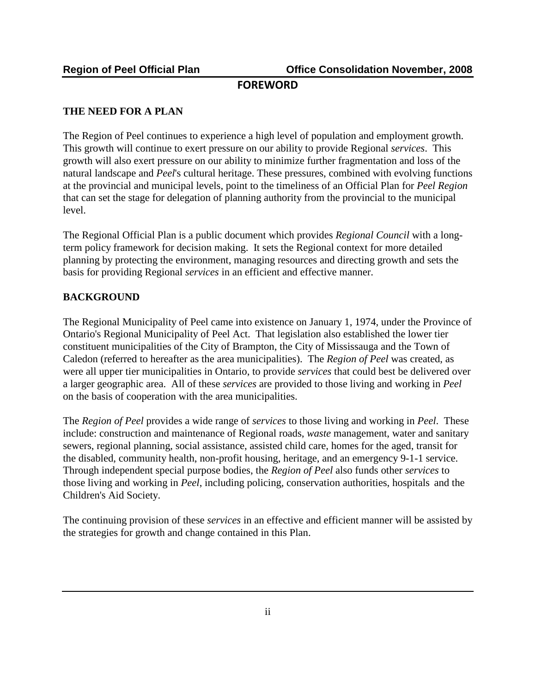#### FOREWORD

#### **THE NEED FOR A PLAN**

The Region of Peel continues to experience a high level of population and employment growth. This growth will continue to exert pressure on our ability to provide Regional *services*. This growth will also exert pressure on our ability to minimize further fragmentation and loss of the natural landscape and *Peel*'s cultural heritage. These pressures, combined with evolving functions at the provincial and municipal levels, point to the timeliness of an Official Plan for *Peel Region* that can set the stage for delegation of planning authority from the provincial to the municipal level.

The Regional Official Plan is a public document which provides *Regional Council* with a longterm policy framework for decision making. It sets the Regional context for more detailed planning by protecting the environment, managing resources and directing growth and sets the basis for providing Regional *services* in an efficient and effective manner.

#### **BACKGROUND**

The Regional Municipality of Peel came into existence on January 1, 1974, under the Province of Ontario's Regional Municipality of Peel Act. That legislation also established the lower tier constituent municipalities of the City of Brampton, the City of Mississauga and the Town of Caledon (referred to hereafter as the area municipalities). The *Region of Peel* was created, as were all upper tier municipalities in Ontario, to provide *services* that could best be delivered over a larger geographic area. All of these *services* are provided to those living and working in *Peel* on the basis of cooperation with the area municipalities.

The *Region of Peel* provides a wide range of *services* to those living and working in *Peel*. These include: construction and maintenance of Regional roads, *waste* management, water and sanitary sewers, regional planning, social assistance, assisted child care, homes for the aged, transit for the disabled, community health, non-profit housing, heritage, and an emergency 9-1-1 service. Through independent special purpose bodies, the *Region of Peel* also funds other *services* to those living and working in *Peel*, including policing, conservation authorities, hospitals and the Children's Aid Society.

The continuing provision of these *services* in an effective and efficient manner will be assisted by the strategies for growth and change contained in this Plan.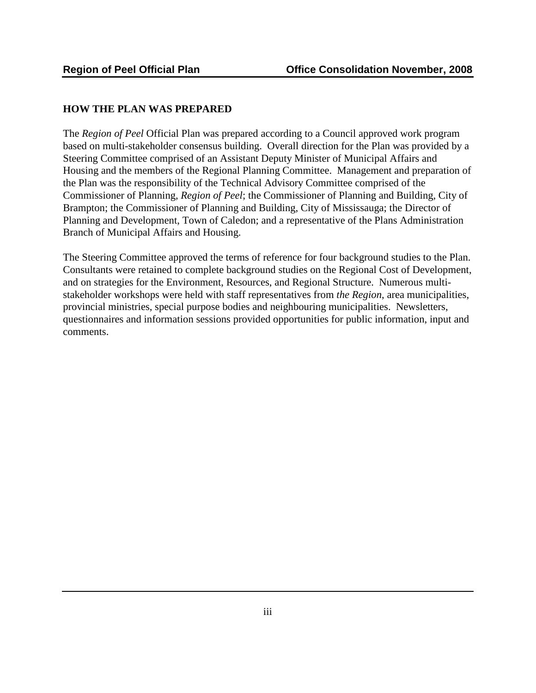#### **HOW THE PLAN WAS PREPARED**

The *Region of Peel* Official Plan was prepared according to a Council approved work program based on multi-stakeholder consensus building. Overall direction for the Plan was provided by a Steering Committee comprised of an Assistant Deputy Minister of Municipal Affairs and Housing and the members of the Regional Planning Committee. Management and preparation of the Plan was the responsibility of the Technical Advisory Committee comprised of the Commissioner of Planning, *Region of Peel*; the Commissioner of Planning and Building, City of Brampton; the Commissioner of Planning and Building, City of Mississauga; the Director of Planning and Development, Town of Caledon; and a representative of the Plans Administration Branch of Municipal Affairs and Housing.

The Steering Committee approved the terms of reference for four background studies to the Plan. Consultants were retained to complete background studies on the Regional Cost of Development, and on strategies for the Environment, Resources, and Regional Structure. Numerous multistakeholder workshops were held with staff representatives from *the Region*, area municipalities, provincial ministries, special purpose bodies and neighbouring municipalities. Newsletters, questionnaires and information sessions provided opportunities for public information, input and comments.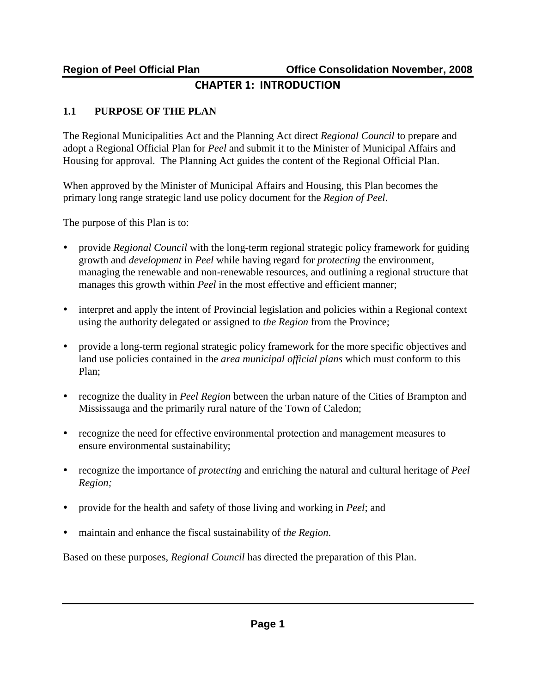#### CHAPTER 1: INTRODUCTION

#### **1.1 PURPOSE OF THE PLAN**

The Regional Municipalities Act and the Planning Act direct *Regional Council* to prepare and adopt a Regional Official Plan for *Peel* and submit it to the Minister of Municipal Affairs and Housing for approval. The Planning Act guides the content of the Regional Official Plan.

When approved by the Minister of Municipal Affairs and Housing, this Plan becomes the primary long range strategic land use policy document for the *Region of Peel*.

The purpose of this Plan is to:

- provide *Regional Council* with the long-term regional strategic policy framework for guiding growth and *development* in *Peel* while having regard for *protecting* the environment, managing the renewable and non-renewable resources, and outlining a regional structure that manages this growth within *Peel* in the most effective and efficient manner;
- interpret and apply the intent of Provincial legislation and policies within a Regional context using the authority delegated or assigned to *the Region* from the Province;
- provide a long-term regional strategic policy framework for the more specific objectives and land use policies contained in the *area municipal official plans* which must conform to this Plan;
- recognize the duality in *Peel Region* between the urban nature of the Cities of Brampton and Mississauga and the primarily rural nature of the Town of Caledon;
- recognize the need for effective environmental protection and management measures to ensure environmental sustainability;
- recognize the importance of *protecting* and enriching the natural and cultural heritage of *Peel Region;*
- provide for the health and safety of those living and working in *Peel*; and
- maintain and enhance the fiscal sustainability of *the Region*.

Based on these purposes, *Regional Council* has directed the preparation of this Plan.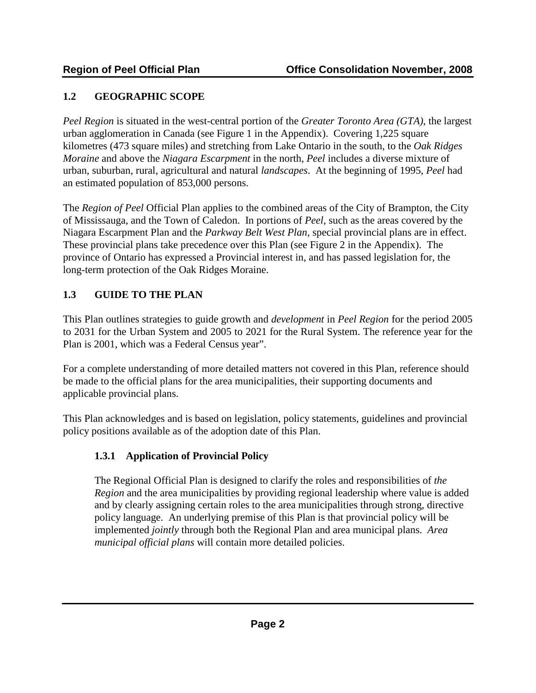#### **1.2 GEOGRAPHIC SCOPE**

*Peel Region* is situated in the west-central portion of the *Greater Toronto Area (GTA)*, the largest urban agglomeration in Canada (see Figure 1 in the Appendix). Covering 1,225 square kilometres (473 square miles) and stretching from Lake Ontario in the south, to the *Oak Ridges Moraine* and above the *Niagara Escarpment* in the north, *Peel* includes a diverse mixture of urban, suburban, rural, agricultural and natural *landscapes*. At the beginning of 1995, *Peel* had an estimated population of 853,000 persons.

The *Region of Peel* Official Plan applies to the combined areas of the City of Brampton, the City of Mississauga, and the Town of Caledon. In portions of *Peel*, such as the areas covered by the Niagara Escarpment Plan and the *Parkway Belt West Plan*, special provincial plans are in effect. These provincial plans take precedence over this Plan (see Figure 2 in the Appendix). The province of Ontario has expressed a Provincial interest in, and has passed legislation for, the long-term protection of the Oak Ridges Moraine.

### **1.3 GUIDE TO THE PLAN**

This Plan outlines strategies to guide growth and *development* in *Peel Region* for the period 2005 to 2031 for the Urban System and 2005 to 2021 for the Rural System. The reference year for the Plan is 2001, which was a Federal Census year".

For a complete understanding of more detailed matters not covered in this Plan, reference should be made to the official plans for the area municipalities, their supporting documents and applicable provincial plans.

This Plan acknowledges and is based on legislation, policy statements, guidelines and provincial policy positions available as of the adoption date of this Plan.

### **1.3.1 Application of Provincial Policy**

The Regional Official Plan is designed to clarify the roles and responsibilities of *the Region* and the area municipalities by providing regional leadership where value is added and by clearly assigning certain roles to the area municipalities through strong, directive policy language. An underlying premise of this Plan is that provincial policy will be implemented *jointly* through both the Regional Plan and area municipal plans. *Area municipal official plans* will contain more detailed policies.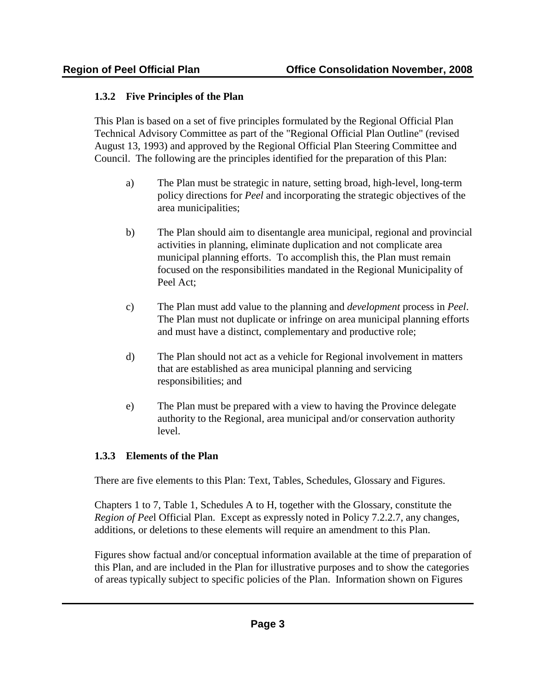#### **1.3.2 Five Principles of the Plan**

 This Plan is based on a set of five principles formulated by the Regional Official Plan Technical Advisory Committee as part of the "Regional Official Plan Outline" (revised August 13, 1993) and approved by the Regional Official Plan Steering Committee and Council. The following are the principles identified for the preparation of this Plan:

- a) The Plan must be strategic in nature, setting broad, high-level, long-term policy directions for *Peel* and incorporating the strategic objectives of the area municipalities;
- b) The Plan should aim to disentangle area municipal, regional and provincial activities in planning, eliminate duplication and not complicate area municipal planning efforts. To accomplish this, the Plan must remain focused on the responsibilities mandated in the Regional Municipality of Peel Act;
- c) The Plan must add value to the planning and *development* process in *Peel*. The Plan must not duplicate or infringe on area municipal planning efforts and must have a distinct, complementary and productive role;
- d) The Plan should not act as a vehicle for Regional involvement in matters that are established as area municipal planning and servicing responsibilities; and
- e) The Plan must be prepared with a view to having the Province delegate authority to the Regional, area municipal and/or conservation authority level.

#### **1.3.3 Elements of the Plan**

There are five elements to this Plan: Text, Tables, Schedules, Glossary and Figures.

 Chapters 1 to 7, Table 1, Schedules A to H, together with the Glossary, constitute the *Region of Pee*l Official Plan. Except as expressly noted in Policy 7.2.2.7, any changes, additions, or deletions to these elements will require an amendment to this Plan.

 Figures show factual and/or conceptual information available at the time of preparation of this Plan, and are included in the Plan for illustrative purposes and to show the categories of areas typically subject to specific policies of the Plan. Information shown on Figures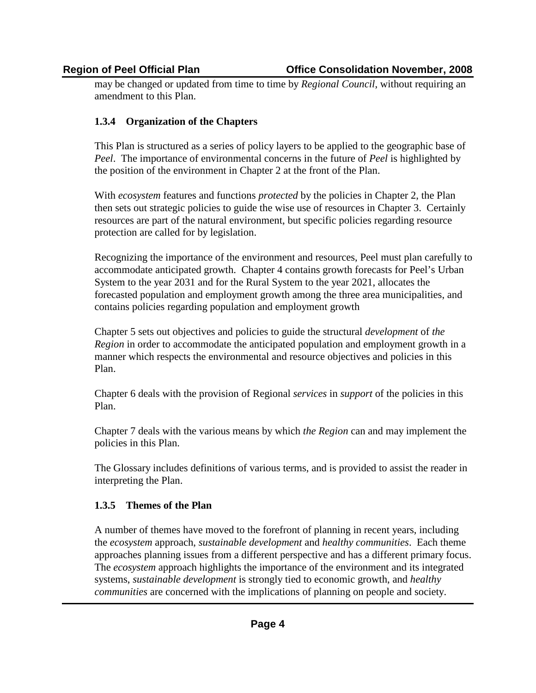may be changed or updated from time to time by *Regional Council*, without requiring an amendment to this Plan.

#### **1.3.4 Organization of the Chapters**

 This Plan is structured as a series of policy layers to be applied to the geographic base of *Peel*. The importance of environmental concerns in the future of *Peel* is highlighted by the position of the environment in Chapter 2 at the front of the Plan.

 With *ecosystem* features and functions *protected* by the policies in Chapter 2, the Plan then sets out strategic policies to guide the wise use of resources in Chapter 3. Certainly resources are part of the natural environment, but specific policies regarding resource protection are called for by legislation.

 Recognizing the importance of the environment and resources, Peel must plan carefully to accommodate anticipated growth. Chapter 4 contains growth forecasts for Peel's Urban System to the year 2031 and for the Rural System to the year 2021, allocates the forecasted population and employment growth among the three area municipalities, and contains policies regarding population and employment growth

 Chapter 5 sets out objectives and policies to guide the structural *development* of *the Region* in order to accommodate the anticipated population and employment growth in a manner which respects the environmental and resource objectives and policies in this Plan.

 Chapter 6 deals with the provision of Regional *services* in *support* of the policies in this Plan.

 Chapter 7 deals with the various means by which *the Region* can and may implement the policies in this Plan.

 The Glossary includes definitions of various terms, and is provided to assist the reader in interpreting the Plan.

#### **1.3.5 Themes of the Plan**

 A number of themes have moved to the forefront of planning in recent years, including the *ecosystem* approach, *sustainable development* and *healthy communities*. Each theme approaches planning issues from a different perspective and has a different primary focus. The *ecosystem* approach highlights the importance of the environment and its integrated systems, *sustainable development* is strongly tied to economic growth, and *healthy communities* are concerned with the implications of planning on people and society.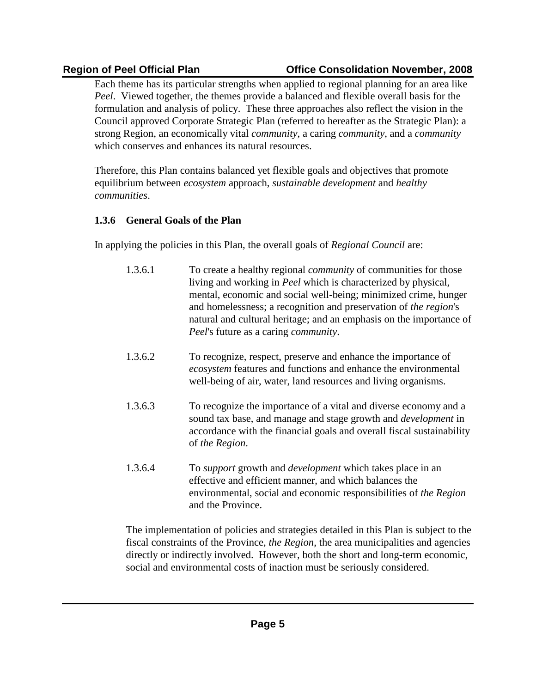#### **Region of Peel Official Plan Office Consolidation November, 2008**

Each theme has its particular strengths when applied to regional planning for an area like *Peel*. Viewed together, the themes provide a balanced and flexible overall basis for the formulation and analysis of policy. These three approaches also reflect the vision in the Council approved Corporate Strategic Plan (referred to hereafter as the Strategic Plan): a strong Region, an economically vital *community*, a caring *community*, and a *community* which conserves and enhances its natural resources.

 Therefore, this Plan contains balanced yet flexible goals and objectives that promote equilibrium between *ecosystem* approach, *sustainable development* and *healthy communities*.

#### **1.3.6 General Goals of the Plan**

In applying the policies in this Plan, the overall goals of *Regional Council* are:

| 1.3.6.1 | To create a healthy regional <i>community</i> of communities for those |
|---------|------------------------------------------------------------------------|
|         | living and working in <i>Peel</i> which is characterized by physical,  |
|         | mental, economic and social well-being; minimized crime, hunger        |
|         | and homelessness; a recognition and preservation of the region's       |
|         | natural and cultural heritage; and an emphasis on the importance of    |
|         | <i>Peel's</i> future as a caring <i>community</i> .                    |
|         |                                                                        |

- 1.3.6.2 To recognize, respect, preserve and enhance the importance of *ecosystem* features and functions and enhance the environmental well-being of air, water, land resources and living organisms.
- 1.3.6.3 To recognize the importance of a vital and diverse economy and a sound tax base, and manage and stage growth and *development* in accordance with the financial goals and overall fiscal sustainability of *the Region*.
- 1.3.6.4 To *support* growth and *development* which takes place in an effective and efficient manner, and which balances the environmental, social and economic responsibilities of *the Region* and the Province.

 The implementation of policies and strategies detailed in this Plan is subject to the fiscal constraints of the Province, *the Region*, the area municipalities and agencies directly or indirectly involved. However, both the short and long-term economic, social and environmental costs of inaction must be seriously considered.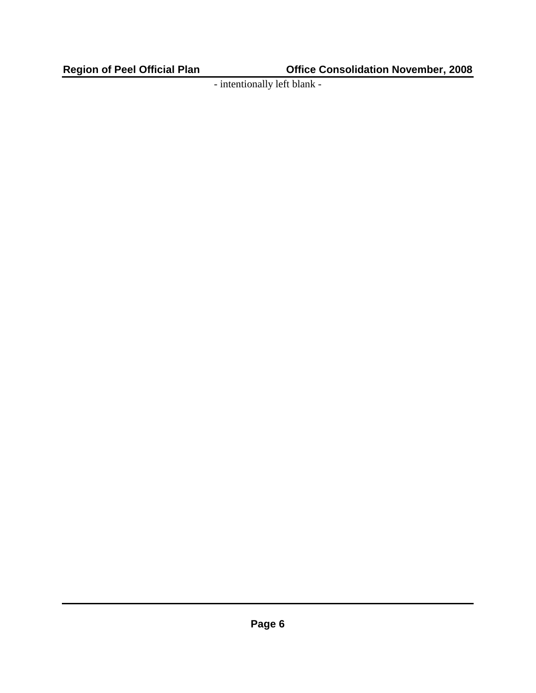Region of Peel Official Plan **Office Consolidation November, 2008** 

- intentionally left blank -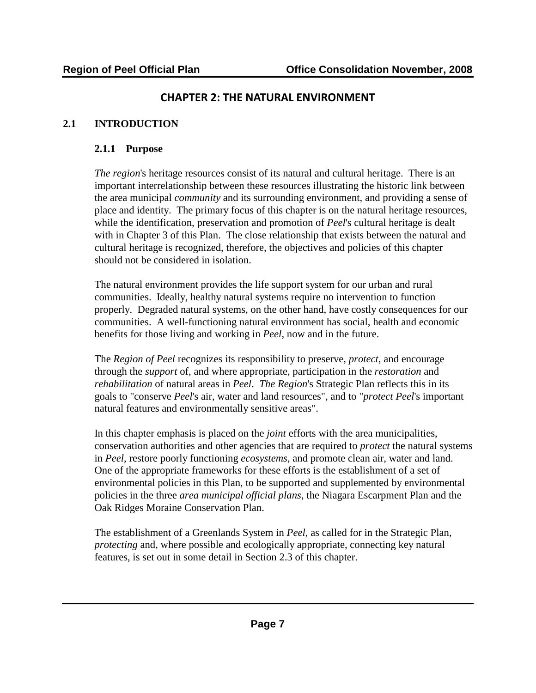#### CHAPTER 2: THE NATURAL ENVIRONMENT

#### **2.1 INTRODUCTION**

#### **2.1.1 Purpose**

*The region*'s heritage resources consist of its natural and cultural heritage. There is an important interrelationship between these resources illustrating the historic link between the area municipal *community* and its surrounding environment, and providing a sense of place and identity. The primary focus of this chapter is on the natural heritage resources, while the identification, preservation and promotion of *Peel*'s cultural heritage is dealt with in Chapter 3 of this Plan. The close relationship that exists between the natural and cultural heritage is recognized, therefore, the objectives and policies of this chapter should not be considered in isolation.

 The natural environment provides the life support system for our urban and rural communities. Ideally, healthy natural systems require no intervention to function properly. Degraded natural systems, on the other hand, have costly consequences for our communities. A well-functioning natural environment has social, health and economic benefits for those living and working in *Peel*, now and in the future.

 The *Region of Peel* recognizes its responsibility to preserve, *protect*, and encourage through the *support* of, and where appropriate, participation in the *restoration* and *rehabilitation* of natural areas in *Peel*. *The Region*'s Strategic Plan reflects this in its goals to "conserve *Peel*'s air, water and land resources", and to "*protect Peel*'s important natural features and environmentally sensitive areas".

 In this chapter emphasis is placed on the *joint* efforts with the area municipalities, conservation authorities and other agencies that are required to *protect* the natural systems in *Peel*, restore poorly functioning *ecosystems*, and promote clean air, water and land. One of the appropriate frameworks for these efforts is the establishment of a set of environmental policies in this Plan, to be supported and supplemented by environmental policies in the three *area municipal official plans*, the Niagara Escarpment Plan and the Oak Ridges Moraine Conservation Plan.

The establishment of a Greenlands System in *Peel*, as called for in the Strategic Plan, *protecting* and, where possible and ecologically appropriate, connecting key natural features, is set out in some detail in Section 2.3 of this chapter.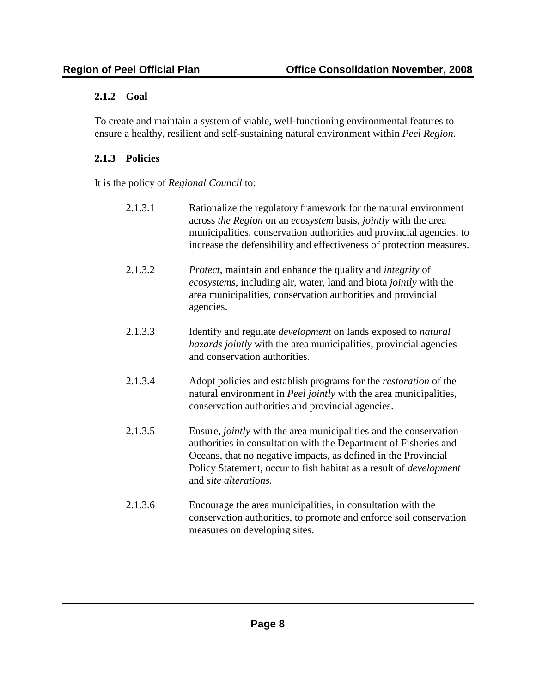#### **2.1.2 Goal**

 To create and maintain a system of viable, well-functioning environmental features to ensure a healthy, resilient and self-sustaining natural environment within *Peel Region*.

#### **2.1.3 Policies**

It is the policy of *Regional Council* to:

| 2.1.3.1 | Rationalize the regulatory framework for the natural environment<br>across the Region on an ecosystem basis, jointly with the area<br>municipalities, conservation authorities and provincial agencies, to<br>increase the defensibility and effectiveness of protection measures.                                   |
|---------|----------------------------------------------------------------------------------------------------------------------------------------------------------------------------------------------------------------------------------------------------------------------------------------------------------------------|
| 2.1.3.2 | <i>Protect</i> , maintain and enhance the quality and <i>integrity</i> of<br>ecosystems, including air, water, land and biota jointly with the<br>area municipalities, conservation authorities and provincial<br>agencies.                                                                                          |
| 2.1.3.3 | Identify and regulate <i>development</i> on lands exposed to natural<br>hazards jointly with the area municipalities, provincial agencies<br>and conservation authorities.                                                                                                                                           |
| 2.1.3.4 | Adopt policies and establish programs for the <i>restoration</i> of the<br>natural environment in <i>Peel jointly</i> with the area municipalities,<br>conservation authorities and provincial agencies.                                                                                                             |
| 2.1.3.5 | Ensure, <i>jointly</i> with the area municipalities and the conservation<br>authorities in consultation with the Department of Fisheries and<br>Oceans, that no negative impacts, as defined in the Provincial<br>Policy Statement, occur to fish habitat as a result of <i>development</i><br>and site alterations. |
| 2.1.3.6 | Encourage the area municipalities, in consultation with the<br>conservation authorities, to promote and enforce soil conservation<br>measures on developing sites.                                                                                                                                                   |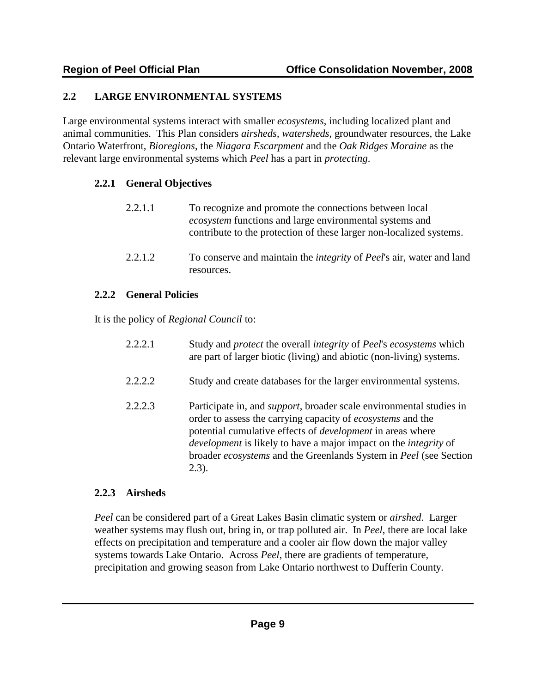#### **2.2 LARGE ENVIRONMENTAL SYSTEMS**

Large environmental systems interact with smaller *ecosystems*, including localized plant and animal communities. This Plan considers *airsheds*, *watersheds*, groundwater resources, the Lake Ontario Waterfront, *Bioregions*, the *Niagara Escarpment* and the *Oak Ridges Moraine* as the relevant large environmental systems which *Peel* has a part in *protecting*.

#### **2.2.1 General Objectives**

| 2.2.1.1 | To recognize and promote the connections between local<br>ecosystem functions and large environmental systems and<br>contribute to the protection of these larger non-localized systems. |
|---------|------------------------------------------------------------------------------------------------------------------------------------------------------------------------------------------|
| 2.2.1.2 | To conserve and maintain the <i>integrity</i> of <i>Peel's</i> air, water and land<br>resources.                                                                                         |

#### **2.2.2 General Policies**

It is the policy of *Regional Council* to:

| 2.2.2.1 | Study and <i>protect</i> the overall <i>integrity</i> of <i>Peel's ecosystems</i> which<br>are part of larger biotic (living) and abiotic (non-living) systems.                                                                                                                                                                                                           |
|---------|---------------------------------------------------------------------------------------------------------------------------------------------------------------------------------------------------------------------------------------------------------------------------------------------------------------------------------------------------------------------------|
| 2.2.2.2 | Study and create databases for the larger environmental systems.                                                                                                                                                                                                                                                                                                          |
| 2.2.2.3 | Participate in, and <i>support</i> , broader scale environmental studies in<br>order to assess the carrying capacity of <i>ecosystems</i> and the<br>potential cumulative effects of <i>development</i> in areas where<br>development is likely to have a major impact on the integrity of<br>broader ecosystems and the Greenlands System in Peel (see Section<br>(2.3). |

#### **2.2.3 Airsheds**

*Peel* can be considered part of a Great Lakes Basin climatic system or *airshed*. Larger weather systems may flush out, bring in, or trap polluted air. In *Peel*, there are local lake effects on precipitation and temperature and a cooler air flow down the major valley systems towards Lake Ontario. Across *Peel*, there are gradients of temperature, precipitation and growing season from Lake Ontario northwest to Dufferin County.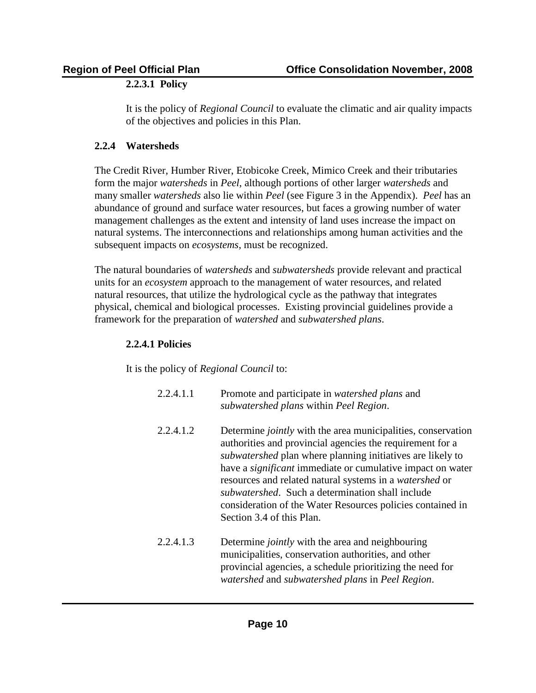#### **2.2.3.1 Policy**

 It is the policy of *Regional Council* to evaluate the climatic and air quality impacts of the objectives and policies in this Plan.

#### **2.2.4 Watersheds**

 The Credit River, Humber River, Etobicoke Creek, Mimico Creek and their tributaries form the major *watersheds* in *Peel*, although portions of other larger *watersheds* and many smaller *watersheds* also lie within *Peel* (see Figure 3 in the Appendix). *Peel* has an abundance of ground and surface water resources, but faces a growing number of water management challenges as the extent and intensity of land uses increase the impact on natural systems. The interconnections and relationships among human activities and the subsequent impacts on *ecosystems*, must be recognized.

 The natural boundaries of *watersheds* and *subwatersheds* provide relevant and practical units for an *ecosystem* approach to the management of water resources, and related natural resources, that utilize the hydrological cycle as the pathway that integrates physical, chemical and biological processes. Existing provincial guidelines provide a framework for the preparation of *watershed* and *subwatershed plans*.

#### **2.2.4.1 Policies**

It is the policy of *Regional Council* to:

- 2.2.4.1.1 Promote and participate in *watershed plans* and *subwatershed plans* within *Peel Region*.
- 2.2.4.1.2 Determine *jointly* with the area municipalities, conservation authorities and provincial agencies the requirement for a *subwatershed* plan where planning initiatives are likely to have a *significant* immediate or cumulative impact on water resources and related natural systems in a *watershed* or *subwatershed*. Such a determination shall include consideration of the Water Resources policies contained in Section 3.4 of this Plan.
- 2.2.4.1.3 Determine *jointly* with the area and neighbouring municipalities, conservation authorities, and other provincial agencies, a schedule prioritizing the need for *watershed* and *subwatershed plans* in *Peel Region*.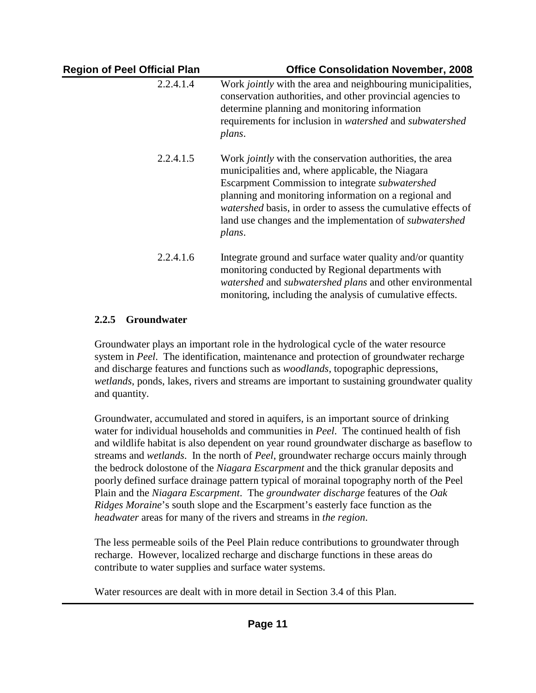| <b>Region of Peel Official Plan</b> | <b>Office Consolidation November, 2008</b>                                                                                                                                                                                                                                                                                                                                                  |  |
|-------------------------------------|---------------------------------------------------------------------------------------------------------------------------------------------------------------------------------------------------------------------------------------------------------------------------------------------------------------------------------------------------------------------------------------------|--|
| 2.2.4.1.4                           | Work <i>jointly</i> with the area and neighbouring municipalities,<br>conservation authorities, and other provincial agencies to<br>determine planning and monitoring information<br>requirements for inclusion in watershed and subwatershed<br>plans.                                                                                                                                     |  |
| 2.2.4.1.5                           | Work <i>jointly</i> with the conservation authorities, the area<br>municipalities and, where applicable, the Niagara<br>Escarpment Commission to integrate <i>subwatershed</i><br>planning and monitoring information on a regional and<br><i>watershed</i> basis, in order to assess the cumulative effects of<br>land use changes and the implementation of <i>subwatershed</i><br>plans. |  |
| 2.2.4.1.6                           | Integrate ground and surface water quality and/or quantity<br>monitoring conducted by Regional departments with<br>watershed and subwatershed plans and other environmental<br>monitoring, including the analysis of cumulative effects.                                                                                                                                                    |  |

#### **2.2.5 Groundwater**

 Groundwater plays an important role in the hydrological cycle of the water resource system in *Peel*. The identification, maintenance and protection of groundwater recharge and discharge features and functions such as *woodlands*, topographic depressions, *wetlands*, ponds, lakes, rivers and streams are important to sustaining groundwater quality and quantity.

 Groundwater, accumulated and stored in aquifers, is an important source of drinking water for individual households and communities in *Peel*. The continued health of fish and wildlife habitat is also dependent on year round groundwater discharge as baseflow to streams and *wetlands*. In the north of *Peel*, groundwater recharge occurs mainly through the bedrock dolostone of the *Niagara Escarpment* and the thick granular deposits and poorly defined surface drainage pattern typical of morainal topography north of the Peel Plain and the *Niagara Escarpment*. The *groundwater discharge* features of the *Oak Ridges Moraine*'s south slope and the Escarpment's easterly face function as the *headwater* areas for many of the rivers and streams in *the region*.

 The less permeable soils of the Peel Plain reduce contributions to groundwater through recharge. However, localized recharge and discharge functions in these areas do contribute to water supplies and surface water systems.

Water resources are dealt with in more detail in Section 3.4 of this Plan.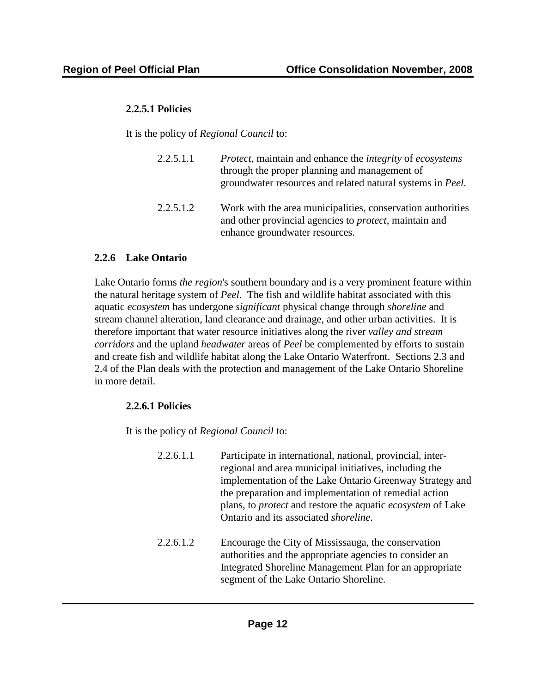#### **2.2.5.1 Policies**

It is the policy of *Regional Council* to:

| 2.2.5.1.1 | Protect, maintain and enhance the <i>integrity</i> of <i>ecosystems</i><br>through the proper planning and management of<br>groundwater resources and related natural systems in Peel. |
|-----------|----------------------------------------------------------------------------------------------------------------------------------------------------------------------------------------|
| 2.2.5.1.2 | Work with the area municipalities, conservation authorities<br>and other provincial agencies to <i>protect</i> , maintain and<br>enhance groundwater resources.                        |

#### **2.2.6 Lake Ontario**

 Lake Ontario forms *the region*'s southern boundary and is a very prominent feature within the natural heritage system of *Peel*. The fish and wildlife habitat associated with this aquatic *ecosystem* has undergone *significant* physical change through *shoreline* and stream channel alteration, land clearance and drainage, and other urban activities. It is therefore important that water resource initiatives along the river *valley and stream corridors* and the upland *headwater* areas of *Peel* be complemented by efforts to sustain and create fish and wildlife habitat along the Lake Ontario Waterfront. Sections 2.3 and 2.4 of the Plan deals with the protection and management of the Lake Ontario Shoreline in more detail.

#### **2.2.6.1 Policies**

It is the policy of *Regional Council* to:

- 2.2.6.1.1 Participate in international, national, provincial, interregional and area municipal initiatives, including the implementation of the Lake Ontario Greenway Strategy and the preparation and implementation of remedial action plans, to *protect* and restore the aquatic *ecosystem* of Lake Ontario and its associated *shoreline*.
- 2.2.6.1.2 Encourage the City of Mississauga, the conservation authorities and the appropriate agencies to consider an Integrated Shoreline Management Plan for an appropriate segment of the Lake Ontario Shoreline.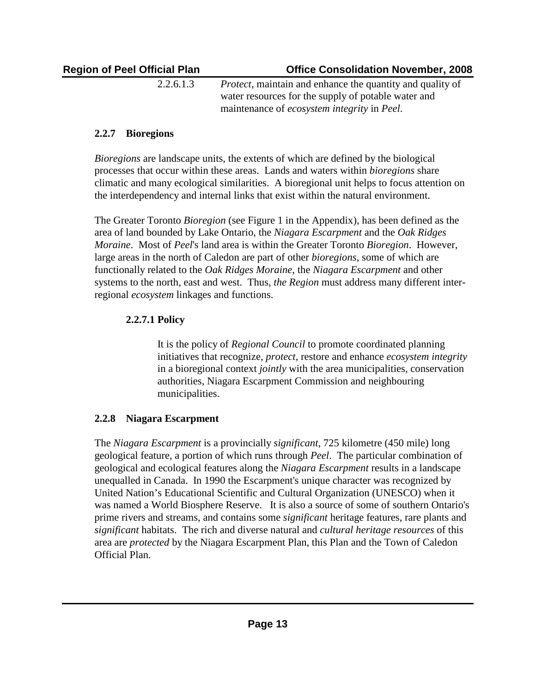#### **Region of Peel Official Plan Consolidation November, 2008**

 2.2.6.1.3 *Protect*, maintain and enhance the quantity and quality of water resources for the supply of potable water and maintenance of *ecosystem integrity* in *Peel*.

#### **2.2.7 Bioregions**

*Bioregions* are landscape units, the extents of which are defined by the biological processes that occur within these areas. Lands and waters within *bioregions* share climatic and many ecological similarities. A bioregional unit helps to focus attention on the interdependency and internal links that exist within the natural environment.

 The Greater Toronto *Bioregion* (see Figure 1 in the Appendix), has been defined as the area of land bounded by Lake Ontario, the *Niagara Escarpment* and the *Oak Ridges Moraine*. Most of *Peel*'s land area is within the Greater Toronto *Bioregion*. However, large areas in the north of Caledon are part of other *bioregions*, some of which are functionally related to the *Oak Ridges Moraine*, the *Niagara Escarpment* and other systems to the north, east and west. Thus, *the Region* must address many different interregional *ecosystem* linkages and functions.

#### **2.2.7.1 Policy**

It is the policy of *Regional Council* to promote coordinated planning initiatives that recognize, *protect*, restore and enhance *ecosystem integrity* in a bioregional context *jointly* with the area municipalities, conservation authorities, Niagara Escarpment Commission and neighbouring municipalities.

#### **2.2.8 Niagara Escarpment**

 The *Niagara Escarpment* is a provincially *significant*, 725 kilometre (450 mile) long geological feature, a portion of which runs through *Peel*. The particular combination of geological and ecological features along the *Niagara Escarpment* results in a landscape unequalled in Canada. In 1990 the Escarpment's unique character was recognized by United Nation's Educational Scientific and Cultural Organization (UNESCO) when it was named a World Biosphere Reserve. It is also a source of some of southern Ontario's prime rivers and streams, and contains some *significant* heritage features, rare plants and *significant* habitats. The rich and diverse natural and *cultural heritage resources* of this area are *protected* by the Niagara Escarpment Plan, this Plan and the Town of Caledon Official Plan.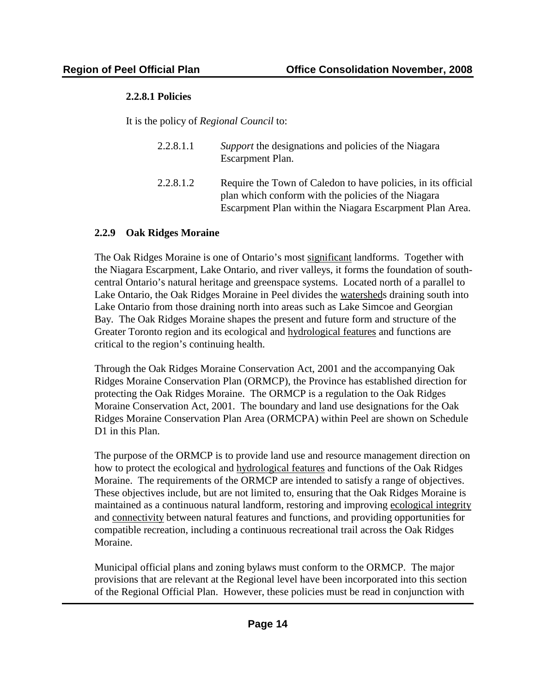#### **2.2.8.1 Policies**

It is the policy of *Regional Council* to:

- 2.2.8.1.1 *Support* the designations and policies of the Niagara Escarpment Plan.
- 2.2.8.1.2 Require the Town of Caledon to have policies, in its official plan which conform with the policies of the Niagara Escarpment Plan within the Niagara Escarpment Plan Area.

### **2.2.9 Oak Ridges Moraine**

 The Oak Ridges Moraine is one of Ontario's most significant landforms. Together with the Niagara Escarpment, Lake Ontario, and river valleys, it forms the foundation of southcentral Ontario's natural heritage and greenspace systems. Located north of a parallel to Lake Ontario, the Oak Ridges Moraine in Peel divides the watersheds draining south into Lake Ontario from those draining north into areas such as Lake Simcoe and Georgian Bay. The Oak Ridges Moraine shapes the present and future form and structure of the Greater Toronto region and its ecological and hydrological features and functions are critical to the region's continuing health.

 Through the Oak Ridges Moraine Conservation Act, 2001 and the accompanying Oak Ridges Moraine Conservation Plan (ORMCP), the Province has established direction for protecting the Oak Ridges Moraine. The ORMCP is a regulation to the Oak Ridges Moraine Conservation Act, 2001. The boundary and land use designations for the Oak Ridges Moraine Conservation Plan Area (ORMCPA) within Peel are shown on Schedule D<sub>1</sub> in this Plan.

 The purpose of the ORMCP is to provide land use and resource management direction on how to protect the ecological and hydrological features and functions of the Oak Ridges Moraine. The requirements of the ORMCP are intended to satisfy a range of objectives. These objectives include, but are not limited to, ensuring that the Oak Ridges Moraine is maintained as a continuous natural landform, restoring and improving ecological integrity and connectivity between natural features and functions, and providing opportunities for compatible recreation, including a continuous recreational trail across the Oak Ridges Moraine.

 Municipal official plans and zoning bylaws must conform to the ORMCP. The major provisions that are relevant at the Regional level have been incorporated into this section of the Regional Official Plan. However, these policies must be read in conjunction with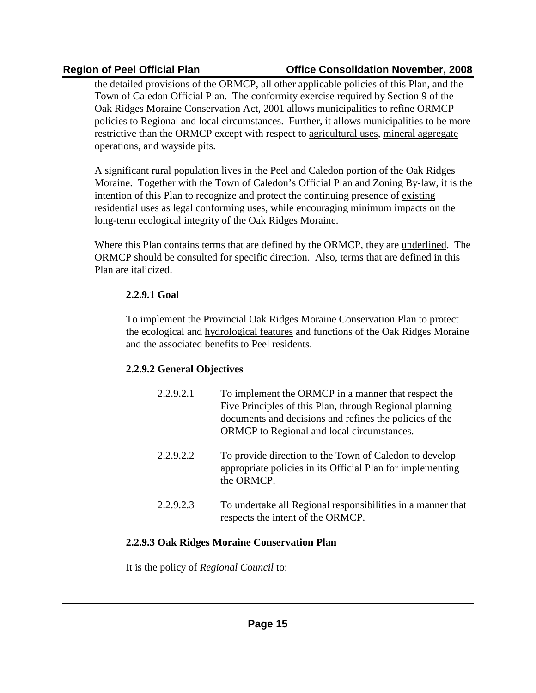#### **Region of Peel Official Plan Office Consolidation November, 2008**

the detailed provisions of the ORMCP, all other applicable policies of this Plan, and the Town of Caledon Official Plan. The conformity exercise required by Section 9 of the Oak Ridges Moraine Conservation Act, 2001 allows municipalities to refine ORMCP policies to Regional and local circumstances. Further, it allows municipalities to be more restrictive than the ORMCP except with respect to agricultural uses, mineral aggregate operations, and wayside pits.

 A significant rural population lives in the Peel and Caledon portion of the Oak Ridges Moraine. Together with the Town of Caledon's Official Plan and Zoning By-law, it is the intention of this Plan to recognize and protect the continuing presence of existing residential uses as legal conforming uses, while encouraging minimum impacts on the long-term ecological integrity of the Oak Ridges Moraine.

 Where this Plan contains terms that are defined by the ORMCP, they are underlined. The ORMCP should be consulted for specific direction. Also, terms that are defined in this Plan are italicized.

#### **2.2.9.1 Goal**

 To implement the Provincial Oak Ridges Moraine Conservation Plan to protect the ecological and hydrological features and functions of the Oak Ridges Moraine and the associated benefits to Peel residents.

#### **2.2.9.2 General Objectives**

| 2.2.9.2.1 | To implement the ORMCP in a manner that respect the<br>Five Principles of this Plan, through Regional planning<br>documents and decisions and refines the policies of the<br>ORMCP to Regional and local circumstances. |
|-----------|-------------------------------------------------------------------------------------------------------------------------------------------------------------------------------------------------------------------------|
| 2.2.9.2.2 | To provide direction to the Town of Caledon to develop<br>appropriate policies in its Official Plan for implementing<br>the ORMCP.                                                                                      |
| 2.2.9.2.3 | To undertake all Regional responsibilities in a manner that<br>respects the intent of the ORMCP.                                                                                                                        |

#### **2.2.9.3 Oak Ridges Moraine Conservation Plan**

It is the policy of *Regional Council* to: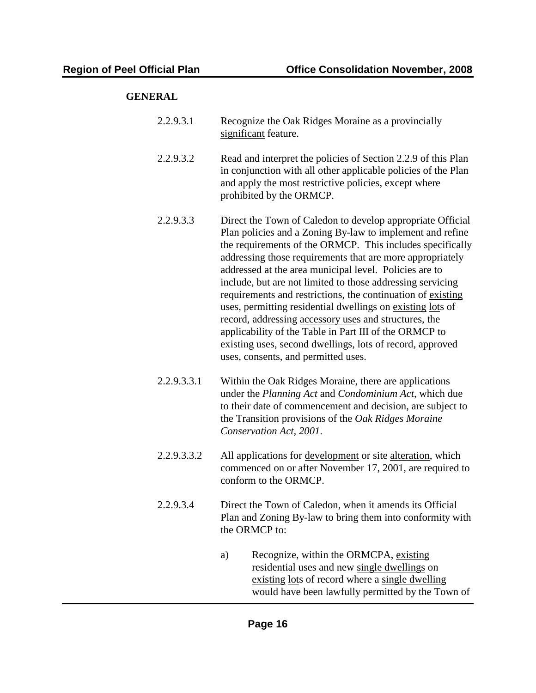#### **GENERAL**

- 2.2.9.3.1 Recognize the Oak Ridges Moraine as a provincially significant feature.
- 2.2.9.3.2 Read and interpret the policies of Section 2.2.9 of this Plan in conjunction with all other applicable policies of the Plan and apply the most restrictive policies, except where prohibited by the ORMCP.
- 2.2.9.3.3 Direct the Town of Caledon to develop appropriate Official Plan policies and a Zoning By-law to implement and refine the requirements of the ORMCP. This includes specifically addressing those requirements that are more appropriately addressed at the area municipal level. Policies are to include, but are not limited to those addressing servicing requirements and restrictions, the continuation of existing uses, permitting residential dwellings on existing lots of record, addressing accessory uses and structures, the applicability of the Table in Part III of the ORMCP to existing uses, second dwellings, lots of record, approved uses, consents, and permitted uses.
- 2.2.9.3.3.1 Within the Oak Ridges Moraine, there are applications under the *Planning Act* and *Condominium Act*, which due to their date of commencement and decision, are subject to the Transition provisions of the *Oak Ridges Moraine Conservation Act, 2001*.
- 2.2.9.3.3.2 All applications for development or site alteration, which commenced on or after November 17, 2001, are required to conform to the ORMCP.
- 2.2.9.3.4 Direct the Town of Caledon, when it amends its Official Plan and Zoning By-law to bring them into conformity with the ORMCP to:
	- a) Recognize, within the ORMCPA, existing residential uses and new single dwellings on existing lots of record where a single dwelling would have been lawfully permitted by the Town of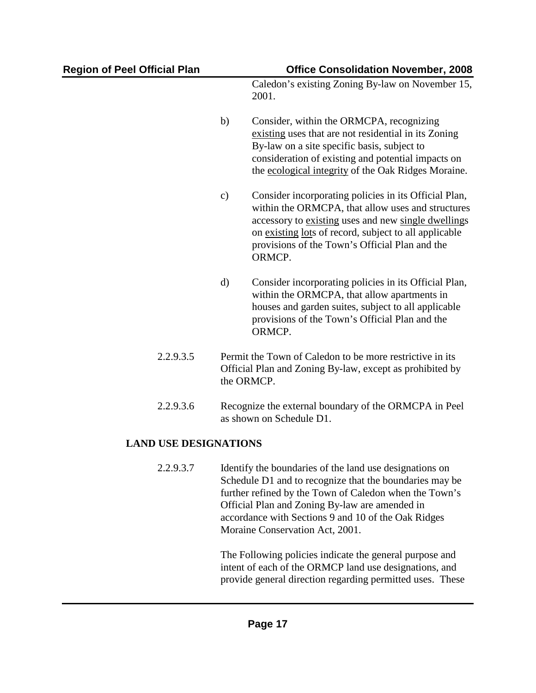Caledon's existing Zoning By-law on November 15, 2001.

- b) Consider, within the ORMCPA, recognizing existing uses that are not residential in its Zoning By-law on a site specific basis, subject to consideration of existing and potential impacts on the ecological integrity of the Oak Ridges Moraine.
- c) Consider incorporating policies in its Official Plan, within the ORMCPA, that allow uses and structures accessory to existing uses and new single dwellings on existing lots of record, subject to all applicable provisions of the Town's Official Plan and the ORMCP.
- d) Consider incorporating policies in its Official Plan, within the ORMCPA, that allow apartments in houses and garden suites, subject to all applicable provisions of the Town's Official Plan and the ORMCP.
- 2.2.9.3.5 Permit the Town of Caledon to be more restrictive in its Official Plan and Zoning By-law, except as prohibited by the ORMCP.
- 2.2.9.3.6 Recognize the external boundary of the ORMCPA in Peel as shown on Schedule D1.

#### **LAND USE DESIGNATIONS**

 2.2.9.3.7 Identify the boundaries of the land use designations on Schedule D1 and to recognize that the boundaries may be further refined by the Town of Caledon when the Town's Official Plan and Zoning By-law are amended in accordance with Sections 9 and 10 of the Oak Ridges Moraine Conservation Act, 2001.

> The Following policies indicate the general purpose and intent of each of the ORMCP land use designations, and provide general direction regarding permitted uses. These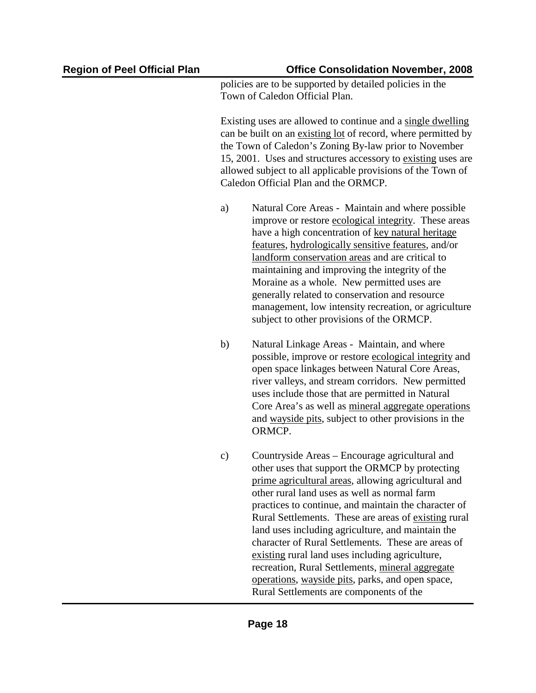policies are to be supported by detailed policies in the Town of Caledon Official Plan.

 Existing uses are allowed to continue and a single dwelling can be built on an existing lot of record, where permitted by the Town of Caledon's Zoning By-law prior to November 15, 2001. Uses and structures accessory to existing uses are allowed subject to all applicable provisions of the Town of Caledon Official Plan and the ORMCP.

- a) Natural Core Areas Maintain and where possible improve or restore ecological integrity. These areas have a high concentration of key natural heritage features, hydrologically sensitive features, and/or landform conservation areas and are critical to maintaining and improving the integrity of the Moraine as a whole. New permitted uses are generally related to conservation and resource management, low intensity recreation, or agriculture subject to other provisions of the ORMCP.
- b) Natural Linkage Areas Maintain, and where possible, improve or restore ecological integrity and open space linkages between Natural Core Areas, river valleys, and stream corridors. New permitted uses include those that are permitted in Natural Core Area's as well as mineral aggregate operations and wayside pits, subject to other provisions in the ORMCP.
- c) Countryside Areas Encourage agricultural and other uses that support the ORMCP by protecting prime agricultural areas, allowing agricultural and other rural land uses as well as normal farm practices to continue, and maintain the character of Rural Settlements. These are areas of existing rural land uses including agriculture, and maintain the character of Rural Settlements. These are areas of existing rural land uses including agriculture, recreation, Rural Settlements, mineral aggregate operations, wayside pits, parks, and open space, Rural Settlements are components of the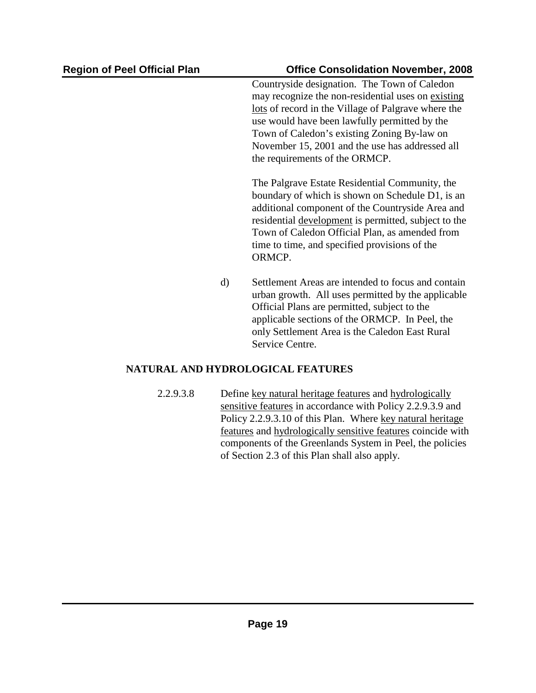#### **Region of Peel Official Plan Consolidation November, 2008**

Countryside designation. The Town of Caledon may recognize the non-residential uses on existing lots of record in the Village of Palgrave where the use would have been lawfully permitted by the Town of Caledon's existing Zoning By-law on November 15, 2001 and the use has addressed all the requirements of the ORMCP.

 The Palgrave Estate Residential Community, the boundary of which is shown on Schedule D1, is an additional component of the Countryside Area and residential development is permitted, subject to the Town of Caledon Official Plan, as amended from time to time, and specified provisions of the ORMCP.

d) Settlement Areas are intended to focus and contain urban growth. All uses permitted by the applicable Official Plans are permitted, subject to the applicable sections of the ORMCP. In Peel, the only Settlement Area is the Caledon East Rural Service Centre.

#### **NATURAL AND HYDROLOGICAL FEATURES**

 2.2.9.3.8 Define key natural heritage features and hydrologically sensitive features in accordance with Policy 2.2.9.3.9 and Policy 2.2.9.3.10 of this Plan. Where key natural heritage features and hydrologically sensitive features coincide with components of the Greenlands System in Peel, the policies of Section 2.3 of this Plan shall also apply.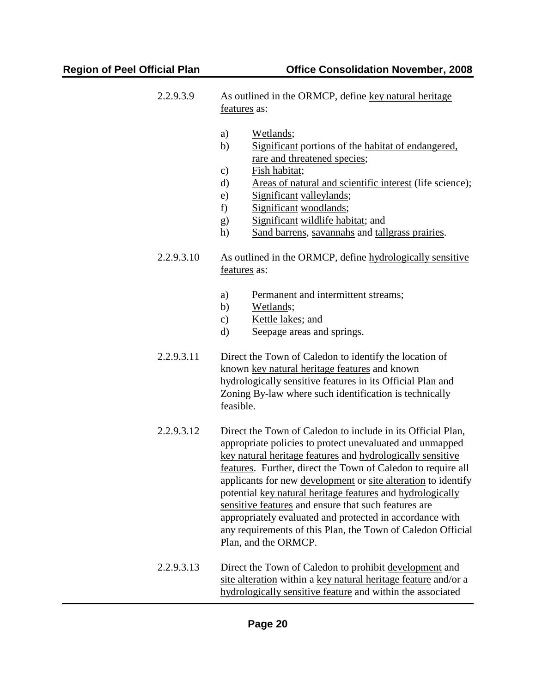- 2.2.9.3.9 As outlined in the ORMCP, define key natural heritage features as:
	- a) Wetlands;
	- b) Significant portions of the habitat of endangered, rare and threatened species;
	- c) Fish habitat;
	- d) Areas of natural and scientific interest (life science);
	- e) Significant valleylands;
	- f) Significant woodlands;
	- g) Significant wildlife habitat; and
	- h) Sand barrens, savannahs and tallgrass prairies.
- 2.2.9.3.10 As outlined in the ORMCP, define hydrologically sensitive features as:
	- a) Permanent and intermittent streams;
	- b) Wetlands;
	- c) Kettle lakes; and
	- d) Seepage areas and springs.
- 2.2.9.3.11 Direct the Town of Caledon to identify the location of known key natural heritage features and known hydrologically sensitive features in its Official Plan and Zoning By-law where such identification is technically feasible.
- 2.2.9.3.12 Direct the Town of Caledon to include in its Official Plan, appropriate policies to protect unevaluated and unmapped key natural heritage features and hydrologically sensitive features. Further, direct the Town of Caledon to require all applicants for new development or site alteration to identify potential key natural heritage features and hydrologically sensitive features and ensure that such features are appropriately evaluated and protected in accordance with any requirements of this Plan, the Town of Caledon Official Plan, and the ORMCP.
- 2.2.9.3.13 Direct the Town of Caledon to prohibit development and site alteration within a key natural heritage feature and/or a hydrologically sensitive feature and within the associated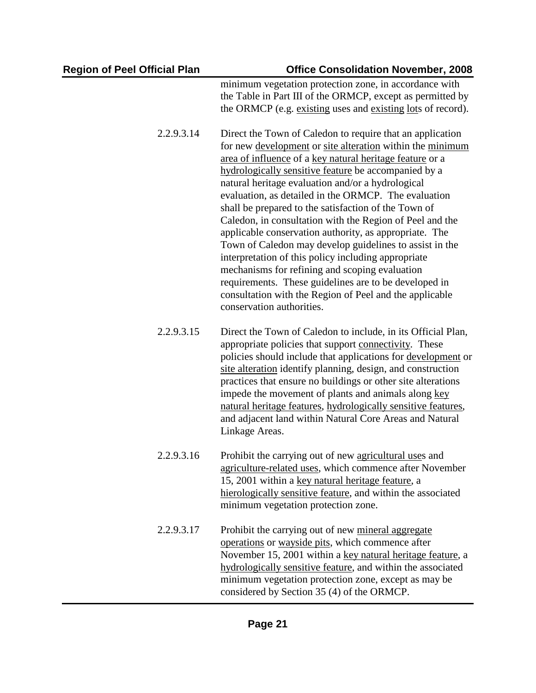| <b>Region of Peel Official Plan</b> | <b>Office Consolidation November, 2008</b>                                                                                                                                                                                                                                                                                                                                                                                                                                                                                                                                                                                                                                                                                                                                                                                                                 |  |
|-------------------------------------|------------------------------------------------------------------------------------------------------------------------------------------------------------------------------------------------------------------------------------------------------------------------------------------------------------------------------------------------------------------------------------------------------------------------------------------------------------------------------------------------------------------------------------------------------------------------------------------------------------------------------------------------------------------------------------------------------------------------------------------------------------------------------------------------------------------------------------------------------------|--|
|                                     | minimum vegetation protection zone, in accordance with<br>the Table in Part III of the ORMCP, except as permitted by<br>the ORMCP (e.g. existing uses and existing lots of record).                                                                                                                                                                                                                                                                                                                                                                                                                                                                                                                                                                                                                                                                        |  |
| 2.2.9.3.14                          | Direct the Town of Caledon to require that an application<br>for new development or site alteration within the minimum<br>area of influence of a key natural heritage feature or a<br>hydrologically sensitive feature be accompanied by a<br>natural heritage evaluation and/or a hydrological<br>evaluation, as detailed in the ORMCP. The evaluation<br>shall be prepared to the satisfaction of the Town of<br>Caledon, in consultation with the Region of Peel and the<br>applicable conservation authority, as appropriate. The<br>Town of Caledon may develop guidelines to assist in the<br>interpretation of this policy including appropriate<br>mechanisms for refining and scoping evaluation<br>requirements. These guidelines are to be developed in<br>consultation with the Region of Peel and the applicable<br>conservation authorities. |  |
| 2.2.9.3.15                          | Direct the Town of Caledon to include, in its Official Plan,<br>appropriate policies that support connectivity. These<br>policies should include that applications for development or<br>site alteration identify planning, design, and construction<br>practices that ensure no buildings or other site alterations<br>impede the movement of plants and animals along key<br>natural heritage features, hydrologically sensitive features,<br>and adjacent land within Natural Core Areas and Natural<br>Linkage Areas.                                                                                                                                                                                                                                                                                                                                  |  |
| 2.2.9.3.16                          | Prohibit the carrying out of new agricultural uses and<br>agriculture-related uses, which commence after November<br>15, 2001 within a key natural heritage feature, a<br>hierologically sensitive feature, and within the associated<br>minimum vegetation protection zone.                                                                                                                                                                                                                                                                                                                                                                                                                                                                                                                                                                               |  |
| 2.2.9.3.17                          | Prohibit the carrying out of new mineral aggregate<br>operations or wayside pits, which commence after<br>November 15, 2001 within a key natural heritage feature, a<br>hydrologically sensitive feature, and within the associated<br>minimum vegetation protection zone, except as may be<br>considered by Section 35 (4) of the ORMCP.                                                                                                                                                                                                                                                                                                                                                                                                                                                                                                                  |  |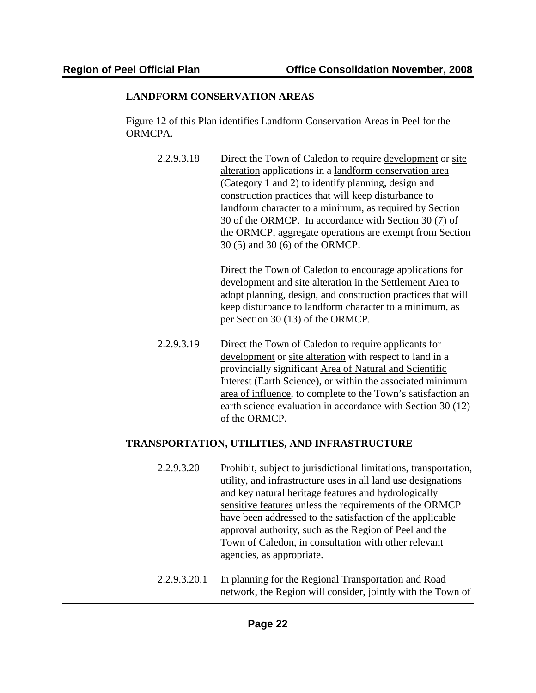#### **LANDFORM CONSERVATION AREAS**

 Figure 12 of this Plan identifies Landform Conservation Areas in Peel for the ORMCPA.

 2.2.9.3.18 Direct the Town of Caledon to require development or site alteration applications in a landform conservation area (Category 1 and 2) to identify planning, design and construction practices that will keep disturbance to landform character to a minimum, as required by Section 30 of the ORMCP. In accordance with Section 30 (7) of the ORMCP, aggregate operations are exempt from Section 30 (5) and 30 (6) of the ORMCP.

> Direct the Town of Caledon to encourage applications for development and site alteration in the Settlement Area to adopt planning, design, and construction practices that will keep disturbance to landform character to a minimum, as per Section 30 (13) of the ORMCP.

 2.2.9.3.19 Direct the Town of Caledon to require applicants for development or site alteration with respect to land in a provincially significant Area of Natural and Scientific Interest (Earth Science), or within the associated minimum area of influence, to complete to the Town's satisfaction an earth science evaluation in accordance with Section 30 (12) of the ORMCP.

#### **TRANSPORTATION, UTILITIES, AND INFRASTRUCTURE**

- 2.2.9.3.20 Prohibit, subject to jurisdictional limitations, transportation, utility, and infrastructure uses in all land use designations and key natural heritage features and hydrologically sensitive features unless the requirements of the ORMCP have been addressed to the satisfaction of the applicable approval authority, such as the Region of Peel and the Town of Caledon, in consultation with other relevant agencies, as appropriate.
- 2.2.9.3.20.1 In planning for the Regional Transportation and Road network, the Region will consider, jointly with the Town of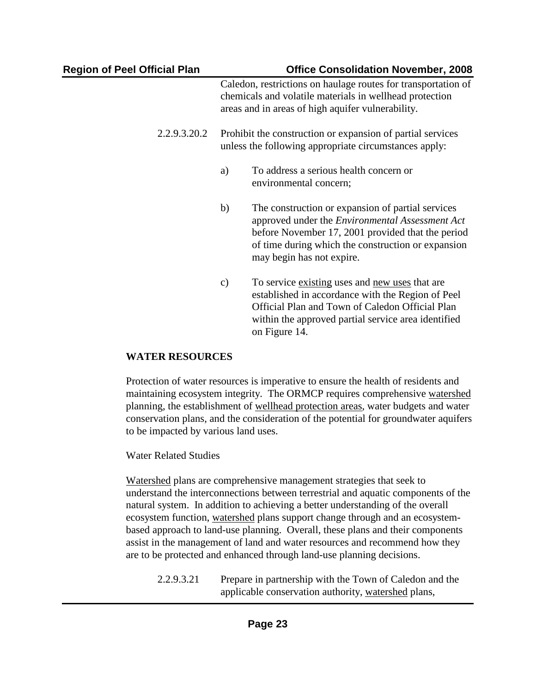| <b>Region of Peel Official Plan</b> | <b>Office Consolidation November, 2008</b>                                                                          |                                                                                                                                                                                                                                                     |
|-------------------------------------|---------------------------------------------------------------------------------------------------------------------|-----------------------------------------------------------------------------------------------------------------------------------------------------------------------------------------------------------------------------------------------------|
|                                     |                                                                                                                     | Caledon, restrictions on haulage routes for transportation of<br>chemicals and volatile materials in wellhead protection<br>areas and in areas of high aquifer vulnerability.                                                                       |
| 2.2.9.3.20.2                        | Prohibit the construction or expansion of partial services<br>unless the following appropriate circumstances apply: |                                                                                                                                                                                                                                                     |
|                                     | a)                                                                                                                  | To address a serious health concern or<br>environmental concern;                                                                                                                                                                                    |
|                                     | b)                                                                                                                  | The construction or expansion of partial services<br>approved under the <i>Environmental Assessment Act</i><br>before November 17, 2001 provided that the period<br>of time during which the construction or expansion<br>may begin has not expire. |
|                                     | $\mathbf{c})$                                                                                                       | To service existing uses and new uses that are<br>established in accordance with the Region of Peel<br>Official Plan and Town of Caledon Official Plan<br>within the approved partial service area identified<br>on Figure 14.                      |

#### **WATER RESOURCES**

 Protection of water resources is imperative to ensure the health of residents and maintaining ecosystem integrity. The ORMCP requires comprehensive watershed planning, the establishment of wellhead protection areas, water budgets and water conservation plans, and the consideration of the potential for groundwater aquifers to be impacted by various land uses.

Water Related Studies

 Watershed plans are comprehensive management strategies that seek to understand the interconnections between terrestrial and aquatic components of the natural system. In addition to achieving a better understanding of the overall ecosystem function, watershed plans support change through and an ecosystembased approach to land-use planning. Overall, these plans and their components assist in the management of land and water resources and recommend how they are to be protected and enhanced through land-use planning decisions.

 2.2.9.3.21 Prepare in partnership with the Town of Caledon and the applicable conservation authority, watershed plans,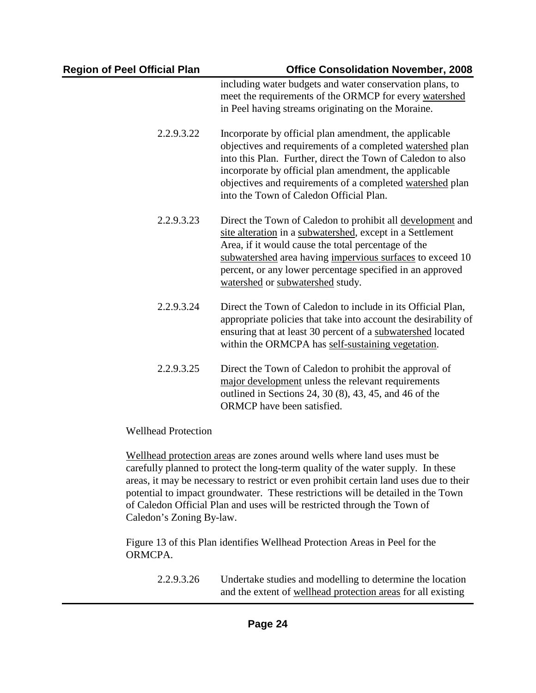| <b>Region of Peel Official Plan</b> | <b>Office Consolidation November, 2008</b>                                                                                                                                                                                                                                                                                                           |
|-------------------------------------|------------------------------------------------------------------------------------------------------------------------------------------------------------------------------------------------------------------------------------------------------------------------------------------------------------------------------------------------------|
|                                     | including water budgets and water conservation plans, to<br>meet the requirements of the ORMCP for every watershed<br>in Peel having streams originating on the Moraine.                                                                                                                                                                             |
| 2.2.9.3.22                          | Incorporate by official plan amendment, the applicable<br>objectives and requirements of a completed watershed plan<br>into this Plan. Further, direct the Town of Caledon to also<br>incorporate by official plan amendment, the applicable<br>objectives and requirements of a completed watershed plan<br>into the Town of Caledon Official Plan. |
| 2.2.9.3.23                          | Direct the Town of Caledon to prohibit all development and<br>site alteration in a subwatershed, except in a Settlement<br>Area, if it would cause the total percentage of the<br>subwatershed area having impervious surfaces to exceed 10<br>percent, or any lower percentage specified in an approved<br>watershed or subwatershed study.         |
| 2.2.9.3.24                          | Direct the Town of Caledon to include in its Official Plan,<br>appropriate policies that take into account the desirability of<br>ensuring that at least 30 percent of a subwatershed located<br>within the ORMCPA has self-sustaining vegetation.                                                                                                   |
| 2.2.9.3.25                          | Direct the Town of Caledon to prohibit the approval of<br>major development unless the relevant requirements<br>outlined in Sections 24, 30 $(8)$ , 43, 45, and 46 of the<br>ORMCP have been satisfied.                                                                                                                                              |
| <b>Wellhead Protection</b>          |                                                                                                                                                                                                                                                                                                                                                      |

 Wellhead protection areas are zones around wells where land uses must be carefully planned to protect the long-term quality of the water supply. In these areas, it may be necessary to restrict or even prohibit certain land uses due to their potential to impact groundwater. These restrictions will be detailed in the Town of Caledon Official Plan and uses will be restricted through the Town of Caledon's Zoning By-law.

 Figure 13 of this Plan identifies Wellhead Protection Areas in Peel for the ORMCPA.

> 2.2.9.3.26 Undertake studies and modelling to determine the location and the extent of wellhead protection areas for all existing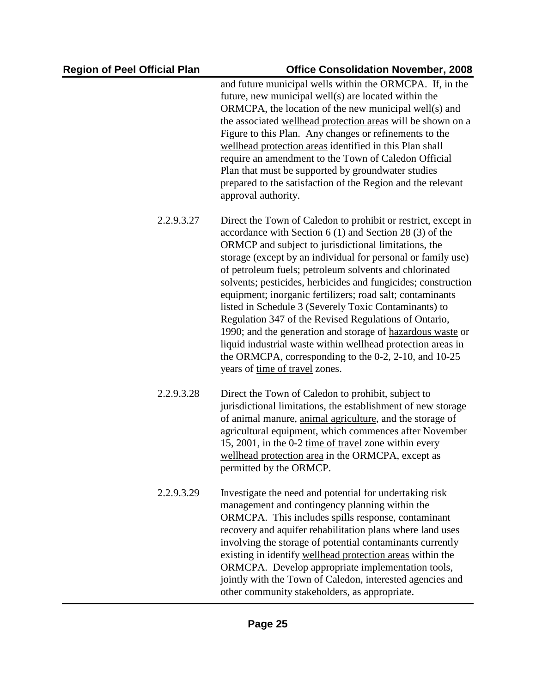#### **Region of Peel Official Plan Office Consolidation November, 2008**

and future municipal wells within the ORMCPA. If, in the future, new municipal well(s) are located within the ORMCPA, the location of the new municipal well(s) and the associated wellhead protection areas will be shown on a Figure to this Plan. Any changes or refinements to the wellhead protection areas identified in this Plan shall require an amendment to the Town of Caledon Official Plan that must be supported by groundwater studies prepared to the satisfaction of the Region and the relevant approval authority.

- 2.2.9.3.27 Direct the Town of Caledon to prohibit or restrict, except in accordance with Section 6 (1) and Section 28 (3) of the ORMCP and subject to jurisdictional limitations, the storage (except by an individual for personal or family use) of petroleum fuels; petroleum solvents and chlorinated solvents; pesticides, herbicides and fungicides; construction equipment; inorganic fertilizers; road salt; contaminants listed in Schedule 3 (Severely Toxic Contaminants) to Regulation 347 of the Revised Regulations of Ontario, 1990; and the generation and storage of hazardous waste or liquid industrial waste within wellhead protection areas in the ORMCPA, corresponding to the 0-2, 2-10, and 10-25 years of time of travel zones.
- 2.2.9.3.28 Direct the Town of Caledon to prohibit, subject to jurisdictional limitations, the establishment of new storage of animal manure, animal agriculture, and the storage of agricultural equipment, which commences after November 15, 2001, in the 0-2 time of travel zone within every wellhead protection area in the ORMCPA, except as permitted by the ORMCP.
- 2.2.9.3.29 Investigate the need and potential for undertaking risk management and contingency planning within the ORMCPA. This includes spills response, contaminant recovery and aquifer rehabilitation plans where land uses involving the storage of potential contaminants currently existing in identify wellhead protection areas within the ORMCPA. Develop appropriate implementation tools, jointly with the Town of Caledon, interested agencies and other community stakeholders, as appropriate.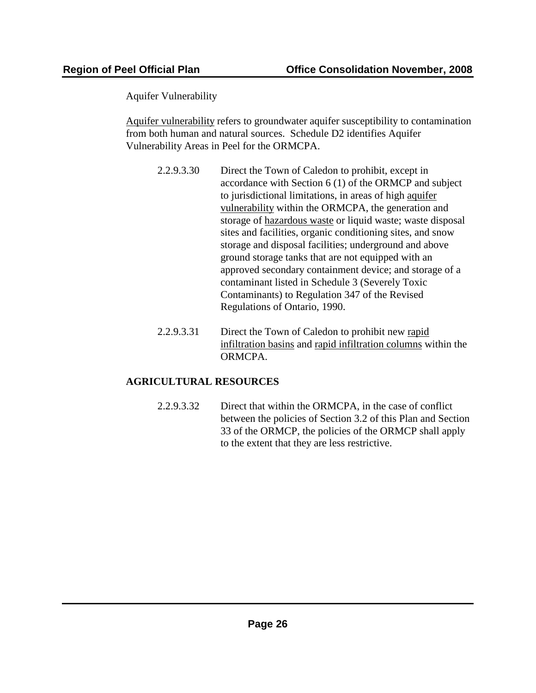Aquifer Vulnerability

 Aquifer vulnerability refers to groundwater aquifer susceptibility to contamination from both human and natural sources. Schedule D2 identifies Aquifer Vulnerability Areas in Peel for the ORMCPA.

- 2.2.9.3.30 Direct the Town of Caledon to prohibit, except in accordance with Section 6 (1) of the ORMCP and subject to jurisdictional limitations, in areas of high aquifer vulnerability within the ORMCPA, the generation and storage of hazardous waste or liquid waste; waste disposal sites and facilities, organic conditioning sites, and snow storage and disposal facilities; underground and above ground storage tanks that are not equipped with an approved secondary containment device; and storage of a contaminant listed in Schedule 3 (Severely Toxic Contaminants) to Regulation 347 of the Revised Regulations of Ontario, 1990.
- 2.2.9.3.31 Direct the Town of Caledon to prohibit new rapid infiltration basins and rapid infiltration columns within the ORMCPA.

#### **AGRICULTURAL RESOURCES**

 2.2.9.3.32 Direct that within the ORMCPA, in the case of conflict between the policies of Section 3.2 of this Plan and Section 33 of the ORMCP, the policies of the ORMCP shall apply to the extent that they are less restrictive.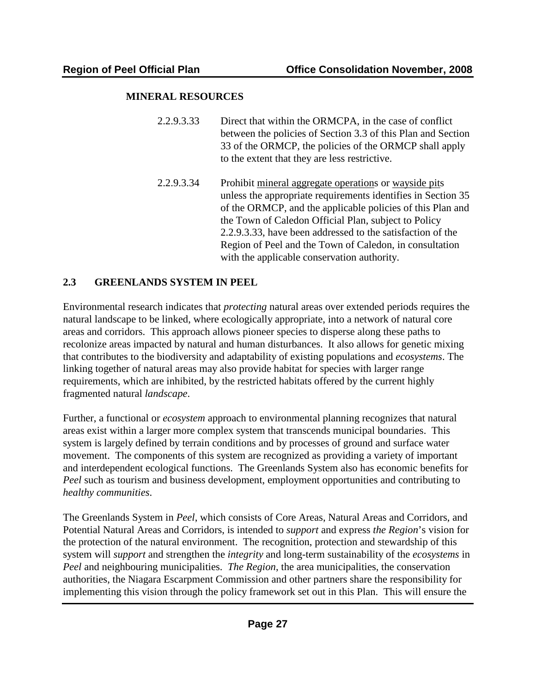#### **MINERAL RESOURCES**

- 2.2.9.3.33 Direct that within the ORMCPA, in the case of conflict between the policies of Section 3.3 of this Plan and Section 33 of the ORMCP, the policies of the ORMCP shall apply to the extent that they are less restrictive.
- 2.2.9.3.34 Prohibit mineral aggregate operations or wayside pits unless the appropriate requirements identifies in Section 35 of the ORMCP, and the applicable policies of this Plan and the Town of Caledon Official Plan, subject to Policy 2.2.9.3.33, have been addressed to the satisfaction of the Region of Peel and the Town of Caledon, in consultation with the applicable conservation authority.

#### **2.3 GREENLANDS SYSTEM IN PEEL**

Environmental research indicates that *protecting* natural areas over extended periods requires the natural landscape to be linked, where ecologically appropriate, into a network of natural core areas and corridors. This approach allows pioneer species to disperse along these paths to recolonize areas impacted by natural and human disturbances. It also allows for genetic mixing that contributes to the biodiversity and adaptability of existing populations and *ecosystems*. The linking together of natural areas may also provide habitat for species with larger range requirements, which are inhibited, by the restricted habitats offered by the current highly fragmented natural *landscape*.

Further, a functional or *ecosystem* approach to environmental planning recognizes that natural areas exist within a larger more complex system that transcends municipal boundaries. This system is largely defined by terrain conditions and by processes of ground and surface water movement. The components of this system are recognized as providing a variety of important and interdependent ecological functions. The Greenlands System also has economic benefits for *Peel* such as tourism and business development, employment opportunities and contributing to *healthy communities*.

The Greenlands System in *Peel*, which consists of Core Areas, Natural Areas and Corridors, and Potential Natural Areas and Corridors, is intended to *support* and express *the Region*'s vision for the protection of the natural environment. The recognition, protection and stewardship of this system will *support* and strengthen the *integrity* and long-term sustainability of the *ecosystems* in *Peel* and neighbouring municipalities. *The Region*, the area municipalities, the conservation authorities, the Niagara Escarpment Commission and other partners share the responsibility for implementing this vision through the policy framework set out in this Plan. This will ensure the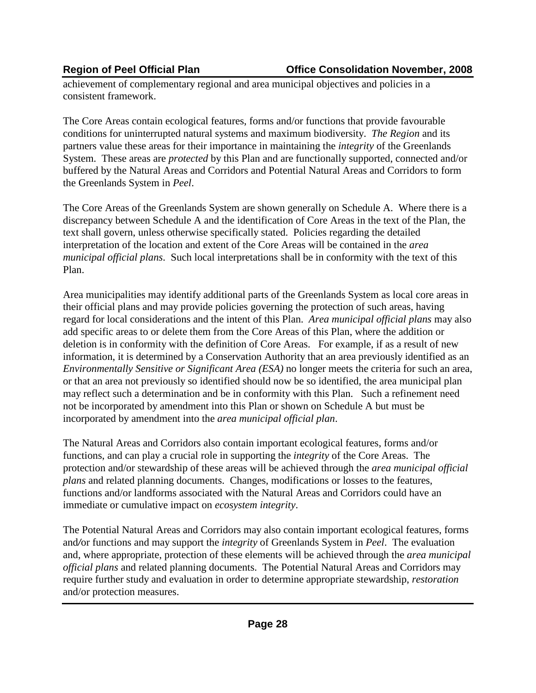achievement of complementary regional and area municipal objectives and policies in a consistent framework.

The Core Areas contain ecological features, forms and/or functions that provide favourable conditions for uninterrupted natural systems and maximum biodiversity. *The Region* and its partners value these areas for their importance in maintaining the *integrity* of the Greenlands System. These areas are *protected* by this Plan and are functionally supported, connected and/or buffered by the Natural Areas and Corridors and Potential Natural Areas and Corridors to form the Greenlands System in *Peel*.

The Core Areas of the Greenlands System are shown generally on Schedule A. Where there is a discrepancy between Schedule A and the identification of Core Areas in the text of the Plan, the text shall govern, unless otherwise specifically stated. Policies regarding the detailed interpretation of the location and extent of the Core Areas will be contained in the *area municipal official plans*. Such local interpretations shall be in conformity with the text of this Plan.

Area municipalities may identify additional parts of the Greenlands System as local core areas in their official plans and may provide policies governing the protection of such areas, having regard for local considerations and the intent of this Plan. *Area municipal official plans* may also add specific areas to or delete them from the Core Areas of this Plan, where the addition or deletion is in conformity with the definition of Core Areas. For example, if as a result of new information, it is determined by a Conservation Authority that an area previously identified as an *Environmentally Sensitive or Significant Area (ESA)* no longer meets the criteria for such an area, or that an area not previously so identified should now be so identified, the area municipal plan may reflect such a determination and be in conformity with this Plan. Such a refinement need not be incorporated by amendment into this Plan or shown on Schedule A but must be incorporated by amendment into the *area municipal official plan*.

The Natural Areas and Corridors also contain important ecological features, forms and/or functions, and can play a crucial role in supporting the *integrity* of the Core Areas. The protection and/or stewardship of these areas will be achieved through the *area municipal official plans* and related planning documents. Changes, modifications or losses to the features, functions and/or landforms associated with the Natural Areas and Corridors could have an immediate or cumulative impact on *ecosystem integrity*.

The Potential Natural Areas and Corridors may also contain important ecological features, forms and*/*or functions and may support the *integrity* of Greenlands System in *Peel*. The evaluation and, where appropriate, protection of these elements will be achieved through the *area municipal official plans* and related planning documents. The Potential Natural Areas and Corridors may require further study and evaluation in order to determine appropriate stewardship, *restoration* and/or protection measures.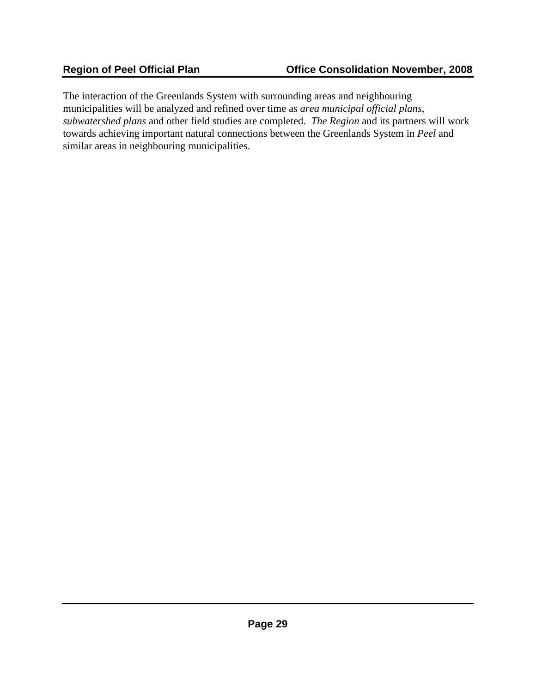The interaction of the Greenlands System with surrounding areas and neighbouring municipalities will be analyzed and refined over time as *area municipal official plans*, *subwatershed plans* and other field studies are completed. *The Region* and its partners will work towards achieving important natural connections between the Greenlands System in *Peel* and similar areas in neighbouring municipalities.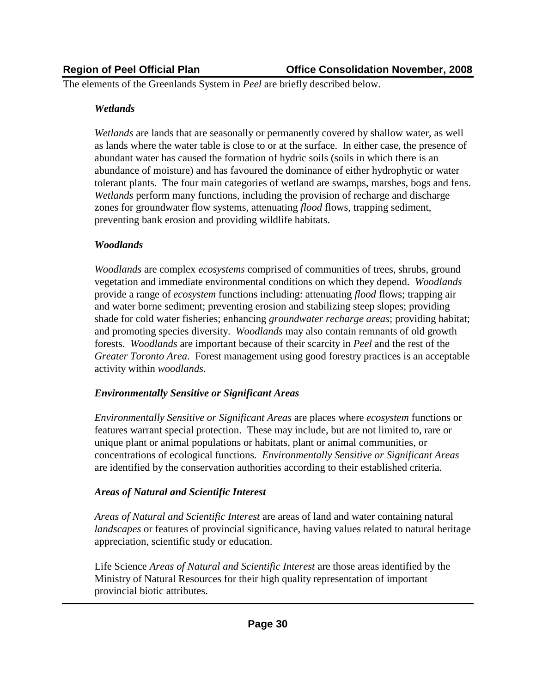The elements of the Greenlands System in *Peel* are briefly described below.

# *Wetlands*

*Wetlands* are lands that are seasonally or permanently covered by shallow water, as well as lands where the water table is close to or at the surface. In either case, the presence of abundant water has caused the formation of hydric soils (soils in which there is an abundance of moisture) and has favoured the dominance of either hydrophytic or water tolerant plants. The four main categories of wetland are swamps, marshes, bogs and fens. *Wetlands* perform many functions, including the provision of recharge and discharge zones for groundwater flow systems, attenuating *flood* flows, trapping sediment, preventing bank erosion and providing wildlife habitats.

# *Woodlands*

*Woodlands* are complex *ecosystems* comprised of communities of trees, shrubs, ground vegetation and immediate environmental conditions on which they depend. *Woodlands* provide a range of *ecosystem* functions including: attenuating *flood* flows; trapping air and water borne sediment; preventing erosion and stabilizing steep slopes; providing shade for cold water fisheries; enhancing *groundwater recharge areas*; providing habitat; and promoting species diversity. *Woodlands* may also contain remnants of old growth forests. *Woodlands* are important because of their scarcity in *Peel* and the rest of the *Greater Toronto Area*. Forest management using good forestry practices is an acceptable activity within *woodlands*.

# *Environmentally Sensitive or Significant Areas*

*Environmentally Sensitive or Significant Areas* are places where *ecosystem* functions or features warrant special protection. These may include, but are not limited to, rare or unique plant or animal populations or habitats, plant or animal communities, or concentrations of ecological functions. *Environmentally Sensitive or Significant Areas* are identified by the conservation authorities according to their established criteria.

# *Areas of Natural and Scientific Interest*

*Areas of Natural and Scientific Interest* are areas of land and water containing natural *landscapes* or features of provincial significance, having values related to natural heritage appreciation, scientific study or education.

 Life Science *Areas of Natural and Scientific Interest* are those areas identified by the Ministry of Natural Resources for their high quality representation of important provincial biotic attributes.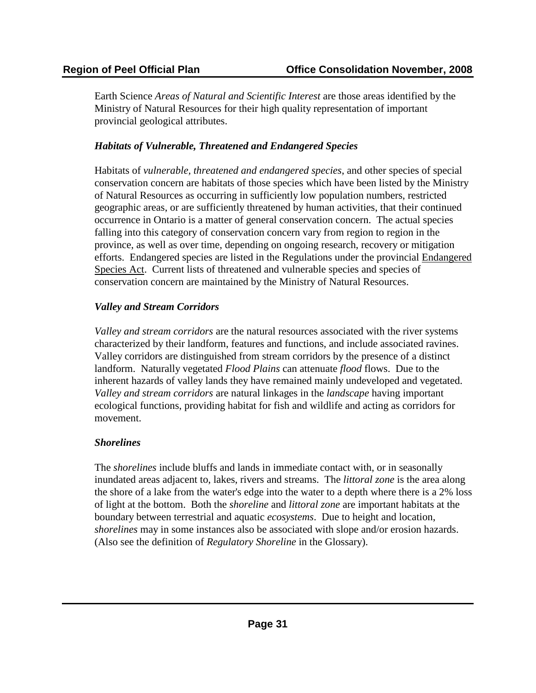Earth Science *Areas of Natural and Scientific Interest* are those areas identified by the Ministry of Natural Resources for their high quality representation of important provincial geological attributes.

## *Habitats of Vulnerable, Threatened and Endangered Species*

 Habitats of *vulnerable, threatened and endangered species*, and other species of special conservation concern are habitats of those species which have been listed by the Ministry of Natural Resources as occurring in sufficiently low population numbers, restricted geographic areas, or are sufficiently threatened by human activities, that their continued occurrence in Ontario is a matter of general conservation concern. The actual species falling into this category of conservation concern vary from region to region in the province, as well as over time, depending on ongoing research, recovery or mitigation efforts. Endangered species are listed in the Regulations under the provincial Endangered Species Act. Current lists of threatened and vulnerable species and species of conservation concern are maintained by the Ministry of Natural Resources.

## *Valley and Stream Corridors*

*Valley and stream corridors* are the natural resources associated with the river systems characterized by their landform, features and functions, and include associated ravines. Valley corridors are distinguished from stream corridors by the presence of a distinct landform. Naturally vegetated *Flood Plains* can attenuate *flood* flows. Due to the inherent hazards of valley lands they have remained mainly undeveloped and vegetated. *Valley and stream corridors* are natural linkages in the *landscape* having important ecological functions, providing habitat for fish and wildlife and acting as corridors for movement.

## *Shorelines*

 The *shorelines* include bluffs and lands in immediate contact with, or in seasonally inundated areas adjacent to, lakes, rivers and streams. The *littoral zone* is the area along the shore of a lake from the water's edge into the water to a depth where there is a 2% loss of light at the bottom. Both the *shoreline* and *littoral zone* are important habitats at the boundary between terrestrial and aquatic *ecosystems*. Due to height and location, *shorelines* may in some instances also be associated with slope and/or erosion hazards. (Also see the definition of *Regulatory Shoreline* in the Glossary).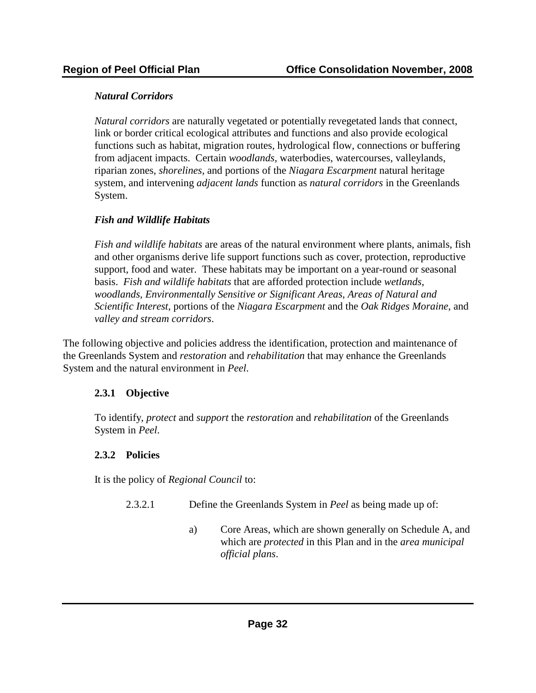#### *Natural Corridors*

*Natural corridors* are naturally vegetated or potentially revegetated lands that connect, link or border critical ecological attributes and functions and also provide ecological functions such as habitat, migration routes, hydrological flow, connections or buffering from adjacent impacts. Certain *woodlands*, waterbodies, watercourses, valleylands, riparian zones, *shorelines*, and portions of the *Niagara Escarpment* natural heritage system, and intervening *adjacent lands* function as *natural corridors* in the Greenlands System.

#### *Fish and Wildlife Habitats*

*Fish and wildlife habitats* are areas of the natural environment where plants, animals, fish and other organisms derive life support functions such as cover, protection, reproductive support, food and water. These habitats may be important on a year-round or seasonal basis. *Fish and wildlife habitats* that are afforded protection include *wetlands*, *woodlands*, *Environmentally Sensitive or Significant Areas*, *Areas of Natural and Scientific Interest*, portions of the *Niagara Escarpment* and the *Oak Ridges Moraine*, and *valley and stream corridors*.

The following objective and policies address the identification, protection and maintenance of the Greenlands System and *restoration* and *rehabilitation* that may enhance the Greenlands System and the natural environment in *Peel*.

#### **2.3.1 Objective**

 To identify, *protect* and *support* the *restoration* and *rehabilitation* of the Greenlands System in *Peel*.

#### **2.3.2 Policies**

- 2.3.2.1 Define the Greenlands System in *Peel* as being made up of:
	- a) Core Areas, which are shown generally on Schedule A, and which are *protected* in this Plan and in the *area municipal official plans*.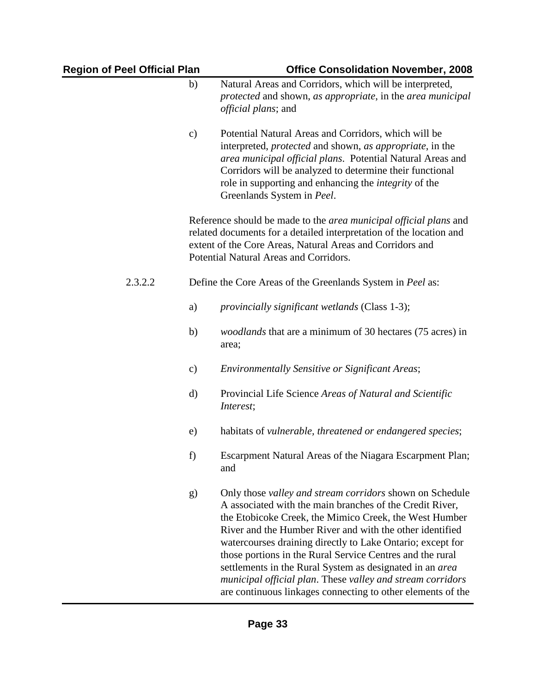| <b>Region of Peel Official Plan</b> | <b>Office Consolidation November, 2008</b>                                                                                                                                                                                                                                                                                                                                                                                                                                                                                                                            |
|-------------------------------------|-----------------------------------------------------------------------------------------------------------------------------------------------------------------------------------------------------------------------------------------------------------------------------------------------------------------------------------------------------------------------------------------------------------------------------------------------------------------------------------------------------------------------------------------------------------------------|
| b)                                  | Natural Areas and Corridors, which will be interpreted,<br>protected and shown, as appropriate, in the area municipal<br><i>official plans</i> ; and                                                                                                                                                                                                                                                                                                                                                                                                                  |
| $\mathbf{c})$                       | Potential Natural Areas and Corridors, which will be<br>interpreted, <i>protected</i> and shown, <i>as appropriate</i> , in the<br>area municipal official plans. Potential Natural Areas and<br>Corridors will be analyzed to determine their functional<br>role in supporting and enhancing the <i>integrity</i> of the<br>Greenlands System in Peel.                                                                                                                                                                                                               |
|                                     | Reference should be made to the area municipal official plans and<br>related documents for a detailed interpretation of the location and<br>extent of the Core Areas, Natural Areas and Corridors and<br>Potential Natural Areas and Corridors.                                                                                                                                                                                                                                                                                                                       |
| 2.3.2.2                             | Define the Core Areas of the Greenlands System in Peel as:                                                                                                                                                                                                                                                                                                                                                                                                                                                                                                            |
| a)                                  | <i>provincially significant wetlands (Class 1-3);</i>                                                                                                                                                                                                                                                                                                                                                                                                                                                                                                                 |
| b)                                  | <i>woodlands</i> that are a minimum of 30 hectares (75 acres) in<br>area;                                                                                                                                                                                                                                                                                                                                                                                                                                                                                             |
| $\mathbf{c})$                       | <b>Environmentally Sensitive or Significant Areas;</b>                                                                                                                                                                                                                                                                                                                                                                                                                                                                                                                |
| $\mathbf{d}$                        | Provincial Life Science Areas of Natural and Scientific<br>Interest;                                                                                                                                                                                                                                                                                                                                                                                                                                                                                                  |
| $\epsilon$ )                        | habitats of vulnerable, threatened or endangered species;                                                                                                                                                                                                                                                                                                                                                                                                                                                                                                             |
| f                                   | Escarpment Natural Areas of the Niagara Escarpment Plan;<br>and                                                                                                                                                                                                                                                                                                                                                                                                                                                                                                       |
| g)                                  | Only those <i>valley and stream corridors</i> shown on Schedule<br>A associated with the main branches of the Credit River,<br>the Etobicoke Creek, the Mimico Creek, the West Humber<br>River and the Humber River and with the other identified<br>watercourses draining directly to Lake Ontario; except for<br>those portions in the Rural Service Centres and the rural<br>settlements in the Rural System as designated in an area<br>municipal official plan. These valley and stream corridors<br>are continuous linkages connecting to other elements of the |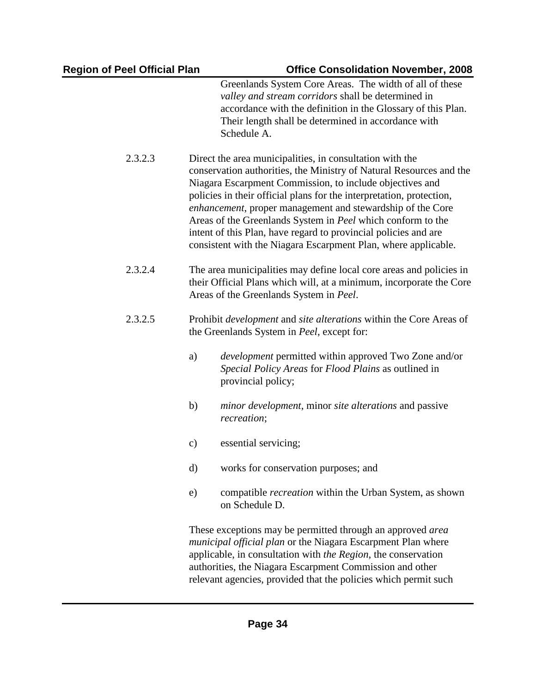| <b>Region of Peel Official Plan</b> | <b>Office Consolidation November, 2008</b>                                                                                                                                                                                                                                                                                                                                                                                                                                                                                            |  |
|-------------------------------------|---------------------------------------------------------------------------------------------------------------------------------------------------------------------------------------------------------------------------------------------------------------------------------------------------------------------------------------------------------------------------------------------------------------------------------------------------------------------------------------------------------------------------------------|--|
|                                     | Greenlands System Core Areas. The width of all of these<br>valley and stream corridors shall be determined in<br>accordance with the definition in the Glossary of this Plan.<br>Their length shall be determined in accordance with<br>Schedule A.                                                                                                                                                                                                                                                                                   |  |
| 2.3.2.3                             | Direct the area municipalities, in consultation with the<br>conservation authorities, the Ministry of Natural Resources and the<br>Niagara Escarpment Commission, to include objectives and<br>policies in their official plans for the interpretation, protection,<br>enhancement, proper management and stewardship of the Core<br>Areas of the Greenlands System in Peel which conform to the<br>intent of this Plan, have regard to provincial policies and are<br>consistent with the Niagara Escarpment Plan, where applicable. |  |
| 2.3.2.4                             | The area municipalities may define local core areas and policies in<br>their Official Plans which will, at a minimum, incorporate the Core<br>Areas of the Greenlands System in Peel.                                                                                                                                                                                                                                                                                                                                                 |  |
| 2.3.2.5                             | Prohibit development and site alterations within the Core Areas of<br>the Greenlands System in Peel, except for:                                                                                                                                                                                                                                                                                                                                                                                                                      |  |
| a)                                  | <i>development</i> permitted within approved Two Zone and/or<br>Special Policy Areas for Flood Plains as outlined in<br>provincial policy;                                                                                                                                                                                                                                                                                                                                                                                            |  |
| b)                                  | <i>minor development, minor site alterations and passive</i><br>recreation;                                                                                                                                                                                                                                                                                                                                                                                                                                                           |  |
| $\mathbf{c})$                       | essential servicing;                                                                                                                                                                                                                                                                                                                                                                                                                                                                                                                  |  |
| $\mathbf{d}$                        | works for conservation purposes; and                                                                                                                                                                                                                                                                                                                                                                                                                                                                                                  |  |
| e)                                  | compatible <i>recreation</i> within the Urban System, as shown<br>on Schedule D.                                                                                                                                                                                                                                                                                                                                                                                                                                                      |  |
|                                     | These exceptions may be permitted through an approved <i>area</i><br>municipal official plan or the Niagara Escarpment Plan where<br>applicable, in consultation with the Region, the conservation<br>authorities, the Niagara Escarpment Commission and other<br>relevant agencies, provided that the policies which permit such                                                                                                                                                                                                     |  |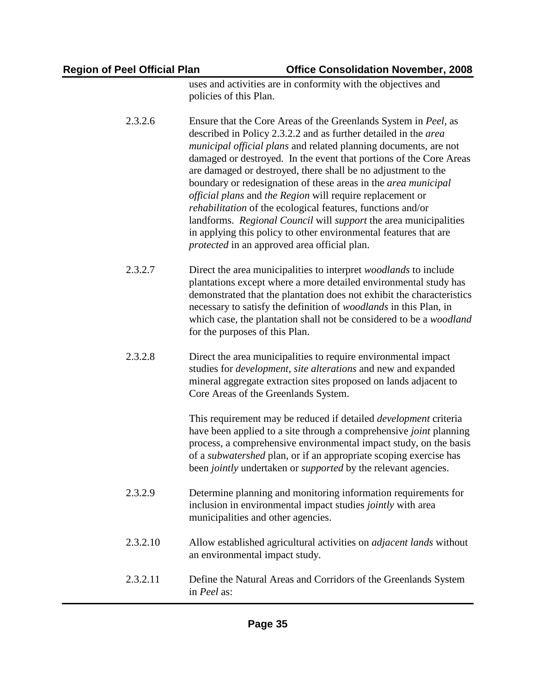| <b>Region of Peel Official Plan</b> | <b>Office Consolidation November, 2008</b>                                                                                                                                                                                                                                                                                                                                                                                                                                                                                                                                                                                                                                                                                                               |
|-------------------------------------|----------------------------------------------------------------------------------------------------------------------------------------------------------------------------------------------------------------------------------------------------------------------------------------------------------------------------------------------------------------------------------------------------------------------------------------------------------------------------------------------------------------------------------------------------------------------------------------------------------------------------------------------------------------------------------------------------------------------------------------------------------|
|                                     | uses and activities are in conformity with the objectives and<br>policies of this Plan.                                                                                                                                                                                                                                                                                                                                                                                                                                                                                                                                                                                                                                                                  |
| 2.3.2.6                             | Ensure that the Core Areas of the Greenlands System in Peel, as<br>described in Policy 2.3.2.2 and as further detailed in the <i>area</i><br>municipal official plans and related planning documents, are not<br>damaged or destroyed. In the event that portions of the Core Areas<br>are damaged or destroyed, there shall be no adjustment to the<br>boundary or redesignation of these areas in the <i>area municipal</i><br><i>official plans</i> and the Region will require replacement or<br>rehabilitation of the ecological features, functions and/or<br>landforms. Regional Council will support the area municipalities<br>in applying this policy to other environmental features that are<br>protected in an approved area official plan. |
| 2.3.2.7                             | Direct the area municipalities to interpret <i>woodlands</i> to include<br>plantations except where a more detailed environmental study has<br>demonstrated that the plantation does not exhibit the characteristics<br>necessary to satisfy the definition of <i>woodlands</i> in this Plan, in<br>which case, the plantation shall not be considered to be a <i>woodland</i><br>for the purposes of this Plan.                                                                                                                                                                                                                                                                                                                                         |
| 2.3.2.8                             | Direct the area municipalities to require environmental impact<br>studies for <i>development</i> , site alterations and new and expanded<br>mineral aggregate extraction sites proposed on lands adjacent to<br>Core Areas of the Greenlands System.                                                                                                                                                                                                                                                                                                                                                                                                                                                                                                     |
|                                     | This requirement may be reduced if detailed <i>development</i> criteria<br>have been applied to a site through a comprehensive joint planning<br>process, a comprehensive environmental impact study, on the basis<br>of a <i>subwatershed</i> plan, or if an appropriate scoping exercise has<br>been jointly undertaken or <i>supported</i> by the relevant agencies.                                                                                                                                                                                                                                                                                                                                                                                  |
| 2.3.2.9                             | Determine planning and monitoring information requirements for<br>inclusion in environmental impact studies <i>jointly</i> with area<br>municipalities and other agencies.                                                                                                                                                                                                                                                                                                                                                                                                                                                                                                                                                                               |
| 2.3.2.10                            | Allow established agricultural activities on <i>adjacent lands</i> without<br>an environmental impact study.                                                                                                                                                                                                                                                                                                                                                                                                                                                                                                                                                                                                                                             |
| 2.3.2.11                            | Define the Natural Areas and Corridors of the Greenlands System<br>in Peel as:                                                                                                                                                                                                                                                                                                                                                                                                                                                                                                                                                                                                                                                                           |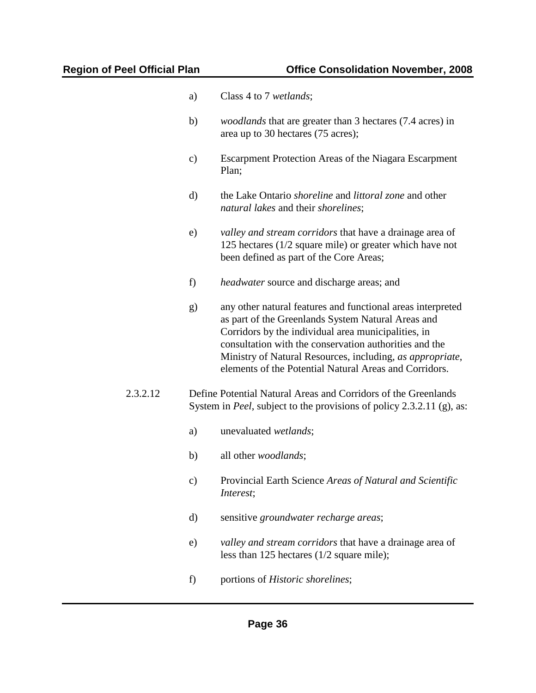|  | Class 4 to 7 <i>wetlands</i> ; |
|--|--------------------------------|
|  |                                |

- b) *woodlands* that are greater than 3 hectares (7.4 acres) in area up to 30 hectares (75 acres);
- c) Escarpment Protection Areas of the Niagara Escarpment Plan;
- d) the Lake Ontario *shoreline* and *littoral zone* and other *natural lakes* and their *shorelines*;
- e) *valley and stream corridors* that have a drainage area of 125 hectares (1/2 square mile) or greater which have not been defined as part of the Core Areas;
- f) *headwater* source and discharge areas; and
- g) any other natural features and functional areas interpreted as part of the Greenlands System Natural Areas and Corridors by the individual area municipalities, in consultation with the conservation authorities and the Ministry of Natural Resources, including, *as appropriate*, elements of the Potential Natural Areas and Corridors.
- 2.3.2.12 Define Potential Natural Areas and Corridors of the Greenlands System in *Peel*, subject to the provisions of policy 2.3.2.11 (g), as:
	- a) unevaluated *wetlands*;
	- b) all other *woodlands*;
	- c) Provincial Earth Science *Areas of Natural and Scientific Interest*;
	- d) sensitive *groundwater recharge areas*;
	- e) *valley and stream corridors* that have a drainage area of less than 125 hectares (1/2 square mile);
	- f) portions of *Historic shorelines*;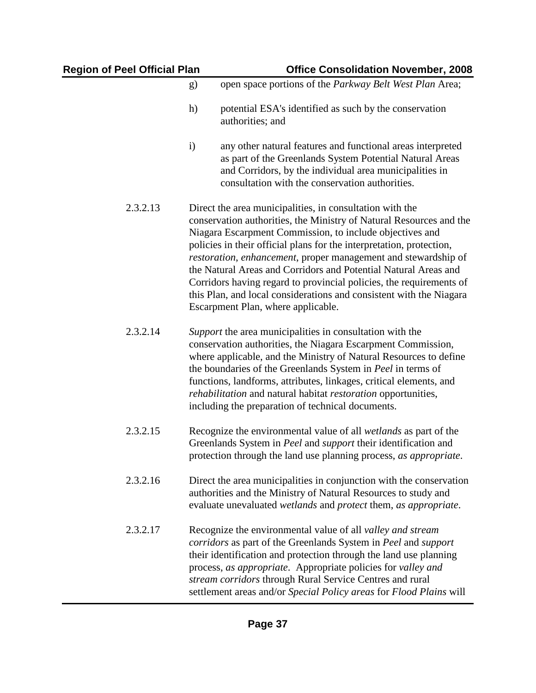| <b>Region of Peel Official Plan</b> |              | <b>Office Consolidation November, 2008</b>                                                                                                                                                                                                                                                                                                                                                                                                                                                                                                                                                   |
|-------------------------------------|--------------|----------------------------------------------------------------------------------------------------------------------------------------------------------------------------------------------------------------------------------------------------------------------------------------------------------------------------------------------------------------------------------------------------------------------------------------------------------------------------------------------------------------------------------------------------------------------------------------------|
|                                     | g)           | open space portions of the Parkway Belt West Plan Area;                                                                                                                                                                                                                                                                                                                                                                                                                                                                                                                                      |
|                                     | h)           | potential ESA's identified as such by the conservation<br>authorities; and                                                                                                                                                                                                                                                                                                                                                                                                                                                                                                                   |
|                                     | $\mathbf{i}$ | any other natural features and functional areas interpreted<br>as part of the Greenlands System Potential Natural Areas<br>and Corridors, by the individual area municipalities in<br>consultation with the conservation authorities.                                                                                                                                                                                                                                                                                                                                                        |
| 2.3.2.13                            |              | Direct the area municipalities, in consultation with the<br>conservation authorities, the Ministry of Natural Resources and the<br>Niagara Escarpment Commission, to include objectives and<br>policies in their official plans for the interpretation, protection,<br>restoration, enhancement, proper management and stewardship of<br>the Natural Areas and Corridors and Potential Natural Areas and<br>Corridors having regard to provincial policies, the requirements of<br>this Plan, and local considerations and consistent with the Niagara<br>Escarpment Plan, where applicable. |
| 2.3.2.14                            |              | Support the area municipalities in consultation with the<br>conservation authorities, the Niagara Escarpment Commission,<br>where applicable, and the Ministry of Natural Resources to define<br>the boundaries of the Greenlands System in Peel in terms of<br>functions, landforms, attributes, linkages, critical elements, and<br>rehabilitation and natural habitat restoration opportunities,<br>including the preparation of technical documents.                                                                                                                                     |
| 2.3.2.15                            |              | Recognize the environmental value of all wetlands as part of the<br>Greenlands System in Peel and support their identification and<br>protection through the land use planning process, as appropriate.                                                                                                                                                                                                                                                                                                                                                                                      |
| 2.3.2.16                            |              | Direct the area municipalities in conjunction with the conservation<br>authorities and the Ministry of Natural Resources to study and<br>evaluate unevaluated wetlands and protect them, as appropriate.                                                                                                                                                                                                                                                                                                                                                                                     |
| 2.3.2.17                            |              | Recognize the environmental value of all valley and stream<br>corridors as part of the Greenlands System in Peel and support<br>their identification and protection through the land use planning<br>process, as appropriate. Appropriate policies for valley and<br>stream corridors through Rural Service Centres and rural<br>settlement areas and/or Special Policy areas for Flood Plains will                                                                                                                                                                                          |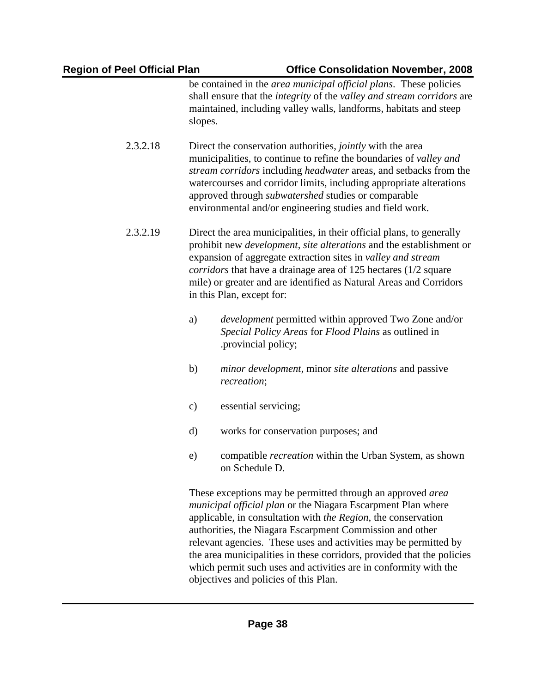| <b>Region of Peel Official Plan</b> |               | <b>Office Consolidation November, 2008</b>                                                                                                                                                                                                                                                                                                                                                                                                                                                                                |
|-------------------------------------|---------------|---------------------------------------------------------------------------------------------------------------------------------------------------------------------------------------------------------------------------------------------------------------------------------------------------------------------------------------------------------------------------------------------------------------------------------------------------------------------------------------------------------------------------|
|                                     | slopes.       | be contained in the <i>area municipal official plans</i> . These policies<br>shall ensure that the <i>integrity</i> of the <i>valley and stream corridors</i> are<br>maintained, including valley walls, landforms, habitats and steep                                                                                                                                                                                                                                                                                    |
| 2.3.2.18                            |               | Direct the conservation authorities, <i>jointly</i> with the area<br>municipalities, to continue to refine the boundaries of valley and<br>stream corridors including headwater areas, and setbacks from the<br>watercourses and corridor limits, including appropriate alterations<br>approved through subwatershed studies or comparable<br>environmental and/or engineering studies and field work.                                                                                                                    |
| 2.3.2.19                            |               | Direct the area municipalities, in their official plans, to generally<br>prohibit new <i>development</i> , site alterations and the establishment or<br>expansion of aggregate extraction sites in valley and stream<br><i>corridors</i> that have a drainage area of 125 hectares (1/2 square<br>mile) or greater and are identified as Natural Areas and Corridors<br>in this Plan, except for:                                                                                                                         |
|                                     | a)            | <i>development</i> permitted within approved Two Zone and/or<br>Special Policy Areas for Flood Plains as outlined in<br>.provincial policy;                                                                                                                                                                                                                                                                                                                                                                               |
|                                     | b)            | <i>minor development, minor site alterations and passive</i><br>recreation;                                                                                                                                                                                                                                                                                                                                                                                                                                               |
|                                     | $\mathbf{c})$ | essential servicing;                                                                                                                                                                                                                                                                                                                                                                                                                                                                                                      |
|                                     | d)            | works for conservation purposes; and                                                                                                                                                                                                                                                                                                                                                                                                                                                                                      |
|                                     | e)            | compatible recreation within the Urban System, as shown<br>on Schedule D.                                                                                                                                                                                                                                                                                                                                                                                                                                                 |
|                                     |               | These exceptions may be permitted through an approved <i>area</i><br>municipal official plan or the Niagara Escarpment Plan where<br>applicable, in consultation with the Region, the conservation<br>authorities, the Niagara Escarpment Commission and other<br>relevant agencies. These uses and activities may be permitted by<br>the area municipalities in these corridors, provided that the policies<br>which permit such uses and activities are in conformity with the<br>objectives and policies of this Plan. |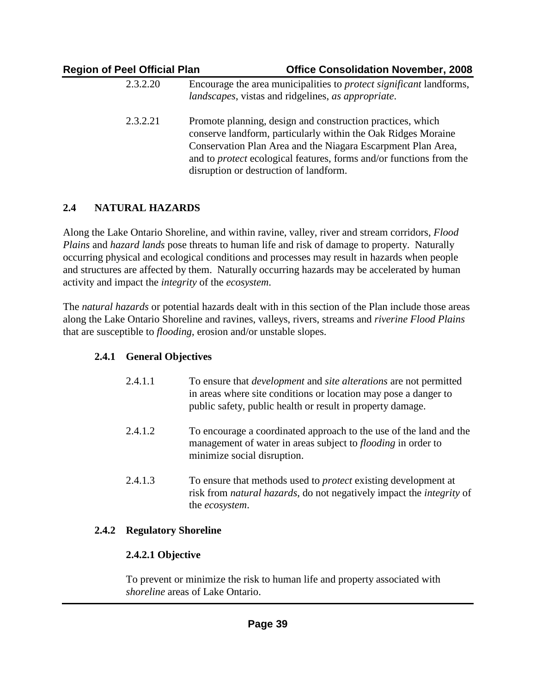| <b>Region of Peel Official Plan</b> | <b>Office Consolidation November, 2008</b>                                                                                                                                                                                                                                                                          |
|-------------------------------------|---------------------------------------------------------------------------------------------------------------------------------------------------------------------------------------------------------------------------------------------------------------------------------------------------------------------|
| 2.3.2.20                            | Encourage the area municipalities to <i>protect significant</i> landforms,<br>landscapes, vistas and ridgelines, as appropriate.                                                                                                                                                                                    |
| 2.3.2.21                            | Promote planning, design and construction practices, which<br>conserve landform, particularly within the Oak Ridges Moraine<br>Conservation Plan Area and the Niagara Escarpment Plan Area,<br>and to <i>protect</i> ecological features, forms and/or functions from the<br>disruption or destruction of landform. |

## **2.4 NATURAL HAZARDS**

Along the Lake Ontario Shoreline, and within ravine, valley, river and stream corridors, *Flood Plains* and *hazard lands* pose threats to human life and risk of damage to property. Naturally occurring physical and ecological conditions and processes may result in hazards when people and structures are affected by them. Naturally occurring hazards may be accelerated by human activity and impact the *integrity* of the *ecosystem*.

The *natural hazards* or potential hazards dealt with in this section of the Plan include those areas along the Lake Ontario Shoreline and ravines, valleys, rivers, streams and *riverine Flood Plains* that are susceptible to *flooding*, erosion and/or unstable slopes.

## **2.4.1 General Objectives**

- 2.4.1.1 To ensure that *development* and *site alterations* are not permitted in areas where site conditions or location may pose a danger to public safety, public health or result in property damage.
- 2.4.1.2 To encourage a coordinated approach to the use of the land and the management of water in areas subject to *flooding* in order to minimize social disruption.
- 2.4.1.3 To ensure that methods used to *protect* existing development at risk from *natural hazards*, do not negatively impact the *integrity* of the *ecosystem*.

## **2.4.2 Regulatory Shoreline**

# **2.4.2.1 Objective**

 To prevent or minimize the risk to human life and property associated with *shoreline* areas of Lake Ontario.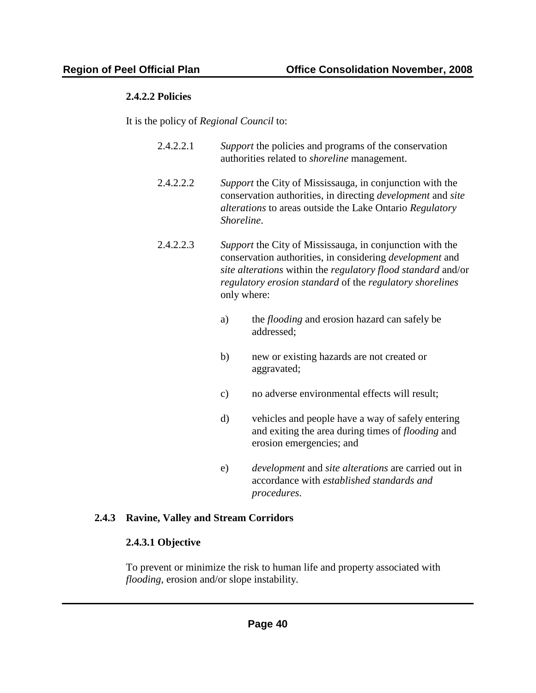#### **2.4.2.2 Policies**

It is the policy of *Regional Council* to:

- 2.4.2.2.1 *Support* the policies and programs of the conservation authorities related to *shoreline* management.
- 2.4.2.2.2 *Support* the City of Mississauga, in conjunction with the conservation authorities, in directing *development* and *site alterations* to areas outside the Lake Ontario *Regulatory Shoreline*.
- 2.4.2.2.3 *Support* the City of Mississauga, in conjunction with the conservation authorities, in considering *development* and *site alterations* within the *regulatory flood standard* and/or *regulatory erosion standard* of the *regulatory shorelines* only where:
	- a) the *flooding* and erosion hazard can safely be addressed;
	- b) new or existing hazards are not created or aggravated;
	- c) no adverse environmental effects will result;
	- d) vehicles and people have a way of safely entering and exiting the area during times of *flooding* and erosion emergencies; and
	- e) *development* and *site alterations* are carried out in accordance with *established standards and procedures*.

#### **2.4.3 Ravine, Valley and Stream Corridors**

#### **2.4.3.1 Objective**

 To prevent or minimize the risk to human life and property associated with *flooding*, erosion and/or slope instability.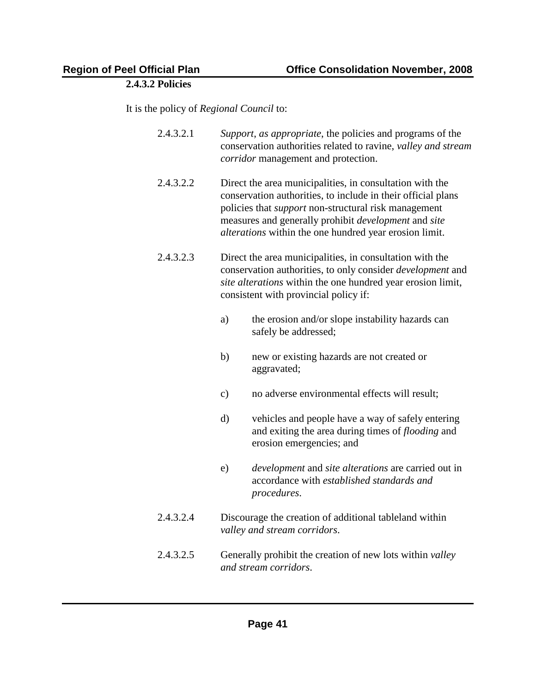#### **2.4.3.2 Policies**

- 2.4.3.2.1 *Support*, *as appropriate*, the policies and programs of the conservation authorities related to ravine, *valley and stream corridor* management and protection.
- 2.4.3.2.2 Direct the area municipalities, in consultation with the conservation authorities, to include in their official plans policies that *support* non-structural risk management measures and generally prohibit *development* and *site alterations* within the one hundred year erosion limit.
- 2.4.3.2.3 Direct the area municipalities, in consultation with the conservation authorities, to only consider *development* and *site alterations* within the one hundred year erosion limit, consistent with provincial policy if:
	- a) the erosion and/or slope instability hazards can safely be addressed;
	- b) new or existing hazards are not created or aggravated;
	- c) no adverse environmental effects will result;
	- d) vehicles and people have a way of safely entering and exiting the area during times of *flooding* and erosion emergencies; and
	- e) *development* and *site alterations* are carried out in accordance with *established standards and procedures*.
- 2.4.3.2.4 Discourage the creation of additional tableland within *valley and stream corridors*.
- 2.4.3.2.5 Generally prohibit the creation of new lots within *valley and stream corridors*.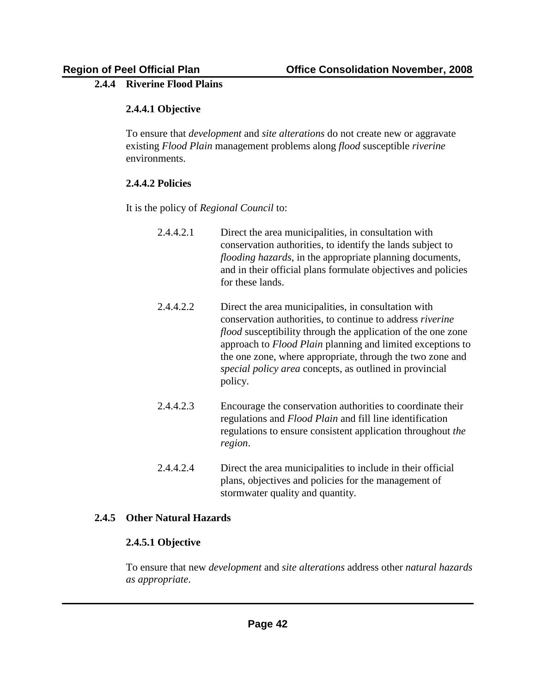#### **2.4.4 Riverine Flood Plains**

#### **2.4.4.1 Objective**

 To ensure that *development* and *site alterations* do not create new or aggravate existing *Flood Plain* management problems along *flood* susceptible *riverine* environments.

#### **2.4.4.2 Policies**

It is the policy of *Regional Council* to:

- 2.4.4.2.1 Direct the area municipalities, in consultation with conservation authorities, to identify the lands subject to *flooding hazards*, in the appropriate planning documents, and in their official plans formulate objectives and policies for these lands.
- 2.4.4.2.2 Direct the area municipalities, in consultation with conservation authorities, to continue to address *riverine flood* susceptibility through the application of the one zone approach to *Flood Plain* planning and limited exceptions to the one zone, where appropriate, through the two zone and *special policy area* concepts, as outlined in provincial policy.
- 2.4.4.2.3 Encourage the conservation authorities to coordinate their regulations and *Flood Plain* and fill line identification regulations to ensure consistent application throughout *the region*.
- 2.4.4.2.4 Direct the area municipalities to include in their official plans, objectives and policies for the management of stormwater quality and quantity.

#### **2.4.5 Other Natural Hazards**

#### **2.4.5.1 Objective**

 To ensure that new *development* and *site alterations* address other *natural hazards as appropriate*.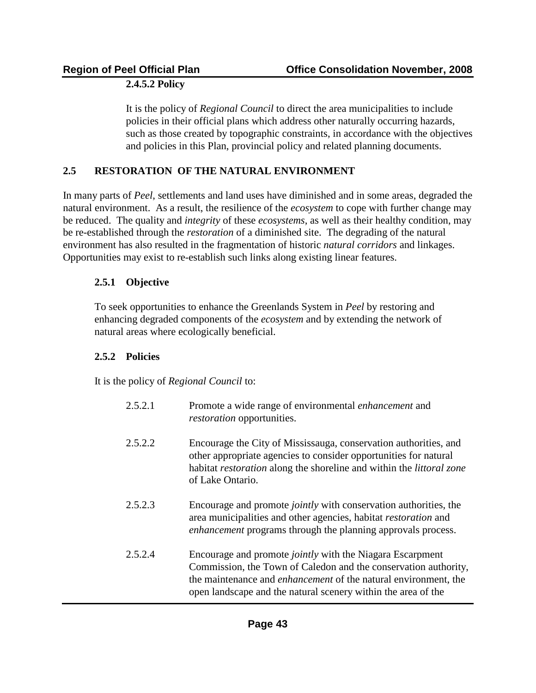#### **2.4.5.2 Policy**

 It is the policy of *Regional Council* to direct the area municipalities to include policies in their official plans which address other naturally occurring hazards, such as those created by topographic constraints, in accordance with the objectives and policies in this Plan, provincial policy and related planning documents.

## **2.5 RESTORATION OF THE NATURAL ENVIRONMENT**

In many parts of *Peel*, settlements and land uses have diminished and in some areas, degraded the natural environment. As a result, the resilience of the *ecosystem* to cope with further change may be reduced. The quality and *integrity* of these *ecosystems*, as well as their healthy condition, may be re-established through the *restoration* of a diminished site. The degrading of the natural environment has also resulted in the fragmentation of historic *natural corridors* and linkages. Opportunities may exist to re-establish such links along existing linear features.

#### **2.5.1 Objective**

 To seek opportunities to enhance the Greenlands System in *Peel* by restoring and enhancing degraded components of the *ecosystem* and by extending the network of natural areas where ecologically beneficial.

#### **2.5.2 Policies**

| 2.5.2.1 | Promote a wide range of environmental <i>enhancement</i> and<br><i>restoration</i> opportunities.                                                                                                                                                                              |
|---------|--------------------------------------------------------------------------------------------------------------------------------------------------------------------------------------------------------------------------------------------------------------------------------|
| 2.5.2.2 | Encourage the City of Mississauga, conservation authorities, and<br>other appropriate agencies to consider opportunities for natural<br>habitat restoration along the shoreline and within the <i>littoral</i> zone<br>of Lake Ontario.                                        |
| 2.5.2.3 | Encourage and promote <i>jointly</i> with conservation authorities, the<br>area municipalities and other agencies, habitat <i>restoration</i> and<br><i>enhancement</i> programs through the planning approvals process.                                                       |
| 2.5.2.4 | Encourage and promote <i>jointly</i> with the Niagara Escarpment<br>Commission, the Town of Caledon and the conservation authority,<br>the maintenance and <i>enhancement</i> of the natural environment, the<br>open landscape and the natural scenery within the area of the |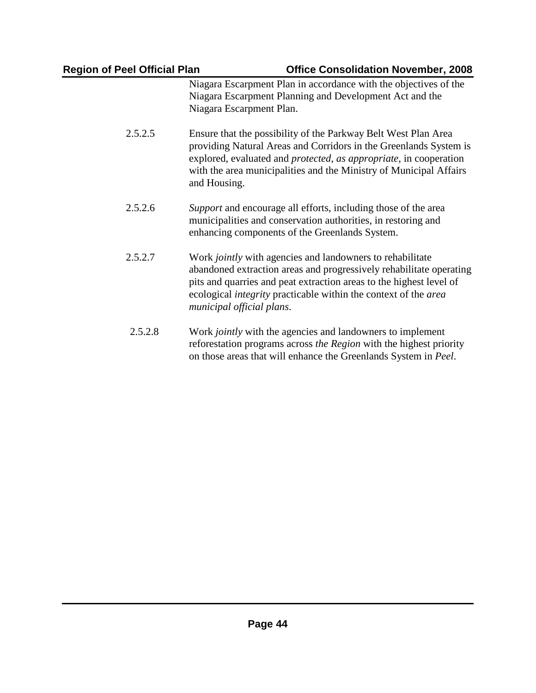| <b>Region of Peel Official Plan</b> | <b>Office Consolidation November, 2008</b>                                                                                                                                                                                                                                                                                   |
|-------------------------------------|------------------------------------------------------------------------------------------------------------------------------------------------------------------------------------------------------------------------------------------------------------------------------------------------------------------------------|
|                                     | Niagara Escarpment Plan in accordance with the objectives of the<br>Niagara Escarpment Planning and Development Act and the<br>Niagara Escarpment Plan.                                                                                                                                                                      |
| 2.5.2.5                             | Ensure that the possibility of the Parkway Belt West Plan Area<br>providing Natural Areas and Corridors in the Greenlands System is<br>explored, evaluated and <i>protected</i> , as <i>appropriate</i> , in cooperation<br>with the area municipalities and the Ministry of Municipal Affairs<br>and Housing.               |
| 2.5.2.6                             | Support and encourage all efforts, including those of the area<br>municipalities and conservation authorities, in restoring and<br>enhancing components of the Greenlands System.                                                                                                                                            |
| 2.5.2.7                             | Work <i>jointly</i> with agencies and landowners to rehabilitate<br>abandoned extraction areas and progressively rehabilitate operating<br>pits and quarries and peat extraction areas to the highest level of<br>ecological <i>integrity</i> practicable within the context of the <i>area</i><br>municipal official plans. |
| 2.5.2.8                             | Work <i>jointly</i> with the agencies and landowners to implement<br>reforestation programs across the Region with the highest priority<br>on those areas that will enhance the Greenlands System in Peel.                                                                                                                   |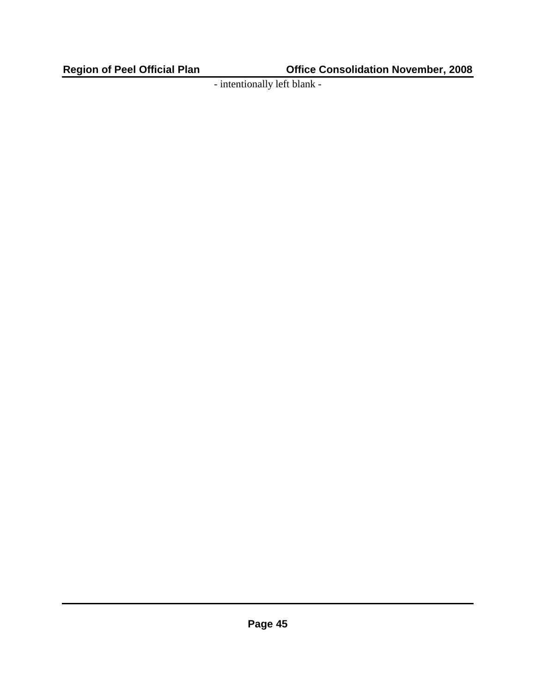Region of Peel Official Plan **Office Consolidation November, 2008** 

- intentionally left blank -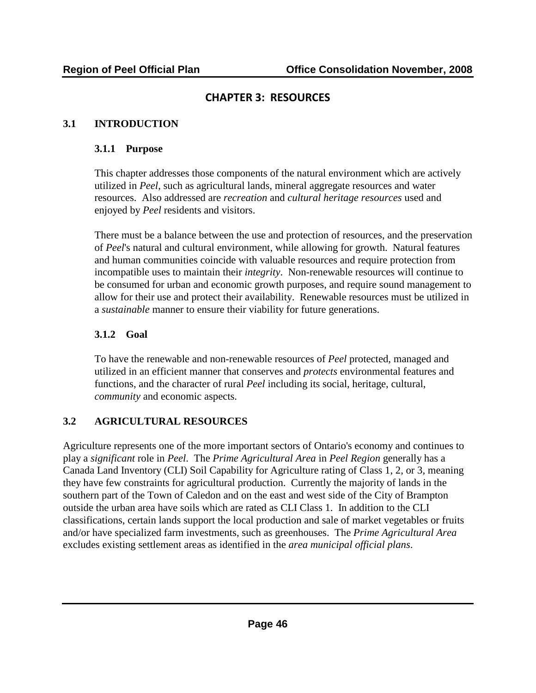# CHAPTER 3: RESOURCES

## **3.1 INTRODUCTION**

### **3.1.1 Purpose**

 This chapter addresses those components of the natural environment which are actively utilized in *Peel*, such as agricultural lands, mineral aggregate resources and water resources. Also addressed are *recreation* and *cultural heritage resources* used and enjoyed by *Peel* residents and visitors.

 There must be a balance between the use and protection of resources, and the preservation of *Peel*'s natural and cultural environment, while allowing for growth. Natural features and human communities coincide with valuable resources and require protection from incompatible uses to maintain their *integrity*. Non-renewable resources will continue to be consumed for urban and economic growth purposes, and require sound management to allow for their use and protect their availability. Renewable resources must be utilized in a *sustainable* manner to ensure their viability for future generations.

## **3.1.2 Goal**

 To have the renewable and non-renewable resources of *Peel* protected, managed and utilized in an efficient manner that conserves and *protects* environmental features and functions, and the character of rural *Peel* including its social, heritage, cultural, *community* and economic aspects.

## **3.2 AGRICULTURAL RESOURCES**

Agriculture represents one of the more important sectors of Ontario's economy and continues to play a *significant* role in *Peel*. The *Prime Agricultural Area* in *Peel Region* generally has a Canada Land Inventory (CLI) Soil Capability for Agriculture rating of Class 1, 2, or 3, meaning they have few constraints for agricultural production. Currently the majority of lands in the southern part of the Town of Caledon and on the east and west side of the City of Brampton outside the urban area have soils which are rated as CLI Class 1. In addition to the CLI classifications, certain lands support the local production and sale of market vegetables or fruits and/or have specialized farm investments, such as greenhouses. The *Prime Agricultural Area* excludes existing settlement areas as identified in the *area municipal official plans*.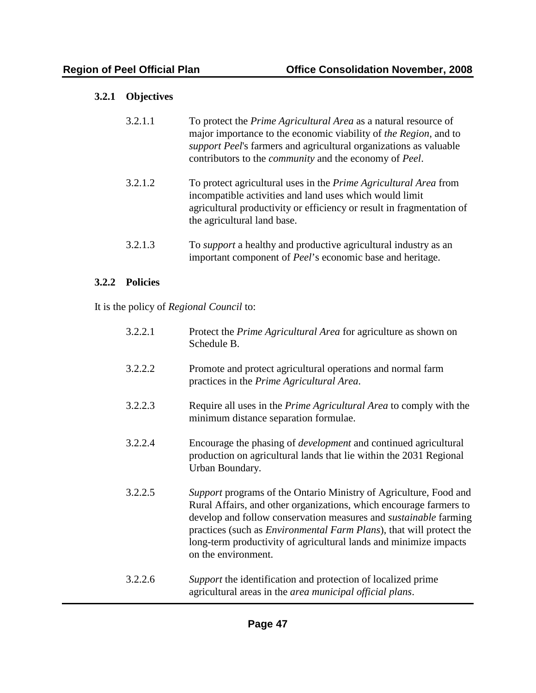## **3.2.1 Objectives**

| 3.2.1.1 | To protect the <i>Prime Agricultural Area</i> as a natural resource of<br>major importance to the economic viability of the Region, and to<br>support Peel's farmers and agricultural organizations as valuable<br>contributors to the <i>community</i> and the economy of <i>Peel</i> . |
|---------|------------------------------------------------------------------------------------------------------------------------------------------------------------------------------------------------------------------------------------------------------------------------------------------|
| 3.2.1.2 | To protect agricultural uses in the <i>Prime Agricultural Area</i> from<br>incompatible activities and land uses which would limit<br>agricultural productivity or efficiency or result in fragmentation of<br>the agricultural land base.                                               |
| 3.2.1.3 | To <i>support</i> a healthy and productive agricultural industry as an<br>important component of <i>Peel</i> 's economic base and heritage.                                                                                                                                              |

#### **3.2.2 Policies**

| 3.2.2.1 | Protect the <i>Prime Agricultural Area</i> for agriculture as shown on<br>Schedule B.                                                                                                                                                                                                                                                                                                         |
|---------|-----------------------------------------------------------------------------------------------------------------------------------------------------------------------------------------------------------------------------------------------------------------------------------------------------------------------------------------------------------------------------------------------|
| 3.2.2.2 | Promote and protect agricultural operations and normal farm<br>practices in the Prime Agricultural Area.                                                                                                                                                                                                                                                                                      |
| 3.2.2.3 | Require all uses in the <i>Prime Agricultural Area</i> to comply with the<br>minimum distance separation formulae.                                                                                                                                                                                                                                                                            |
| 3.2.2.4 | Encourage the phasing of <i>development</i> and continued agricultural<br>production on agricultural lands that lie within the 2031 Regional<br>Urban Boundary.                                                                                                                                                                                                                               |
| 3.2.2.5 | Support programs of the Ontario Ministry of Agriculture, Food and<br>Rural Affairs, and other organizations, which encourage farmers to<br>develop and follow conservation measures and <i>sustainable</i> farming<br>practices (such as <i>Environmental Farm Plans</i> ), that will protect the<br>long-term productivity of agricultural lands and minimize impacts<br>on the environment. |
| 3.2.2.6 | Support the identification and protection of localized prime<br>agricultural areas in the area municipal official plans.                                                                                                                                                                                                                                                                      |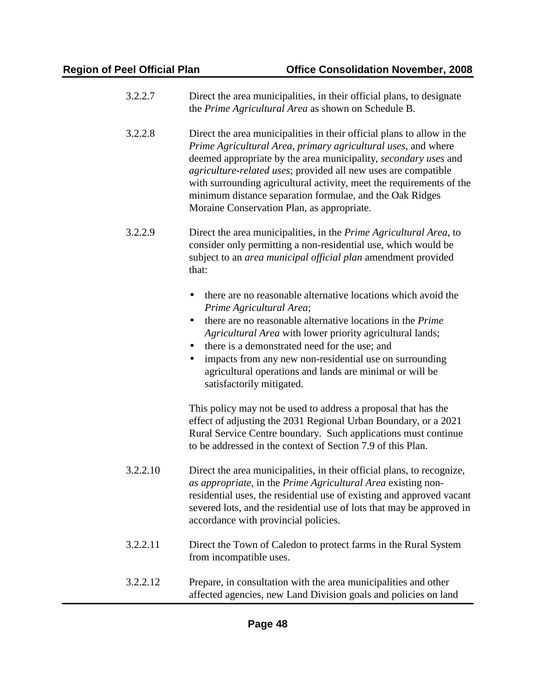| 3.2.2.7 | Direct the area municipalities, in their official plans, to designate |
|---------|-----------------------------------------------------------------------|
|         | the <i>Prime Agricultural Area</i> as shown on Schedule B.            |

3.2.2.8 Direct the area municipalities in their official plans to allow in the *Prime Agricultural Area*, *primary agricultural uses*, and where deemed appropriate by the area municipality, *secondary uses* and *agriculture-related uses*; provided all new uses are compatible with surrounding agricultural activity, meet the requirements of the minimum distance separation formulae, and the Oak Ridges Moraine Conservation Plan, as appropriate.

3.2.2.9 Direct the area municipalities, in the *Prime Agricultural Area*, to consider only permitting a non-residential use, which would be subject to an *area municipal official plan* amendment provided that:

- there are no reasonable alternative locations which avoid the *Prime Agricultural Area*;
- there are no reasonable alternative locations in the *Prime Agricultural Area* with lower priority agricultural lands;
- there is a demonstrated need for the use; and
- impacts from any new non-residential use on surrounding agricultural operations and lands are minimal or will be satisfactorily mitigated.

 This policy may not be used to address a proposal that has the effect of adjusting the 2031 Regional Urban Boundary, or a 2021 Rural Service Centre boundary. Such applications must continue to be addressed in the context of Section 7.9 of this Plan.

- 3.2.2.10 Direct the area municipalities, in their official plans, to recognize, *as appropriate*, in the *Prime Agricultural Area* existing nonresidential uses, the residential use of existing and approved vacant severed lots, and the residential use of lots that may be approved in accordance with provincial policies.
- 3.2.2.11 Direct the Town of Caledon to protect farms in the Rural System from incompatible uses.
- 3.2.2.12 Prepare, in consultation with the area municipalities and other affected agencies, new Land Division goals and policies on land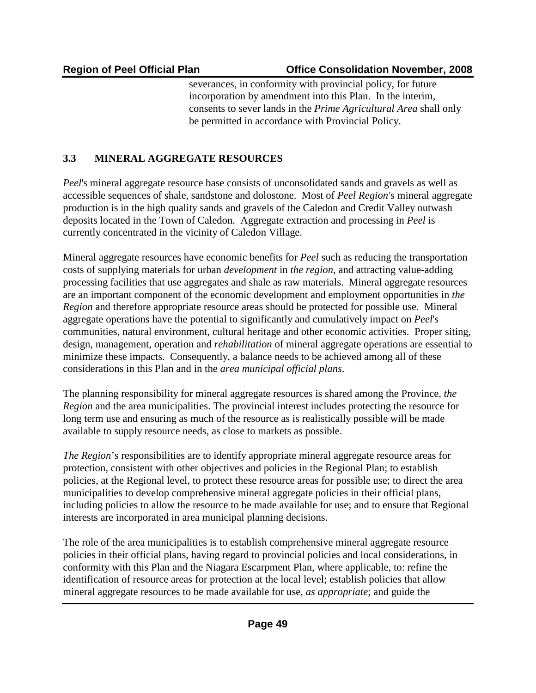## **Region of Peel Official Plan Consolidation November, 2008**

severances, in conformity with provincial policy, for future incorporation by amendment into this Plan. In the interim, consents to sever lands in the *Prime Agricultural Area* shall only be permitted in accordance with Provincial Policy.

# **3.3 MINERAL AGGREGATE RESOURCES**

*Peel*'s mineral aggregate resource base consists of unconsolidated sands and gravels as well as accessible sequences of shale, sandstone and dolostone. Most of *Peel Region'*s mineral aggregate production is in the high quality sands and gravels of the Caledon and Credit Valley outwash deposits located in the Town of Caledon. Aggregate extraction and processing in *Peel* is currently concentrated in the vicinity of Caledon Village.

Mineral aggregate resources have economic benefits for *Peel* such as reducing the transportation costs of supplying materials for urban *development* in *the region*, and attracting value-adding processing facilities that use aggregates and shale as raw materials. Mineral aggregate resources are an important component of the economic development and employment opportunities in *the Region* and therefore appropriate resource areas should be protected for possible use. Mineral aggregate operations have the potential to significantly and cumulatively impact on *Peel*'s communities, natural environment, cultural heritage and other economic activities. Proper siting, design, management, operation and *rehabilitation* of mineral aggregate operations are essential to minimize these impacts. Consequently, a balance needs to be achieved among all of these considerations in this Plan and in the *area municipal official plans*.

The planning responsibility for mineral aggregate resources is shared among the Province*, the Region* and the area municipalities. The provincial interest includes protecting the resource for long term use and ensuring as much of the resource as is realistically possible will be made available to supply resource needs, as close to markets as possible.

*The Region*'s responsibilities are to identify appropriate mineral aggregate resource areas for protection, consistent with other objectives and policies in the Regional Plan; to establish policies, at the Regional level, to protect these resource areas for possible use; to direct the area municipalities to develop comprehensive mineral aggregate policies in their official plans, including policies to allow the resource to be made available for use; and to ensure that Regional interests are incorporated in area municipal planning decisions.

The role of the area municipalities is to establish comprehensive mineral aggregate resource policies in their official plans, having regard to provincial policies and local considerations, in conformity with this Plan and the Niagara Escarpment Plan, where applicable, to: refine the identification of resource areas for protection at the local level; establish policies that allow mineral aggregate resources to be made available for use, *as appropriate*; and guide the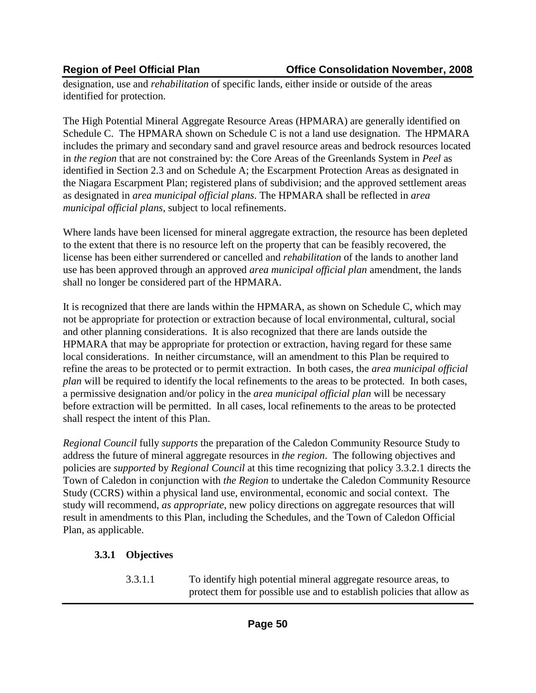designation, use and *rehabilitation* of specific lands, either inside or outside of the areas identified for protection.

The High Potential Mineral Aggregate Resource Areas (HPMARA) are generally identified on Schedule C. The HPMARA shown on Schedule C is not a land use designation. The HPMARA includes the primary and secondary sand and gravel resource areas and bedrock resources located in *the region* that are not constrained by: the Core Areas of the Greenlands System in *Peel* as identified in Section 2.3 and on Schedule A; the Escarpment Protection Areas as designated in the Niagara Escarpment Plan; registered plans of subdivision; and the approved settlement areas as designated in *area municipal official plans*. The HPMARA shall be reflected in *area municipal official plans*, subject to local refinements.

Where lands have been licensed for mineral aggregate extraction, the resource has been depleted to the extent that there is no resource left on the property that can be feasibly recovered, the license has been either surrendered or cancelled and *rehabilitation* of the lands to another land use has been approved through an approved *area municipal official plan* amendment, the lands shall no longer be considered part of the HPMARA.

It is recognized that there are lands within the HPMARA, as shown on Schedule C, which may not be appropriate for protection or extraction because of local environmental, cultural, social and other planning considerations. It is also recognized that there are lands outside the HPMARA that may be appropriate for protection or extraction, having regard for these same local considerations. In neither circumstance, will an amendment to this Plan be required to refine the areas to be protected or to permit extraction. In both cases, the *area municipal official plan* will be required to identify the local refinements to the areas to be protected. In both cases, a permissive designation and/or policy in the *area municipal official plan* will be necessary before extraction will be permitted. In all cases, local refinements to the areas to be protected shall respect the intent of this Plan.

*Regional Council* fully *supports* the preparation of the Caledon Community Resource Study to address the future of mineral aggregate resources in *the region*. The following objectives and policies are *supported* by *Regional Council* at this time recognizing that policy 3.3.2.1 directs the Town of Caledon in conjunction with *the Region* to undertake the Caledon Community Resource Study (CCRS) within a physical land use, environmental, economic and social context. The study will recommend, *as appropriate*, new policy directions on aggregate resources that will result in amendments to this Plan, including the Schedules, and the Town of Caledon Official Plan, as applicable.

# **3.3.1 Objectives**

 3.3.1.1 To identify high potential mineral aggregate resource areas, to protect them for possible use and to establish policies that allow as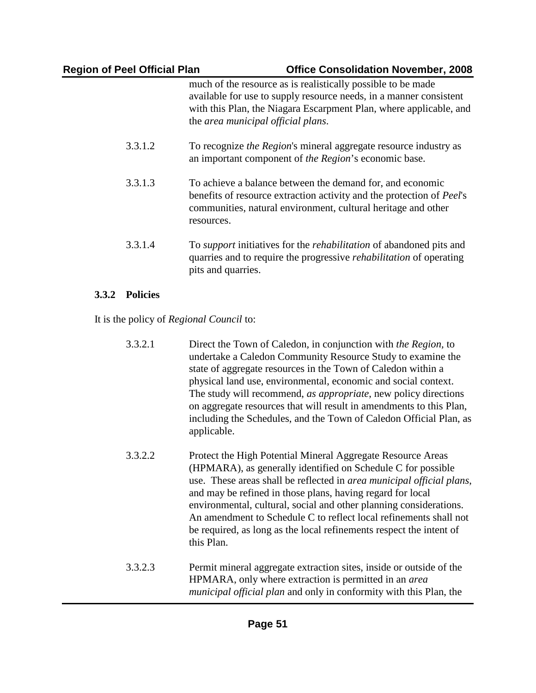| <b>Region of Peel Official Plan</b> | <b>Office Consolidation November, 2008</b>                                                                                                                                                                                                     |
|-------------------------------------|------------------------------------------------------------------------------------------------------------------------------------------------------------------------------------------------------------------------------------------------|
|                                     | much of the resource as is realistically possible to be made<br>available for use to supply resource needs, in a manner consistent<br>with this Plan, the Niagara Escarpment Plan, where applicable, and<br>the area municipal official plans. |
| 3.3.1.2                             | To recognize the Region's mineral aggregate resource industry as<br>an important component of <i>the Region</i> 's economic base.                                                                                                              |
| 3.3.1.3                             | To achieve a balance between the demand for, and economic<br>benefits of resource extraction activity and the protection of <i>Peel's</i><br>communities, natural environment, cultural heritage and other<br>resources.                       |
| 3.3.1.4                             | To <i>support</i> initiatives for the <i>rehabilitation</i> of abandoned pits and<br>quarries and to require the progressive <i>rehabilitation</i> of operating<br>pits and quarries.                                                          |

## **3.3.2 Policies**

| 3.3.2.1 | Direct the Town of Caledon, in conjunction with the Region, to<br>undertake a Caledon Community Resource Study to examine the<br>state of aggregate resources in the Town of Caledon within a<br>physical land use, environmental, economic and social context.<br>The study will recommend, as appropriate, new policy directions<br>on aggregate resources that will result in amendments to this Plan,<br>including the Schedules, and the Town of Caledon Official Plan, as<br>applicable.     |
|---------|----------------------------------------------------------------------------------------------------------------------------------------------------------------------------------------------------------------------------------------------------------------------------------------------------------------------------------------------------------------------------------------------------------------------------------------------------------------------------------------------------|
| 3.3.2.2 | Protect the High Potential Mineral Aggregate Resource Areas<br>(HPMARA), as generally identified on Schedule C for possible<br>use. These areas shall be reflected in area municipal official plans,<br>and may be refined in those plans, having regard for local<br>environmental, cultural, social and other planning considerations.<br>An amendment to Schedule C to reflect local refinements shall not<br>be required, as long as the local refinements respect the intent of<br>this Plan. |
| 3.3.2.3 | Permit mineral aggregate extraction sites, inside or outside of the<br>HPMARA, only where extraction is permitted in an <i>area</i><br>municipal official plan and only in conformity with this Plan, the                                                                                                                                                                                                                                                                                          |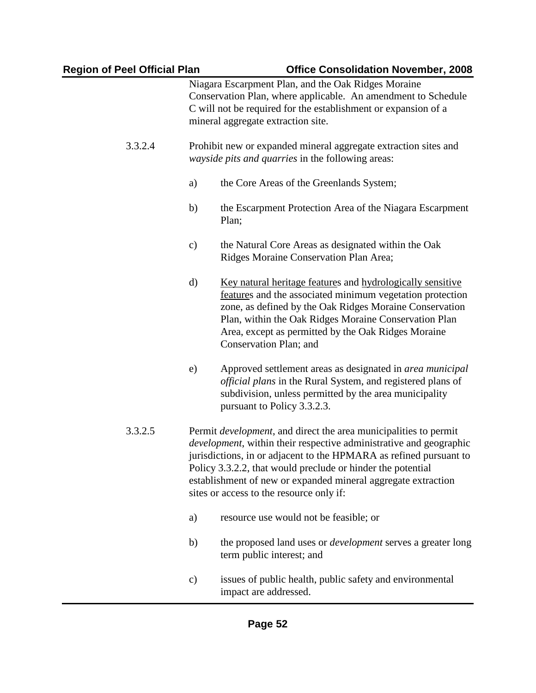| <b>Region of Peel Official Plan</b> | <b>Office Consolidation November, 2008</b>                                                                                                                                                                                                                                                                                                                                                       |
|-------------------------------------|--------------------------------------------------------------------------------------------------------------------------------------------------------------------------------------------------------------------------------------------------------------------------------------------------------------------------------------------------------------------------------------------------|
|                                     | Niagara Escarpment Plan, and the Oak Ridges Moraine<br>Conservation Plan, where applicable. An amendment to Schedule<br>C will not be required for the establishment or expansion of a<br>mineral aggregate extraction site.                                                                                                                                                                     |
| 3.3.2.4                             | Prohibit new or expanded mineral aggregate extraction sites and<br>wayside pits and quarries in the following areas:                                                                                                                                                                                                                                                                             |
| a)                                  | the Core Areas of the Greenlands System;                                                                                                                                                                                                                                                                                                                                                         |
| b)                                  | the Escarpment Protection Area of the Niagara Escarpment<br>Plan;                                                                                                                                                                                                                                                                                                                                |
| $\mathbf{c})$                       | the Natural Core Areas as designated within the Oak<br>Ridges Moraine Conservation Plan Area;                                                                                                                                                                                                                                                                                                    |
| $\mathbf{d}$                        | Key natural heritage features and hydrologically sensitive<br>features and the associated minimum vegetation protection<br>zone, as defined by the Oak Ridges Moraine Conservation<br>Plan, within the Oak Ridges Moraine Conservation Plan<br>Area, except as permitted by the Oak Ridges Moraine<br>Conservation Plan; and                                                                     |
| e)                                  | Approved settlement areas as designated in <i>area municipal</i><br>official plans in the Rural System, and registered plans of<br>subdivision, unless permitted by the area municipality<br>pursuant to Policy 3.3.2.3.                                                                                                                                                                         |
| 3.3.2.5                             | Permit <i>development</i> , and direct the area municipalities to permit<br>development, within their respective administrative and geographic<br>jurisdictions, in or adjacent to the HPMARA as refined pursuant to<br>Policy 3.3.2.2, that would preclude or hinder the potential<br>establishment of new or expanded mineral aggregate extraction<br>sites or access to the resource only if: |
| a)                                  | resource use would not be feasible; or                                                                                                                                                                                                                                                                                                                                                           |
| b)                                  | the proposed land uses or <i>development</i> serves a greater long<br>term public interest; and                                                                                                                                                                                                                                                                                                  |
| $\mathbf{c})$                       | issues of public health, public safety and environmental<br>impact are addressed.                                                                                                                                                                                                                                                                                                                |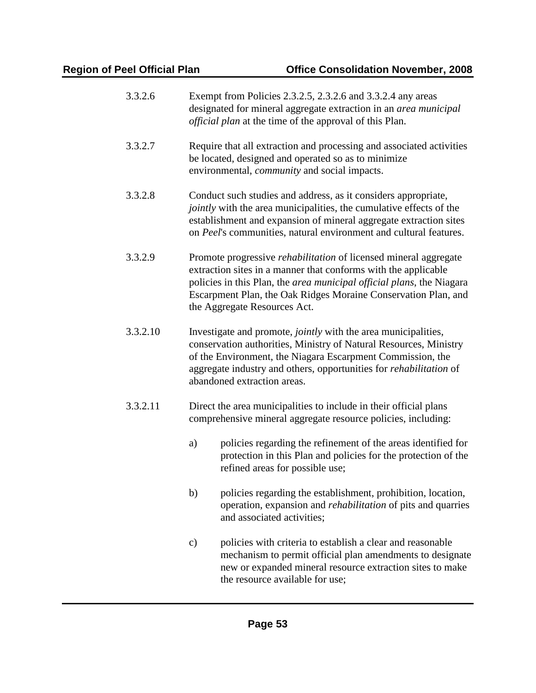| 3.3.2.6  | Exempt from Policies 2.3.2.5, 2.3.2.6 and 3.3.2.4 any areas<br>designated for mineral aggregate extraction in an area municipal<br><i>official plan</i> at the time of the approval of this Plan.                                                                                                                            |
|----------|------------------------------------------------------------------------------------------------------------------------------------------------------------------------------------------------------------------------------------------------------------------------------------------------------------------------------|
| 3.3.2.7  | Require that all extraction and processing and associated activities<br>be located, designed and operated so as to minimize<br>environmental, <i>community</i> and social impacts.                                                                                                                                           |
| 3.3.2.8  | Conduct such studies and address, as it considers appropriate,<br>jointly with the area municipalities, the cumulative effects of the<br>establishment and expansion of mineral aggregate extraction sites<br>on Peel's communities, natural environment and cultural features.                                              |
| 3.3.2.9  | Promote progressive <i>rehabilitation</i> of licensed mineral aggregate<br>extraction sites in a manner that conforms with the applicable<br>policies in this Plan, the <i>area municipal official plans</i> , the Niagara<br>Escarpment Plan, the Oak Ridges Moraine Conservation Plan, and<br>the Aggregate Resources Act. |
| 3.3.2.10 | Investigate and promote, jointly with the area municipalities,<br>conservation authorities, Ministry of Natural Resources, Ministry<br>of the Environment, the Niagara Escarpment Commission, the<br>aggregate industry and others, opportunities for rehabilitation of<br>abandoned extraction areas.                       |
| 3.3.2.11 | Direct the area municipalities to include in their official plans<br>comprehensive mineral aggregate resource policies, including:                                                                                                                                                                                           |
|          | policies regarding the refinement of the areas identified for<br>a)<br>protection in this Plan and policies for the protection of the<br>refined areas for possible use;                                                                                                                                                     |
|          | b)<br>policies regarding the establishment, prohibition, location,<br>operation, expansion and <i>rehabilitation</i> of pits and quarries<br>and associated activities;                                                                                                                                                      |
|          | policies with criteria to establish a clear and reasonable<br>$\mathbf{c})$<br>mechanism to permit official plan amendments to designate<br>new or expanded mineral resource extraction sites to make<br>the resource available for use;                                                                                     |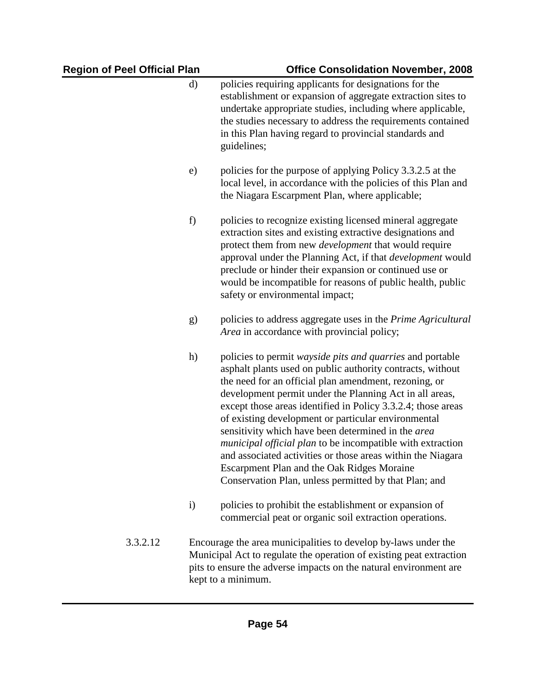| <b>Region of Peel Official Plan</b> | <b>Office Consolidation November, 2008</b>                                                                                                                                                                                                                                                                                                                                                                                                                                                                                                                                                                                                                          |
|-------------------------------------|---------------------------------------------------------------------------------------------------------------------------------------------------------------------------------------------------------------------------------------------------------------------------------------------------------------------------------------------------------------------------------------------------------------------------------------------------------------------------------------------------------------------------------------------------------------------------------------------------------------------------------------------------------------------|
| $\mathbf{d}$                        | policies requiring applicants for designations for the<br>establishment or expansion of aggregate extraction sites to<br>undertake appropriate studies, including where applicable,<br>the studies necessary to address the requirements contained<br>in this Plan having regard to provincial standards and<br>guidelines;                                                                                                                                                                                                                                                                                                                                         |
| e)                                  | policies for the purpose of applying Policy 3.3.2.5 at the<br>local level, in accordance with the policies of this Plan and<br>the Niagara Escarpment Plan, where applicable;                                                                                                                                                                                                                                                                                                                                                                                                                                                                                       |
| f)                                  | policies to recognize existing licensed mineral aggregate<br>extraction sites and existing extractive designations and<br>protect them from new <i>development</i> that would require<br>approval under the Planning Act, if that <i>development</i> would<br>preclude or hinder their expansion or continued use or<br>would be incompatible for reasons of public health, public<br>safety or environmental impact;                                                                                                                                                                                                                                               |
| g)                                  | policies to address aggregate uses in the <i>Prime Agricultural</i><br>Area in accordance with provincial policy;                                                                                                                                                                                                                                                                                                                                                                                                                                                                                                                                                   |
| h)                                  | policies to permit wayside pits and quarries and portable<br>asphalt plants used on public authority contracts, without<br>the need for an official plan amendment, rezoning, or<br>development permit under the Planning Act in all areas,<br>except those areas identified in Policy 3.3.2.4; those areas<br>of existing development or particular environmental<br>sensitivity which have been determined in the area<br><i>municipal official plan</i> to be incompatible with extraction<br>and associated activities or those areas within the Niagara<br>Escarpment Plan and the Oak Ridges Moraine<br>Conservation Plan, unless permitted by that Plan; and |
| $\mathbf{i}$                        | policies to prohibit the establishment or expansion of<br>commercial peat or organic soil extraction operations.                                                                                                                                                                                                                                                                                                                                                                                                                                                                                                                                                    |
| 3.3.2.12                            | Encourage the area municipalities to develop by-laws under the<br>Municipal Act to regulate the operation of existing peat extraction<br>pits to ensure the adverse impacts on the natural environment are<br>kept to a minimum.                                                                                                                                                                                                                                                                                                                                                                                                                                    |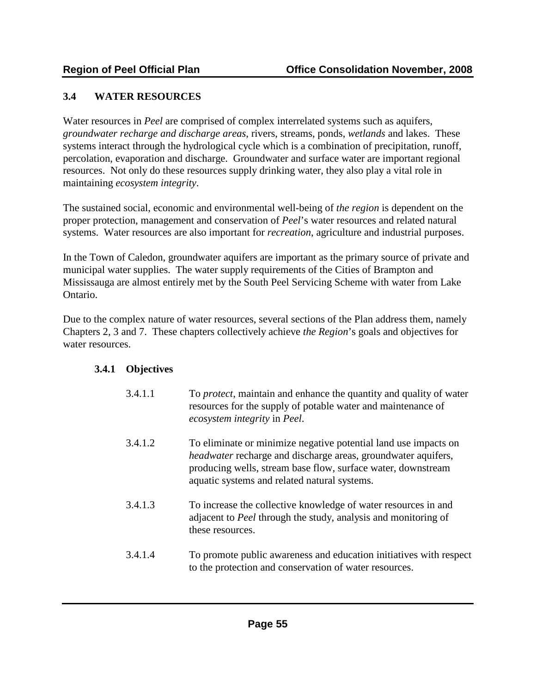## **3.4 WATER RESOURCES**

Water resources in *Peel* are comprised of complex interrelated systems such as aquifers, *groundwater recharge and discharge areas*, rivers, streams, ponds, *wetlands* and lakes. These systems interact through the hydrological cycle which is a combination of precipitation, runoff, percolation, evaporation and discharge. Groundwater and surface water are important regional resources. Not only do these resources supply drinking water, they also play a vital role in maintaining *ecosystem integrity*.

The sustained social, economic and environmental well-being of *the region* is dependent on the proper protection, management and conservation of *Peel*'s water resources and related natural systems. Water resources are also important for *recreation*, agriculture and industrial purposes.

In the Town of Caledon, groundwater aquifers are important as the primary source of private and municipal water supplies. The water supply requirements of the Cities of Brampton and Mississauga are almost entirely met by the South Peel Servicing Scheme with water from Lake Ontario.

Due to the complex nature of water resources, several sections of the Plan address them, namely Chapters 2, 3 and 7. These chapters collectively achieve *the Region*'s goals and objectives for water resources.

#### **3.4.1 Objectives**

| 3.4.1.1 | To <i>protect</i> , maintain and enhance the quantity and quality of water<br>resources for the supply of potable water and maintenance of<br>ecosystem integrity in Peel.                                                                              |
|---------|---------------------------------------------------------------------------------------------------------------------------------------------------------------------------------------------------------------------------------------------------------|
| 3.4.1.2 | To eliminate or minimize negative potential land use impacts on<br><i>headwater</i> recharge and discharge areas, groundwater aquifers,<br>producing wells, stream base flow, surface water, downstream<br>aquatic systems and related natural systems. |
| 3.4.1.3 | To increase the collective knowledge of water resources in and<br>adjacent to Peel through the study, analysis and monitoring of<br>these resources.                                                                                                    |
| 3.4.1.4 | To promote public awareness and education initiatives with respect<br>to the protection and conservation of water resources.                                                                                                                            |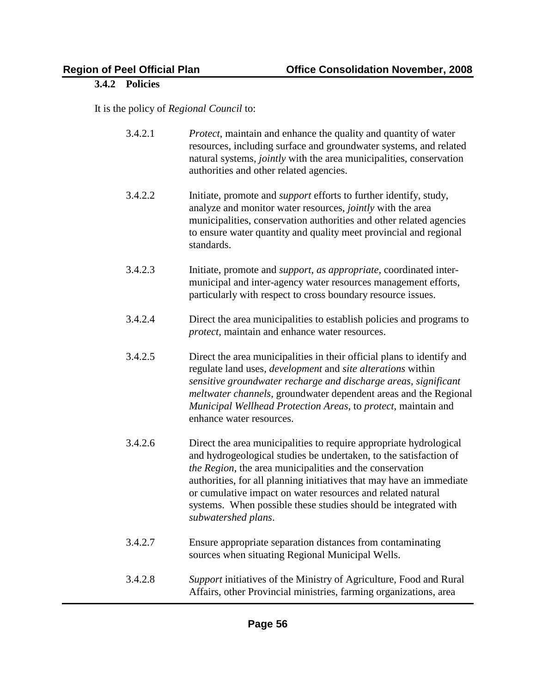#### **3.4.2 Policies**

It is the policy of *Regional Council* to:

 3.4.2.1 *Protect*, maintain and enhance the quality and quantity of water resources, including surface and groundwater systems, and related natural systems, *jointly* with the area municipalities, conservation authorities and other related agencies. 3.4.2.2 Initiate, promote and *support* efforts to further identify, study, analyze and monitor water resources, *jointly* with the area municipalities, conservation authorities and other related agencies to ensure water quantity and quality meet provincial and regional standards. 3.4.2.3 Initiate, promote and *support*, *as appropriate*, coordinated intermunicipal and inter-agency water resources management efforts, particularly with respect to cross boundary resource issues. 3.4.2.4 Direct the area municipalities to establish policies and programs to *protect*, maintain and enhance water resources. 3.4.2.5 Direct the area municipalities in their official plans to identify and regulate land uses, *development* and *site alterations* within *sensitive groundwater recharge and discharge areas*, *significant meltwater channels*, groundwater dependent areas and the Regional *Municipal Wellhead Protection Areas*, to *protect*, maintain and enhance water resources. 3.4.2.6 Direct the area municipalities to require appropriate hydrological and hydrogeological studies be undertaken, to the satisfaction of *the Region*, the area municipalities and the conservation authorities, for all planning initiatives that may have an immediate or cumulative impact on water resources and related natural systems. When possible these studies should be integrated with *subwatershed plans*. 3.4.2.7 Ensure appropriate separation distances from contaminating sources when situating Regional Municipal Wells. 3.4.2.8 *Support* initiatives of the Ministry of Agriculture, Food and Rural Affairs, other Provincial ministries, farming organizations, area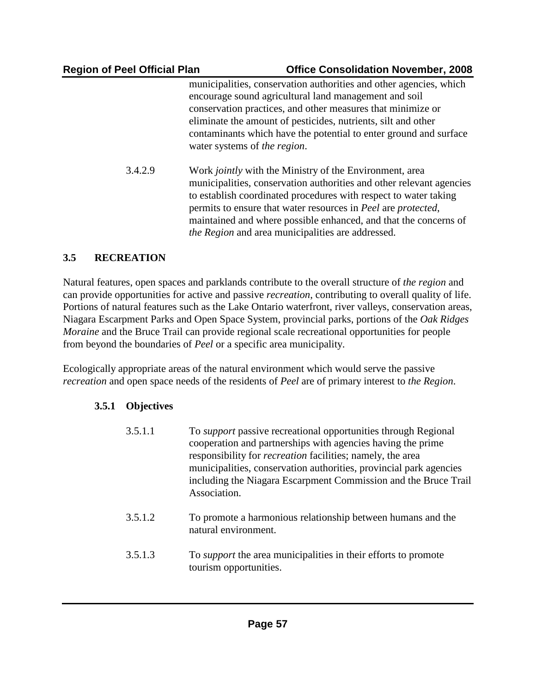| <b>Region of Peel Official Plan</b> | <b>Office Consolidation November, 2008</b>                                                                                                                                                                                                                                                                                                                                                           |
|-------------------------------------|------------------------------------------------------------------------------------------------------------------------------------------------------------------------------------------------------------------------------------------------------------------------------------------------------------------------------------------------------------------------------------------------------|
|                                     | municipalities, conservation authorities and other agencies, which<br>encourage sound agricultural land management and soil<br>conservation practices, and other measures that minimize or<br>eliminate the amount of pesticides, nutrients, silt and other<br>contaminants which have the potential to enter ground and surface<br>water systems of the region.                                     |
| 3.4.2.9                             | Work <i>jointly</i> with the Ministry of the Environment, area<br>municipalities, conservation authorities and other relevant agencies<br>to establish coordinated procedures with respect to water taking<br>permits to ensure that water resources in Peel are protected,<br>maintained and where possible enhanced, and that the concerns of<br>the Region and area municipalities are addressed. |

## **3.5 RECREATION**

Natural features, open spaces and parklands contribute to the overall structure of *the region* and can provide opportunities for active and passive *recreation*, contributing to overall quality of life. Portions of natural features such as the Lake Ontario waterfront, river valleys, conservation areas, Niagara Escarpment Parks and Open Space System, provincial parks, portions of the *Oak Ridges Moraine* and the Bruce Trail can provide regional scale recreational opportunities for people from beyond the boundaries of *Peel* or a specific area municipality.

Ecologically appropriate areas of the natural environment which would serve the passive *recreation* and open space needs of the residents of *Peel* are of primary interest to *the Region*.

## **3.5.1 Objectives**

- 3.5.1.1 To *support* passive recreational opportunities through Regional cooperation and partnerships with agencies having the prime responsibility for *recreation* facilities; namely, the area municipalities, conservation authorities, provincial park agencies including the Niagara Escarpment Commission and the Bruce Trail Association.
- 3.5.1.2 To promote a harmonious relationship between humans and the natural environment.
- 3.5.1.3 To *support* the area municipalities in their efforts to promote tourism opportunities.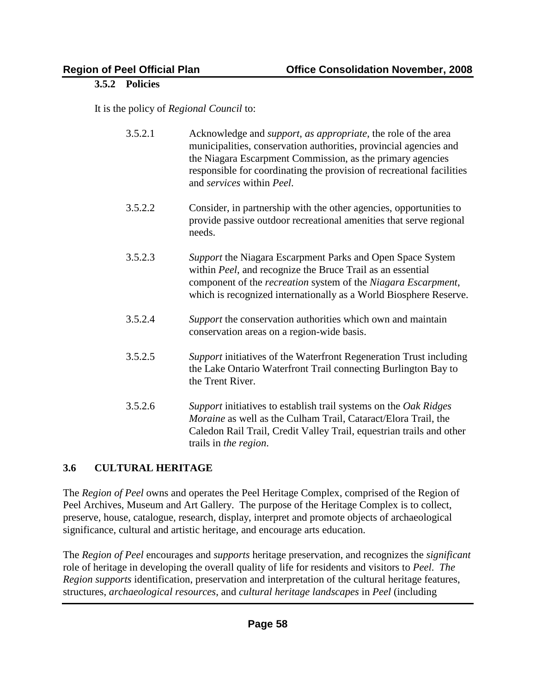#### **3.5.2 Policies**

It is the policy of *Regional Council* to:

| 3.5.2.1 | Acknowledge and <i>support</i> , as appropriate, the role of the area<br>municipalities, conservation authorities, provincial agencies and<br>the Niagara Escarpment Commission, as the primary agencies<br>responsible for coordinating the provision of recreational facilities<br>and services within Peel. |
|---------|----------------------------------------------------------------------------------------------------------------------------------------------------------------------------------------------------------------------------------------------------------------------------------------------------------------|
| 3.5.2.2 | Consider, in partnership with the other agencies, opportunities to<br>provide passive outdoor recreational amenities that serve regional<br>needs.                                                                                                                                                             |
| 3.5.2.3 | Support the Niagara Escarpment Parks and Open Space System<br>within Peel, and recognize the Bruce Trail as an essential<br>component of the <i>recreation</i> system of the <i>Niagara Escarpment</i> ,<br>which is recognized internationally as a World Biosphere Reserve.                                  |
| 3.5.2.4 | Support the conservation authorities which own and maintain<br>conservation areas on a region-wide basis.                                                                                                                                                                                                      |
| 3.5.2.5 | Support initiatives of the Waterfront Regeneration Trust including<br>the Lake Ontario Waterfront Trail connecting Burlington Bay to<br>the Trent River.                                                                                                                                                       |
| 3.5.2.6 | Support initiatives to establish trail systems on the Oak Ridges<br>Moraine as well as the Culham Trail, Cataract/Elora Trail, the<br>Caledon Rail Trail, Credit Valley Trail, equestrian trails and other<br>trails in <i>the region</i> .                                                                    |

#### **3.6 CULTURAL HERITAGE**

The *Region of Peel* owns and operates the Peel Heritage Complex, comprised of the Region of Peel Archives, Museum and Art Gallery. The purpose of the Heritage Complex is to collect, preserve, house, catalogue, research, display, interpret and promote objects of archaeological significance, cultural and artistic heritage, and encourage arts education.

The *Region of Peel* encourages and *supports* heritage preservation, and recognizes the *significant* role of heritage in developing the overall quality of life for residents and visitors to *Peel*. *The Region supports* identification, preservation and interpretation of the cultural heritage features, structures, *archaeological resources*, and *cultural heritage landscapes* in *Peel* (including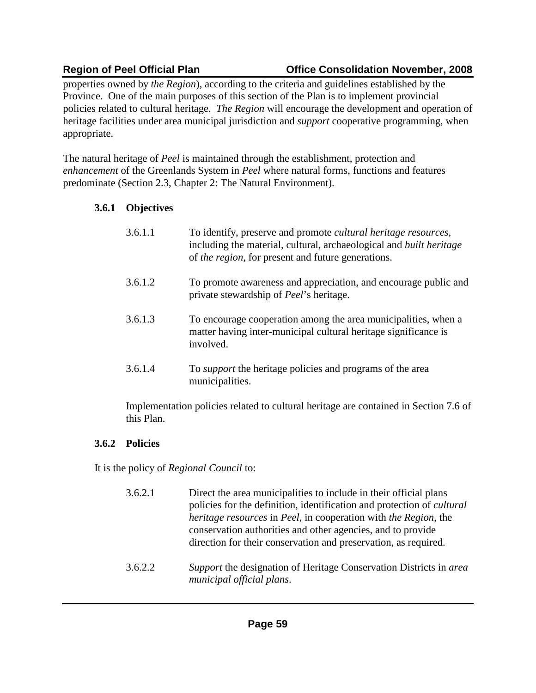#### **Region of Peel Official Plan Office Consolidation November, 2008**

properties owned by *the Region*), according to the criteria and guidelines established by the Province. One of the main purposes of this section of the Plan is to implement provincial policies related to cultural heritage. *The Region* will encourage the development and operation of heritage facilities under area municipal jurisdiction and *support* cooperative programming, when appropriate.

The natural heritage of *Peel* is maintained through the establishment, protection and *enhancement* of the Greenlands System in *Peel* where natural forms, functions and features predominate (Section 2.3, Chapter 2: The Natural Environment).

## **3.6.1 Objectives**

| 3.6.1.1 | To identify, preserve and promote <i>cultural heritage resources</i> ,<br>including the material, cultural, archaeological and built heritage<br>of <i>the region</i> , for present and future generations. |
|---------|-------------------------------------------------------------------------------------------------------------------------------------------------------------------------------------------------------------|
| 3.6.1.2 | To promote awareness and appreciation, and encourage public and<br>private stewardship of <i>Peel</i> 's heritage.                                                                                          |
| 3.6.1.3 | To encourage cooperation among the area municipalities, when a<br>matter having inter-municipal cultural heritage significance is<br>involved.                                                              |
| 3.6.1.4 | To <i>support</i> the heritage policies and programs of the area<br>municipalities.                                                                                                                         |

 Implementation policies related to cultural heritage are contained in Section 7.6 of this Plan.

#### **3.6.2 Policies**

- 3.6.2.1 Direct the area municipalities to include in their official plans policies for the definition, identification and protection of *cultural heritage resources* in *Peel*, in cooperation with *the Region*, the conservation authorities and other agencies, and to provide direction for their conservation and preservation, as required.
- 3.6.2.2 *Support* the designation of Heritage Conservation Districts in *area municipal official plans*.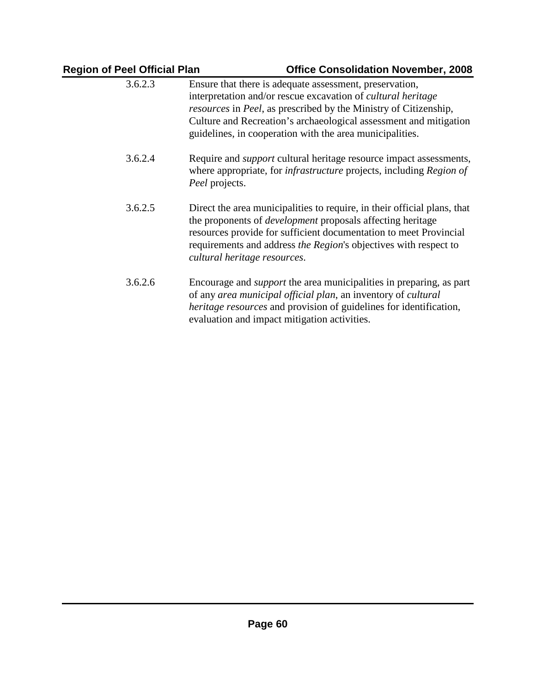| <b>Region of Peel Official Plan</b> | <b>Office Consolidation November, 2008</b>                                                                                                                                                                                                                                                                                                         |
|-------------------------------------|----------------------------------------------------------------------------------------------------------------------------------------------------------------------------------------------------------------------------------------------------------------------------------------------------------------------------------------------------|
| 3.6.2.3                             | Ensure that there is adequate assessment, preservation,<br>interpretation and/or rescue excavation of <i>cultural heritage</i><br><i>resources</i> in <i>Peel</i> , as prescribed by the Ministry of Citizenship,<br>Culture and Recreation's archaeological assessment and mitigation<br>guidelines, in cooperation with the area municipalities. |
| 3.6.2.4                             | Require and <i>support</i> cultural heritage resource impact assessments,<br>where appropriate, for <i>infrastructure</i> projects, including <i>Region of</i><br><i>Peel</i> projects.                                                                                                                                                            |
| 3.6.2.5                             | Direct the area municipalities to require, in their official plans, that<br>the proponents of <i>development</i> proposals affecting heritage<br>resources provide for sufficient documentation to meet Provincial<br>requirements and address <i>the Region's</i> objectives with respect to<br>cultural heritage resources.                      |
| 3.6.2.6                             | Encourage and <i>support</i> the area municipalities in preparing, as part<br>of any area municipal official plan, an inventory of cultural<br><i>heritage resources</i> and provision of guidelines for identification,<br>evaluation and impact mitigation activities.                                                                           |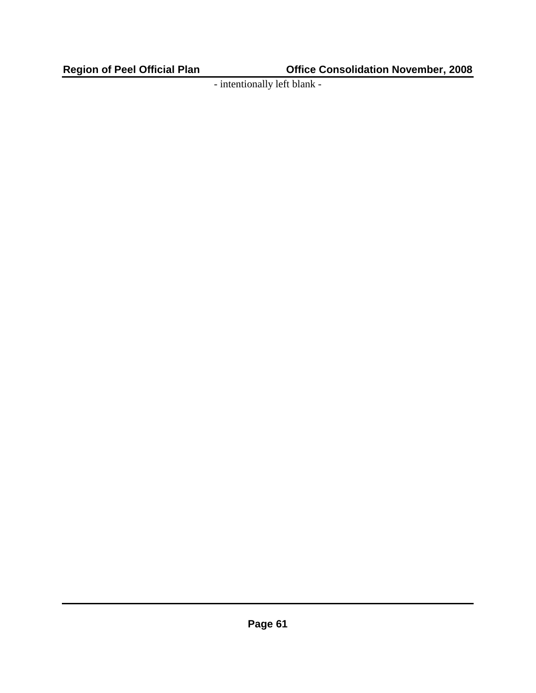Region of Peel Official Plan **Office Consolidation November, 2008** 

- intentionally left blank -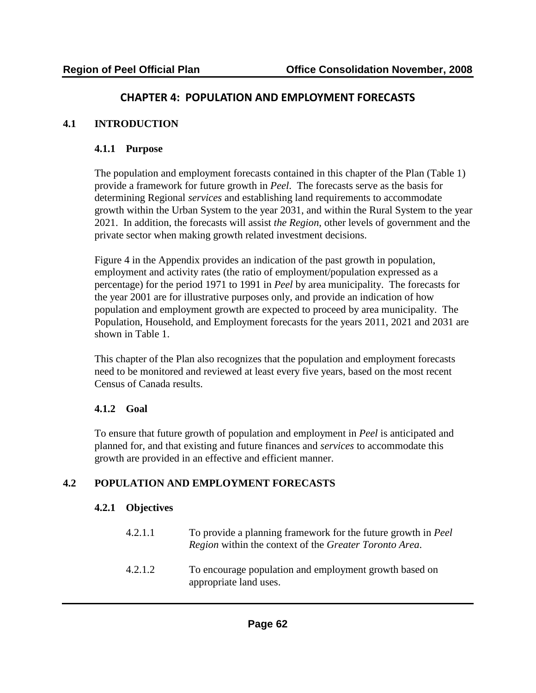# CHAPTER 4: POPULATION AND EMPLOYMENT FORECASTS

## **4.1 INTRODUCTION**

### **4.1.1 Purpose**

 The population and employment forecasts contained in this chapter of the Plan (Table 1) provide a framework for future growth in *Peel*. The forecasts serve as the basis for determining Regional *services* and establishing land requirements to accommodate growth within the Urban System to the year 2031, and within the Rural System to the year 2021. In addition, the forecasts will assist *the Region*, other levels of government and the private sector when making growth related investment decisions.

 Figure 4 in the Appendix provides an indication of the past growth in population, employment and activity rates (the ratio of employment/population expressed as a percentage) for the period 1971 to 1991 in *Peel* by area municipality. The forecasts for the year 2001 are for illustrative purposes only, and provide an indication of how population and employment growth are expected to proceed by area municipality. The Population, Household, and Employment forecasts for the years 2011, 2021 and 2031 are shown in Table 1.

 This chapter of the Plan also recognizes that the population and employment forecasts need to be monitored and reviewed at least every five years, based on the most recent Census of Canada results.

# **4.1.2 Goal**

 To ensure that future growth of population and employment in *Peel* is anticipated and planned for, and that existing and future finances and *services* to accommodate this growth are provided in an effective and efficient manner.

# **4.2 POPULATION AND EMPLOYMENT FORECASTS**

### **4.2.1 Objectives**

- 4.2.1.1 To provide a planning framework for the future growth in *Peel Region* within the context of the *Greater Toronto Area*.
- 4.2.1.2 To encourage population and employment growth based on appropriate land uses.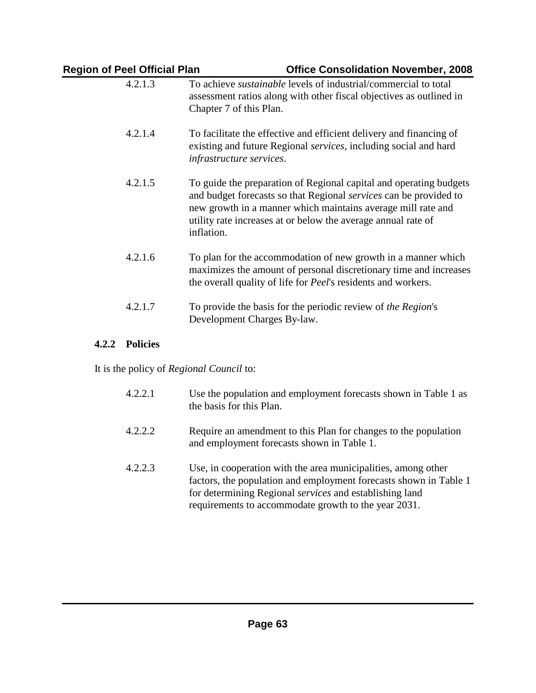| <b>Region of Peel Official Plan</b> | <b>Office Consolidation November, 2008</b>                                                                                                                                                                                                                                             |
|-------------------------------------|----------------------------------------------------------------------------------------------------------------------------------------------------------------------------------------------------------------------------------------------------------------------------------------|
| 4.2.1.3                             | To achieve <i>sustainable</i> levels of industrial/commercial to total<br>assessment ratios along with other fiscal objectives as outlined in<br>Chapter 7 of this Plan.                                                                                                               |
| 4.2.1.4                             | To facilitate the effective and efficient delivery and financing of<br>existing and future Regional <i>services</i> , including social and hard<br>infrastructure services.                                                                                                            |
| 4.2.1.5                             | To guide the preparation of Regional capital and operating budgets<br>and budget forecasts so that Regional services can be provided to<br>new growth in a manner which maintains average mill rate and<br>utility rate increases at or below the average annual rate of<br>inflation. |
| 4.2.1.6                             | To plan for the accommodation of new growth in a manner which<br>maximizes the amount of personal discretionary time and increases<br>the overall quality of life for <i>Peel's</i> residents and workers.                                                                             |
| 4.2.1.7                             | To provide the basis for the periodic review of the Region's<br>Development Charges By-law.                                                                                                                                                                                            |
| <b>Policies</b><br>4.2.2            |                                                                                                                                                                                                                                                                                        |

| 4.2.2.1 | Use the population and employment forecasts shown in Table 1 as<br>the basis for this Plan.                                                                                                                                                           |
|---------|-------------------------------------------------------------------------------------------------------------------------------------------------------------------------------------------------------------------------------------------------------|
| 4.2.2.2 | Require an amendment to this Plan for changes to the population<br>and employment forecasts shown in Table 1.                                                                                                                                         |
| 4.2.2.3 | Use, in cooperation with the area municipalities, among other<br>factors, the population and employment forecasts shown in Table 1<br>for determining Regional services and establishing land<br>requirements to accommodate growth to the year 2031. |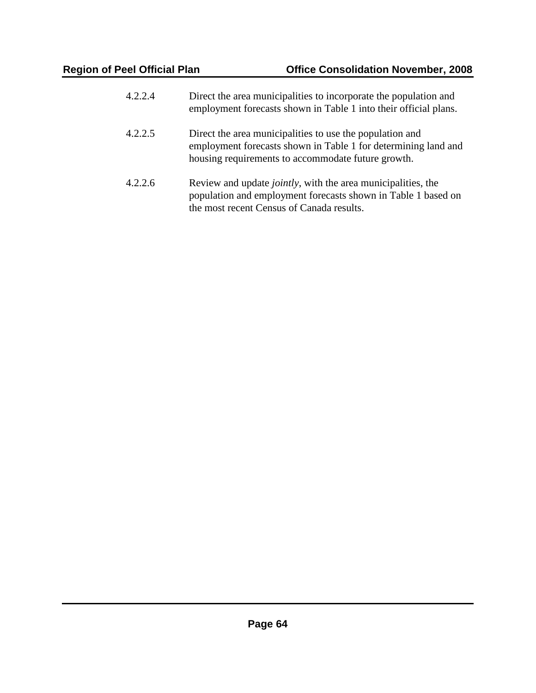| 4.2.2.4 | Direct the area municipalities to incorporate the population and<br>employment forecasts shown in Table 1 into their official plans.                                               |
|---------|------------------------------------------------------------------------------------------------------------------------------------------------------------------------------------|
| 4.2.2.5 | Direct the area municipalities to use the population and<br>employment forecasts shown in Table 1 for determining land and<br>housing requirements to accommodate future growth.   |
| 4.2.2.6 | Review and update <i>jointly</i> , with the area municipalities, the<br>population and employment forecasts shown in Table 1 based on<br>the most recent Census of Canada results. |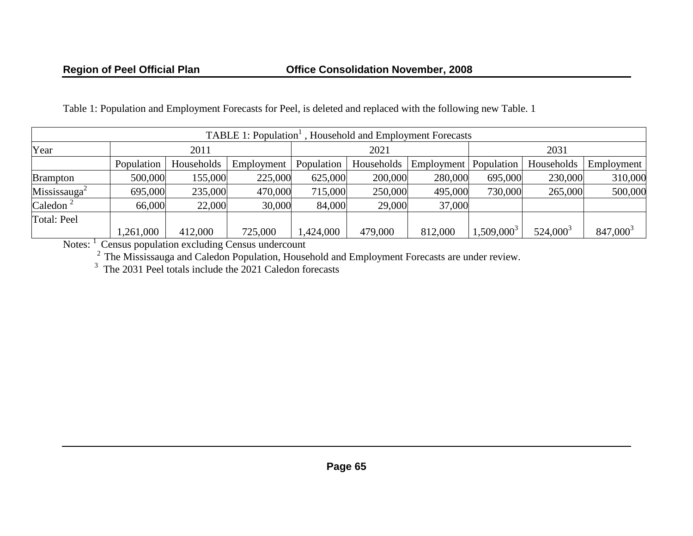| TABLE 1: Population <sup>1</sup> , Household and Employment Forecasts |            |            |            |            |            |            |               |                      |                      |
|-----------------------------------------------------------------------|------------|------------|------------|------------|------------|------------|---------------|----------------------|----------------------|
| Year                                                                  | 2011       |            |            | 2021       |            |            | 2031          |                      |                      |
|                                                                       | Population | Households | Employment | Population | Households | Employment | Population    | Households           | Employment           |
| <b>Brampton</b>                                                       | 500,000    | 155,000    | 225,000    | 625,000    | 200,000    | 280,000    | 695,000       | 230,000              | 310,000              |
| Mississauge <sup>2</sup>                                              | 695,000    | 235,000    | 470,000    | 715,000    | 250,000    | 495,000    | 730,000       | 265,000              | 500,000              |
| $\alpha$ ledon <sup>2</sup>                                           | 66,000     | 22,000     | 30,000     | 84,000     | 29,000     | 37,000     |               |                      |                      |
| Total: Peel                                                           |            |            |            |            |            |            |               |                      |                      |
|                                                                       | ,261,000   | 412,000    | 725,000    | ,424,000   | 479,000    | 812,000    | $1,509,000^3$ | 524,000 <sup>3</sup> | 847,000 <sup>3</sup> |

Table 1: Population and Employment Forecasts for Peel, is deleted and replaced with the following new Table. 1

Notes:  $\frac{1}{2}$  Census population excluding Census undercount<br>
<sup>2</sup> The Mississauga and Caledon Population, Household and Employment Forecasts are under review.<br>
<sup>3</sup> The 2031 Peel totals include the 2021 Caledon forecasts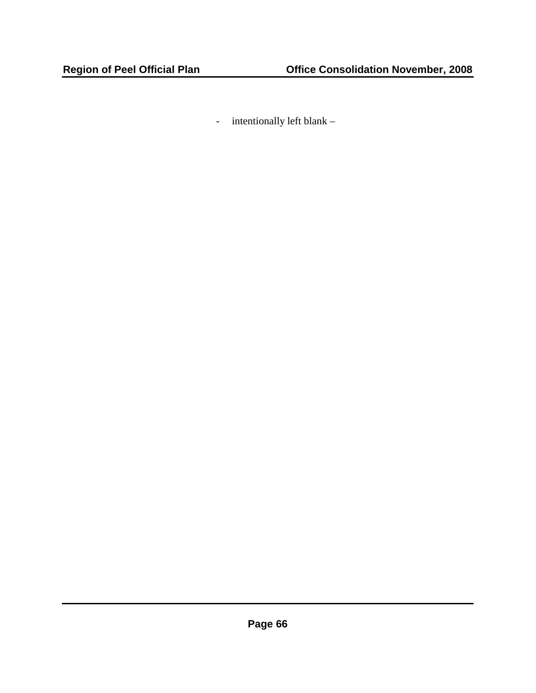- intentionally left blank –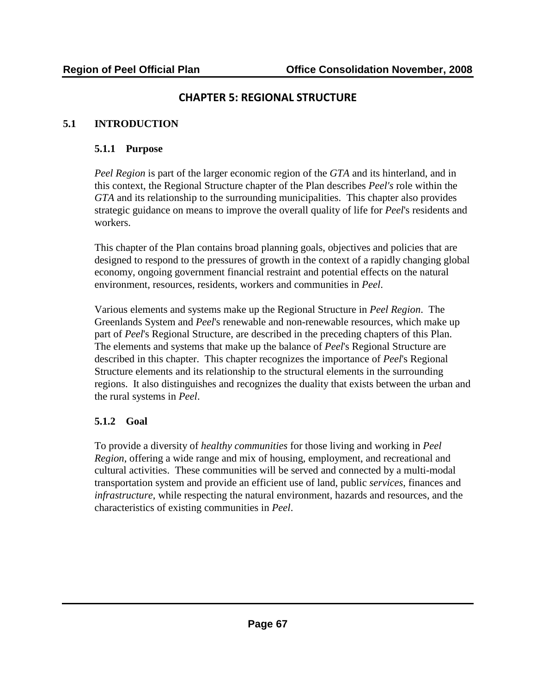# CHAPTER 5: REGIONAL STRUCTURE

# **5.1 INTRODUCTION**

# **5.1.1 Purpose**

*Peel Region* is part of the larger economic region of the *GTA* and its hinterland, and in this context, the Regional Structure chapter of the Plan describes *Peel's* role within the *GTA* and its relationship to the surrounding municipalities. This chapter also provides strategic guidance on means to improve the overall quality of life for *Peel*'s residents and workers.

 This chapter of the Plan contains broad planning goals, objectives and policies that are designed to respond to the pressures of growth in the context of a rapidly changing global economy, ongoing government financial restraint and potential effects on the natural environment, resources, residents, workers and communities in *Peel*.

 Various elements and systems make up the Regional Structure in *Peel Region*. The Greenlands System and *Peel*'s renewable and non-renewable resources, which make up part of *Peel*'s Regional Structure, are described in the preceding chapters of this Plan. The elements and systems that make up the balance of *Peel*'s Regional Structure are described in this chapter. This chapter recognizes the importance of *Peel*'s Regional Structure elements and its relationship to the structural elements in the surrounding regions. It also distinguishes and recognizes the duality that exists between the urban and the rural systems in *Peel*.

# **5.1.2 Goal**

 To provide a diversity of *healthy communities* for those living and working in *Peel Region*, offering a wide range and mix of housing, employment, and recreational and cultural activities. These communities will be served and connected by a multi-modal transportation system and provide an efficient use of land, public *services*, finances and *infrastructure*, while respecting the natural environment, hazards and resources, and the characteristics of existing communities in *Peel*.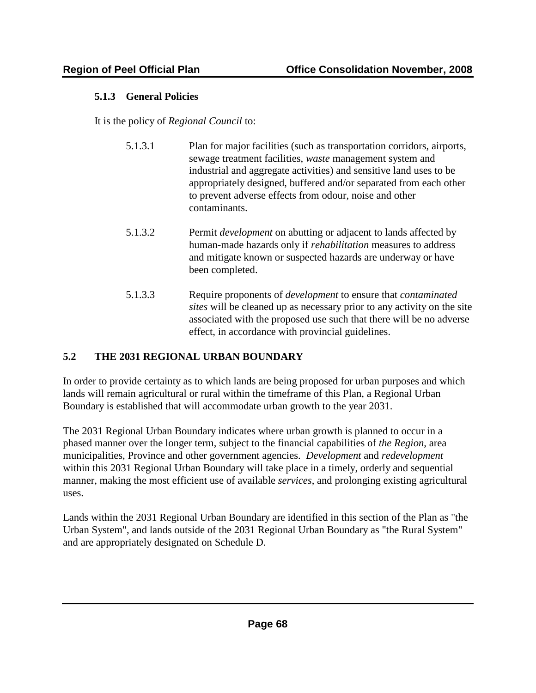# **5.1.3 General Policies**

It is the policy of *Regional Council* to:

- 5.1.3.1 Plan for major facilities (such as transportation corridors, airports, sewage treatment facilities, *waste* management system and industrial and aggregate activities) and sensitive land uses to be appropriately designed, buffered and/or separated from each other to prevent adverse effects from odour, noise and other contaminants.
- 5.1.3.2 Permit *development* on abutting or adjacent to lands affected by human-made hazards only if *rehabilitation* measures to address and mitigate known or suspected hazards are underway or have been completed.
- 5.1.3.3 Require proponents of *development* to ensure that *contaminated sites* will be cleaned up as necessary prior to any activity on the site associated with the proposed use such that there will be no adverse effect, in accordance with provincial guidelines.

# **5.2 THE 2031 REGIONAL URBAN BOUNDARY**

In order to provide certainty as to which lands are being proposed for urban purposes and which lands will remain agricultural or rural within the timeframe of this Plan, a Regional Urban Boundary is established that will accommodate urban growth to the year 2031.

The 2031 Regional Urban Boundary indicates where urban growth is planned to occur in a phased manner over the longer term, subject to the financial capabilities of *the Region*, area municipalities, Province and other government agencies. *Development* and *redevelopment* within this 2031 Regional Urban Boundary will take place in a timely, orderly and sequential manner, making the most efficient use of available *services*, and prolonging existing agricultural uses.

Lands within the 2031 Regional Urban Boundary are identified in this section of the Plan as "the Urban System", and lands outside of the 2031 Regional Urban Boundary as "the Rural System" and are appropriately designated on Schedule D.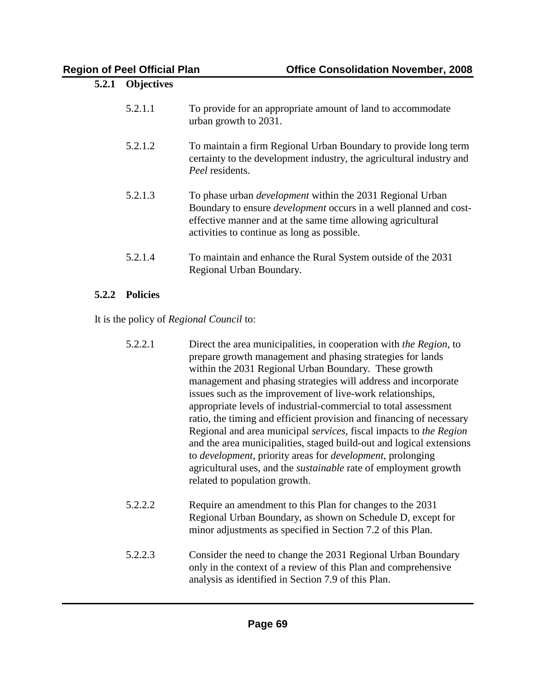| 5.2.1 | <b>Objectives</b> |                                                                                                                                                                                                                                                            |
|-------|-------------------|------------------------------------------------------------------------------------------------------------------------------------------------------------------------------------------------------------------------------------------------------------|
|       | 5.2.1.1           | To provide for an appropriate amount of land to accommodate<br>urban growth to 2031.                                                                                                                                                                       |
|       | 5.2.1.2           | To maintain a firm Regional Urban Boundary to provide long term<br>certainty to the development industry, the agricultural industry and<br>Peel residents.                                                                                                 |
|       | 5.2.1.3           | To phase urban <i>development</i> within the 2031 Regional Urban<br>Boundary to ensure <i>development</i> occurs in a well planned and cost-<br>effective manner and at the same time allowing agricultural<br>activities to continue as long as possible. |
|       | 5.2.1.4           | To maintain and enhance the Rural System outside of the 2031<br>Regional Urban Boundary.                                                                                                                                                                   |

## **5.2.2 Policies**

| 5.2.2.1 | Direct the area municipalities, in cooperation with the Region, to<br>prepare growth management and phasing strategies for lands<br>within the 2031 Regional Urban Boundary. These growth<br>management and phasing strategies will address and incorporate<br>issues such as the improvement of live-work relationships,<br>appropriate levels of industrial-commercial to total assessment<br>ratio, the timing and efficient provision and financing of necessary<br>Regional and area municipal services, fiscal impacts to the Region<br>and the area municipalities, staged build-out and logical extensions<br>to <i>development</i> , priority areas for <i>development</i> , prolonging |
|---------|--------------------------------------------------------------------------------------------------------------------------------------------------------------------------------------------------------------------------------------------------------------------------------------------------------------------------------------------------------------------------------------------------------------------------------------------------------------------------------------------------------------------------------------------------------------------------------------------------------------------------------------------------------------------------------------------------|
|         | agricultural uses, and the <i>sustainable</i> rate of employment growth<br>related to population growth.                                                                                                                                                                                                                                                                                                                                                                                                                                                                                                                                                                                         |
| 5222    | Require an amendment to this Plan for changes to the 2031                                                                                                                                                                                                                                                                                                                                                                                                                                                                                                                                                                                                                                        |

- 5.2.2.2 Require an amendment to this Plan for changes to the 2031 Regional Urban Boundary, as shown on Schedule D, except for minor adjustments as specified in Section 7.2 of this Plan.
- 5.2.2.3 Consider the need to change the 2031 Regional Urban Boundary only in the context of a review of this Plan and comprehensive analysis as identified in Section 7.9 of this Plan.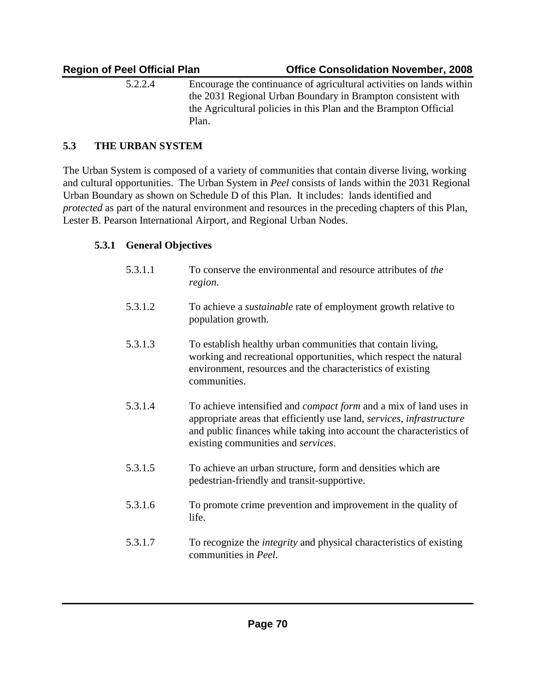# **Region of Peel Official Plan Office Consolidation November, 2008**

 5.2.2.4 Encourage the continuance of agricultural activities on lands within the 2031 Regional Urban Boundary in Brampton consistent with the Agricultural policies in this Plan and the Brampton Official Plan.

# **5.3 THE URBAN SYSTEM**

The Urban System is composed of a variety of communities that contain diverse living, working and cultural opportunities. The Urban System in *Peel* consists of lands within the 2031 Regional Urban Boundary as shown on Schedule D of this Plan. It includes: lands identified and *protected* as part of the natural environment and resources in the preceding chapters of this Plan, Lester B. Pearson International Airport, and Regional Urban Nodes.

# **5.3.1 General Objectives**

 5.3.1.1 To conserve the environmental and resource attributes of *the region*. 5.3.1.2 To achieve a *sustainable* rate of employment growth relative to population growth. 5.3.1.3 To establish healthy urban communities that contain living, working and recreational opportunities, which respect the natural environment, resources and the characteristics of existing communities. 5.3.1.4 To achieve intensified and *compact form* and a mix of land uses in appropriate areas that efficiently use land, *services*, *infrastructure* and public finances while taking into account the characteristics of existing communities and *services*. 5.3.1.5 To achieve an urban structure, form and densities which are pedestrian-friendly and transit-supportive. 5.3.1.6 To promote crime prevention and improvement in the quality of life. 5.3.1.7 To recognize the *integrity* and physical characteristics of existing communities in *Peel*.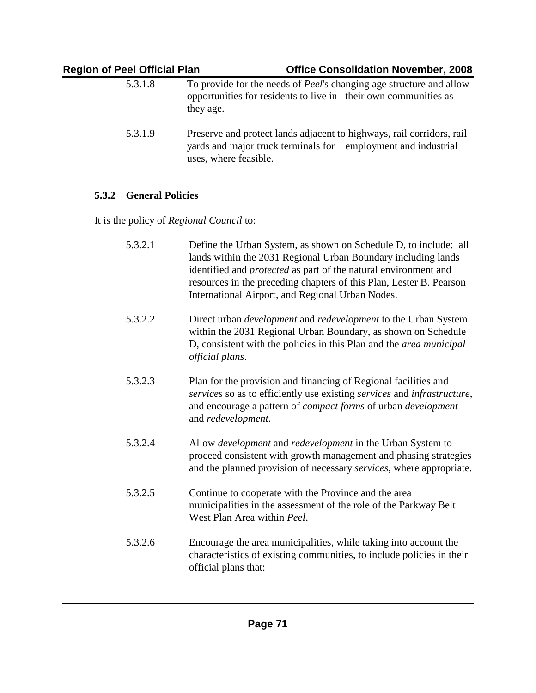| <b>Region of Peel Official Plan</b> | <b>Office Consolidation November, 2008</b>                                                                                                                      |
|-------------------------------------|-----------------------------------------------------------------------------------------------------------------------------------------------------------------|
| 5.3.1.8                             | To provide for the needs of <i>Peel's</i> changing age structure and allow<br>opportunities for residents to live in their own communities as<br>they age.      |
| 5.3.1.9                             | Preserve and protect lands adjacent to highways, rail corridors, rail<br>yards and major truck terminals for employment and industrial<br>uses, where feasible. |

# **5.3.2 General Policies**

| 5.3.2.1 | Define the Urban System, as shown on Schedule D, to include: all<br>lands within the 2031 Regional Urban Boundary including lands<br>identified and <i>protected</i> as part of the natural environment and<br>resources in the preceding chapters of this Plan, Lester B. Pearson<br>International Airport, and Regional Urban Nodes. |
|---------|----------------------------------------------------------------------------------------------------------------------------------------------------------------------------------------------------------------------------------------------------------------------------------------------------------------------------------------|
| 5.3.2.2 | Direct urban <i>development</i> and <i>redevelopment</i> to the Urban System<br>within the 2031 Regional Urban Boundary, as shown on Schedule<br>D, consistent with the policies in this Plan and the <i>area municipal</i><br>official plans.                                                                                         |
| 5.3.2.3 | Plan for the provision and financing of Regional facilities and<br>services so as to efficiently use existing services and infrastructure,<br>and encourage a pattern of <i>compact forms</i> of urban <i>development</i><br>and redevelopment.                                                                                        |
| 5.3.2.4 | Allow <i>development</i> and <i>redevelopment</i> in the Urban System to<br>proceed consistent with growth management and phasing strategies<br>and the planned provision of necessary services, where appropriate.                                                                                                                    |
| 5.3.2.5 | Continue to cooperate with the Province and the area<br>municipalities in the assessment of the role of the Parkway Belt<br>West Plan Area within Peel.                                                                                                                                                                                |
| 5.3.2.6 | Encourage the area municipalities, while taking into account the<br>characteristics of existing communities, to include policies in their<br>official plans that:                                                                                                                                                                      |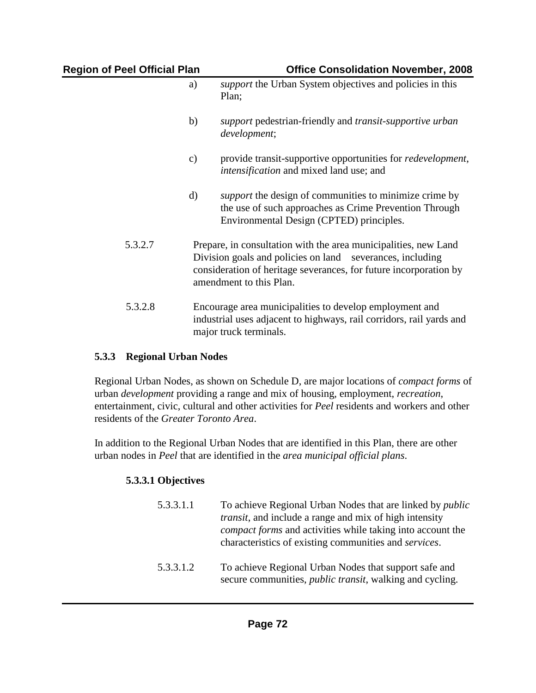| <b>Region of Peel Official Plan</b> | <b>Office Consolidation November, 2008</b>                                                                                                                                                                                   |
|-------------------------------------|------------------------------------------------------------------------------------------------------------------------------------------------------------------------------------------------------------------------------|
| a)                                  | <i>support</i> the Urban System objectives and policies in this<br>Plan;                                                                                                                                                     |
| b)                                  | <i>support</i> pedestrian-friendly and <i>transit-supportive urban</i><br>development;                                                                                                                                       |
| $\mathbf{c})$                       | provide transit-supportive opportunities for <i>redevelopment</i> ,<br><i>intensification</i> and mixed land use; and                                                                                                        |
| $\rm d)$                            | <i>support</i> the design of communities to minimize crime by<br>the use of such approaches as Crime Prevention Through<br>Environmental Design (CPTED) principles.                                                          |
| 5.3.2.7                             | Prepare, in consultation with the area municipalities, new Land<br>Division goals and policies on land severances, including<br>consideration of heritage severances, for future incorporation by<br>amendment to this Plan. |
| 5.3.2.8                             | Encourage area municipalities to develop employment and<br>industrial uses adjacent to highways, rail corridors, rail yards and<br>major truck terminals.                                                                    |

# **5.3.3 Regional Urban Nodes**

 Regional Urban Nodes, as shown on Schedule D, are major locations of *compact forms* of urban *development* providing a range and mix of housing, employment, *recreation*, entertainment, civic, cultural and other activities for *Peel* residents and workers and other residents of the *Greater Toronto Area*.

 In addition to the Regional Urban Nodes that are identified in this Plan, there are other urban nodes in *Peel* that are identified in the *area municipal official plans*.

# **5.3.3.1 Objectives**

| 5.3.3.1.1 | To achieve Regional Urban Nodes that are linked by <i>public</i><br><i>transit</i> , and include a range and mix of high intensity<br><i>compact forms</i> and activities while taking into account the<br>characteristics of existing communities and <i>services</i> . |
|-----------|--------------------------------------------------------------------------------------------------------------------------------------------------------------------------------------------------------------------------------------------------------------------------|
|           |                                                                                                                                                                                                                                                                          |

 5.3.3.1.2 To achieve Regional Urban Nodes that support safe and secure communities, *public transit*, walking and cycling.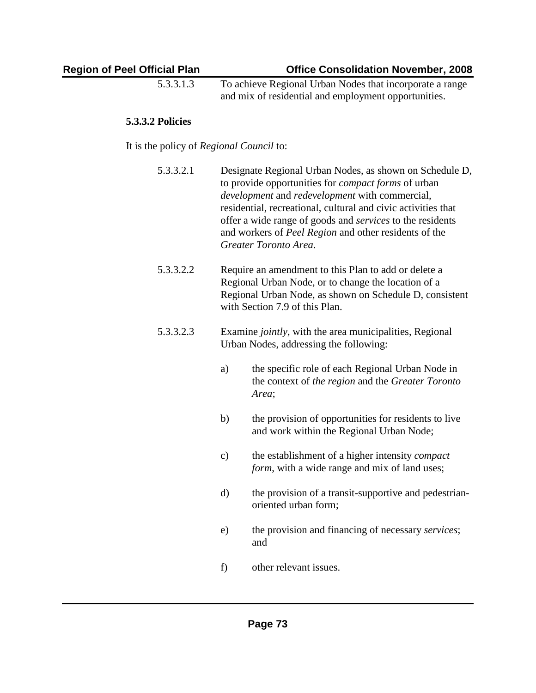#### **Region of Peel Official Plan Consolidation November, 2008**

 5.3.3.1.3 To achieve Regional Urban Nodes that incorporate a range and mix of residential and employment opportunities.

#### **5.3.3.2 Policies**

- 5.3.3.2.1 Designate Regional Urban Nodes, as shown on Schedule D, to provide opportunities for *compact forms* of urban *development* and *redevelopment* with commercial, residential, recreational, cultural and civic activities that offer a wide range of goods and *services* to the residents and workers of *Peel Region* and other residents of the *Greater Toronto Area*.
- 5.3.3.2.2 Require an amendment to this Plan to add or delete a Regional Urban Node, or to change the location of a Regional Urban Node, as shown on Schedule D, consistent with Section 7.9 of this Plan.
- 5.3.3.2.3 Examine *jointly*, with the area municipalities, Regional Urban Nodes, addressing the following:
	- a) the specific role of each Regional Urban Node in the context of *the region* and the *Greater Toronto Area*;
	- b) the provision of opportunities for residents to live and work within the Regional Urban Node;
	- c) the establishment of a higher intensity *compact form*, with a wide range and mix of land uses;
	- d) the provision of a transit-supportive and pedestrianoriented urban form;
	- e) the provision and financing of necessary *services*; and
	- f) other relevant issues.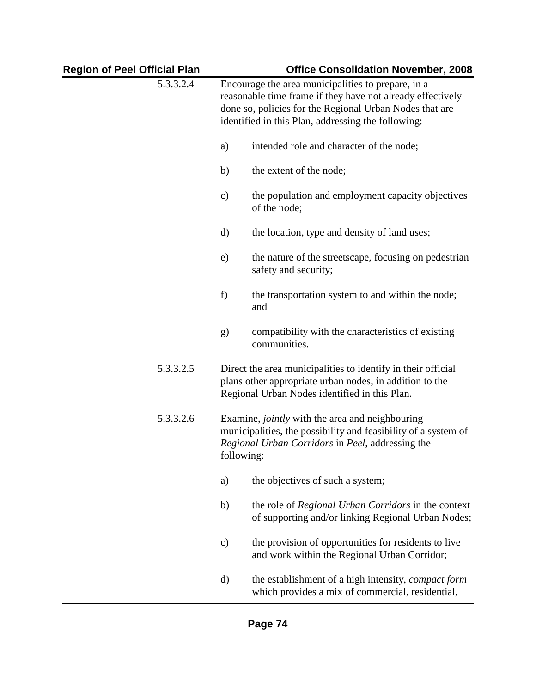| <b>Region of Peel Official Plan</b> | <b>Office Consolidation November, 2008</b><br>Encourage the area municipalities to prepare, in a<br>reasonable time frame if they have not already effectively<br>done so, policies for the Regional Urban Nodes that are<br>identified in this Plan, addressing the following: |                                                                                                                                                                                            |  |  |
|-------------------------------------|---------------------------------------------------------------------------------------------------------------------------------------------------------------------------------------------------------------------------------------------------------------------------------|--------------------------------------------------------------------------------------------------------------------------------------------------------------------------------------------|--|--|
| 5.3.3.2.4                           |                                                                                                                                                                                                                                                                                 |                                                                                                                                                                                            |  |  |
|                                     | a)                                                                                                                                                                                                                                                                              | intended role and character of the node;                                                                                                                                                   |  |  |
|                                     | b)                                                                                                                                                                                                                                                                              | the extent of the node;                                                                                                                                                                    |  |  |
|                                     | c)                                                                                                                                                                                                                                                                              | the population and employment capacity objectives<br>of the node;                                                                                                                          |  |  |
|                                     | $\rm d)$                                                                                                                                                                                                                                                                        | the location, type and density of land uses;                                                                                                                                               |  |  |
|                                     | e)                                                                                                                                                                                                                                                                              | the nature of the streetscape, focusing on pedestrian<br>safety and security;                                                                                                              |  |  |
|                                     | f)                                                                                                                                                                                                                                                                              | the transportation system to and within the node;<br>and                                                                                                                                   |  |  |
|                                     | g)                                                                                                                                                                                                                                                                              | compatibility with the characteristics of existing<br>communities.                                                                                                                         |  |  |
| 5.3.3.2.5                           |                                                                                                                                                                                                                                                                                 | Direct the area municipalities to identify in their official<br>plans other appropriate urban nodes, in addition to the<br>Regional Urban Nodes identified in this Plan.                   |  |  |
| 5.3.3.2.6                           |                                                                                                                                                                                                                                                                                 | Examine, <i>jointly</i> with the area and neighbouring<br>municipalities, the possibility and feasibility of a system of<br>Regional Urban Corridors in Peel, addressing the<br>following: |  |  |
|                                     | a)                                                                                                                                                                                                                                                                              | the objectives of such a system;                                                                                                                                                           |  |  |
|                                     | $\mathbf{b}$                                                                                                                                                                                                                                                                    | the role of Regional Urban Corridors in the context<br>of supporting and/or linking Regional Urban Nodes;                                                                                  |  |  |
|                                     | $\mathbf{c})$                                                                                                                                                                                                                                                                   | the provision of opportunities for residents to live<br>and work within the Regional Urban Corridor;                                                                                       |  |  |
|                                     | d)                                                                                                                                                                                                                                                                              | the establishment of a high intensity, <i>compact form</i><br>which provides a mix of commercial, residential,                                                                             |  |  |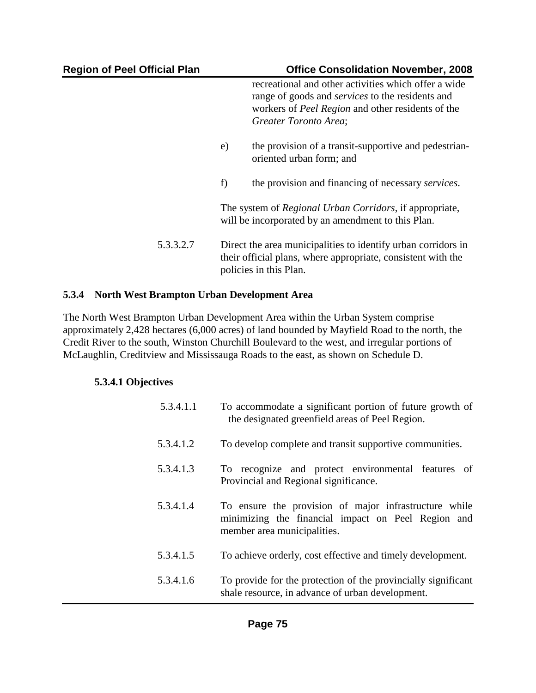# **Region of Peel Official Plan Consolidation November, 2008**

recreational and other activities which offer a wide range of goods and *services* to the residents and workers of *Peel Region* and other residents of the *Greater Toronto Area*;

- e) the provision of a transit-supportive and pedestrianoriented urban form; and
- f) the provision and financing of necessary *services*.

 The system of *Regional Urban Corridors*, if appropriate, will be incorporated by an amendment to this Plan.

 5.3.3.2.7 Direct the area municipalities to identify urban corridors in their official plans, where appropriate, consistent with the policies in this Plan.

## **5.3.4 North West Brampton Urban Development Area**

The North West Brampton Urban Development Area within the Urban System comprise approximately 2,428 hectares (6,000 acres) of land bounded by Mayfield Road to the north, the Credit River to the south, Winston Churchill Boulevard to the west, and irregular portions of McLaughlin, Creditview and Mississauga Roads to the east, as shown on Schedule D.

### **5.3.4.1 Objectives**

| 5.3.4.1.1 | To accommodate a significant portion of future growth of<br>the designated greenfield areas of Peel Region.                                |
|-----------|--------------------------------------------------------------------------------------------------------------------------------------------|
| 5.3.4.1.2 | To develop complete and transit supportive communities.                                                                                    |
| 5.3.4.1.3 | To recognize and protect environmental features of<br>Provincial and Regional significance.                                                |
| 5.3.4.1.4 | To ensure the provision of major infrastructure while<br>minimizing the financial impact on Peel Region and<br>member area municipalities. |
| 5.3.4.1.5 | To achieve orderly, cost effective and timely development.                                                                                 |
| 5.3.4.1.6 | To provide for the protection of the provincially significant<br>shale resource, in advance of urban development.                          |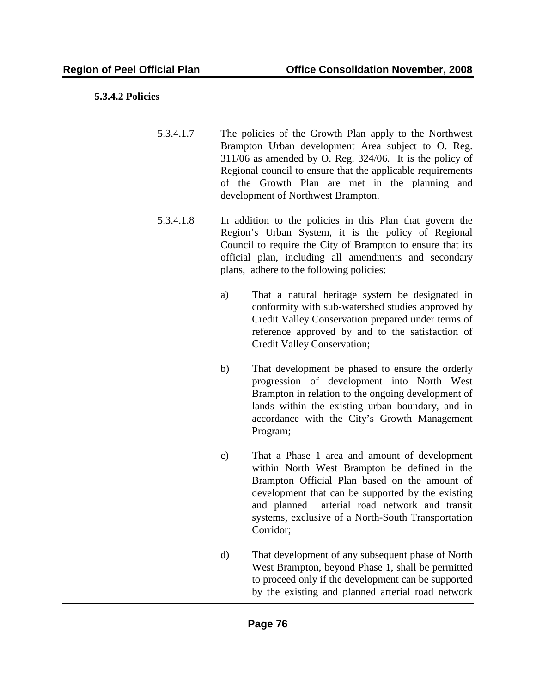#### **5.3.4.2 Policies**

- 5.3.4.1.7 The policies of the Growth Plan apply to the Northwest Brampton Urban development Area subject to O. Reg. 311/06 as amended by O. Reg. 324/06. It is the policy of Regional council to ensure that the applicable requirements of the Growth Plan are met in the planning and development of Northwest Brampton.
- 5.3.4.1.8 In addition to the policies in this Plan that govern the Region's Urban System, it is the policy of Regional Council to require the City of Brampton to ensure that its official plan, including all amendments and secondary plans, adhere to the following policies:
	- a) That a natural heritage system be designated in conformity with sub-watershed studies approved by Credit Valley Conservation prepared under terms of reference approved by and to the satisfaction of Credit Valley Conservation;
	- b) That development be phased to ensure the orderly progression of development into North West Brampton in relation to the ongoing development of lands within the existing urban boundary, and in accordance with the City's Growth Management Program;
	- c) That a Phase 1 area and amount of development within North West Brampton be defined in the Brampton Official Plan based on the amount of development that can be supported by the existing and planned arterial road network and transit systems, exclusive of a North-South Transportation Corridor;
	- d) That development of any subsequent phase of North West Brampton, beyond Phase 1, shall be permitted to proceed only if the development can be supported by the existing and planned arterial road network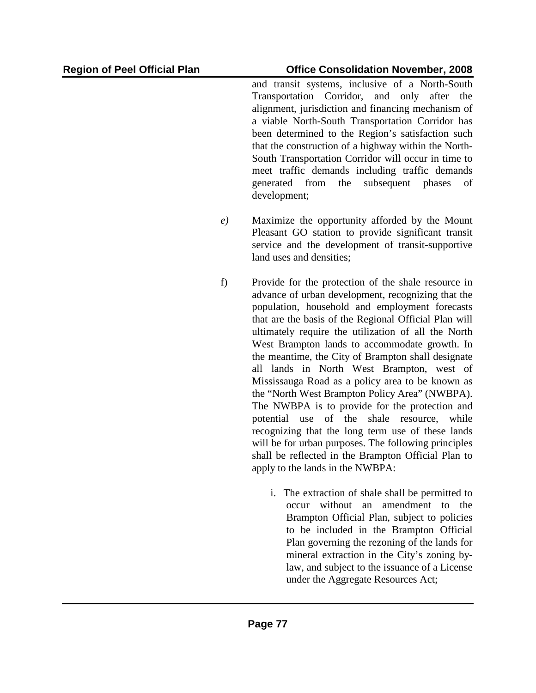# **Region of Peel Official Plan Consolidation November, 2008**

and transit systems, inclusive of a North-South Transportation Corridor, and only after the alignment, jurisdiction and financing mechanism of a viable North-South Transportation Corridor has been determined to the Region's satisfaction such that the construction of a highway within the North-South Transportation Corridor will occur in time to meet traffic demands including traffic demands generated from the subsequent phases of development;

- *e)* Maximize the opportunity afforded by the Mount Pleasant GO station to provide significant transit service and the development of transit-supportive land uses and densities:
- f) Provide for the protection of the shale resource in advance of urban development, recognizing that the population, household and employment forecasts that are the basis of the Regional Official Plan will ultimately require the utilization of all the North West Brampton lands to accommodate growth. In the meantime, the City of Brampton shall designate all lands in North West Brampton, west of Mississauga Road as a policy area to be known as the "North West Brampton Policy Area" (NWBPA). The NWBPA is to provide for the protection and potential use of the shale resource, while recognizing that the long term use of these lands will be for urban purposes. The following principles shall be reflected in the Brampton Official Plan to apply to the lands in the NWBPA:
	- i. The extraction of shale shall be permitted to occur without an amendment to the Brampton Official Plan, subject to policies to be included in the Brampton Official Plan governing the rezoning of the lands for mineral extraction in the City's zoning bylaw, and subject to the issuance of a License under the Aggregate Resources Act;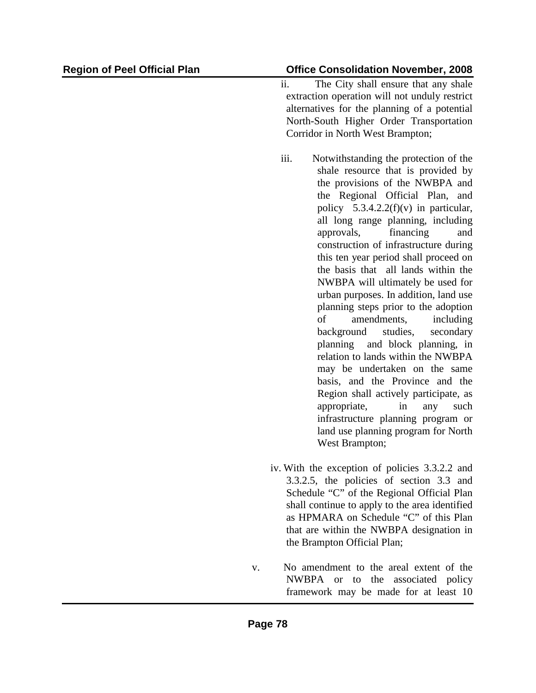# **Region of Peel Official Plan Consolidation November, 2008**

- ii. The City shall ensure that any shale extraction operation will not unduly restrict alternatives for the planning of a potential North-South Higher Order Transportation Corridor in North West Brampton;
- iii. Notwithstanding the protection of the shale resource that is provided by the provisions of the NWBPA and the Regional Official Plan, and policy  $5.3.4.2.2(f)(v)$  in particular, all long range planning, including approvals, financing and construction of infrastructure during this ten year period shall proceed on the basis that all lands within the NWBPA will ultimately be used for urban purposes. In addition, land use planning steps prior to the adoption of amendments, including background studies, secondary planning and block planning, in relation to lands within the NWBPA may be undertaken on the same basis, and the Province and the Region shall actively participate, as appropriate, in any such infrastructure planning program or land use planning program for North West Brampton;
- iv. With the exception of policies 3.3.2.2 and 3.3.2.5, the policies of section 3.3 and Schedule "C" of the Regional Official Plan shall continue to apply to the area identified as HPMARA on Schedule "C" of this Plan that are within the NWBPA designation in the Brampton Official Plan;
- v. No amendment to the areal extent of the NWBPA or to the associated policy framework may be made for at least 10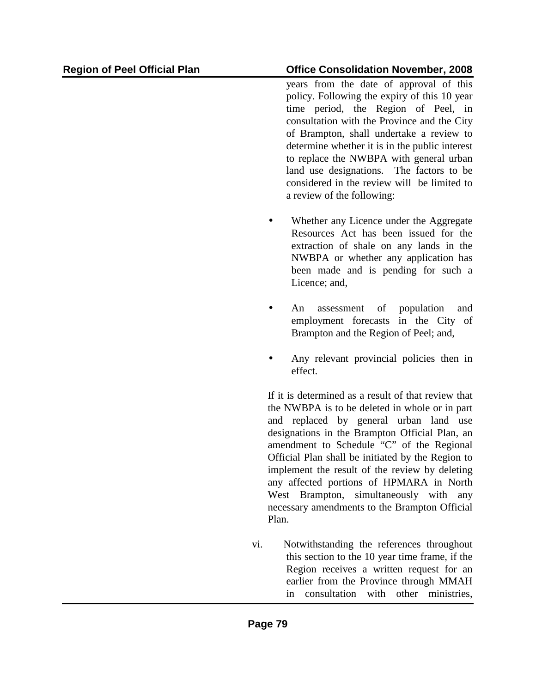# Region of Peel Official Plan **Office Consolidation November, 2008**

years from the date of approval of this policy. Following the expiry of this 10 year time period, the Region of Peel, in consultation with the Province and the City of Brampton, shall undertake a review to determine whether it is in the public interest to replace the NWBPA with general urban land use designations. The factors to be considered in the review will be limited to a review of the following:

- Whether any Licence under the Aggregate Resources Act has been issued for the extraction of shale on any lands in the NWBPA or whether any application has been made and is pending for such a Licence; and,
- An assessment of population and employment forecasts in the City of Brampton and the Region of Peel; and,
- Any relevant provincial policies then in effect*.*

If it is determined as a result of that review that the NWBPA is to be deleted in whole or in part and replaced by general urban land use designations in the Brampton Official Plan, an amendment to Schedule "C" of the Regional Official Plan shall be initiated by the Region to implement the result of the review by deleting any affected portions of HPMARA in North West Brampton, simultaneously with any necessary amendments to the Brampton Official Plan.

vi. Notwithstanding the references throughout this section to the 10 year time frame, if the Region receives a written request for an earlier from the Province through MMAH in consultation with other ministries,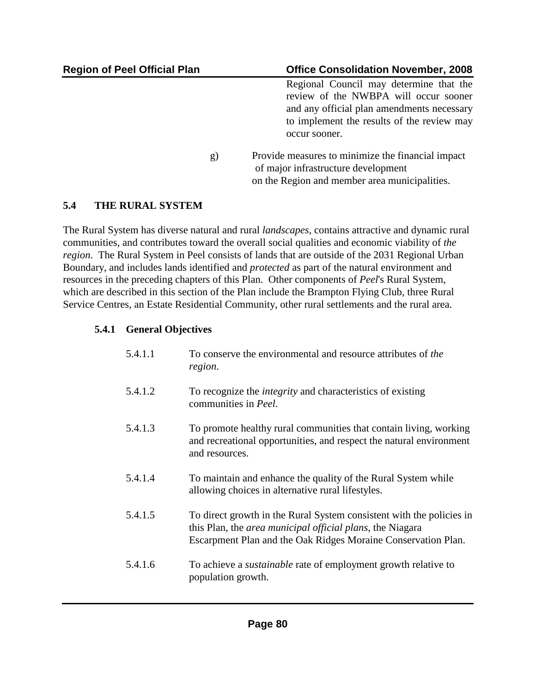| <b>Region of Peel Official Plan</b> | <b>Office Consolidation November, 2008</b>                                                                                                                                                    |
|-------------------------------------|-----------------------------------------------------------------------------------------------------------------------------------------------------------------------------------------------|
|                                     | Regional Council may determine that the<br>review of the NWBPA will occur sooner<br>and any official plan amendments necessary<br>to implement the results of the review may<br>occur sooner. |
| g)                                  | Provide measures to minimize the financial impact<br>of major infrastructure development<br>on the Region and member area municipalities.                                                     |

# **5.4 THE RURAL SYSTEM**

The Rural System has diverse natural and rural *landscapes*, contains attractive and dynamic rural communities, and contributes toward the overall social qualities and economic viability of *the region*. The Rural System in Peel consists of lands that are outside of the 2031 Regional Urban Boundary, and includes lands identified and *protected* as part of the natural environment and resources in the preceding chapters of this Plan. Other components of *Peel*'s Rural System, which are described in this section of the Plan include the Brampton Flying Club, three Rural Service Centres, an Estate Residential Community, other rural settlements and the rural area.

# **5.4.1 General Objectives**

| 5.4.1.1 | To conserve the environmental and resource attributes of the<br>region.                                                                                                                                    |
|---------|------------------------------------------------------------------------------------------------------------------------------------------------------------------------------------------------------------|
| 5.4.1.2 | To recognize the <i>integrity</i> and characteristics of existing<br>communities in Peel.                                                                                                                  |
| 5.4.1.3 | To promote healthy rural communities that contain living, working<br>and recreational opportunities, and respect the natural environment<br>and resources.                                                 |
| 5.4.1.4 | To maintain and enhance the quality of the Rural System while<br>allowing choices in alternative rural lifestyles.                                                                                         |
| 5.4.1.5 | To direct growth in the Rural System consistent with the policies in<br>this Plan, the <i>area municipal official plans</i> , the Niagara<br>Escarpment Plan and the Oak Ridges Moraine Conservation Plan. |
| 5.4.1.6 | To achieve a <i>sustainable</i> rate of employment growth relative to<br>population growth.                                                                                                                |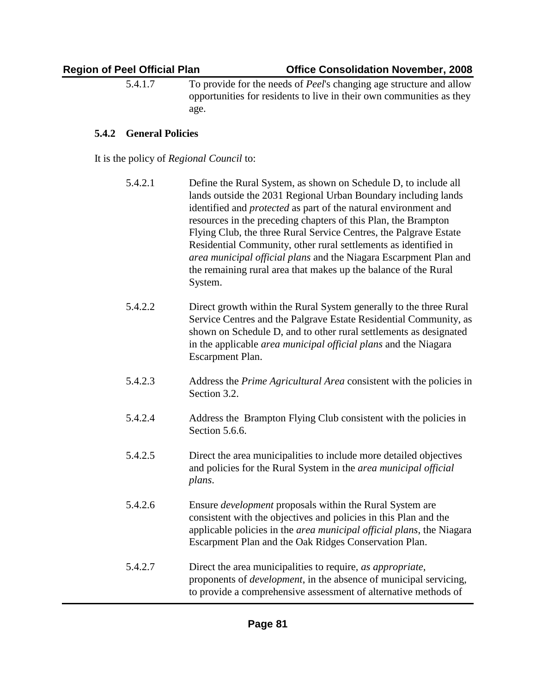# Region of Peel Official Plan **Office Consolidation November, 2008**

 5.4.1.7 To provide for the needs of *Peel*'s changing age structure and allow opportunities for residents to live in their own communities as they age.

### **5.4.2 General Policies**

| 5.4.2.1 | Define the Rural System, as shown on Schedule D, to include all<br>lands outside the 2031 Regional Urban Boundary including lands<br>identified and <i>protected</i> as part of the natural environment and<br>resources in the preceding chapters of this Plan, the Brampton<br>Flying Club, the three Rural Service Centres, the Palgrave Estate<br>Residential Community, other rural settlements as identified in<br>area municipal official plans and the Niagara Escarpment Plan and<br>the remaining rural area that makes up the balance of the Rural<br>System. |
|---------|--------------------------------------------------------------------------------------------------------------------------------------------------------------------------------------------------------------------------------------------------------------------------------------------------------------------------------------------------------------------------------------------------------------------------------------------------------------------------------------------------------------------------------------------------------------------------|
| 5.4.2.2 | Direct growth within the Rural System generally to the three Rural<br>Service Centres and the Palgrave Estate Residential Community, as<br>shown on Schedule D, and to other rural settlements as designated<br>in the applicable <i>area municipal official plans</i> and the Niagara<br>Escarpment Plan.                                                                                                                                                                                                                                                               |
| 5.4.2.3 | Address the Prime Agricultural Area consistent with the policies in<br>Section 3.2.                                                                                                                                                                                                                                                                                                                                                                                                                                                                                      |
| 5.4.2.4 | Address the Brampton Flying Club consistent with the policies in<br>Section 5.6.6.                                                                                                                                                                                                                                                                                                                                                                                                                                                                                       |
| 5.4.2.5 | Direct the area municipalities to include more detailed objectives<br>and policies for the Rural System in the area municipal official<br>plans.                                                                                                                                                                                                                                                                                                                                                                                                                         |
| 5.4.2.6 | Ensure <i>development</i> proposals within the Rural System are<br>consistent with the objectives and policies in this Plan and the<br>applicable policies in the area municipal official plans, the Niagara<br>Escarpment Plan and the Oak Ridges Conservation Plan.                                                                                                                                                                                                                                                                                                    |
| 5.4.2.7 | Direct the area municipalities to require, as appropriate,<br>proponents of <i>development</i> , in the absence of municipal servicing,<br>to provide a comprehensive assessment of alternative methods of                                                                                                                                                                                                                                                                                                                                                               |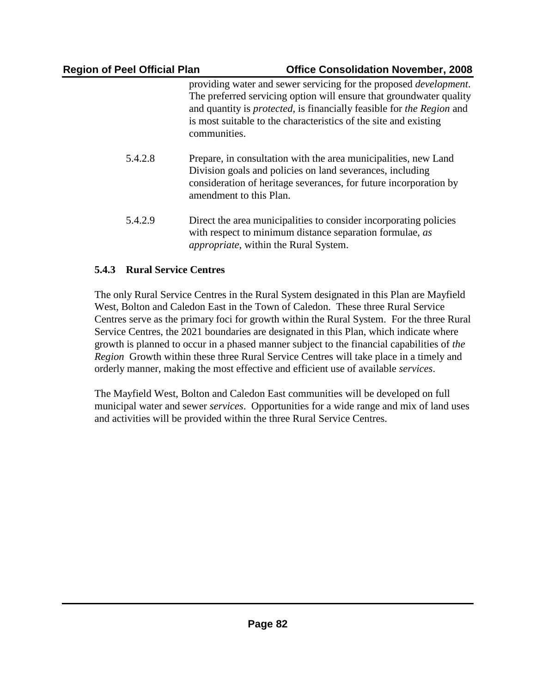# **Region of Peel Official Plan Consolidation November, 2008** providing water and sewer servicing for the proposed *development*. The preferred servicing option will ensure that groundwater quality and quantity is *protected*, is financially feasible for *the Region* and is most suitable to the characteristics of the site and existing communities. 5.4.2.8 Prepare, in consultation with the area municipalities, new Land Division goals and policies on land severances, including consideration of heritage severances, for future incorporation by amendment to this Plan.

 5.4.2.9 Direct the area municipalities to consider incorporating policies with respect to minimum distance separation formulae, *as appropriate*, within the Rural System.

# **5.4.3 Rural Service Centres**

 The only Rural Service Centres in the Rural System designated in this Plan are Mayfield West, Bolton and Caledon East in the Town of Caledon. These three Rural Service Centres serve as the primary foci for growth within the Rural System. For the three Rural Service Centres, the 2021 boundaries are designated in this Plan, which indicate where growth is planned to occur in a phased manner subject to the financial capabilities of *the Region* Growth within these three Rural Service Centres will take place in a timely and orderly manner, making the most effective and efficient use of available *services*.

 The Mayfield West, Bolton and Caledon East communities will be developed on full municipal water and sewer *services*. Opportunities for a wide range and mix of land uses and activities will be provided within the three Rural Service Centres.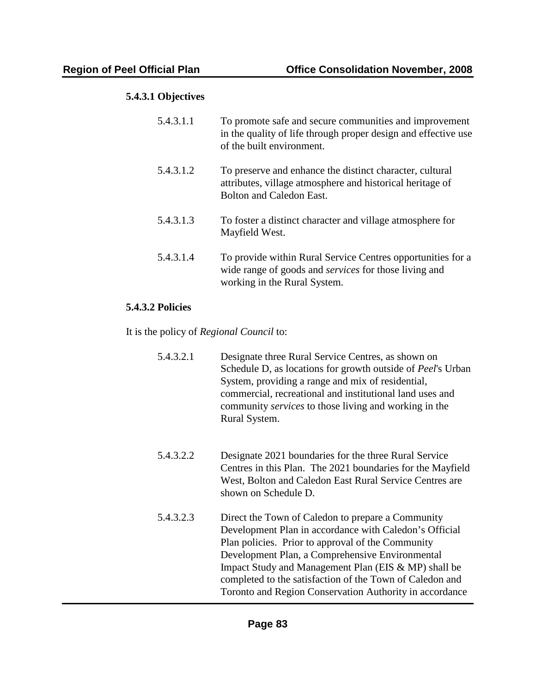### **5.4.3.1 Objectives**

- 5.4.3.1.1 To promote safe and secure communities and improvement in the quality of life through proper design and effective use of the built environment.
- 5.4.3.1.2 To preserve and enhance the distinct character, cultural attributes, village atmosphere and historical heritage of Bolton and Caledon East.
- 5.4.3.1.3 To foster a distinct character and village atmosphere for Mayfield West.
- 5.4.3.1.4 To provide within Rural Service Centres opportunities for a wide range of goods and *services* for those living and working in the Rural System.

#### **5.4.3.2 Policies**

- 5.4.3.2.1 Designate three Rural Service Centres, as shown on Schedule D, as locations for growth outside of *Peel*'s Urban System, providing a range and mix of residential, commercial, recreational and institutional land uses and community *services* to those living and working in the Rural System.
- 5.4.3.2.2 Designate 2021 boundaries for the three Rural Service Centres in this Plan. The 2021 boundaries for the Mayfield West, Bolton and Caledon East Rural Service Centres are shown on Schedule D.
- 5.4.3.2.3 Direct the Town of Caledon to prepare a Community Development Plan in accordance with Caledon's Official Plan policies. Prior to approval of the Community Development Plan, a Comprehensive Environmental Impact Study and Management Plan (EIS & MP) shall be completed to the satisfaction of the Town of Caledon and Toronto and Region Conservation Authority in accordance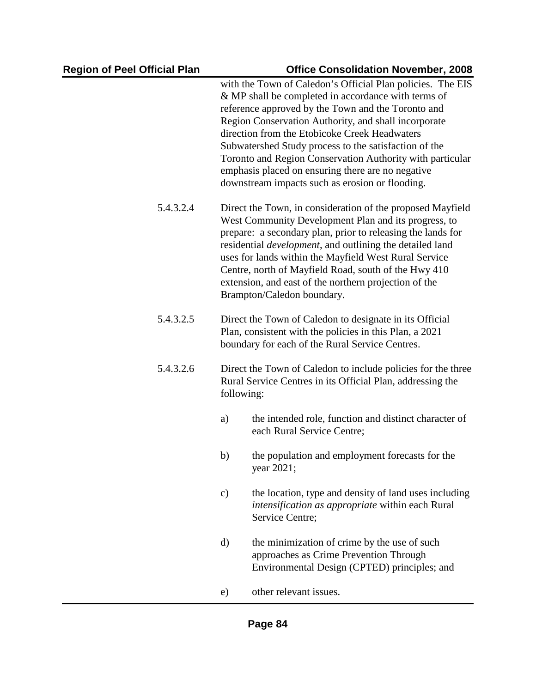# **Region of Peel Official Plan Consolidation November, 2008**

with the Town of Caledon's Official Plan policies. The EIS & MP shall be completed in accordance with terms of reference approved by the Town and the Toronto and Region Conservation Authority, and shall incorporate direction from the Etobicoke Creek Headwaters Subwatershed Study process to the satisfaction of the Toronto and Region Conservation Authority with particular emphasis placed on ensuring there are no negative downstream impacts such as erosion or flooding.

- 5.4.3.2.4 Direct the Town, in consideration of the proposed Mayfield West Community Development Plan and its progress, to prepare: a secondary plan, prior to releasing the lands for residential *development*, and outlining the detailed land uses for lands within the Mayfield West Rural Service Centre, north of Mayfield Road, south of the Hwy 410 extension, and east of the northern projection of the Brampton/Caledon boundary.
- 5.4.3.2.5 Direct the Town of Caledon to designate in its Official Plan, consistent with the policies in this Plan, a 2021 boundary for each of the Rural Service Centres.
- 5.4.3.2.6 Direct the Town of Caledon to include policies for the three Rural Service Centres in its Official Plan, addressing the following:
	- a) the intended role, function and distinct character of each Rural Service Centre;
	- b) the population and employment forecasts for the year 2021;
	- c) the location, type and density of land uses including *intensification as appropriate* within each Rural Service Centre;
	- d) the minimization of crime by the use of such approaches as Crime Prevention Through Environmental Design (CPTED) principles; and
	- e) other relevant issues.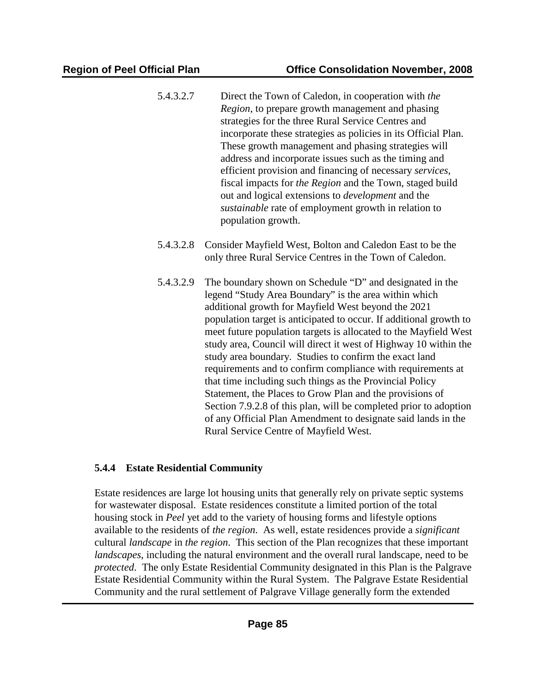- 5.4.3.2.7 Direct the Town of Caledon, in cooperation with *the Region*, to prepare growth management and phasing strategies for the three Rural Service Centres and incorporate these strategies as policies in its Official Plan. These growth management and phasing strategies will address and incorporate issues such as the timing and efficient provision and financing of necessary *services*, fiscal impacts for *the Region* and the Town, staged build out and logical extensions to *development* and the *sustainable* rate of employment growth in relation to population growth.
- 5.4.3.2.8 Consider Mayfield West, Bolton and Caledon East to be the only three Rural Service Centres in the Town of Caledon.
- 5.4.3.2.9 The boundary shown on Schedule "D" and designated in the legend "Study Area Boundary" is the area within which additional growth for Mayfield West beyond the 2021 population target is anticipated to occur. If additional growth to meet future population targets is allocated to the Mayfield West study area, Council will direct it west of Highway 10 within the study area boundary. Studies to confirm the exact land requirements and to confirm compliance with requirements at that time including such things as the Provincial Policy Statement, the Places to Grow Plan and the provisions of Section 7.9.2.8 of this plan, will be completed prior to adoption of any Official Plan Amendment to designate said lands in the Rural Service Centre of Mayfield West.

# **5.4.4 Estate Residential Community**

 Estate residences are large lot housing units that generally rely on private septic systems for wastewater disposal. Estate residences constitute a limited portion of the total housing stock in *Peel* yet add to the variety of housing forms and lifestyle options available to the residents of *the region*. As well, estate residences provide a *significant* cultural *landscape* in *the region*. This section of the Plan recognizes that these important *landscapes*, including the natural environment and the overall rural landscape, need to be *protected*. The only Estate Residential Community designated in this Plan is the Palgrave Estate Residential Community within the Rural System. The Palgrave Estate Residential Community and the rural settlement of Palgrave Village generally form the extended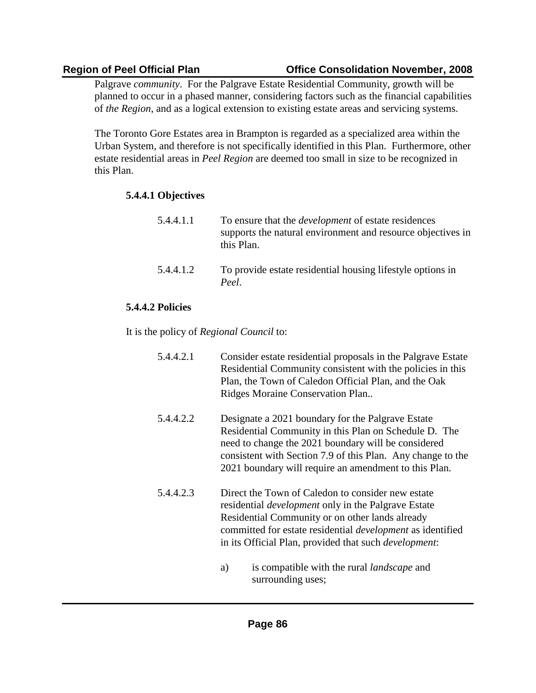Palgrave *community*. For the Palgrave Estate Residential Community, growth will be planned to occur in a phased manner, considering factors such as the financial capabilities of *the Region*, and as a logical extension to existing estate areas and servicing systems.

 The Toronto Gore Estates area in Brampton is regarded as a specialized area within the Urban System, and therefore is not specifically identified in this Plan. Furthermore, other estate residential areas in *Peel Region* are deemed too small in size to be recognized in this Plan.

# **5.4.4.1 Objectives**

 5.4.4.1.1 To ensure that the *development* of estate residences support*s* the natural environment and resource objectives in this Plan. 5.4.4.1.2 To provide estate residential housing lifestyle options in *Peel*.

# **5.4.4.2 Policies**

- 5.4.4.2.1 Consider estate residential proposals in the Palgrave Estate Residential Community consistent with the policies in this Plan, the Town of Caledon Official Plan, and the Oak Ridges Moraine Conservation Plan..
- 5.4.4.2.2 Designate a 2021 boundary for the Palgrave Estate Residential Community in this Plan on Schedule D. The need to change the 2021 boundary will be considered consistent with Section 7.9 of this Plan. Any change to the 2021 boundary will require an amendment to this Plan.
- 5.4.4.2.3 Direct the Town of Caledon to consider new estate residential *development* only in the Palgrave Estate Residential Community or on other lands already committed for estate residential *development* as identified in its Official Plan, provided that such *development*:
	- a) is compatible with the rural *landscape* and surrounding uses;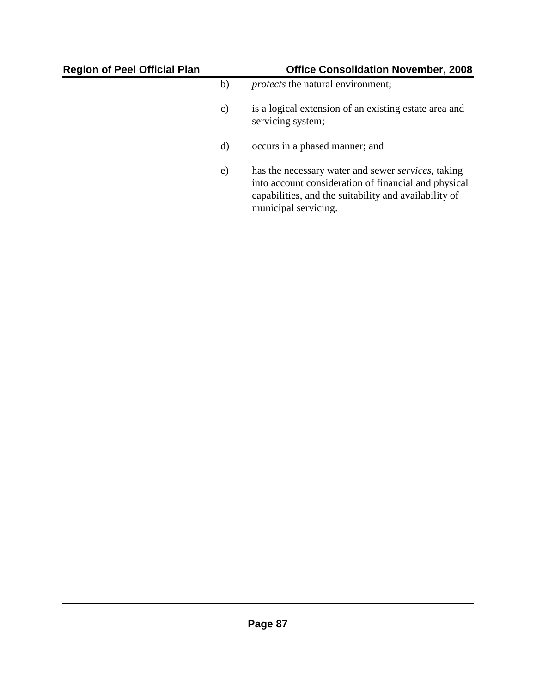| <b>Region of Peel Official Plan</b> |               | <b>Office Consolidation November, 2008</b>                                                                                                                                                  |
|-------------------------------------|---------------|---------------------------------------------------------------------------------------------------------------------------------------------------------------------------------------------|
|                                     | b)            | <i>protects</i> the natural environment;                                                                                                                                                    |
|                                     | $\mathbf{c})$ | is a logical extension of an existing estate area and<br>servicing system;                                                                                                                  |
|                                     | d)            | occurs in a phased manner; and                                                                                                                                                              |
|                                     | e)            | has the necessary water and sewer services, taking<br>into account consideration of financial and physical<br>capabilities, and the suitability and availability of<br>municipal servicing. |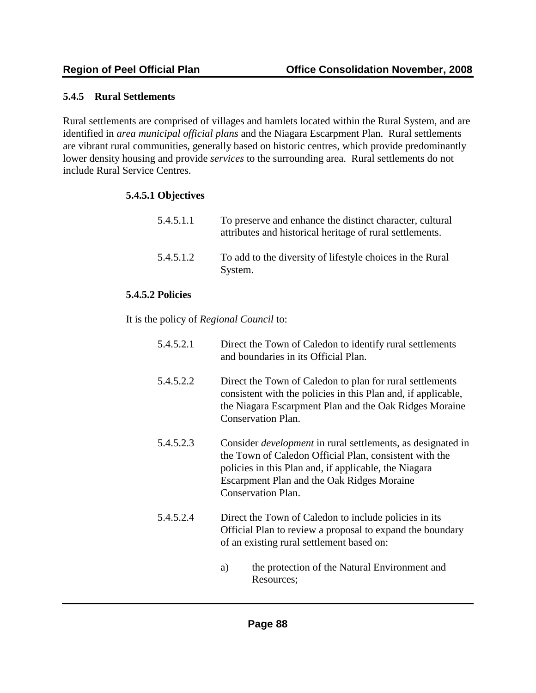## **5.4.5 Rural Settlements**

Rural settlements are comprised of villages and hamlets located within the Rural System, and are identified in *area municipal official plans* and the Niagara Escarpment Plan. Rural settlements are vibrant rural communities, generally based on historic centres, which provide predominantly lower density housing and provide *services* to the surrounding area. Rural settlements do not include Rural Service Centres.

## **5.4.5.1 Objectives**

| 5.4.5.1.1 | To preserve and enhance the distinct character, cultural<br>attributes and historical heritage of rural settlements. |
|-----------|----------------------------------------------------------------------------------------------------------------------|
| 5.4.5.1.2 | To add to the diversity of lifestyle choices in the Rural<br>System.                                                 |

## **5.4.5.2 Policies**

| 5.4.5.2.1 | Direct the Town of Caledon to identify rural settlements |
|-----------|----------------------------------------------------------|
|           | and boundaries in its Official Plan.                     |

- 5.4.5.2.2 Direct the Town of Caledon to plan for rural settlements consistent with the policies in this Plan and, if applicable, the Niagara Escarpment Plan and the Oak Ridges Moraine Conservation Plan.
- 5.4.5.2.3 Consider *development* in rural settlements, as designated in the Town of Caledon Official Plan, consistent with the policies in this Plan and, if applicable, the Niagara Escarpment Plan and the Oak Ridges Moraine Conservation Plan.
- 5.4.5.2.4 Direct the Town of Caledon to include policies in its Official Plan to review a proposal to expand the boundary of an existing rural settlement based on:
	- a) the protection of the Natural Environment and Resources;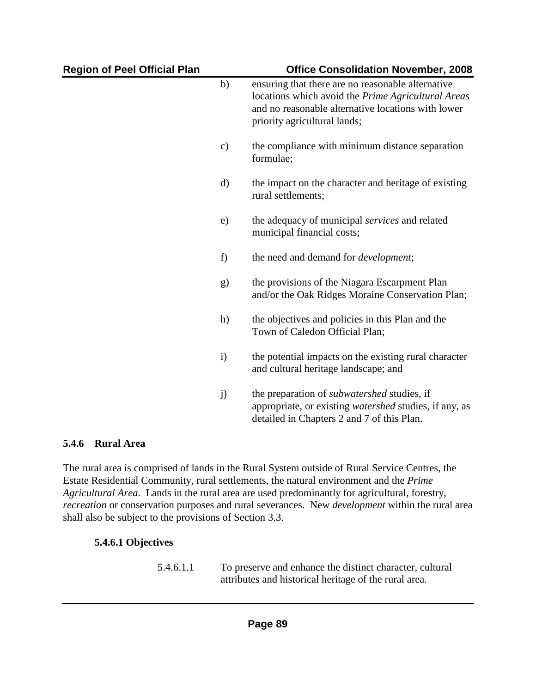| <b>Region of Peel Official Plan</b> |               | <b>Office Consolidation November, 2008</b>                                                                                                                                                    |
|-------------------------------------|---------------|-----------------------------------------------------------------------------------------------------------------------------------------------------------------------------------------------|
|                                     | b)            | ensuring that there are no reasonable alternative<br>locations which avoid the Prime Agricultural Areas<br>and no reasonable alternative locations with lower<br>priority agricultural lands; |
|                                     | $\mathbf{c})$ | the compliance with minimum distance separation<br>formulae;                                                                                                                                  |
|                                     | $\mathbf{d}$  | the impact on the character and heritage of existing<br>rural settlements;                                                                                                                    |
|                                     | e)            | the adequacy of municipal services and related<br>municipal financial costs;                                                                                                                  |
|                                     | f)            | the need and demand for <i>development</i> ;                                                                                                                                                  |
|                                     | g)            | the provisions of the Niagara Escarpment Plan<br>and/or the Oak Ridges Moraine Conservation Plan;                                                                                             |
|                                     | h)            | the objectives and policies in this Plan and the<br>Town of Caledon Official Plan;                                                                                                            |
|                                     | $\mathbf{i}$  | the potential impacts on the existing rural character<br>and cultural heritage landscape; and                                                                                                 |
|                                     | j)            | the preparation of <i>subwatershed</i> studies, if<br>appropriate, or existing watershed studies, if any, as<br>detailed in Chapters 2 and 7 of this Plan.                                    |

# **5.4.6 Rural Area**

The rural area is comprised of lands in the Rural System outside of Rural Service Centres, the Estate Residential Community, rural settlements, the natural environment and the *Prime Agricultural Area*. Lands in the rural area are used predominantly for agricultural, forestry, *recreation* or conservation purposes and rural severances. New *development* within the rural area shall also be subject to the provisions of Section 3.3.

# **5.4.6.1 Objectives**

 5.4.6.1.1 To preserve and enhance the distinct character, cultural attributes and historical heritage of the rural area.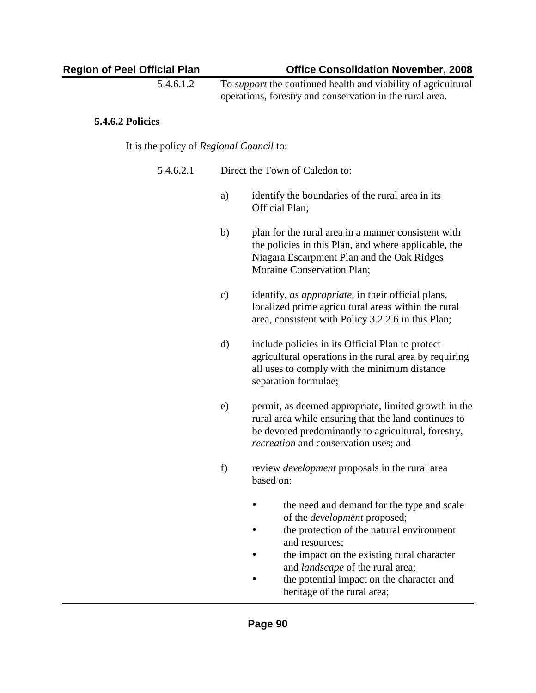# **Region of Peel Official Plan Consolidation November, 2008**

 5.4.6.1.2 To *support* the continued health and viability of agricultural operations, forestry and conservation in the rural area.

### **5.4.6.2 Policies**

- 5.4.6.2.1 Direct the Town of Caledon to:
	- a) identify the boundaries of the rural area in its Official Plan;
	- b) plan for the rural area in a manner consistent with the policies in this Plan, and where applicable, the Niagara Escarpment Plan and the Oak Ridges Moraine Conservation Plan;
	- c) identify, *as appropriate*, in their official plans, localized prime agricultural areas within the rural area, consistent with Policy 3.2.2.6 in this Plan;
	- d) include policies in its Official Plan to protect agricultural operations in the rural area by requiring all uses to comply with the minimum distance separation formulae;
	- e) permit, as deemed appropriate, limited growth in the rural area while ensuring that the land continues to be devoted predominantly to agricultural, forestry, *recreation* and conservation uses; and
	- f) review *development* proposals in the rural area based on:
		- the need and demand for the type and scale of the *development* proposed;
		- the protection of the natural environment and resources;
		- the impact on the existing rural character and *landscape* of the rural area;
		- the potential impact on the character and heritage of the rural area;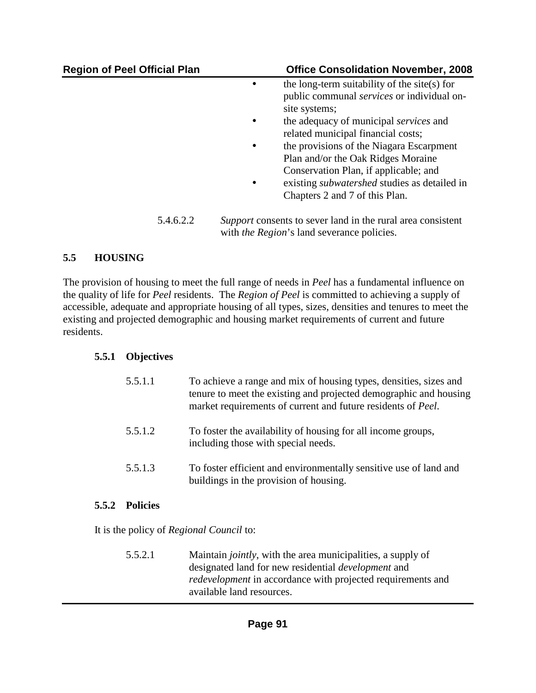| <b>Region of Peel Official Plan</b> | <b>Office Consolidation November, 2008</b>                                                                                                                                                                                                 |
|-------------------------------------|--------------------------------------------------------------------------------------------------------------------------------------------------------------------------------------------------------------------------------------------|
|                                     | the long-term suitability of the site $(s)$ for<br>public communal <i>services</i> or individual on-<br>site systems;                                                                                                                      |
|                                     | the adequacy of municipal <i>services</i> and<br>$\bullet$<br>related municipal financial costs;                                                                                                                                           |
|                                     | the provisions of the Niagara Escarpment<br>$\bullet$<br>Plan and/or the Oak Ridges Moraine<br>Conservation Plan, if applicable; and<br>existing <i>subwatershed</i> studies as detailed in<br>$\bullet$<br>Chapters 2 and 7 of this Plan. |
| 5.4.6.2.2                           | Support consents to sever land in the rural area consistent<br>with the Region's land severance policies.                                                                                                                                  |

## **5.5 HOUSING**

The provision of housing to meet the full range of needs in *Peel* has a fundamental influence on the quality of life for *Peel* residents. The *Region of Peel* is committed to achieving a supply of accessible, adequate and appropriate housing of all types, sizes, densities and tenures to meet the existing and projected demographic and housing market requirements of current and future residents.

# **5.5.1 Objectives**

| 5.5.1.1 | To achieve a range and mix of housing types, densities, sizes and<br>tenure to meet the existing and projected demographic and housing<br>market requirements of current and future residents of Peel. |
|---------|--------------------------------------------------------------------------------------------------------------------------------------------------------------------------------------------------------|
| 5.5.1.2 | To foster the availability of housing for all income groups,<br>including those with special needs.                                                                                                    |
| 5.5.1.3 | To foster efficient and environmentally sensitive use of land and<br>buildings in the provision of housing.                                                                                            |

# **5.5.2 Policies**

It is the policy of *Regional Council* to:

 5.5.2.1 Maintain *jointly*, with the area municipalities, a supply of designated land for new residential *development* and *redevelopment* in accordance with projected requirements and available land resources.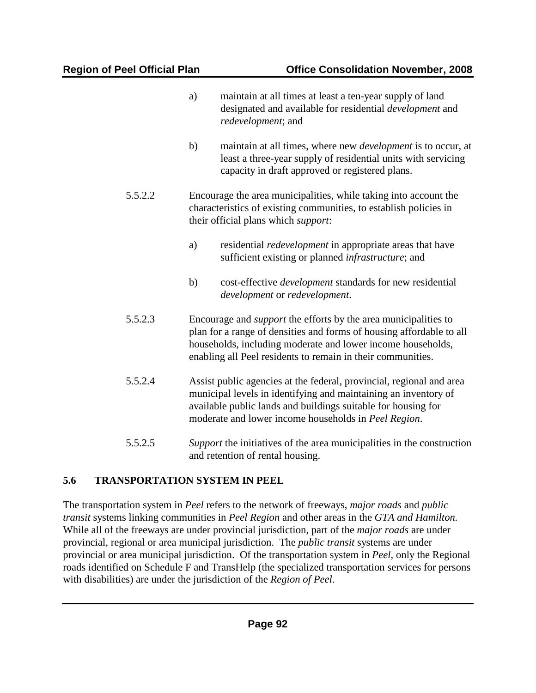- a) maintain at all times at least a ten-year supply of land designated and available for residential *development* and *redevelopment*; and
- b) maintain at all times, where new *development* is to occur, at least a three-year supply of residential units with servicing capacity in draft approved or registered plans.
- 5.5.2.2 Encourage the area municipalities, while taking into account the characteristics of existing communities, to establish policies in their official plans which *support*:
	- a) residential *redevelopment* in appropriate areas that have sufficient existing or planned *infrastructure*; and
	- b) cost-effective *development* standards for new residential *development* or *redevelopment*.
- 5.5.2.3 Encourage and *support* the efforts by the area municipalities to plan for a range of densities and forms of housing affordable to all households, including moderate and lower income households, enabling all Peel residents to remain in their communities.
- 5.5.2.4 Assist public agencies at the federal, provincial, regional and area municipal levels in identifying and maintaining an inventory of available public lands and buildings suitable for housing for moderate and lower income households in *Peel Region*.
- 5.5.2.5 *Support* the initiatives of the area municipalities in the construction and retention of rental housing.

# **5.6 TRANSPORTATION SYSTEM IN PEEL**

The transportation system in *Peel* refers to the network of freeways, *major roads* and *public transit* systems linking communities in *Peel Region* and other areas in the *GTA and Hamilton.* While all of the freeways are under provincial jurisdiction, part of the *major roads* are under provincial, regional or area municipal jurisdiction. The *public transit* systems are under provincial or area municipal jurisdiction. Of the transportation system in *Peel*, only the Regional roads identified on Schedule F and TransHelp (the specialized transportation services for persons with disabilities) are under the jurisdiction of the *Region of Peel*.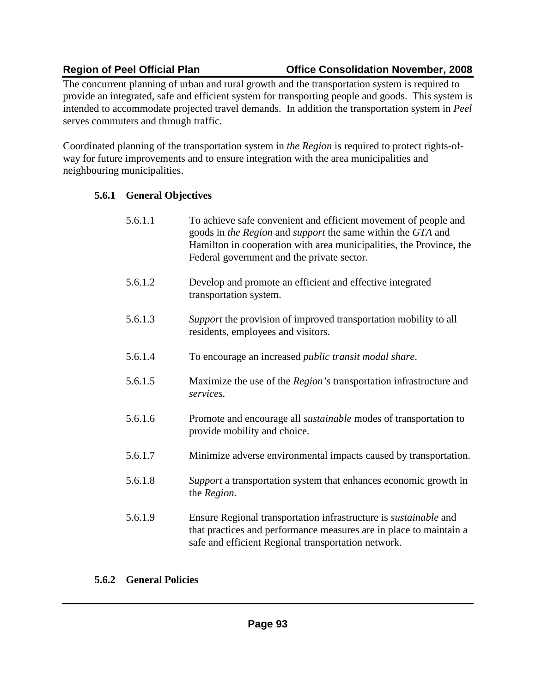# **Region of Peel Official Plan Office Consolidation November, 2008**

The concurrent planning of urban and rural growth and the transportation system is required to provide an integrated, safe and efficient system for transporting people and goods. This system is intended to accommodate projected travel demands. In addition the transportation system in *Peel* serves commuters and through traffic.

Coordinated planning of the transportation system in *the Region* is required to protect rights-ofway for future improvements and to ensure integration with the area municipalities and neighbouring municipalities.

# **5.6.1 General Objectives**

| 5.6.1.1 | To achieve safe convenient and efficient movement of people and<br>goods in the Region and support the same within the GTA and<br>Hamilton in cooperation with area municipalities, the Province, the<br>Federal government and the private sector. |
|---------|-----------------------------------------------------------------------------------------------------------------------------------------------------------------------------------------------------------------------------------------------------|
| 5.6.1.2 | Develop and promote an efficient and effective integrated<br>transportation system.                                                                                                                                                                 |
| 5.6.1.3 | Support the provision of improved transportation mobility to all<br>residents, employees and visitors.                                                                                                                                              |
| 5.6.1.4 | To encourage an increased public transit modal share.                                                                                                                                                                                               |
| 5.6.1.5 | Maximize the use of the Region's transportation infrastructure and<br>services.                                                                                                                                                                     |
| 5.6.1.6 | Promote and encourage all <i>sustainable</i> modes of transportation to<br>provide mobility and choice.                                                                                                                                             |
| 5.6.1.7 | Minimize adverse environmental impacts caused by transportation.                                                                                                                                                                                    |
| 5.6.1.8 | Support a transportation system that enhances economic growth in<br>the Region.                                                                                                                                                                     |
| 5.6.1.9 | Ensure Regional transportation infrastructure is <i>sustainable</i> and<br>that practices and performance measures are in place to maintain a<br>safe and efficient Regional transportation network.                                                |
|         |                                                                                                                                                                                                                                                     |

# **5.6.2 General Policies**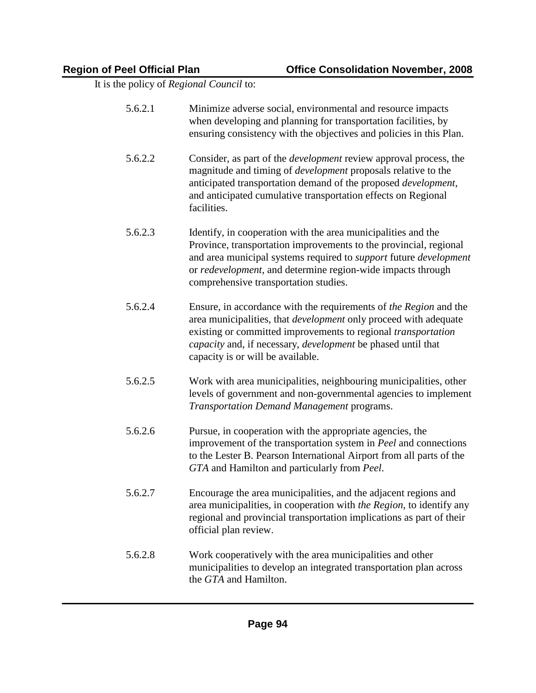| 5.6.2.1 | Minimize adverse social, environmental and resource impacts<br>when developing and planning for transportation facilities, by<br>ensuring consistency with the objectives and policies in this Plan.                                                                                                                          |
|---------|-------------------------------------------------------------------------------------------------------------------------------------------------------------------------------------------------------------------------------------------------------------------------------------------------------------------------------|
| 5.6.2.2 | Consider, as part of the <i>development</i> review approval process, the<br>magnitude and timing of <i>development</i> proposals relative to the<br>anticipated transportation demand of the proposed development,<br>and anticipated cumulative transportation effects on Regional<br>facilities.                            |
| 5.6.2.3 | Identify, in cooperation with the area municipalities and the<br>Province, transportation improvements to the provincial, regional<br>and area municipal systems required to <i>support</i> future <i>development</i><br>or redevelopment, and determine region-wide impacts through<br>comprehensive transportation studies. |
| 5.6.2.4 | Ensure, in accordance with the requirements of the Region and the<br>area municipalities, that <i>development</i> only proceed with adequate<br>existing or committed improvements to regional <i>transportation</i><br>capacity and, if necessary, development be phased until that<br>capacity is or will be available.     |
| 5.6.2.5 | Work with area municipalities, neighbouring municipalities, other<br>levels of government and non-governmental agencies to implement<br>Transportation Demand Management programs.                                                                                                                                            |
| 5.6.2.6 | Pursue, in cooperation with the appropriate agencies, the<br>improvement of the transportation system in Peel and connections<br>to the Lester B. Pearson International Airport from all parts of the<br>GTA and Hamilton and particularly from Peel.                                                                         |
| 5.6.2.7 | Encourage the area municipalities, and the adjacent regions and<br>area municipalities, in cooperation with the Region, to identify any<br>regional and provincial transportation implications as part of their<br>official plan review.                                                                                      |
| 5.6.2.8 | Work cooperatively with the area municipalities and other<br>municipalities to develop an integrated transportation plan across<br>the GTA and Hamilton.                                                                                                                                                                      |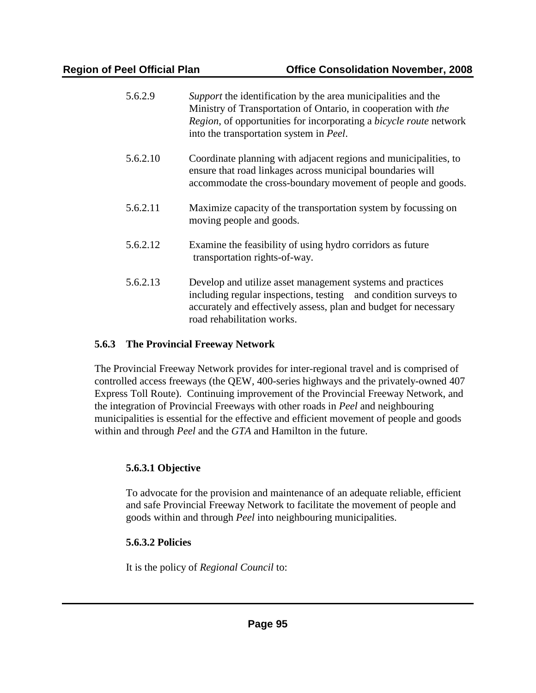| 5.6.2.9  | Support the identification by the area municipalities and the<br>Ministry of Transportation of Ontario, in cooperation with the<br><i>Region</i> , of opportunities for incorporating a <i>bicycle route</i> network<br>into the transportation system in Peel. |
|----------|-----------------------------------------------------------------------------------------------------------------------------------------------------------------------------------------------------------------------------------------------------------------|
| 5.6.2.10 | Coordinate planning with adjacent regions and municipalities, to<br>ensure that road linkages across municipal boundaries will<br>accommodate the cross-boundary movement of people and goods.                                                                  |
| 5.6.2.11 | Maximize capacity of the transportation system by focussing on<br>moving people and goods.                                                                                                                                                                      |
| 5.6.2.12 | Examine the feasibility of using hydro corridors as future<br>transportation rights-of-way.                                                                                                                                                                     |
| 5.6.2.13 | Develop and utilize asset management systems and practices<br>including regular inspections, testing and condition surveys to<br>accurately and effectively assess, plan and budget for necessary<br>road rehabilitation works.                                 |

# **5.6.3 The Provincial Freeway Network**

The Provincial Freeway Network provides for inter-regional travel and is comprised of controlled access freeways (the QEW, 400-series highways and the privately-owned 407 Express Toll Route). Continuing improvement of the Provincial Freeway Network, and the integration of Provincial Freeways with other roads in *Peel* and neighbouring municipalities is essential for the effective and efficient movement of people and goods within and through *Peel* and the *GTA* and Hamilton in the future.

# **5.6.3.1 Objective**

 To advocate for the provision and maintenance of an adequate reliable, efficient and safe Provincial Freeway Network to facilitate the movement of people and goods within and through *Peel* into neighbouring municipalities.

# **5.6.3.2 Policies**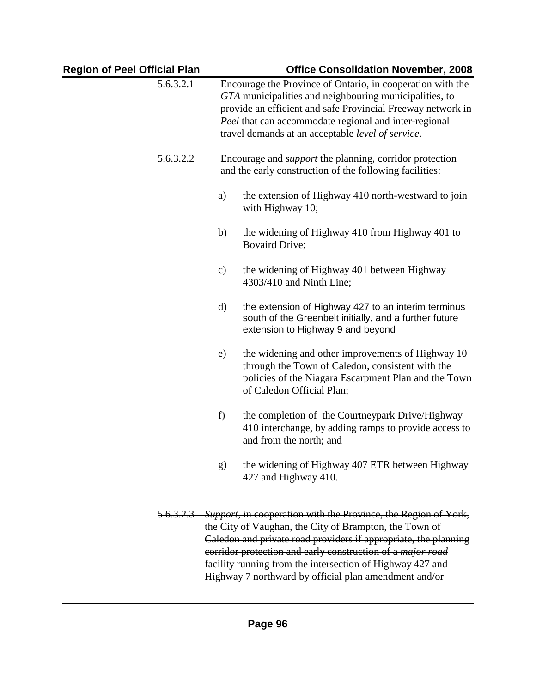| <b>Region of Peel Official Plan</b> |               | <b>Office Consolidation November, 2008</b>                                                                                                                                                                                                                                                                                                                                                |  |
|-------------------------------------|---------------|-------------------------------------------------------------------------------------------------------------------------------------------------------------------------------------------------------------------------------------------------------------------------------------------------------------------------------------------------------------------------------------------|--|
| 5.6.3.2.1                           |               | Encourage the Province of Ontario, in cooperation with the<br>GTA municipalities and neighbouring municipalities, to<br>provide an efficient and safe Provincial Freeway network in<br>Peel that can accommodate regional and inter-regional<br>travel demands at an acceptable level of service.                                                                                         |  |
| 5.6.3.2.2                           |               | Encourage and <i>support</i> the planning, corridor protection<br>and the early construction of the following facilities:                                                                                                                                                                                                                                                                 |  |
|                                     | a)            | the extension of Highway 410 north-westward to join<br>with Highway 10;                                                                                                                                                                                                                                                                                                                   |  |
|                                     | b)            | the widening of Highway 410 from Highway 401 to<br><b>Bovaird Drive;</b>                                                                                                                                                                                                                                                                                                                  |  |
|                                     | $\mathbf{c})$ | the widening of Highway 401 between Highway<br>4303/410 and Ninth Line;                                                                                                                                                                                                                                                                                                                   |  |
|                                     | $\mathbf{d}$  | the extension of Highway 427 to an interim terminus<br>south of the Greenbelt initially, and a further future<br>extension to Highway 9 and beyond                                                                                                                                                                                                                                        |  |
|                                     | e)            | the widening and other improvements of Highway 10<br>through the Town of Caledon, consistent with the<br>policies of the Niagara Escarpment Plan and the Town<br>of Caledon Official Plan;                                                                                                                                                                                                |  |
|                                     | f)            | the completion of the Courtneypark Drive/Highway<br>410 interchange, by adding ramps to provide access to<br>and from the north; and                                                                                                                                                                                                                                                      |  |
|                                     | g)            | the widening of Highway 407 ETR between Highway<br>427 and Highway 410.                                                                                                                                                                                                                                                                                                                   |  |
|                                     |               | 5.6.3.2.3 Support, in cooperation with the Province, the Region of York,<br>the City of Vaughan, the City of Brampton, the Town of<br>Caledon and private road providers if appropriate, the planning<br>corridor protection and early construction of a major road<br>facility running from the intersection of Highway 427 and<br>Highway 7 northward by official plan amendment and/or |  |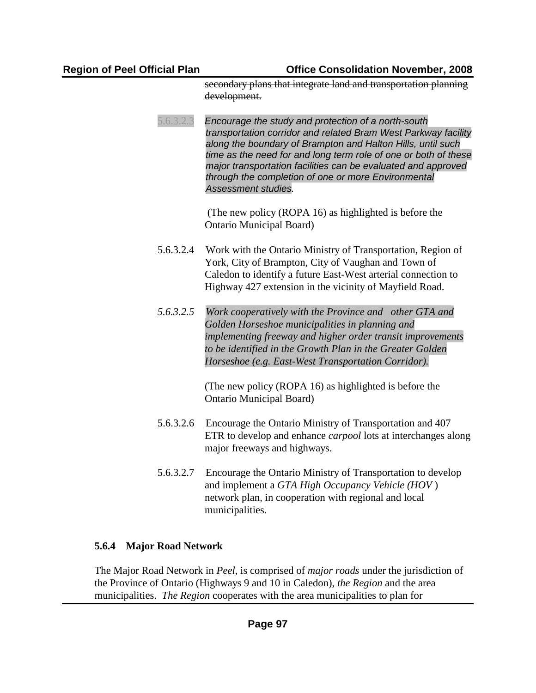secondary plans that integrate land and transportation planning development.

5.6.3.2.3 Encourage the study and protection of a north-south transportation corridor and related Bram West Parkway facility along the boundary of Brampton and Halton Hills, until such time as the need for and long term role of one or both of these major transportation facilities can be evaluated and approved through the completion of one or more Environmental Assessment studies.

> (The new policy (ROPA 16) as highlighted is before the Ontario Municipal Board)

- 5.6.3.2.4 Work with the Ontario Ministry of Transportation, Region of York, City of Brampton, City of Vaughan and Town of Caledon to identify a future East-West arterial connection to Highway 427 extension in the vicinity of Mayfield Road.
- *5.6.3.2.5 Work cooperatively with the Province and other GTA and Golden Horseshoe municipalities in planning and implementing freeway and higher order transit improvements to be identified in the Growth Plan in the Greater Golden Horseshoe (e.g. East-West Transportation Corridor).*

(The new policy (ROPA 16) as highlighted is before the Ontario Municipal Board)

- 5.6.3.2.6 Encourage the Ontario Ministry of Transportation and 407 ETR to develop and enhance *carpool* lots at interchanges along major freeways and highways.
- 5.6.3.2.7 Encourage the Ontario Ministry of Transportation to develop and implement a *GTA High Occupancy Vehicle (HOV* ) network plan, in cooperation with regional and local municipalities.

## **5.6.4 Major Road Network**

 The Major Road Network in *Peel,* is comprised of *major roads* under the jurisdiction of the Province of Ontario (Highways 9 and 10 in Caledon), *the Region* and the area municipalities. *The Region* cooperates with the area municipalities to plan for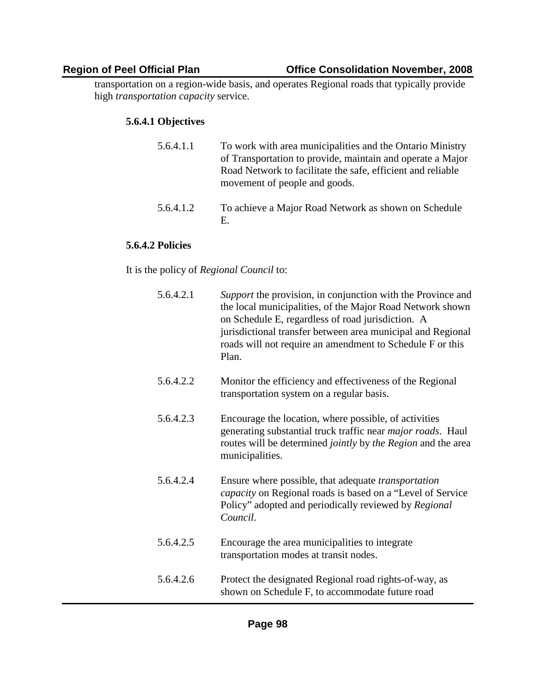transportation on a region-wide basis, and operates Regional roads that typically provide high *transportation capacity* service.

#### **5.6.4.1 Objectives**

- 5.6.4.1.1 To work with area municipalities and the Ontario Ministry of Transportation to provide, maintain and operate a Major Road Network to facilitate the safe, efficient and reliable movement of people and goods.
- 5.6.4.1.2 To achieve a Major Road Network as shown on Schedule E.

#### **5.6.4.2 Policies**

| 5.6.4.2.1 | Support the provision, in conjunction with the Province and<br>the local municipalities, of the Major Road Network shown<br>on Schedule E, regardless of road jurisdiction. A<br>jurisdictional transfer between area municipal and Regional<br>roads will not require an amendment to Schedule F or this<br>Plan. |
|-----------|--------------------------------------------------------------------------------------------------------------------------------------------------------------------------------------------------------------------------------------------------------------------------------------------------------------------|
| 5.6.4.2.2 | Monitor the efficiency and effectiveness of the Regional<br>transportation system on a regular basis.                                                                                                                                                                                                              |
| 5.6.4.2.3 | Encourage the location, where possible, of activities<br>generating substantial truck traffic near <i>major roads</i> . Haul<br>routes will be determined jointly by the Region and the area<br>municipalities.                                                                                                    |
| 5.6.4.2.4 | Ensure where possible, that adequate <i>transportation</i><br>capacity on Regional roads is based on a "Level of Service"<br>Policy" adopted and periodically reviewed by Regional<br>Council.                                                                                                                     |
| 5.6.4.2.5 | Encourage the area municipalities to integrate<br>transportation modes at transit nodes.                                                                                                                                                                                                                           |
| 5.6.4.2.6 | Protect the designated Regional road rights-of-way, as<br>shown on Schedule F, to accommodate future road                                                                                                                                                                                                          |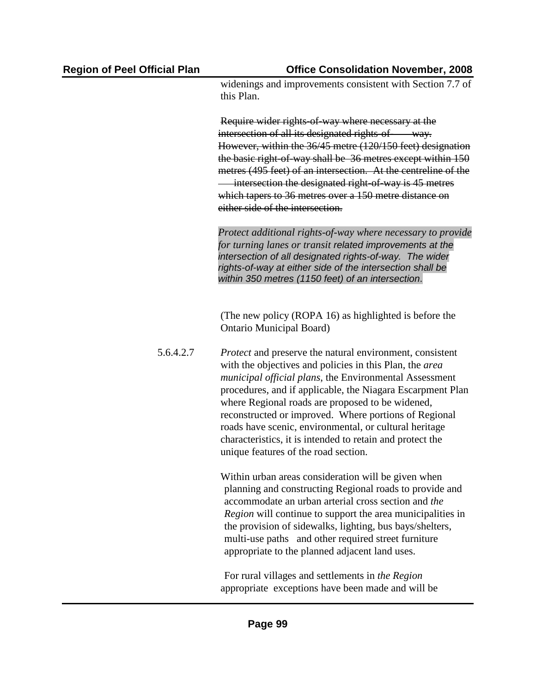widenings and improvements consistent with Section 7.7 of this Plan.

 Require wider rights-of-way where necessary at the intersection of all its designated rights-of- way. However, within the 36/45 metre (120/150 feet) designation the basic right-of-way shall be 36 metres except within 150 metres (495 feet) of an intersection. At the centreline of the intersection the designated right-of-way is 45 metres which tapers to 36 metres over a 150 metre distance on either side of the intersection.

*Protect additional rights-of-way where necessary to provide for turning lanes or transit* related improvements at the intersection of all designated rights-of-way. The wider rights-of-way at either side of the intersection shall be within 350 metres (1150 feet) of an intersection.

 (The new policy (ROPA 16) as highlighted is before the Ontario Municipal Board)

 5.6.4.2.7 *Protect* and preserve the natural environment, consistent with the objectives and policies in this Plan, the *area municipal official plans*, the Environmental Assessment procedures, and if applicable, the Niagara Escarpment Plan where Regional roads are proposed to be widened, reconstructed or improved. Where portions of Regional roads have scenic, environmental, or cultural heritage characteristics, it is intended to retain and protect the unique features of the road section.

> Within urban areas consideration will be given when planning and constructing Regional roads to provide and accommodate an urban arterial cross section and *the Region* will continue to support the area municipalities in the provision of sidewalks, lighting, bus bays/shelters, multi-use paths and other required street furniture appropriate to the planned adjacent land uses.

 For rural villages and settlements in *the Region* appropriate exceptions have been made and will be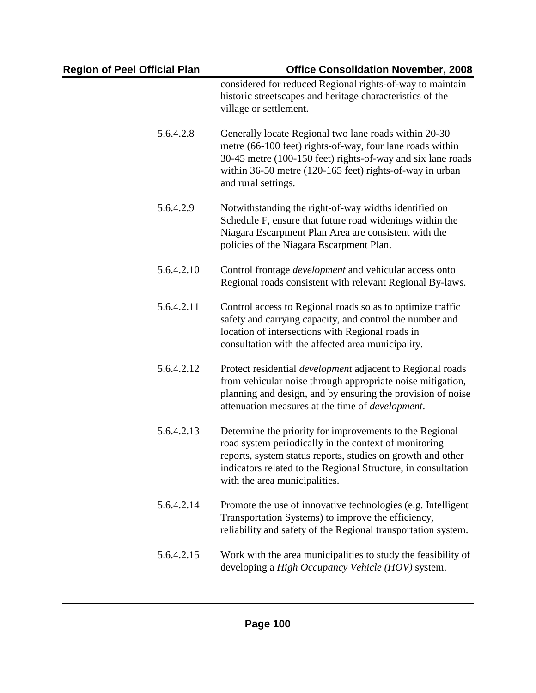| <b>Region of Peel Official Plan</b> | <b>Office Consolidation November, 2008</b>                                                                                                                                                                                                                                        |  |
|-------------------------------------|-----------------------------------------------------------------------------------------------------------------------------------------------------------------------------------------------------------------------------------------------------------------------------------|--|
|                                     | considered for reduced Regional rights-of-way to maintain<br>historic streetscapes and heritage characteristics of the<br>village or settlement.                                                                                                                                  |  |
| 5.6.4.2.8                           | Generally locate Regional two lane roads within 20-30<br>metre (66-100 feet) rights-of-way, four lane roads within<br>30-45 metre (100-150 feet) rights-of-way and six lane roads<br>within 36-50 metre (120-165 feet) rights-of-way in urban<br>and rural settings.              |  |
| 5.6.4.2.9                           | Notwithstanding the right-of-way widths identified on<br>Schedule F, ensure that future road widenings within the<br>Niagara Escarpment Plan Area are consistent with the<br>policies of the Niagara Escarpment Plan.                                                             |  |
| 5.6.4.2.10                          | Control frontage <i>development</i> and vehicular access onto<br>Regional roads consistent with relevant Regional By-laws.                                                                                                                                                        |  |
| 5.6.4.2.11                          | Control access to Regional roads so as to optimize traffic<br>safety and carrying capacity, and control the number and<br>location of intersections with Regional roads in<br>consultation with the affected area municipality.                                                   |  |
| 5.6.4.2.12                          | Protect residential <i>development</i> adjacent to Regional roads<br>from vehicular noise through appropriate noise mitigation,<br>planning and design, and by ensuring the provision of noise<br>attenuation measures at the time of <i>development</i> .                        |  |
| 5.6.4.2.13                          | Determine the priority for improvements to the Regional<br>road system periodically in the context of monitoring<br>reports, system status reports, studies on growth and other<br>indicators related to the Regional Structure, in consultation<br>with the area municipalities. |  |
| 5.6.4.2.14                          | Promote the use of innovative technologies (e.g. Intelligent<br>Transportation Systems) to improve the efficiency,<br>reliability and safety of the Regional transportation system.                                                                                               |  |
| 5.6.4.2.15                          | Work with the area municipalities to study the feasibility of<br>developing a High Occupancy Vehicle (HOV) system.                                                                                                                                                                |  |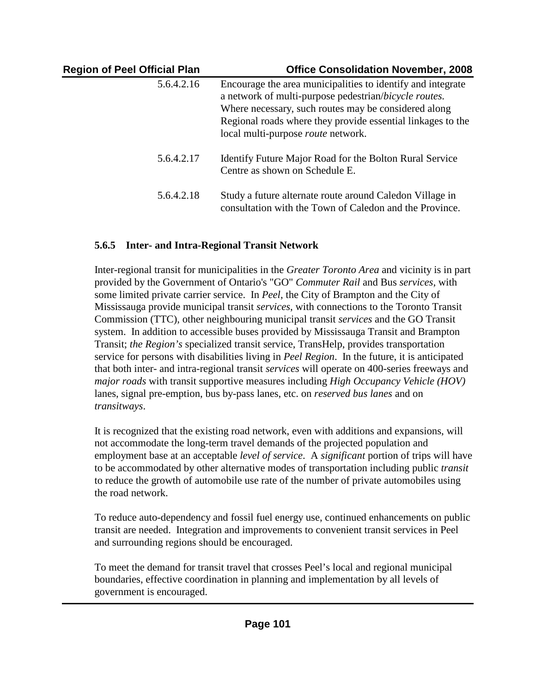| <b>Region of Peel Official Plan</b> | <b>Office Consolidation November, 2008</b>                                                                                                                                                                                                                                               |  |
|-------------------------------------|------------------------------------------------------------------------------------------------------------------------------------------------------------------------------------------------------------------------------------------------------------------------------------------|--|
| 5.6.4.2.16                          | Encourage the area municipalities to identify and integrate<br>a network of multi-purpose pedestrian/bicycle routes.<br>Where necessary, such routes may be considered along<br>Regional roads where they provide essential linkages to the<br>local multi-purpose <i>route</i> network. |  |
| 5.6.4.2.17                          | Identify Future Major Road for the Bolton Rural Service<br>Centre as shown on Schedule E.                                                                                                                                                                                                |  |
| 5.6.4.2.18                          | Study a future alternate route around Caledon Village in<br>consultation with the Town of Caledon and the Province.                                                                                                                                                                      |  |

## **5.6.5 Inter- and Intra-Regional Transit Network**

Inter-regional transit for municipalities in the *Greater Toronto Area* and vicinity is in part provided by the Government of Ontario's "GO" *Commuter Rail* and Bus *services*, with some limited private carrier service. In *Peel*, the City of Brampton and the City of Mississauga provide municipal transit *services*, with connections to the Toronto Transit Commission (TTC), other neighbouring municipal transit *services* and the GO Transit system. In addition to accessible buses provided by Mississauga Transit and Brampton Transit; *the Region's* specialized transit service, TransHelp, provides transportation service for persons with disabilities living in *Peel Region*. In the future, it is anticipated that both inter- and intra-regional transit *services* will operate on 400-series freeways and *major roads* with transit supportive measures including *High Occupancy Vehicle (HOV)* lanes, signal pre-emption, bus by-pass lanes, etc. on *reserved bus lanes* and on *transitways*.

 It is recognized that the existing road network, even with additions and expansions, will not accommodate the long-term travel demands of the projected population and employment base at an acceptable *level of service*. A *significant* portion of trips will have to be accommodated by other alternative modes of transportation including public *transit* to reduce the growth of automobile use rate of the number of private automobiles using the road network.

To reduce auto-dependency and fossil fuel energy use, continued enhancements on public transit are needed. Integration and improvements to convenient transit services in Peel and surrounding regions should be encouraged.

 To meet the demand for transit travel that crosses Peel's local and regional municipal boundaries, effective coordination in planning and implementation by all levels of government is encouraged.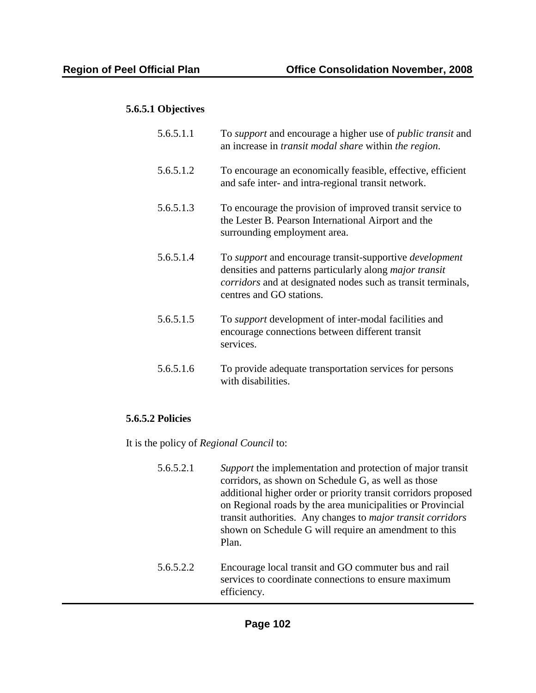#### **5.6.5.1 Objectives**

- 5.6.5.1.1 To *support* and encourage a higher use of *public transit* and an increase in *transit modal share* within *the region*.
- 5.6.5.1.2 To encourage an economically feasible, effective, efficient and safe inter- and intra-regional transit network.
- 5.6.5.1.3 To encourage the provision of improved transit service to the Lester B. Pearson International Airport and the surrounding employment area.
- 5.6.5.1.4 To *support* and encourage transit-supportive *development* densities and patterns particularly along *major transit corridors* and at designated nodes such as transit terminals, centres and GO stations.
- 5.6.5.1.5 To *support* development of inter-modal facilities and encourage connections between different transit services.
- 5.6.5.1.6 To provide adequate transportation services for persons with disabilities.

#### **5.6.5.2 Policies**

- 5.6.5.2.1 *Support* the implementation and protection of major transit corridors, as shown on Schedule G, as well as those additional higher order or priority transit corridors proposed on Regional roads by the area municipalities or Provincial transit authorities. Any changes to *major transit corridors* shown on Schedule G will require an amendment to this Plan.
- 5.6.5.2.2 Encourage local transit and GO commuter bus and rail services to coordinate connections to ensure maximum efficiency.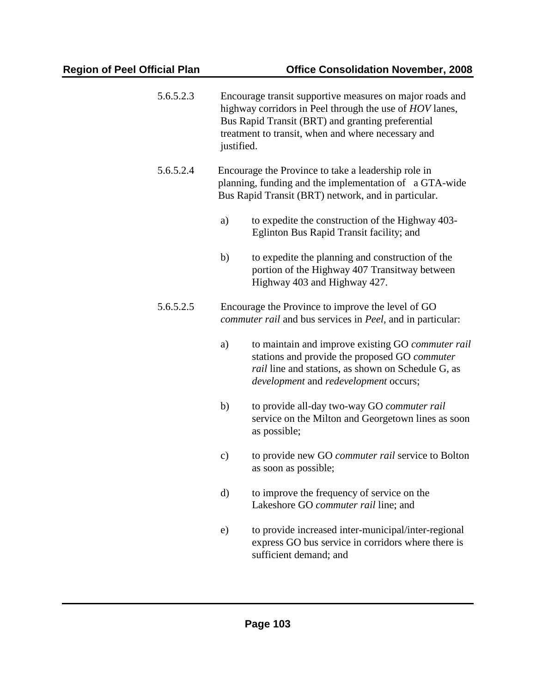- 5.6.5.2.3 Encourage transit supportive measures on major roads and highway corridors in Peel through the use of *HOV* lanes, Bus Rapid Transit (BRT) and granting preferential treatment to transit, when and where necessary and justified.
- 5.6.5.2.4 Encourage the Province to take a leadership role in planning, funding and the implementation of a GTA-wide Bus Rapid Transit (BRT) network, and in particular.
	- a) to expedite the construction of the Highway 403- Eglinton Bus Rapid Transit facility; and
	- b) to expedite the planning and construction of the portion of the Highway 407 Transitway between Highway 403 and Highway 427.

#### 5.6.5.2.5 Encourage the Province to improve the level of GO *commuter rail* and bus services in *Peel*, and in particular:

- a) to maintain and improve existing GO *commuter rail* stations and provide the proposed GO *commuter rail* line and stations, as shown on Schedule G, as *development* and *redevelopment* occurs;
- b) to provide all-day two-way GO *commuter rail* service on the Milton and Georgetown lines as soon as possible;
- c) to provide new GO *commuter rail* service to Bolton as soon as possible;
- d) to improve the frequency of service on the Lakeshore GO *commuter rail* line; and
- e) to provide increased inter-municipal/inter-regional express GO bus service in corridors where there is sufficient demand; and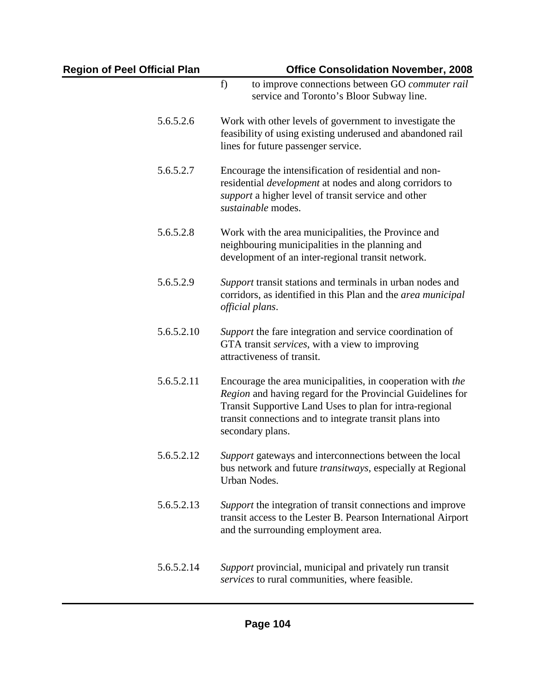| <b>Region of Peel Official Plan</b> | <b>Office Consolidation November, 2008</b>                                                                                                                                                                                                                         |  |
|-------------------------------------|--------------------------------------------------------------------------------------------------------------------------------------------------------------------------------------------------------------------------------------------------------------------|--|
|                                     | to improve connections between GO commuter rail<br>f)<br>service and Toronto's Bloor Subway line.                                                                                                                                                                  |  |
| 5.6.5.2.6                           | Work with other levels of government to investigate the<br>feasibility of using existing underused and abandoned rail<br>lines for future passenger service.                                                                                                       |  |
| 5.6.5.2.7                           | Encourage the intensification of residential and non-<br>residential <i>development</i> at nodes and along corridors to<br>support a higher level of transit service and other<br>sustainable modes.                                                               |  |
| 5.6.5.2.8                           | Work with the area municipalities, the Province and<br>neighbouring municipalities in the planning and<br>development of an inter-regional transit network.                                                                                                        |  |
| 5.6.5.2.9                           | Support transit stations and terminals in urban nodes and<br>corridors, as identified in this Plan and the <i>area municipal</i><br>official plans.                                                                                                                |  |
| 5.6.5.2.10                          | Support the fare integration and service coordination of<br>GTA transit services, with a view to improving<br>attractiveness of transit.                                                                                                                           |  |
| 5.6.5.2.11                          | Encourage the area municipalities, in cooperation with the<br>Region and having regard for the Provincial Guidelines for<br>Transit Supportive Land Uses to plan for intra-regional<br>transit connections and to integrate transit plans into<br>secondary plans. |  |
| 5.6.5.2.12                          | Support gateways and interconnections between the local<br>bus network and future <i>transitways</i> , especially at Regional<br>Urban Nodes.                                                                                                                      |  |
| 5.6.5.2.13                          | Support the integration of transit connections and improve<br>transit access to the Lester B. Pearson International Airport<br>and the surrounding employment area.                                                                                                |  |
| 5.6.5.2.14                          | Support provincial, municipal and privately run transit<br>services to rural communities, where feasible.                                                                                                                                                          |  |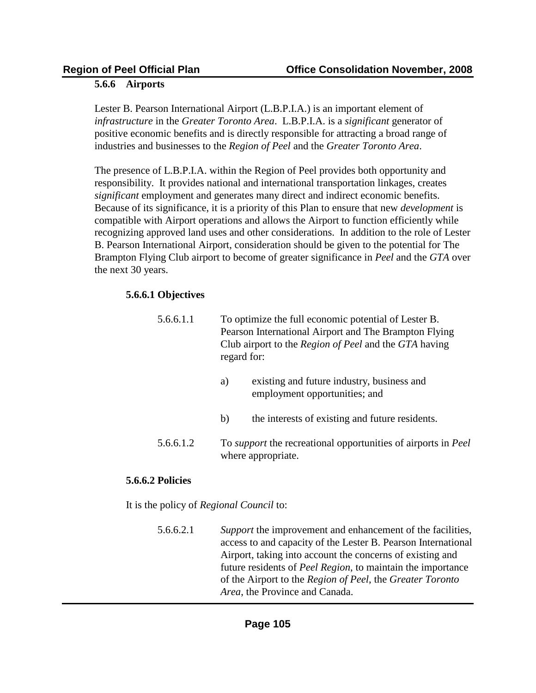#### **5.6.6 Airports**

 Lester B. Pearson International Airport (L.B.P.I.A.) is an important element of *infrastructure* in the *Greater Toronto Area*. L.B.P.I.A. is a *significant* generator of positive economic benefits and is directly responsible for attracting a broad range of industries and businesses to the *Region of Peel* and the *Greater Toronto Area*.

 The presence of L.B.P.I.A. within the Region of Peel provides both opportunity and responsibility. It provides national and international transportation linkages, creates *significant* employment and generates many direct and indirect economic benefits. Because of its significance, it is a priority of this Plan to ensure that new *development* is compatible with Airport operations and allows the Airport to function efficiently while recognizing approved land uses and other considerations. In addition to the role of Lester B. Pearson International Airport, consideration should be given to the potential for The Brampton Flying Club airport to become of greater significance in *Peel* and the *GTA* over the next 30 years.

#### **5.6.6.1 Objectives**

| 5.6.6.1.1 |    | To optimize the full economic potential of Lester B.<br>Pearson International Airport and The Brampton Flying<br>Club airport to the <i>Region of Peel</i> and the GTA having<br>regard for: |  |
|-----------|----|----------------------------------------------------------------------------------------------------------------------------------------------------------------------------------------------|--|
|           | a) | existing and future industry, business and<br>employment opportunities; and                                                                                                                  |  |
|           | b) | the interests of existing and future residents.                                                                                                                                              |  |
| 5.6.6.1.2 |    | To <i>support</i> the recreational opportunities of airports in <i>Peel</i><br>where appropriate.                                                                                            |  |

### **5.6.6.2 Policies**

It is the policy of *Regional Council* to:

 5.6.6.2.1 *Support* the improvement and enhancement of the facilities, access to and capacity of the Lester B. Pearson International Airport, taking into account the concerns of existing and future residents of *Peel Region*, to maintain the importance of the Airport to the *Region of Peel*, the *Greater Toronto Area*, the Province and Canada.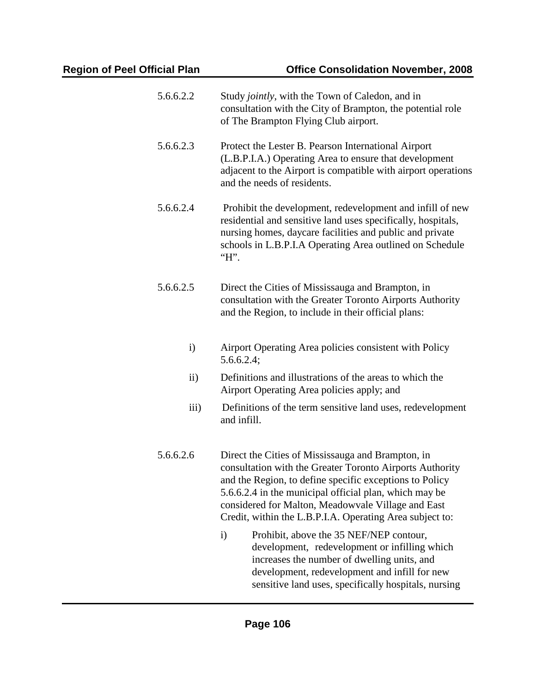| 5.6.6.2.2    | Study <i>jointly</i> , with the Town of Caledon, and in<br>consultation with the City of Brampton, the potential role<br>of The Brampton Flying Club airport.                                                                                                                                                                                        |
|--------------|------------------------------------------------------------------------------------------------------------------------------------------------------------------------------------------------------------------------------------------------------------------------------------------------------------------------------------------------------|
| 5.6.6.2.3    | Protect the Lester B. Pearson International Airport<br>(L.B.P.I.A.) Operating Area to ensure that development<br>adjacent to the Airport is compatible with airport operations<br>and the needs of residents.                                                                                                                                        |
| 5.6.6.2.4    | Prohibit the development, redevelopment and infill of new<br>residential and sensitive land uses specifically, hospitals,<br>nursing homes, daycare facilities and public and private<br>schools in L.B.P.I.A Operating Area outlined on Schedule<br>"H".                                                                                            |
| 5.6.6.2.5    | Direct the Cities of Mississauga and Brampton, in<br>consultation with the Greater Toronto Airports Authority<br>and the Region, to include in their official plans:                                                                                                                                                                                 |
| $\mathbf{i}$ | Airport Operating Area policies consistent with Policy<br>5.6.6.2.4;                                                                                                                                                                                                                                                                                 |
| $\rm ii)$    | Definitions and illustrations of the areas to which the<br>Airport Operating Area policies apply; and                                                                                                                                                                                                                                                |
| iii)         | Definitions of the term sensitive land uses, redevelopment<br>and infill.                                                                                                                                                                                                                                                                            |
| 5.6.6.2.6    | Direct the Cities of Mississauga and Brampton, in<br>consultation with the Greater Toronto Airports Authority<br>and the Region, to define specific exceptions to Policy<br>5.6.6.2.4 in the municipal official plan, which may be<br>considered for Malton, Meadowvale Village and East<br>Credit, within the L.B.P.I.A. Operating Area subject to: |
|              | Prohibit, above the 35 NEF/NEP contour,<br>$\mathbf{i}$<br>development, redevelopment or infilling which<br>increases the number of dwelling units, and<br>development, redevelopment and infill for new<br>sensitive land uses, specifically hospitals, nursing                                                                                     |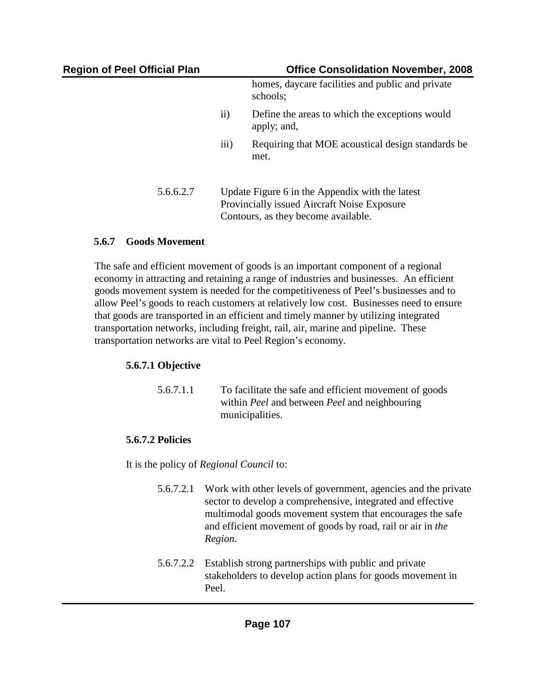homes, daycare facilities and public and private schools;

- ii) Define the areas to which the exceptions would apply; and,
- iii) Requiring that MOE acoustical design standards be met.
- 5.6.6.2.7 Update Figure 6 in the Appendix with the latest Provincially issued Aircraft Noise Exposure Contours, as they become available.

## **5.6.7 Goods Movement**

 The safe and efficient movement of goods is an important component of a regional economy in attracting and retaining a range of industries and businesses. An efficient goods movement system is needed for the competitiveness of Peel's businesses and to allow Peel's goods to reach customers at relatively low cost. Businesses need to ensure that goods are transported in an efficient and timely manner by utilizing integrated transportation networks, including freight, rail, air, marine and pipeline. These transportation networks are vital to Peel Region's economy.

## **5.6.7.1 Objective**

 5.6.7.1.1 To facilitate the safe and efficient movement of goods within *Peel* and between *Peel* and neighbouring municipalities.

## **5.6.7.2 Policies**

- 5.6.7.2.1 Work with other levels of government, agencies and the private sector to develop a comprehensive, integrated and effective multimodal goods movement system that encourages the safe and efficient movement of goods by road, rail or air in *the Region*.
- 5.6.7.2.2 Establish strong partnerships with public and private stakeholders to develop action plans for goods movement in Peel.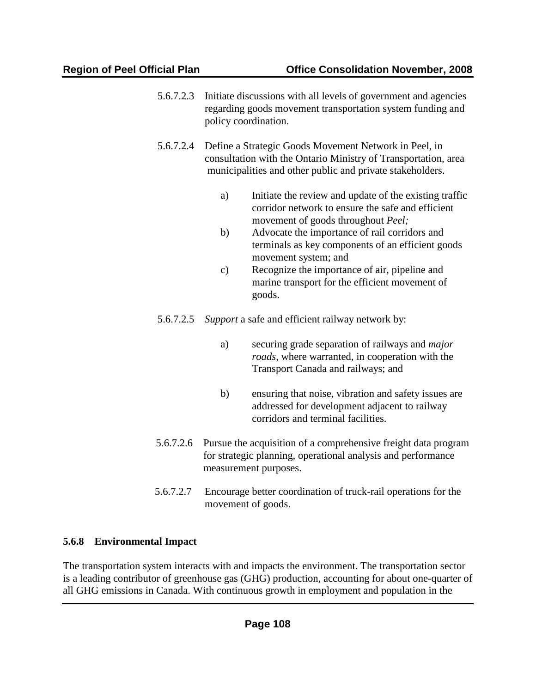- 5.6.7.2.3 Initiate discussions with all levels of government and agencies regarding goods movement transportation system funding and policy coordination.
- 5.6.7.2.4 Define a Strategic Goods Movement Network in Peel, in consultation with the Ontario Ministry of Transportation, area municipalities and other public and private stakeholders.
	- a) Initiate the review and update of the existing traffic corridor network to ensure the safe and efficient movement of goods throughout *Peel;*
	- b) Advocate the importance of rail corridors and terminals as key components of an efficient goods movement system; and
	- c) Recognize the importance of air, pipeline and marine transport for the efficient movement of goods.
- 5.6.7.2.5 *Support* a safe and efficient railway network by:
	- a) securing grade separation of railways and *major roads,* where warranted, in cooperation with the Transport Canada and railways; and
	- b) ensuring that noise, vibration and safety issues are addressed for development adjacent to railway corridors and terminal facilities.
- 5.6.7.2.6 Pursue the acquisition of a comprehensive freight data program for strategic planning, operational analysis and performance measurement purposes.
- 5.6.7.2.7 Encourage better coordination of truck-rail operations for the movement of goods.

## **5.6.8 Environmental Impact**

The transportation system interacts with and impacts the environment. The transportation sector is a leading contributor of greenhouse gas (GHG) production, accounting for about one-quarter of all GHG emissions in Canada. With continuous growth in employment and population in the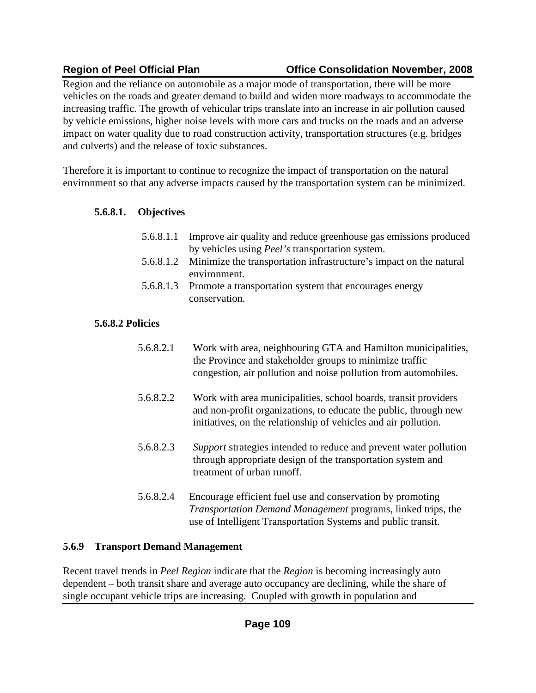## **Region of Peel Official Plan Consolidation November, 2008**

Region and the reliance on automobile as a major mode of transportation, there will be more vehicles on the roads and greater demand to build and widen more roadways to accommodate the increasing traffic. The growth of vehicular trips translate into an increase in air pollution caused by vehicle emissions, higher noise levels with more cars and trucks on the roads and an adverse impact on water quality due to road construction activity, transportation structures (e.g. bridges and culverts) and the release of toxic substances.

Therefore it is important to continue to recognize the impact of transportation on the natural environment so that any adverse impacts caused by the transportation system can be minimized.

### **5.6.8.1. Objectives**

| 5.6.8.1.1 Improve air quality and reduce greenhouse gas emissions produced |
|----------------------------------------------------------------------------|
| by vehicles using <i>Peel's</i> transportation system.                     |

- 5.6.8.1.2 Minimize the transportation infrastructure's impact on the natural environment.
- 5.6.8.1.3 Promote a transportation system that encourages energy conservation.

## **5.6.8.2 Policies**

- 5.6.8.2.1 Work with area, neighbouring GTA and Hamilton municipalities, the Province and stakeholder groups to minimize traffic congestion, air pollution and noise pollution from automobiles.
- 5.6.8.2.2 Work with area municipalities, school boards, transit providers and non-profit organizations, to educate the public, through new initiatives, on the relationship of vehicles and air pollution.
- 5.6.8.2.3 *Support* strategies intended to reduce and prevent water pollution through appropriate design of the transportation system and treatment of urban runoff.
- 5.6.8.2.4 Encourage efficient fuel use and conservation by promoting *Transportation Demand Management* programs, linked trips, the use of Intelligent Transportation Systems and public transit.

## **5.6.9 Transport Demand Management**

Recent travel trends in *Peel Region* indicate that the *Region* is becoming increasingly auto dependent – both transit share and average auto occupancy are declining, while the share of single occupant vehicle trips are increasing. Coupled with growth in population and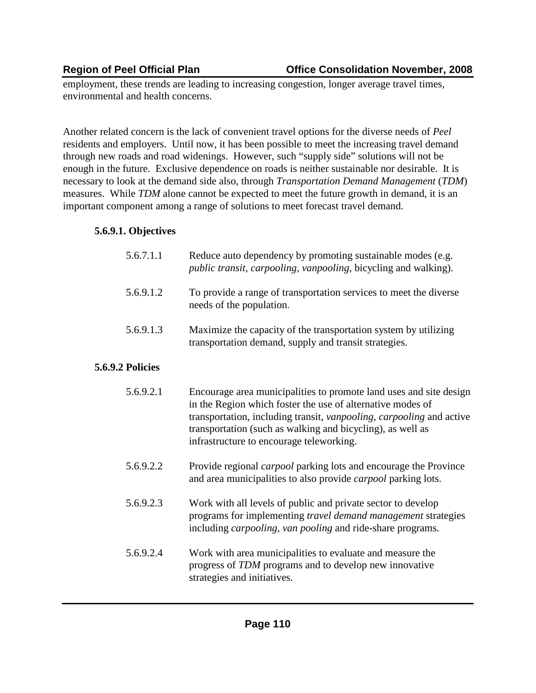employment, these trends are leading to increasing congestion, longer average travel times, environmental and health concerns.

Another related concern is the lack of convenient travel options for the diverse needs of *Peel* residents and employers. Until now, it has been possible to meet the increasing travel demand through new roads and road widenings. However, such "supply side" solutions will not be enough in the future. Exclusive dependence on roads is neither sustainable nor desirable. It is necessary to look at the demand side also, through *Transportation Demand Management* (*TDM*) measures. While *TDM* alone cannot be expected to meet the future growth in demand, it is an important component among a range of solutions to meet forecast travel demand.

### **5.6.9.1. Objectives**

| 5.6.7.1.1        | Reduce auto dependency by promoting sustainable modes (e.g.<br>public transit, carpooling, vanpooling, bicycling and walking).                                                                                                                                                                                     |
|------------------|--------------------------------------------------------------------------------------------------------------------------------------------------------------------------------------------------------------------------------------------------------------------------------------------------------------------|
| 5.6.9.1.2        | To provide a range of transportation services to meet the diverse<br>needs of the population.                                                                                                                                                                                                                      |
| 5.6.9.1.3        | Maximize the capacity of the transportation system by utilizing<br>transportation demand, supply and transit strategies.                                                                                                                                                                                           |
| 5.6.9.2 Policies |                                                                                                                                                                                                                                                                                                                    |
| 5.6.9.2.1        | Encourage area municipalities to promote land uses and site design<br>in the Region which foster the use of alternative modes of<br>transportation, including transit, vanpooling, carpooling and active<br>transportation (such as walking and bicycling), as well as<br>infrastructure to encourage teleworking. |
| 5.6.9.2.2        | Provide regional <i>carpool</i> parking lots and encourage the Province<br>and area municipalities to also provide <i>carpool</i> parking lots.                                                                                                                                                                    |
| 5.6.9.2.3        | Work with all levels of public and private sector to develop<br>programs for implementing travel demand management strategies<br>including <i>carpooling</i> , van <i>pooling</i> and ride-share programs.                                                                                                         |
| 5.6.9.2.4        | Work with area municipalities to evaluate and measure the<br>progress of TDM programs and to develop new innovative<br>strategies and initiatives.                                                                                                                                                                 |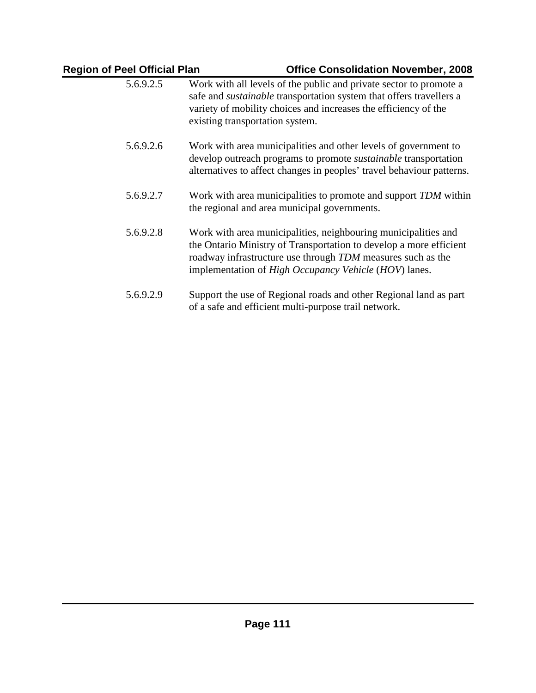| <b>Region of Peel Official Plan</b> | <b>Office Consolidation November, 2008</b>                                                                                                                                                                                                                          |
|-------------------------------------|---------------------------------------------------------------------------------------------------------------------------------------------------------------------------------------------------------------------------------------------------------------------|
| 5.6.9.2.5                           | Work with all levels of the public and private sector to promote a<br>safe and <i>sustainable</i> transportation system that offers travellers a<br>variety of mobility choices and increases the efficiency of the<br>existing transportation system.              |
| 5.6.9.2.6                           | Work with area municipalities and other levels of government to<br>develop outreach programs to promote <i>sustainable</i> transportation<br>alternatives to affect changes in peoples' travel behaviour patterns.                                                  |
| 5.6.9.2.7                           | Work with area municipalities to promote and support TDM within<br>the regional and area municipal governments.                                                                                                                                                     |
| 5.6.9.2.8                           | Work with area municipalities, neighbouring municipalities and<br>the Ontario Ministry of Transportation to develop a more efficient<br>roadway infrastructure use through TDM measures such as the<br>implementation of <i>High Occupancy Vehicle (HOV)</i> lanes. |
| 5.6.9.2.9                           | Support the use of Regional roads and other Regional land as part<br>of a safe and efficient multi-purpose trail network.                                                                                                                                           |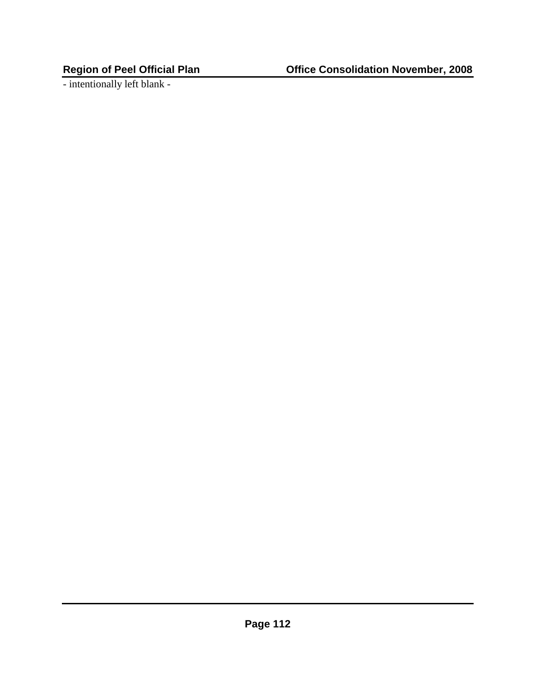**Region of Peel Official Plan Consolidation November, 2008** 

- intentionally left blank -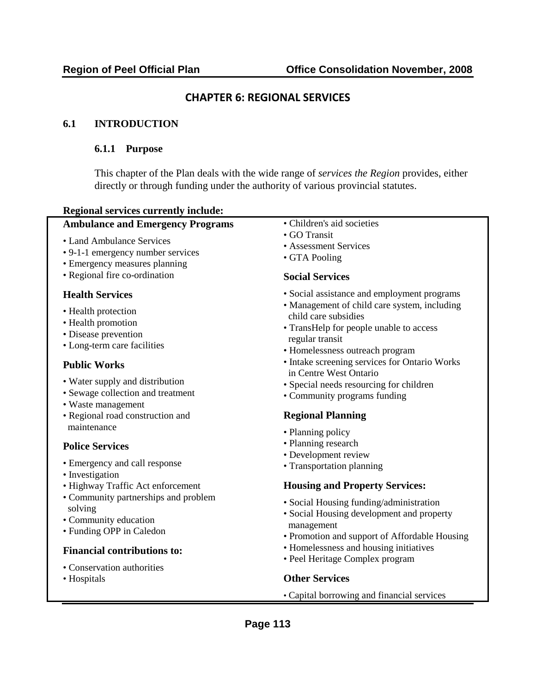### CHAPTER 6: REGIONAL SERVICES

#### **6.1 INTRODUCTION**

#### **6.1.1 Purpose**

 This chapter of the Plan deals with the wide range of *services the Region* provides, either directly or through funding under the authority of various provincial statutes.

| <b>Regional services currently include:</b>                                                                                                                              |                                                                                                                                                                                                                                  |
|--------------------------------------------------------------------------------------------------------------------------------------------------------------------------|----------------------------------------------------------------------------------------------------------------------------------------------------------------------------------------------------------------------------------|
| <b>Ambulance and Emergency Programs</b><br>• Land Ambulance Services<br>• 9-1-1 emergency number services<br>• Emergency measures planning                               | • Children's aid societies<br>· GO Transit<br>• Assessment Services<br>• GTA Pooling                                                                                                                                             |
| • Regional fire co-ordination                                                                                                                                            | <b>Social Services</b>                                                                                                                                                                                                           |
| <b>Health Services</b><br>• Health protection<br>• Health promotion<br>· Disease prevention<br>• Long-term care facilities                                               | • Social assistance and employment programs<br>• Management of child care system, including<br>child care subsidies<br>• TransHelp for people unable to access<br>regular transit<br>• Homelessness outreach program             |
| <b>Public Works</b>                                                                                                                                                      | • Intake screening services for Ontario Works<br>in Centre West Ontario                                                                                                                                                          |
| • Water supply and distribution<br>• Sewage collection and treatment<br>• Waste management<br>• Regional road construction and                                           | • Special needs resourcing for children<br>• Community programs funding<br><b>Regional Planning</b>                                                                                                                              |
| maintenance                                                                                                                                                              | • Planning policy                                                                                                                                                                                                                |
| <b>Police Services</b><br>• Emergency and call response                                                                                                                  | • Planning research<br>• Development review<br>• Transportation planning                                                                                                                                                         |
| • Investigation<br>• Highway Traffic Act enforcement                                                                                                                     | <b>Housing and Property Services:</b>                                                                                                                                                                                            |
| • Community partnerships and problem<br>solving<br>• Community education<br>• Funding OPP in Caledon<br><b>Financial contributions to:</b><br>• Conservation authorities | • Social Housing funding/administration<br>• Social Housing development and property<br>management<br>• Promotion and support of Affordable Housing<br>• Homelessness and housing initiatives<br>· Peel Heritage Complex program |
| • Hospitals                                                                                                                                                              | <b>Other Services</b>                                                                                                                                                                                                            |
|                                                                                                                                                                          | • Capital borrowing and financial services                                                                                                                                                                                       |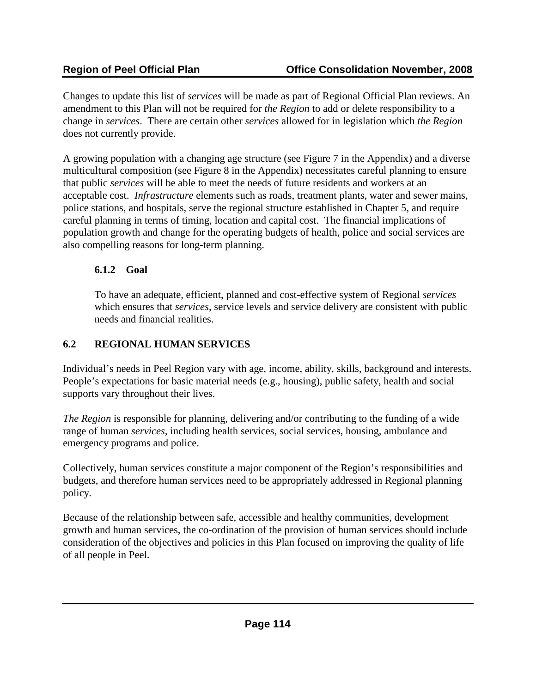Changes to update this list of *services* will be made as part of Regional Official Plan reviews. An amendment to this Plan will not be required for *the Region* to add or delete responsibility to a change in *services*. There are certain other *services* allowed for in legislation which *the Region* does not currently provide.

A growing population with a changing age structure (see Figure 7 in the Appendix) and a diverse multicultural composition (see Figure 8 in the Appendix) necessitates careful planning to ensure that public *services* will be able to meet the needs of future residents and workers at an acceptable cost. *Infrastructure* elements such as roads, treatment plants, water and sewer mains, police stations, and hospitals, serve the regional structure established in Chapter 5, and require careful planning in terms of timing, location and capital cost. The financial implications of population growth and change for the operating budgets of health, police and social services are also compelling reasons for long-term planning.

## **6.1.2 Goal**

 To have an adequate, efficient, planned and cost-effective system of Regional *services* which ensures that *services*, service levels and service delivery are consistent with public needs and financial realities.

# **6.2 REGIONAL HUMAN SERVICES**

Individual's needs in Peel Region vary with age, income, ability, skills, background and interests. People's expectations for basic material needs (e.g., housing), public safety, health and social supports vary throughout their lives.

*The Region* is responsible for planning, delivering and/or contributing to the funding of a wide range of human *services*, including health services, social services, housing, ambulance and emergency programs and police.

Collectively, human services constitute a major component of the Region's responsibilities and budgets, and therefore human services need to be appropriately addressed in Regional planning policy.

Because of the relationship between safe, accessible and healthy communities, development growth and human services, the co-ordination of the provision of human services should include consideration of the objectives and policies in this Plan focused on improving the quality of life of all people in Peel.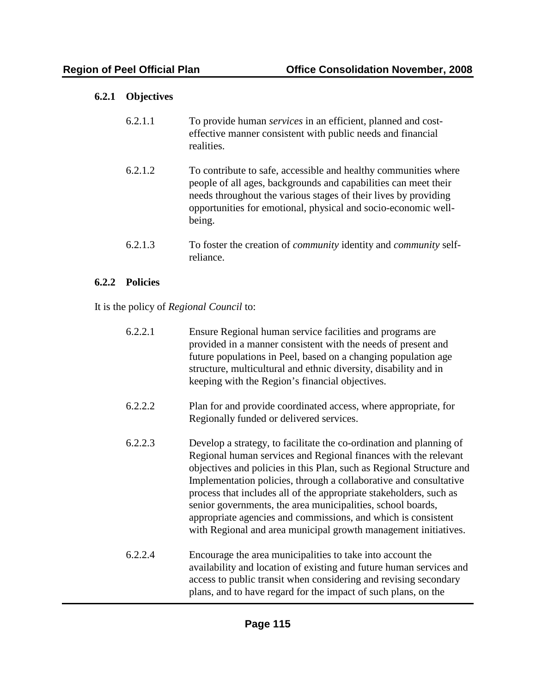## **6.2.1 Objectives**

| 6.2.1.1 | To provide human <i>services</i> in an efficient, planned and cost-<br>effective manner consistent with public needs and financial |
|---------|------------------------------------------------------------------------------------------------------------------------------------|
|         | realities.                                                                                                                         |

- 6.2.1.2 To contribute to safe, accessible and healthy communities where people of all ages, backgrounds and capabilities can meet their needs throughout the various stages of their lives by providing opportunities for emotional, physical and socio-economic wellbeing.
- 6.2.1.3 To foster the creation of *community* identity and *community* selfreliance.

### **6.2.2 Policies**

| 6.2.2.1 | Ensure Regional human service facilities and programs are<br>provided in a manner consistent with the needs of present and<br>future populations in Peel, based on a changing population age<br>structure, multicultural and ethnic diversity, disability and in<br>keeping with the Region's financial objectives.                                                                                                                                                                                                                                          |
|---------|--------------------------------------------------------------------------------------------------------------------------------------------------------------------------------------------------------------------------------------------------------------------------------------------------------------------------------------------------------------------------------------------------------------------------------------------------------------------------------------------------------------------------------------------------------------|
| 6.2.2.2 | Plan for and provide coordinated access, where appropriate, for<br>Regionally funded or delivered services.                                                                                                                                                                                                                                                                                                                                                                                                                                                  |
| 6.2.2.3 | Develop a strategy, to facilitate the co-ordination and planning of<br>Regional human services and Regional finances with the relevant<br>objectives and policies in this Plan, such as Regional Structure and<br>Implementation policies, through a collaborative and consultative<br>process that includes all of the appropriate stakeholders, such as<br>senior governments, the area municipalities, school boards,<br>appropriate agencies and commissions, and which is consistent<br>with Regional and area municipal growth management initiatives. |
| 6.2.2.4 | Encourage the area municipalities to take into account the<br>availability and location of existing and future human services and<br>access to public transit when considering and revising secondary<br>plans, and to have regard for the impact of such plans, on the                                                                                                                                                                                                                                                                                      |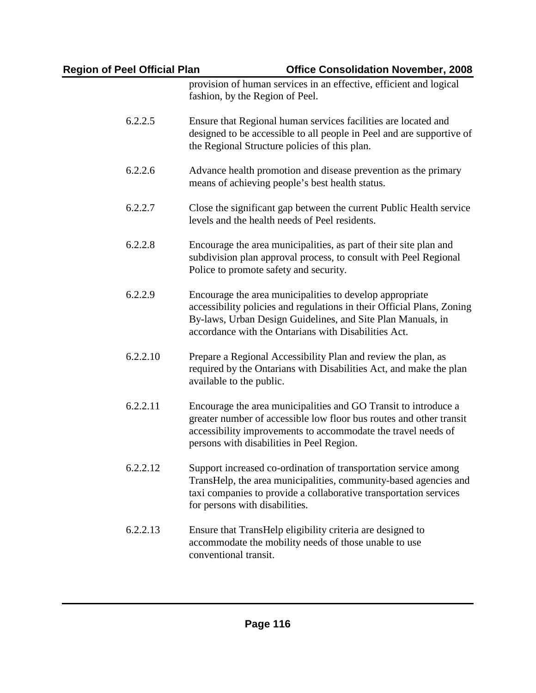| <b>Region of Peel Official Plan</b> | <b>Office Consolidation November, 2008</b>                                                                                                                                                                                                                |
|-------------------------------------|-----------------------------------------------------------------------------------------------------------------------------------------------------------------------------------------------------------------------------------------------------------|
|                                     | provision of human services in an effective, efficient and logical<br>fashion, by the Region of Peel.                                                                                                                                                     |
| 6.2.2.5                             | Ensure that Regional human services facilities are located and<br>designed to be accessible to all people in Peel and are supportive of<br>the Regional Structure policies of this plan.                                                                  |
| 6.2.2.6                             | Advance health promotion and disease prevention as the primary<br>means of achieving people's best health status.                                                                                                                                         |
| 6.2.2.7                             | Close the significant gap between the current Public Health service<br>levels and the health needs of Peel residents.                                                                                                                                     |
| 6.2.2.8                             | Encourage the area municipalities, as part of their site plan and<br>subdivision plan approval process, to consult with Peel Regional<br>Police to promote safety and security.                                                                           |
| 6.2.2.9                             | Encourage the area municipalities to develop appropriate<br>accessibility policies and regulations in their Official Plans, Zoning<br>By-laws, Urban Design Guidelines, and Site Plan Manuals, in<br>accordance with the Ontarians with Disabilities Act. |
| 6.2.2.10                            | Prepare a Regional Accessibility Plan and review the plan, as<br>required by the Ontarians with Disabilities Act, and make the plan<br>available to the public.                                                                                           |
| 6.2.2.11                            | Encourage the area municipalities and GO Transit to introduce a<br>greater number of accessible low floor bus routes and other transit<br>accessibility improvements to accommodate the travel needs of<br>persons with disabilities in Peel Region.      |
| 6.2.2.12                            | Support increased co-ordination of transportation service among<br>TransHelp, the area municipalities, community-based agencies and<br>taxi companies to provide a collaborative transportation services<br>for persons with disabilities.                |
| 6.2.2.13                            | Ensure that TransHelp eligibility criteria are designed to<br>accommodate the mobility needs of those unable to use<br>conventional transit.                                                                                                              |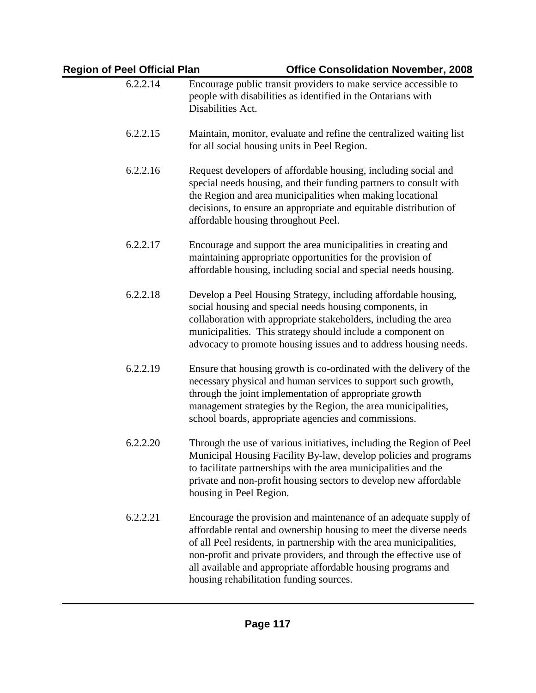| <b>Region of Peel Official Plan</b> | <b>Office Consolidation November, 2008</b>                                                                                                                                                                                                                                                                                                                                                     |
|-------------------------------------|------------------------------------------------------------------------------------------------------------------------------------------------------------------------------------------------------------------------------------------------------------------------------------------------------------------------------------------------------------------------------------------------|
| 6.2.2.14                            | Encourage public transit providers to make service accessible to<br>people with disabilities as identified in the Ontarians with<br>Disabilities Act.                                                                                                                                                                                                                                          |
| 6.2.2.15                            | Maintain, monitor, evaluate and refine the centralized waiting list<br>for all social housing units in Peel Region.                                                                                                                                                                                                                                                                            |
| 6.2.2.16                            | Request developers of affordable housing, including social and<br>special needs housing, and their funding partners to consult with<br>the Region and area municipalities when making locational<br>decisions, to ensure an appropriate and equitable distribution of<br>affordable housing throughout Peel.                                                                                   |
| 6.2.2.17                            | Encourage and support the area municipalities in creating and<br>maintaining appropriate opportunities for the provision of<br>affordable housing, including social and special needs housing.                                                                                                                                                                                                 |
| 6.2.2.18                            | Develop a Peel Housing Strategy, including affordable housing,<br>social housing and special needs housing components, in<br>collaboration with appropriate stakeholders, including the area<br>municipalities. This strategy should include a component on<br>advocacy to promote housing issues and to address housing needs.                                                                |
| 6.2.2.19                            | Ensure that housing growth is co-ordinated with the delivery of the<br>necessary physical and human services to support such growth,<br>through the joint implementation of appropriate growth<br>management strategies by the Region, the area municipalities,<br>school boards, appropriate agencies and commissions.                                                                        |
| 6.2.2.20                            | Through the use of various initiatives, including the Region of Peel<br>Municipal Housing Facility By-law, develop policies and programs<br>to facilitate partnerships with the area municipalities and the<br>private and non-profit housing sectors to develop new affordable<br>housing in Peel Region.                                                                                     |
| 6.2.2.21                            | Encourage the provision and maintenance of an adequate supply of<br>affordable rental and ownership housing to meet the diverse needs<br>of all Peel residents, in partnership with the area municipalities,<br>non-profit and private providers, and through the effective use of<br>all available and appropriate affordable housing programs and<br>housing rehabilitation funding sources. |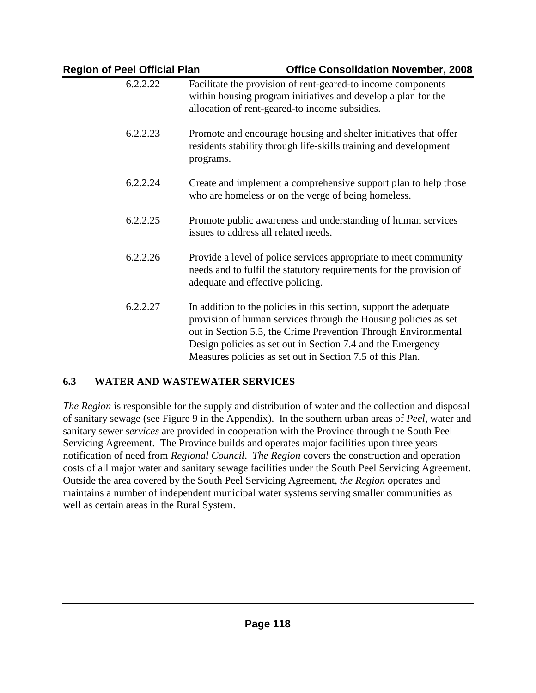| <b>Region of Peel Official Plan</b> | <b>Office Consolidation November, 2008</b>                                                                                                                                                                                                                                                                                         |
|-------------------------------------|------------------------------------------------------------------------------------------------------------------------------------------------------------------------------------------------------------------------------------------------------------------------------------------------------------------------------------|
| 6.2.2.22                            | Facilitate the provision of rent-geared-to income components<br>within housing program initiatives and develop a plan for the<br>allocation of rent-geared-to income subsidies.                                                                                                                                                    |
| 6.2.2.23                            | Promote and encourage housing and shelter initiatives that offer<br>residents stability through life-skills training and development<br>programs.                                                                                                                                                                                  |
| 6.2.2.24                            | Create and implement a comprehensive support plan to help those<br>who are homeless or on the verge of being homeless.                                                                                                                                                                                                             |
| 6.2.2.25                            | Promote public awareness and understanding of human services<br>issues to address all related needs.                                                                                                                                                                                                                               |
| 6.2.2.26                            | Provide a level of police services appropriate to meet community<br>needs and to fulfil the statutory requirements for the provision of<br>adequate and effective policing.                                                                                                                                                        |
| 6.2.2.27                            | In addition to the policies in this section, support the adequate<br>provision of human services through the Housing policies as set<br>out in Section 5.5, the Crime Prevention Through Environmental<br>Design policies as set out in Section 7.4 and the Emergency<br>Measures policies as set out in Section 7.5 of this Plan. |

### **6.3 WATER AND WASTEWATER SERVICES**

*The Region* is responsible for the supply and distribution of water and the collection and disposal of sanitary sewage (see Figure 9 in the Appendix). In the southern urban areas of *Peel*, water and sanitary sewer *services* are provided in cooperation with the Province through the South Peel Servicing Agreement. The Province builds and operates major facilities upon three years notification of need from *Regional Council*. *The Region* covers the construction and operation costs of all major water and sanitary sewage facilities under the South Peel Servicing Agreement. Outside the area covered by the South Peel Servicing Agreement, *the Region* operates and maintains a number of independent municipal water systems serving smaller communities as well as certain areas in the Rural System.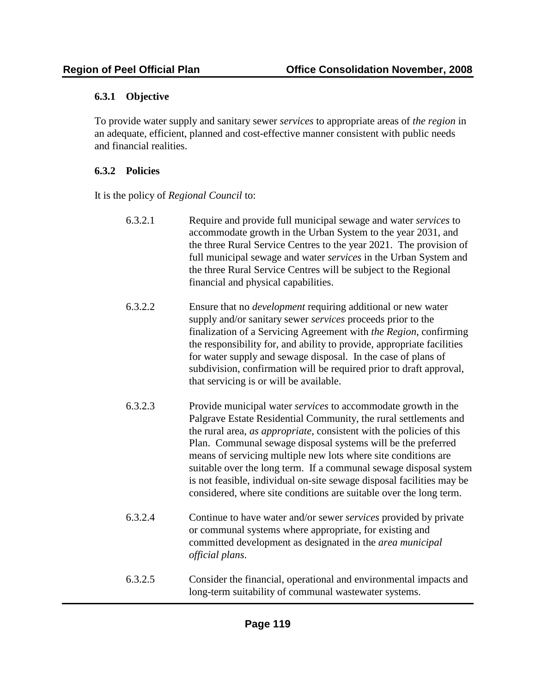#### **6.3.1 Objective**

 To provide water supply and sanitary sewer *services* to appropriate areas of *the region* in an adequate, efficient, planned and cost-effective manner consistent with public needs and financial realities.

#### **6.3.2 Policies**

It is the policy of *Regional Council* to:

 6.3.2.1 Require and provide full municipal sewage and water *services* to accommodate growth in the Urban System to the year 2031, and the three Rural Service Centres to the year 2021. The provision of full municipal sewage and water *services* in the Urban System and the three Rural Service Centres will be subject to the Regional financial and physical capabilities. 6.3.2.2 Ensure that no *development* requiring additional or new water supply and/or sanitary sewer *services* proceeds prior to the finalization of a Servicing Agreement with *the Region*, confirming the responsibility for, and ability to provide, appropriate facilities for water supply and sewage disposal. In the case of plans of subdivision, confirmation will be required prior to draft approval, that servicing is or will be available. 6.3.2.3 Provide municipal water *services* to accommodate growth in the Palgrave Estate Residential Community, the rural settlements and the rural area, *as appropriate*, consistent with the policies of this Plan. Communal sewage disposal systems will be the preferred means of servicing multiple new lots where site conditions are suitable over the long term. If a communal sewage disposal system is not feasible, individual on-site sewage disposal facilities may be considered, where site conditions are suitable over the long term. 6.3.2.4 Continue to have water and/or sewer *services* provided by private or communal systems where appropriate, for existing and committed development as designated in the *area municipal official plans*. 6.3.2.5 Consider the financial, operational and environmental impacts and long-term suitability of communal wastewater systems.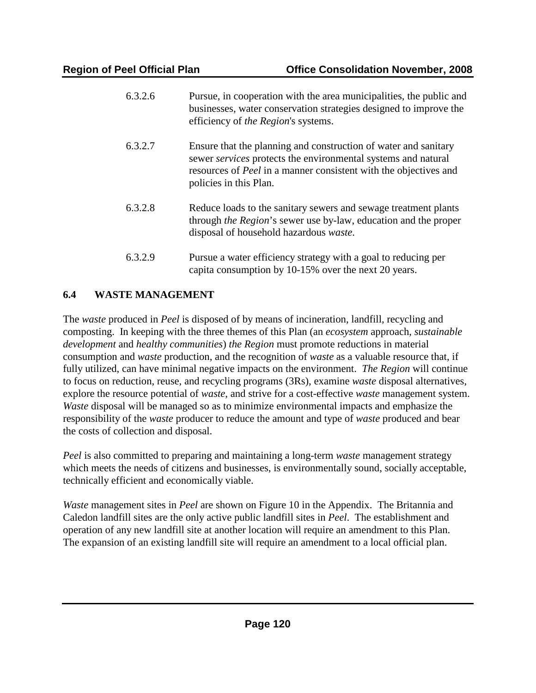| 6.3.2.6 | Pursue, in cooperation with the area municipalities, the public and<br>businesses, water conservation strategies designed to improve the<br>efficiency of the Region's systems.                                                              |
|---------|----------------------------------------------------------------------------------------------------------------------------------------------------------------------------------------------------------------------------------------------|
| 6.3.2.7 | Ensure that the planning and construction of water and sanitary<br>sewer <i>services</i> protects the environmental systems and natural<br>resources of <i>Peel</i> in a manner consistent with the objectives and<br>policies in this Plan. |
| 6.3.2.8 | Reduce loads to the sanitary sewers and sewage treatment plants<br>through <i>the Region</i> 's sewer use by-law, education and the proper<br>disposal of household hazardous waste.                                                         |
| 6.3.2.9 | Pursue a water efficiency strategy with a goal to reducing per<br>capita consumption by 10-15% over the next 20 years.                                                                                                                       |

## **6.4 WASTE MANAGEMENT**

The *waste* produced in *Peel* is disposed of by means of incineration, landfill, recycling and composting. In keeping with the three themes of this Plan (an *ecosystem* approach, *sustainable development* and *healthy communities*) *the Region* must promote reductions in material consumption and *waste* production, and the recognition of *waste* as a valuable resource that, if fully utilized, can have minimal negative impacts on the environment. *The Region* will continue to focus on reduction, reuse, and recycling programs (3Rs), examine *waste* disposal alternatives, explore the resource potential of *waste*, and strive for a cost-effective *waste* management system. *Waste* disposal will be managed so as to minimize environmental impacts and emphasize the responsibility of the *waste* producer to reduce the amount and type of *waste* produced and bear the costs of collection and disposal.

*Peel* is also committed to preparing and maintaining a long-term *waste* management strategy which meets the needs of citizens and businesses, is environmentally sound, socially acceptable, technically efficient and economically viable.

*Waste* management sites in *Peel* are shown on Figure 10 in the Appendix. The Britannia and Caledon landfill sites are the only active public landfill sites in *Peel*. The establishment and operation of any new landfill site at another location will require an amendment to this Plan. The expansion of an existing landfill site will require an amendment to a local official plan.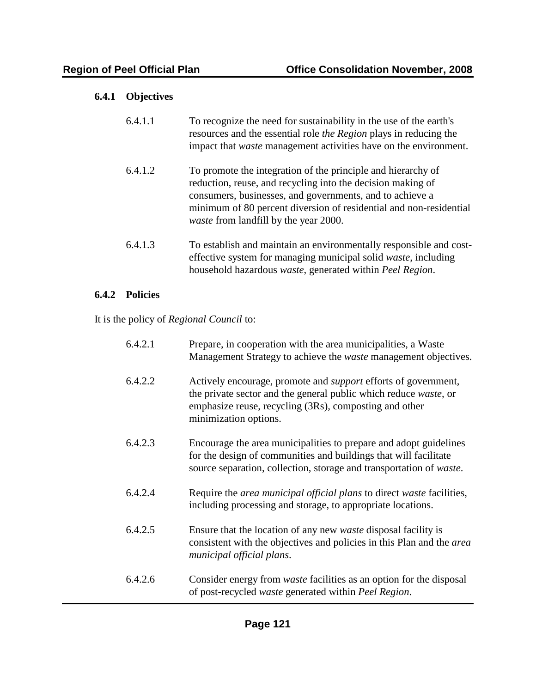#### **6.4.1 Objectives**

| 6.4.1.1 | To recognize the need for sustainability in the use of the earth's<br>resources and the essential role <i>the Region</i> plays in reducing the<br>impact that <i>waste</i> management activities have on the environment.                                                                                     |
|---------|---------------------------------------------------------------------------------------------------------------------------------------------------------------------------------------------------------------------------------------------------------------------------------------------------------------|
| 6.4.1.2 | To promote the integration of the principle and hierarchy of<br>reduction, reuse, and recycling into the decision making of<br>consumers, businesses, and governments, and to achieve a<br>minimum of 80 percent diversion of residential and non-residential<br><i>waste</i> from landfill by the year 2000. |
| 6.4.1.3 | To establish and maintain an environmentally responsible and cost-<br>effective system for managing municipal solid waste, including<br>household hazardous waste, generated within Peel Region.                                                                                                              |

### **6.4.2 Policies**

| 6.4.2.1 | Prepare, in cooperation with the area municipalities, a Waste<br>Management Strategy to achieve the <i>waste</i> management objectives.                                                                                      |
|---------|------------------------------------------------------------------------------------------------------------------------------------------------------------------------------------------------------------------------------|
| 6.4.2.2 | Actively encourage, promote and <i>support</i> efforts of government,<br>the private sector and the general public which reduce waste, or<br>emphasize reuse, recycling (3Rs), composting and other<br>minimization options. |
| 6.4.2.3 | Encourage the area municipalities to prepare and adopt guidelines<br>for the design of communities and buildings that will facilitate<br>source separation, collection, storage and transportation of <i>waste</i> .         |
| 6.4.2.4 | Require the area municipal official plans to direct waste facilities,<br>including processing and storage, to appropriate locations.                                                                                         |
| 6.4.2.5 | Ensure that the location of any new <i>waste</i> disposal facility is<br>consistent with the objectives and policies in this Plan and the <i>area</i><br>municipal official plans.                                           |
| 6.4.2.6 | Consider energy from <i>waste</i> facilities as an option for the disposal<br>of post-recycled waste generated within Peel Region.                                                                                           |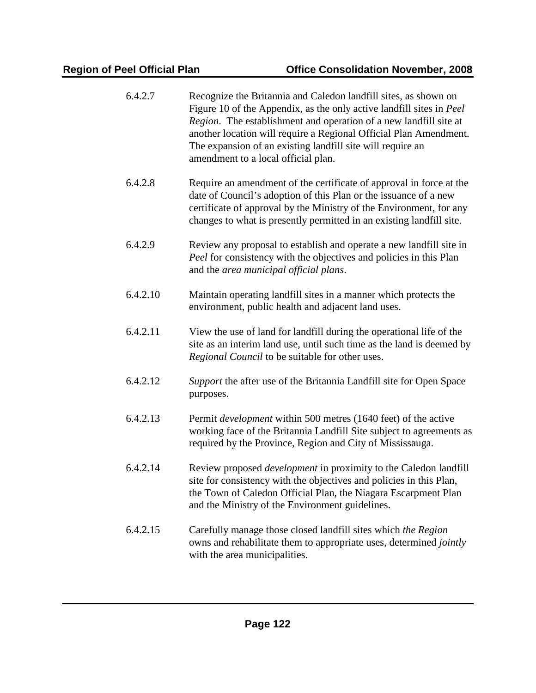| 6.4.2.7  | Recognize the Britannia and Caledon landfill sites, as shown on<br>Figure 10 of the Appendix, as the only active landfill sites in Peel<br>Region. The establishment and operation of a new landfill site at<br>another location will require a Regional Official Plan Amendment.<br>The expansion of an existing landfill site will require an<br>amendment to a local official plan. |
|----------|----------------------------------------------------------------------------------------------------------------------------------------------------------------------------------------------------------------------------------------------------------------------------------------------------------------------------------------------------------------------------------------|
| 6.4.2.8  | Require an amendment of the certificate of approval in force at the<br>date of Council's adoption of this Plan or the issuance of a new<br>certificate of approval by the Ministry of the Environment, for any<br>changes to what is presently permitted in an existing landfill site.                                                                                                 |
| 6.4.2.9  | Review any proposal to establish and operate a new landfill site in<br>Peel for consistency with the objectives and policies in this Plan<br>and the area municipal official plans.                                                                                                                                                                                                    |
| 6.4.2.10 | Maintain operating landfill sites in a manner which protects the<br>environment, public health and adjacent land uses.                                                                                                                                                                                                                                                                 |
| 6.4.2.11 | View the use of land for landfill during the operational life of the<br>site as an interim land use, until such time as the land is deemed by<br>Regional Council to be suitable for other uses.                                                                                                                                                                                       |
| 6.4.2.12 | Support the after use of the Britannia Landfill site for Open Space<br>purposes.                                                                                                                                                                                                                                                                                                       |
| 6.4.2.13 | Permit <i>development</i> within 500 metres (1640 feet) of the active<br>working face of the Britannia Landfill Site subject to agreements as<br>required by the Province, Region and City of Mississauga.                                                                                                                                                                             |
| 6.4.2.14 | Review proposed <i>development</i> in proximity to the Caledon landfill<br>site for consistency with the objectives and policies in this Plan,<br>the Town of Caledon Official Plan, the Niagara Escarpment Plan<br>and the Ministry of the Environment guidelines.                                                                                                                    |
| 6.4.2.15 | Carefully manage those closed landfill sites which the Region<br>owns and rehabilitate them to appropriate uses, determined jointly<br>with the area municipalities.                                                                                                                                                                                                                   |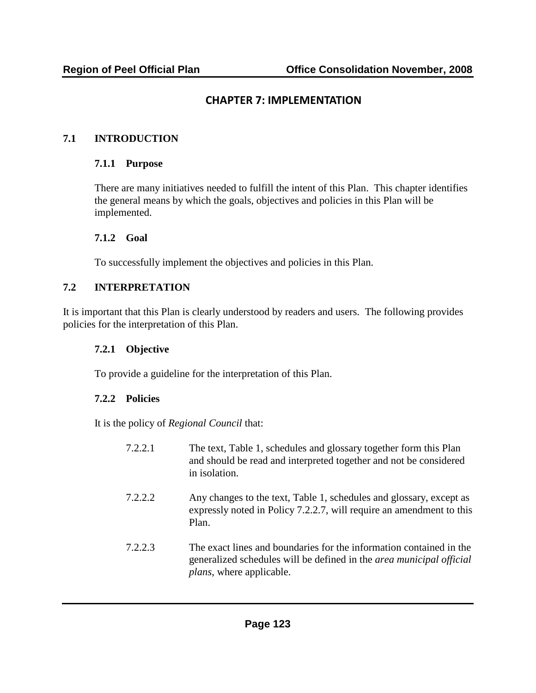## CHAPTER 7: IMPLEMENTATION

#### **7.1 INTRODUCTION**

#### **7.1.1 Purpose**

 There are many initiatives needed to fulfill the intent of this Plan. This chapter identifies the general means by which the goals, objectives and policies in this Plan will be implemented.

#### **7.1.2 Goal**

To successfully implement the objectives and policies in this Plan.

#### **7.2 INTERPRETATION**

It is important that this Plan is clearly understood by readers and users. The following provides policies for the interpretation of this Plan.

## **7.2.1 Objective**

To provide a guideline for the interpretation of this Plan.

#### **7.2.2 Policies**

| 7.2.2.1 | The text, Table 1, schedules and glossary together form this Plan<br>and should be read and interpreted together and not be considered<br>in isolation.                                |
|---------|----------------------------------------------------------------------------------------------------------------------------------------------------------------------------------------|
| 7.2.2.2 | Any changes to the text, Table 1, schedules and glossary, except as<br>expressly noted in Policy 7.2.2.7, will require an amendment to this<br>Plan.                                   |
| 7.2.2.3 | The exact lines and boundaries for the information contained in the<br>generalized schedules will be defined in the <i>area municipal official</i><br><i>plans</i> , where applicable. |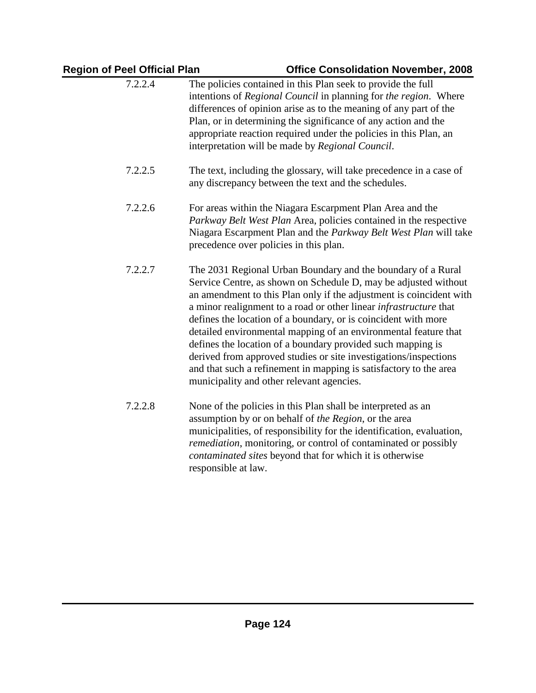| <b>Region of Peel Official Plan</b> | <b>Office Consolidation November, 2008</b>                                                                                                                                                                                                                                                                                                                                                                                                                                                                                                                                                                                                                                   |
|-------------------------------------|------------------------------------------------------------------------------------------------------------------------------------------------------------------------------------------------------------------------------------------------------------------------------------------------------------------------------------------------------------------------------------------------------------------------------------------------------------------------------------------------------------------------------------------------------------------------------------------------------------------------------------------------------------------------------|
| 7.2.2.4                             | The policies contained in this Plan seek to provide the full<br>intentions of Regional Council in planning for the region. Where<br>differences of opinion arise as to the meaning of any part of the<br>Plan, or in determining the significance of any action and the<br>appropriate reaction required under the policies in this Plan, an<br>interpretation will be made by Regional Council.                                                                                                                                                                                                                                                                             |
| 7.2.2.5                             | The text, including the glossary, will take precedence in a case of<br>any discrepancy between the text and the schedules.                                                                                                                                                                                                                                                                                                                                                                                                                                                                                                                                                   |
| 7.2.2.6                             | For areas within the Niagara Escarpment Plan Area and the<br>Parkway Belt West Plan Area, policies contained in the respective<br>Niagara Escarpment Plan and the Parkway Belt West Plan will take<br>precedence over policies in this plan.                                                                                                                                                                                                                                                                                                                                                                                                                                 |
| 7.2.2.7                             | The 2031 Regional Urban Boundary and the boundary of a Rural<br>Service Centre, as shown on Schedule D, may be adjusted without<br>an amendment to this Plan only if the adjustment is coincident with<br>a minor realignment to a road or other linear <i>infrastructure</i> that<br>defines the location of a boundary, or is coincident with more<br>detailed environmental mapping of an environmental feature that<br>defines the location of a boundary provided such mapping is<br>derived from approved studies or site investigations/inspections<br>and that such a refinement in mapping is satisfactory to the area<br>municipality and other relevant agencies. |
| 7.2.2.8                             | None of the policies in this Plan shall be interpreted as an<br>assumption by or on behalf of the Region, or the area<br>municipalities, of responsibility for the identification, evaluation,<br><i>remediation</i> , monitoring, or control of contaminated or possibly<br>contaminated sites beyond that for which it is otherwise<br>responsible at law.                                                                                                                                                                                                                                                                                                                 |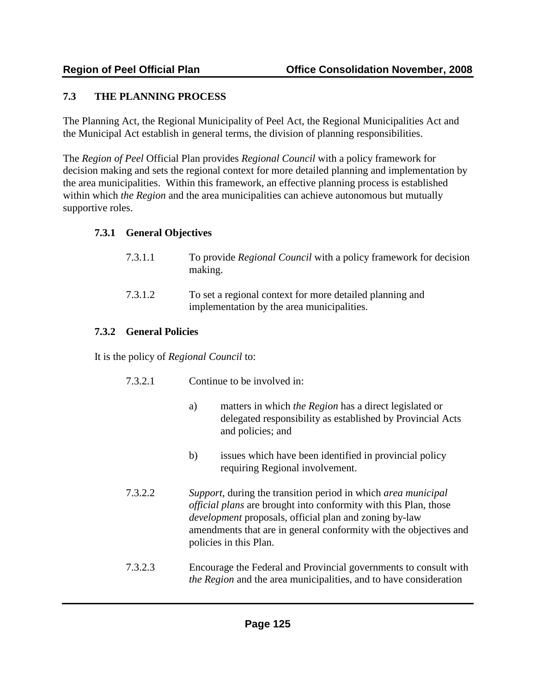### **7.3 THE PLANNING PROCESS**

The Planning Act, the Regional Municipality of Peel Act, the Regional Municipalities Act and the Municipal Act establish in general terms, the division of planning responsibilities.

The *Region of Peel* Official Plan provides *Regional Council* with a policy framework for decision making and sets the regional context for more detailed planning and implementation by the area municipalities. Within this framework, an effective planning process is established within which *the Region* and the area municipalities can achieve autonomous but mutually supportive roles.

### **7.3.1 General Objectives**

- 7.3.1.1 To provide *Regional Council* with a policy framework for decision making.
- 7.3.1.2 To set a regional context for more detailed planning and implementation by the area municipalities.

#### **7.3.2 General Policies**

- 7.3.2.1 Continue to be involved in:
	- a) matters in which *the Region* has a direct legislated or delegated responsibility as established by Provincial Acts and policies; and
	- b) issues which have been identified in provincial policy requiring Regional involvement.
- 7.3.2.2 *Support*, during the transition period in which *area municipal official plans* are brought into conformity with this Plan, those *development* proposals, official plan and zoning by-law amendments that are in general conformity with the objectives and policies in this Plan.
- 7.3.2.3 Encourage the Federal and Provincial governments to consult with *the Region* and the area municipalities, and to have consideration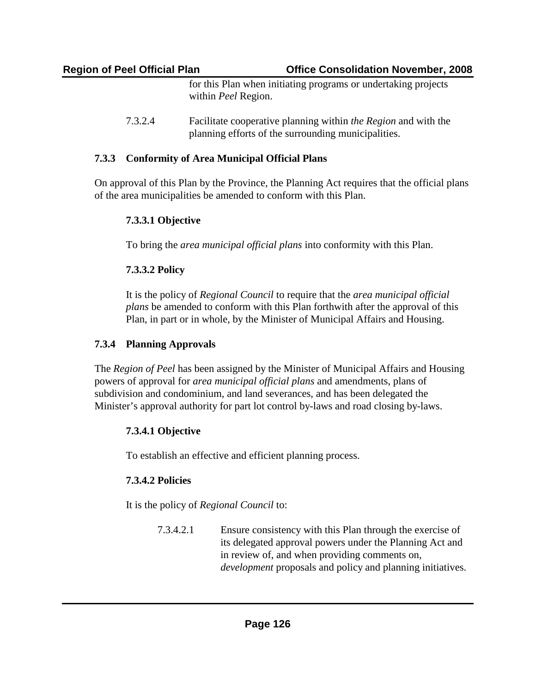7.3.2.4 Facilitate cooperative planning within *the Region* and with the planning efforts of the surrounding municipalities.

## **7.3.3 Conformity of Area Municipal Official Plans**

within *Peel* Region.

 On approval of this Plan by the Province, the Planning Act requires that the official plans of the area municipalities be amended to conform with this Plan.

## **7.3.3.1 Objective**

To bring the *area municipal official plans* into conformity with this Plan.

## **7.3.3.2 Policy**

 It is the policy of *Regional Council* to require that the *area municipal official plans* be amended to conform with this Plan forthwith after the approval of this Plan, in part or in whole, by the Minister of Municipal Affairs and Housing.

## **7.3.4 Planning Approvals**

 The *Region of Peel* has been assigned by the Minister of Municipal Affairs and Housing powers of approval for *area municipal official plans* and amendments, plans of subdivision and condominium, and land severances, and has been delegated the Minister's approval authority for part lot control by-laws and road closing by-laws.

## **7.3.4.1 Objective**

To establish an effective and efficient planning process.

# **7.3.4.2 Policies**

It is the policy of *Regional Council* to:

 7.3.4.2.1 Ensure consistency with this Plan through the exercise of its delegated approval powers under the Planning Act and in review of, and when providing comments on, *development* proposals and policy and planning initiatives.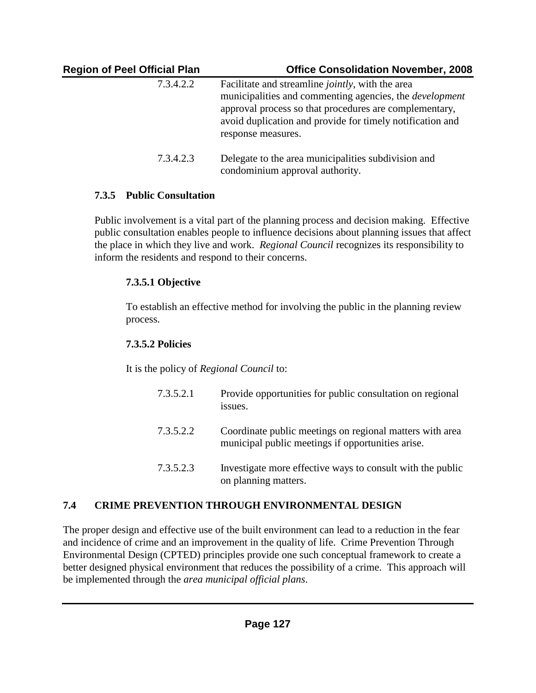| <b>Region of Peel Official Plan</b> | <b>Office Consolidation November, 2008</b>                                                                                                                                                                                                                              |
|-------------------------------------|-------------------------------------------------------------------------------------------------------------------------------------------------------------------------------------------------------------------------------------------------------------------------|
| 7.3.4.2.2                           | Facilitate and streamline <i>jointly</i> , with the area<br>municipalities and commenting agencies, the <i>development</i><br>approval process so that procedures are complementary,<br>avoid duplication and provide for timely notification and<br>response measures. |
| 7.3.4.2.3                           | Delegate to the area municipalities subdivision and<br>condominium approval authority.                                                                                                                                                                                  |

## **7.3.5 Public Consultation**

 Public involvement is a vital part of the planning process and decision making. Effective public consultation enables people to influence decisions about planning issues that affect the place in which they live and work. *Regional Council* recognizes its responsibility to inform the residents and respond to their concerns.

## **7.3.5.1 Objective**

 To establish an effective method for involving the public in the planning review process.

# **7.3.5.2 Policies**

It is the policy of *Regional Council* to:

 7.3.5.2.1 Provide opportunities for public consultation on regional issues. 7.3.5.2.2 Coordinate public meetings on regional matters with area municipal public meetings if opportunities arise. 7.3.5.2.3 Investigate more effective ways to consult with the public on planning matters.

# **7.4 CRIME PREVENTION THROUGH ENVIRONMENTAL DESIGN**

The proper design and effective use of the built environment can lead to a reduction in the fear and incidence of crime and an improvement in the quality of life. Crime Prevention Through Environmental Design (CPTED) principles provide one such conceptual framework to create a better designed physical environment that reduces the possibility of a crime. This approach will be implemented through the *area municipal official plans*.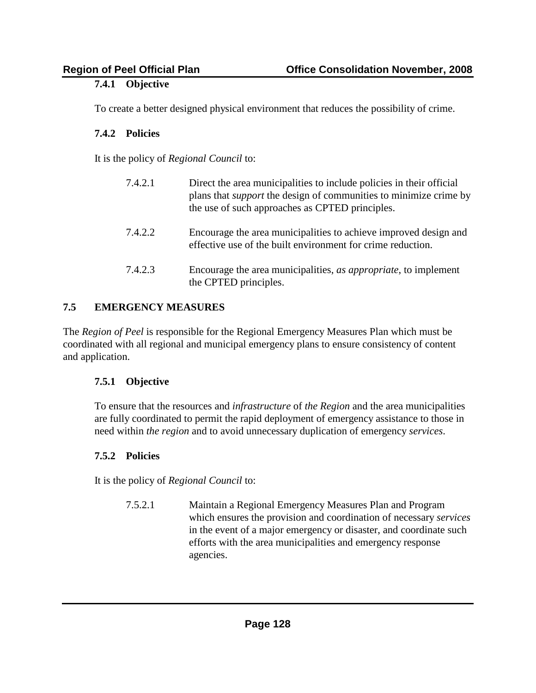### **7.4.1 Objective**

To create a better designed physical environment that reduces the possibility of crime.

## **7.4.2 Policies**

It is the policy of *Regional Council* to:

| 7.4.2.1 | Direct the area municipalities to include policies in their official<br>plans that <i>support</i> the design of communities to minimize crime by<br>the use of such approaches as CPTED principles. |
|---------|-----------------------------------------------------------------------------------------------------------------------------------------------------------------------------------------------------|
| 7.4.2.2 | Encourage the area municipalities to achieve improved design and<br>effective use of the built environment for crime reduction.                                                                     |
| 7.4.2.3 | Encourage the area municipalities, as appropriate, to implement<br>the CPTED principles.                                                                                                            |

## **7.5 EMERGENCY MEASURES**

The *Region of Peel* is responsible for the Regional Emergency Measures Plan which must be coordinated with all regional and municipal emergency plans to ensure consistency of content and application.

## **7.5.1 Objective**

 To ensure that the resources and *infrastructure* of *the Region* and the area municipalities are fully coordinated to permit the rapid deployment of emergency assistance to those in need within *the region* and to avoid unnecessary duplication of emergency *services*.

## **7.5.2 Policies**

It is the policy of *Regional Council* to:

 7.5.2.1 Maintain a Regional Emergency Measures Plan and Program which ensures the provision and coordination of necessary *services* in the event of a major emergency or disaster, and coordinate such efforts with the area municipalities and emergency response agencies.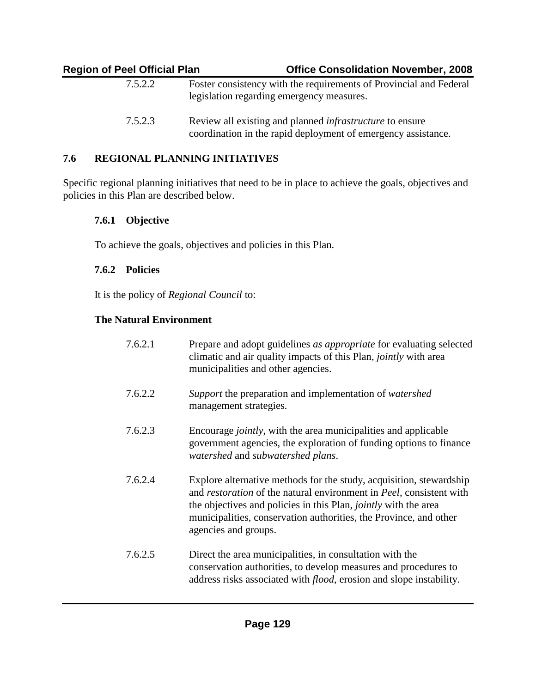| <b>Region of Peel Official Plan</b> | <b>Office Consolidation November, 2008</b>                                                                                       |
|-------------------------------------|----------------------------------------------------------------------------------------------------------------------------------|
| 7.5.2.2                             | Foster consistency with the requirements of Provincial and Federal<br>legislation regarding emergency measures.                  |
| 7.5.2.3                             | Review all existing and planned <i>infrastructure</i> to ensure<br>coordination in the rapid deployment of emergency assistance. |

## **7.6 REGIONAL PLANNING INITIATIVES**

Specific regional planning initiatives that need to be in place to achieve the goals, objectives and policies in this Plan are described below.

### **7.6.1 Objective**

To achieve the goals, objectives and policies in this Plan.

## **7.6.2 Policies**

It is the policy of *Regional Council* to:

## **The Natural Environment**

| 7.6.2.1 | Prepare and adopt guidelines as appropriate for evaluating selected<br>climatic and air quality impacts of this Plan, jointly with area<br>municipalities and other agencies.                                                                                                                                                    |
|---------|----------------------------------------------------------------------------------------------------------------------------------------------------------------------------------------------------------------------------------------------------------------------------------------------------------------------------------|
| 7.6.2.2 | Support the preparation and implementation of watershed<br>management strategies.                                                                                                                                                                                                                                                |
| 7.6.2.3 | Encourage <i>jointly</i> , with the area municipalities and applicable<br>government agencies, the exploration of funding options to finance<br>watershed and subwatershed plans.                                                                                                                                                |
| 7.6.2.4 | Explore alternative methods for the study, acquisition, stewardship<br>and <i>restoration</i> of the natural environment in <i>Peel</i> , consistent with<br>the objectives and policies in this Plan, <i>jointly</i> with the area<br>municipalities, conservation authorities, the Province, and other<br>agencies and groups. |
| 7.6.2.5 | Direct the area municipalities, in consultation with the<br>conservation authorities, to develop measures and procedures to<br>address risks associated with <i>flood</i> , erosion and slope instability.                                                                                                                       |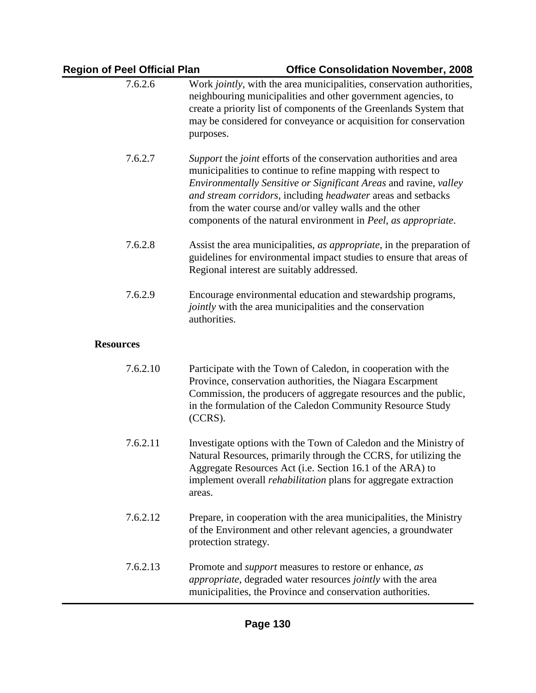| <b>Region of Peel Official Plan</b> | <b>Office Consolidation November, 2008</b>                                                                                                                                                                                                                                                                                                                                                           |
|-------------------------------------|------------------------------------------------------------------------------------------------------------------------------------------------------------------------------------------------------------------------------------------------------------------------------------------------------------------------------------------------------------------------------------------------------|
| 7.6.2.6                             | Work <i>jointly</i> , with the area municipalities, conservation authorities,<br>neighbouring municipalities and other government agencies, to<br>create a priority list of components of the Greenlands System that<br>may be considered for conveyance or acquisition for conservation<br>purposes.                                                                                                |
| 7.6.2.7                             | Support the joint efforts of the conservation authorities and area<br>municipalities to continue to refine mapping with respect to<br>Environmentally Sensitive or Significant Areas and ravine, valley<br>and stream corridors, including headwater areas and setbacks<br>from the water course and/or valley walls and the other<br>components of the natural environment in Peel, as appropriate. |
| 7.6.2.8                             | Assist the area municipalities, as appropriate, in the preparation of<br>guidelines for environmental impact studies to ensure that areas of<br>Regional interest are suitably addressed.                                                                                                                                                                                                            |
| 7.6.2.9                             | Encourage environmental education and stewardship programs,<br>jointly with the area municipalities and the conservation<br>authorities.                                                                                                                                                                                                                                                             |
| <b>Resources</b>                    |                                                                                                                                                                                                                                                                                                                                                                                                      |
| 7.6.2.10                            | Participate with the Town of Caledon, in cooperation with the<br>Province, conservation authorities, the Niagara Escarpment<br>Commission, the producers of aggregate resources and the public,<br>in the formulation of the Caledon Community Resource Study<br>(CCRS).                                                                                                                             |
| 7.6.2.11                            | Investigate options with the Town of Caledon and the Ministry of<br>Natural Resources, primarily through the CCRS, for utilizing the<br>Aggregate Resources Act (i.e. Section 16.1 of the ARA) to<br>implement overall <i>rehabilitation</i> plans for aggregate extraction<br>areas.                                                                                                                |
| 7.6.2.12                            | Prepare, in cooperation with the area municipalities, the Ministry<br>of the Environment and other relevant agencies, a groundwater<br>protection strategy.                                                                                                                                                                                                                                          |
| 7.6.2.13                            | Promote and <i>support</i> measures to restore or enhance, as<br>appropriate, degraded water resources jointly with the area<br>municipalities, the Province and conservation authorities.                                                                                                                                                                                                           |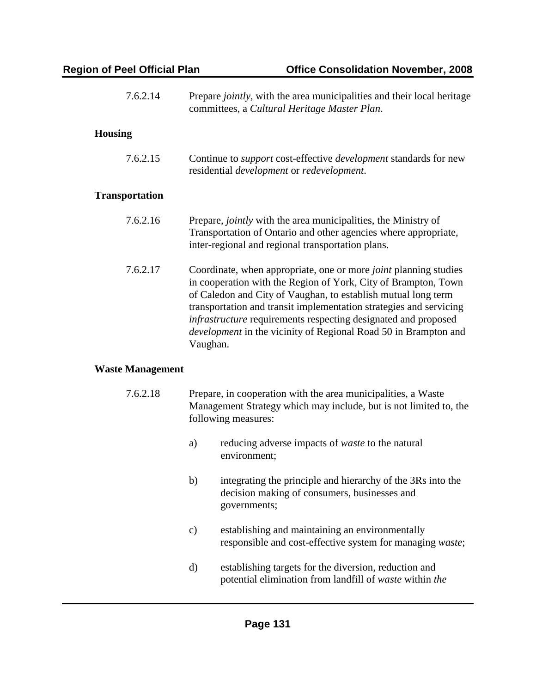| 7.6.2.14              | Prepare jointly, with the area municipalities and their local heritage<br>committees, a Cultural Heritage Master Plan.                                                                                                                                                                                                                                                                                                                          |
|-----------------------|-------------------------------------------------------------------------------------------------------------------------------------------------------------------------------------------------------------------------------------------------------------------------------------------------------------------------------------------------------------------------------------------------------------------------------------------------|
| <b>Housing</b>        |                                                                                                                                                                                                                                                                                                                                                                                                                                                 |
| 7.6.2.15              | Continue to <i>support</i> cost-effective <i>development</i> standards for new<br>residential <i>development</i> or <i>redevelopment</i> .                                                                                                                                                                                                                                                                                                      |
| <b>Transportation</b> |                                                                                                                                                                                                                                                                                                                                                                                                                                                 |
| 7.6.2.16              | Prepare, <i>jointly</i> with the area municipalities, the Ministry of<br>Transportation of Ontario and other agencies where appropriate,<br>inter-regional and regional transportation plans.                                                                                                                                                                                                                                                   |
| 7.6.2.17              | Coordinate, when appropriate, one or more <i>joint</i> planning studies<br>in cooperation with the Region of York, City of Brampton, Town<br>of Caledon and City of Vaughan, to establish mutual long term<br>transportation and transit implementation strategies and servicing<br><i>infrastructure</i> requirements respecting designated and proposed<br><i>development</i> in the vicinity of Regional Road 50 in Brampton and<br>Vaughan. |

### **Waste Management**

- 7.6.2.18 Prepare, in cooperation with the area municipalities, a Waste Management Strategy which may include, but is not limited to, the following measures:
	- a) reducing adverse impacts of *waste* to the natural environment;
	- b) integrating the principle and hierarchy of the 3Rs into the decision making of consumers, businesses and governments;
	- c) establishing and maintaining an environmentally responsible and cost-effective system for managing *waste*;
	- d) establishing targets for the diversion, reduction and potential elimination from landfill of *waste* within *the*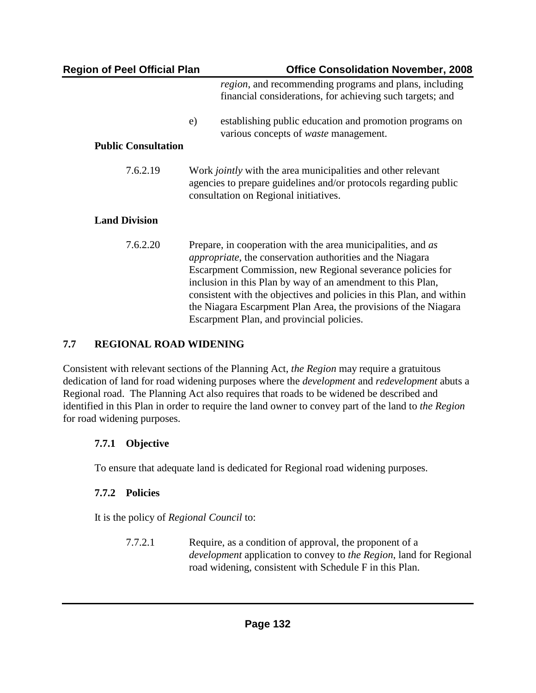| <b>Region of Peel Official Plan</b> |                                                                                                                                                                           | <b>Office Consolidation November, 2008</b>                                                                                                                                                                                                                                                                                                                                                                                                             |  |
|-------------------------------------|---------------------------------------------------------------------------------------------------------------------------------------------------------------------------|--------------------------------------------------------------------------------------------------------------------------------------------------------------------------------------------------------------------------------------------------------------------------------------------------------------------------------------------------------------------------------------------------------------------------------------------------------|--|
|                                     |                                                                                                                                                                           | <i>region</i> , and recommending programs and plans, including<br>financial considerations, for achieving such targets; and                                                                                                                                                                                                                                                                                                                            |  |
|                                     | e)                                                                                                                                                                        | establishing public education and promotion programs on<br>various concepts of <i>waste</i> management.                                                                                                                                                                                                                                                                                                                                                |  |
| <b>Public Consultation</b>          |                                                                                                                                                                           |                                                                                                                                                                                                                                                                                                                                                                                                                                                        |  |
| 7.6.2.19                            | Work jointly with the area municipalities and other relevant<br>agencies to prepare guidelines and/or protocols regarding public<br>consultation on Regional initiatives. |                                                                                                                                                                                                                                                                                                                                                                                                                                                        |  |
| <b>Land Division</b>                |                                                                                                                                                                           |                                                                                                                                                                                                                                                                                                                                                                                                                                                        |  |
| 7.6.2.20                            |                                                                                                                                                                           | Prepare, in cooperation with the area municipalities, and as<br><i>appropriate</i> , the conservation authorities and the Niagara<br>Escarpment Commission, new Regional severance policies for<br>inclusion in this Plan by way of an amendment to this Plan,<br>consistent with the objectives and policies in this Plan, and within<br>the Niagara Escarpment Plan Area, the provisions of the Niagara<br>Escarpment Plan, and provincial policies. |  |

## **7.7 REGIONAL ROAD WIDENING**

Consistent with relevant sections of the Planning Act, *the Region* may require a gratuitous dedication of land for road widening purposes where the *development* and *redevelopment* abuts a Regional road. The Planning Act also requires that roads to be widened be described and identified in this Plan in order to require the land owner to convey part of the land to *the Region* for road widening purposes.

## **7.7.1 Objective**

To ensure that adequate land is dedicated for Regional road widening purposes.

# **7.7.2 Policies**

It is the policy of *Regional Council* to:

 7.7.2.1 Require, as a condition of approval, the proponent of a *development* application to convey to *the Region*, land for Regional road widening, consistent with Schedule F in this Plan.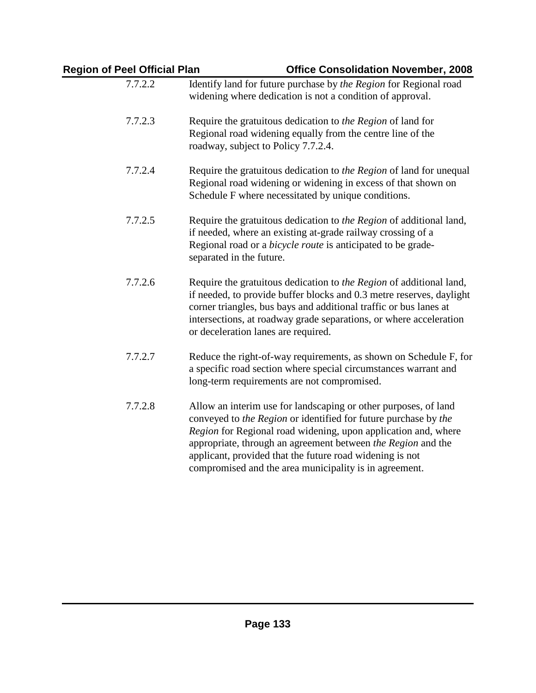| <b>Region of Peel Official Plan</b> | <b>Office Consolidation November, 2008</b>                                                                                                                                                                                                                                                                                                                                                 |
|-------------------------------------|--------------------------------------------------------------------------------------------------------------------------------------------------------------------------------------------------------------------------------------------------------------------------------------------------------------------------------------------------------------------------------------------|
| 7.7.2.2                             | Identify land for future purchase by the Region for Regional road<br>widening where dedication is not a condition of approval.                                                                                                                                                                                                                                                             |
| 7.7.2.3                             | Require the gratuitous dedication to the Region of land for<br>Regional road widening equally from the centre line of the<br>roadway, subject to Policy 7.7.2.4.                                                                                                                                                                                                                           |
| 7.7.2.4                             | Require the gratuitous dedication to the Region of land for unequal<br>Regional road widening or widening in excess of that shown on<br>Schedule F where necessitated by unique conditions.                                                                                                                                                                                                |
| 7.7.2.5                             | Require the gratuitous dedication to the Region of additional land,<br>if needed, where an existing at-grade railway crossing of a<br>Regional road or a <i>bicycle route</i> is anticipated to be grade-<br>separated in the future.                                                                                                                                                      |
| 7.7.2.6                             | Require the gratuitous dedication to the Region of additional land,<br>if needed, to provide buffer blocks and 0.3 metre reserves, daylight<br>corner triangles, bus bays and additional traffic or bus lanes at<br>intersections, at roadway grade separations, or where acceleration<br>or deceleration lanes are required.                                                              |
| 7.7.2.7                             | Reduce the right-of-way requirements, as shown on Schedule F, for<br>a specific road section where special circumstances warrant and<br>long-term requirements are not compromised.                                                                                                                                                                                                        |
| 7.7.2.8                             | Allow an interim use for landscaping or other purposes, of land<br>conveyed to the Region or identified for future purchase by the<br>Region for Regional road widening, upon application and, where<br>appropriate, through an agreement between the Region and the<br>applicant, provided that the future road widening is not<br>compromised and the area municipality is in agreement. |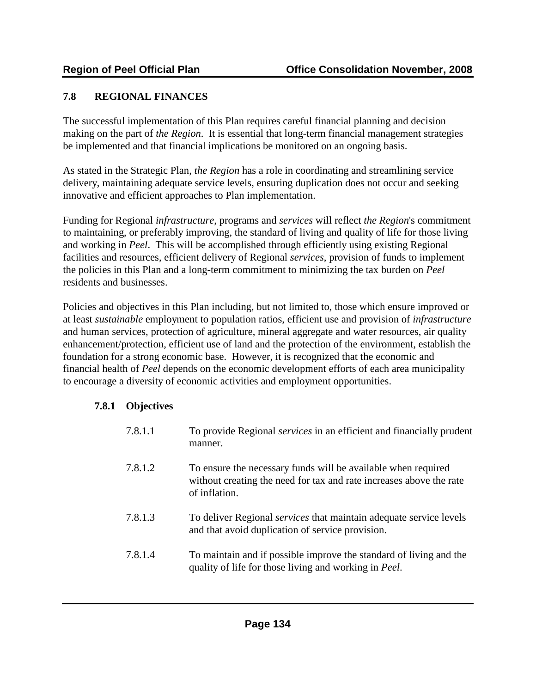# **7.8 REGIONAL FINANCES**

The successful implementation of this Plan requires careful financial planning and decision making on the part of *the Region*. It is essential that long-term financial management strategies be implemented and that financial implications be monitored on an ongoing basis.

As stated in the Strategic Plan, *the Region* has a role in coordinating and streamlining service delivery, maintaining adequate service levels, ensuring duplication does not occur and seeking innovative and efficient approaches to Plan implementation.

Funding for Regional *infrastructure*, programs and *services* will reflect *the Region*'s commitment to maintaining, or preferably improving, the standard of living and quality of life for those living and working in *Peel*. This will be accomplished through efficiently using existing Regional facilities and resources, efficient delivery of Regional *services*, provision of funds to implement the policies in this Plan and a long-term commitment to minimizing the tax burden on *Peel* residents and businesses.

Policies and objectives in this Plan including, but not limited to, those which ensure improved or at least *sustainable* employment to population ratios, efficient use and provision of *infrastructure* and human services, protection of agriculture, mineral aggregate and water resources, air quality enhancement/protection, efficient use of land and the protection of the environment, establish the foundation for a strong economic base. However, it is recognized that the economic and financial health of *Peel* depends on the economic development efforts of each area municipality to encourage a diversity of economic activities and employment opportunities.

# **7.8.1 Objectives**

| 7.8.1.1 | To provide Regional <i>services</i> in an efficient and financially prudent<br>manner.                                                                |
|---------|-------------------------------------------------------------------------------------------------------------------------------------------------------|
| 7.8.1.2 | To ensure the necessary funds will be available when required<br>without creating the need for tax and rate increases above the rate<br>of inflation. |
| 7.8.1.3 | To deliver Regional <i>services</i> that maintain adequate service levels<br>and that avoid duplication of service provision.                         |
| 7.8.1.4 | To maintain and if possible improve the standard of living and the<br>quality of life for those living and working in Peel.                           |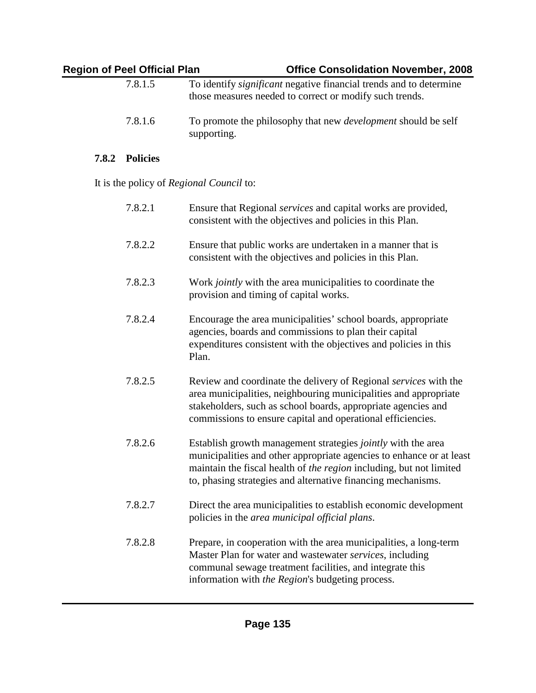| <b>Region of Peel Official Plan</b>             | <b>Office Consolidation November, 2008</b>                                                                                                                                                                                                                                         |
|-------------------------------------------------|------------------------------------------------------------------------------------------------------------------------------------------------------------------------------------------------------------------------------------------------------------------------------------|
| 7.8.1.5                                         | To identify <i>significant</i> negative financial trends and to determine<br>those measures needed to correct or modify such trends.                                                                                                                                               |
| 7.8.1.6                                         | To promote the philosophy that new <i>development</i> should be self<br>supporting.                                                                                                                                                                                                |
| <b>Policies</b><br>7.8.2                        |                                                                                                                                                                                                                                                                                    |
| It is the policy of <i>Regional Council</i> to: |                                                                                                                                                                                                                                                                                    |
| 7.8.2.1                                         | Ensure that Regional services and capital works are provided,<br>consistent with the objectives and policies in this Plan.                                                                                                                                                         |
| 7.8.2.2                                         | Ensure that public works are undertaken in a manner that is<br>consistent with the objectives and policies in this Plan.                                                                                                                                                           |
| 7.8.2.3                                         | Work <i>jointly</i> with the area municipalities to coordinate the<br>provision and timing of capital works.                                                                                                                                                                       |
| 7.8.2.4                                         | Encourage the area municipalities' school boards, appropriate<br>agencies, boards and commissions to plan their capital<br>expenditures consistent with the objectives and policies in this<br>Plan.                                                                               |
| 7.8.2.5                                         | Review and coordinate the delivery of Regional services with the<br>area municipalities, neighbouring municipalities and appropriate<br>stakeholders, such as school boards, appropriate agencies and<br>commissions to ensure capital and operational efficiencies.               |
| 7.8.2.6                                         | Establish growth management strategies <i>jointly</i> with the area<br>municipalities and other appropriate agencies to enhance or at least<br>maintain the fiscal health of the region including, but not limited<br>to, phasing strategies and alternative financing mechanisms. |
| 7.8.2.7                                         | Direct the area municipalities to establish economic development<br>policies in the area municipal official plans.                                                                                                                                                                 |
| 7.8.2.8                                         | Prepare, in cooperation with the area municipalities, a long-term<br>Master Plan for water and wastewater services, including<br>communal sewage treatment facilities, and integrate this<br>information with the Region's budgeting process.                                      |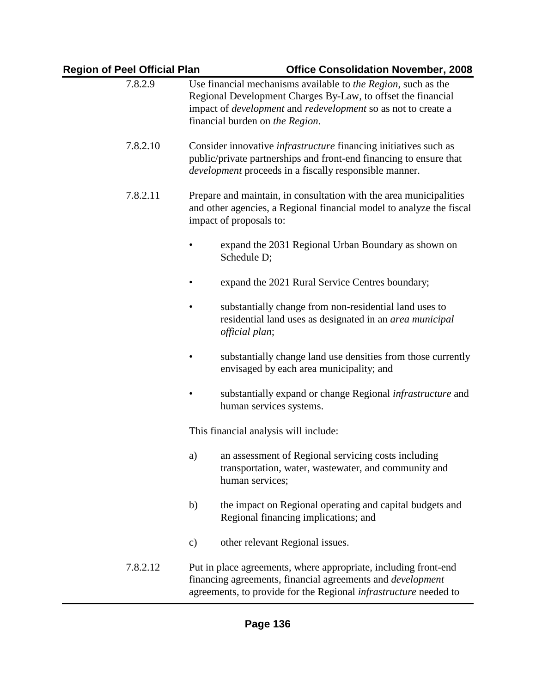| <b>Region of Peel Official Plan</b> | <b>Office Consolidation November, 2008</b>                                                                                                                                                                                                      |  |
|-------------------------------------|-------------------------------------------------------------------------------------------------------------------------------------------------------------------------------------------------------------------------------------------------|--|
| 7.8.2.9                             | Use financial mechanisms available to the Region, such as the<br>Regional Development Charges By-Law, to offset the financial<br>impact of <i>development</i> and <i>redevelopment</i> so as not to create a<br>financial burden on the Region. |  |
| 7.8.2.10                            | Consider innovative <i>infrastructure</i> financing initiatives such as<br>public/private partnerships and front-end financing to ensure that<br><i>development</i> proceeds in a fiscally responsible manner.                                  |  |
| 7.8.2.11                            | Prepare and maintain, in consultation with the area municipalities<br>and other agencies, a Regional financial model to analyze the fiscal<br>impact of proposals to:                                                                           |  |
|                                     | expand the 2031 Regional Urban Boundary as shown on<br>Schedule D;                                                                                                                                                                              |  |
|                                     | expand the 2021 Rural Service Centres boundary;                                                                                                                                                                                                 |  |
| ٠                                   | substantially change from non-residential land uses to<br>residential land uses as designated in an <i>area municipal</i><br><i>official plan</i> ;                                                                                             |  |
|                                     | substantially change land use densities from those currently<br>envisaged by each area municipality; and                                                                                                                                        |  |
|                                     | substantially expand or change Regional <i>infrastructure</i> and<br>human services systems.                                                                                                                                                    |  |
|                                     | This financial analysis will include:                                                                                                                                                                                                           |  |
|                                     | an assessment of Regional servicing costs including<br>a)<br>transportation, water, wastewater, and community and<br>human services;                                                                                                            |  |
|                                     | b)<br>the impact on Regional operating and capital budgets and<br>Regional financing implications; and                                                                                                                                          |  |
|                                     | other relevant Regional issues.<br>$\mathbf{c})$                                                                                                                                                                                                |  |
| 7.8.2.12                            | Put in place agreements, where appropriate, including front-end<br>financing agreements, financial agreements and <i>development</i><br>agreements, to provide for the Regional infrastructure needed to                                        |  |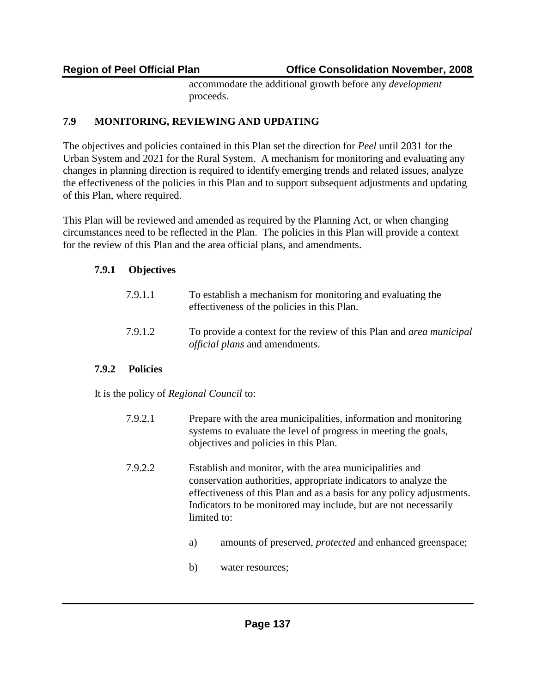accommodate the additional growth before any *development* proceeds.

### **7.9 MONITORING, REVIEWING AND UPDATING**

The objectives and policies contained in this Plan set the direction for *Peel* until 2031 for the Urban System and 2021 for the Rural System. A mechanism for monitoring and evaluating any changes in planning direction is required to identify emerging trends and related issues, analyze the effectiveness of the policies in this Plan and to support subsequent adjustments and updating of this Plan, where required.

This Plan will be reviewed and amended as required by the Planning Act, or when changing circumstances need to be reflected in the Plan. The policies in this Plan will provide a context for the review of this Plan and the area official plans, and amendments.

### **7.9.1 Objectives**

| 7.9.1.1 | To establish a mechanism for monitoring and evaluating the<br>effectiveness of the policies in this Plan.           |
|---------|---------------------------------------------------------------------------------------------------------------------|
| 7.9.1.2 | To provide a context for the review of this Plan and <i>area municipal</i><br><i>official plans</i> and amendments. |

### **7.9.2 Policies**

It is the policy of *Regional Council* to:

- 7.9.2.1 Prepare with the area municipalities, information and monitoring systems to evaluate the level of progress in meeting the goals, objectives and policies in this Plan.
- 7.9.2.2 Establish and monitor, with the area municipalities and conservation authorities, appropriate indicators to analyze the effectiveness of this Plan and as a basis for any policy adjustments. Indicators to be monitored may include, but are not necessarily limited to:
	- a) amounts of preserved, *protected* and enhanced greenspace;
	- b) water resources;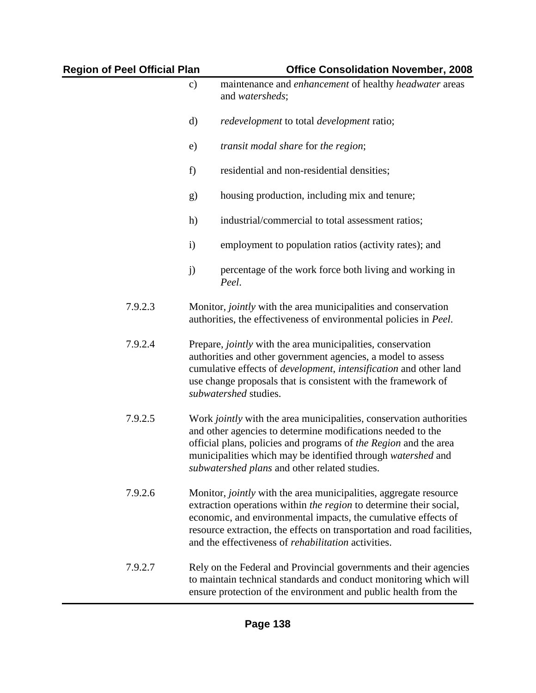| <b>Region of Peel Official Plan</b> |               | <b>Office Consolidation November, 2008</b>                                                                                                                                                                                                                                                                                                                |
|-------------------------------------|---------------|-----------------------------------------------------------------------------------------------------------------------------------------------------------------------------------------------------------------------------------------------------------------------------------------------------------------------------------------------------------|
|                                     | $\mathbf{c})$ | maintenance and enhancement of healthy headwater areas<br>and watersheds;                                                                                                                                                                                                                                                                                 |
|                                     | d)            | <i>redevelopment</i> to total <i>development</i> ratio;                                                                                                                                                                                                                                                                                                   |
|                                     | e)            | transit modal share for the region;                                                                                                                                                                                                                                                                                                                       |
|                                     | f)            | residential and non-residential densities;                                                                                                                                                                                                                                                                                                                |
|                                     | g)            | housing production, including mix and tenure;                                                                                                                                                                                                                                                                                                             |
|                                     | h)            | industrial/commercial to total assessment ratios;                                                                                                                                                                                                                                                                                                         |
|                                     | $\mathbf{i}$  | employment to population ratios (activity rates); and                                                                                                                                                                                                                                                                                                     |
|                                     | j)            | percentage of the work force both living and working in<br>Peel.                                                                                                                                                                                                                                                                                          |
| 7.9.2.3                             |               | Monitor, <i>jointly</i> with the area municipalities and conservation<br>authorities, the effectiveness of environmental policies in Peel.                                                                                                                                                                                                                |
| 7.9.2.4                             |               | Prepare, jointly with the area municipalities, conservation<br>authorities and other government agencies, a model to assess<br>cumulative effects of <i>development</i> , <i>intensification</i> and other land<br>use change proposals that is consistent with the framework of<br>subwatershed studies.                                                 |
| 7.9.2.5                             |               | Work <i>jointly</i> with the area municipalities, conservation authorities<br>and other agencies to determine modifications needed to the<br>official plans, policies and programs of the Region and the area<br>municipalities which may be identified through watershed and<br>subwatershed plans and other related studies.                            |
| 7.9.2.6                             |               | Monitor, <i>jointly</i> with the area municipalities, aggregate resource<br>extraction operations within the region to determine their social,<br>economic, and environmental impacts, the cumulative effects of<br>resource extraction, the effects on transportation and road facilities,<br>and the effectiveness of <i>rehabilitation</i> activities. |
| 7.9.2.7                             |               | Rely on the Federal and Provincial governments and their agencies<br>to maintain technical standards and conduct monitoring which will<br>ensure protection of the environment and public health from the                                                                                                                                                 |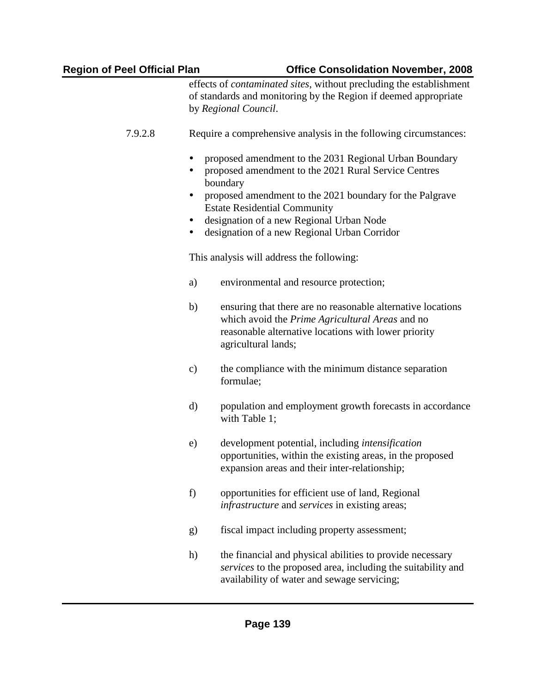| <b>Region of Peel Official Plan</b> |               | <b>Office Consolidation November, 2008</b>                                                                                                                                                                                                                                                                                |
|-------------------------------------|---------------|---------------------------------------------------------------------------------------------------------------------------------------------------------------------------------------------------------------------------------------------------------------------------------------------------------------------------|
|                                     |               | effects of contaminated sites, without precluding the establishment<br>of standards and monitoring by the Region if deemed appropriate<br>by Regional Council.                                                                                                                                                            |
| 7.9.2.8                             |               | Require a comprehensive analysis in the following circumstances:                                                                                                                                                                                                                                                          |
|                                     | $\bullet$     | proposed amendment to the 2031 Regional Urban Boundary<br>proposed amendment to the 2021 Rural Service Centres<br>boundary<br>proposed amendment to the 2021 boundary for the Palgrave<br><b>Estate Residential Community</b><br>designation of a new Regional Urban Node<br>designation of a new Regional Urban Corridor |
|                                     |               | This analysis will address the following:                                                                                                                                                                                                                                                                                 |
|                                     | a)            | environmental and resource protection;                                                                                                                                                                                                                                                                                    |
|                                     | b)            | ensuring that there are no reasonable alternative locations<br>which avoid the Prime Agricultural Areas and no<br>reasonable alternative locations with lower priority<br>agricultural lands;                                                                                                                             |
|                                     | $\mathbf{c})$ | the compliance with the minimum distance separation<br>formulae;                                                                                                                                                                                                                                                          |
|                                     | d)            | population and employment growth forecasts in accordance<br>with Table 1;                                                                                                                                                                                                                                                 |
|                                     | e)            | development potential, including intensification<br>opportunities, within the existing areas, in the proposed<br>expansion areas and their inter-relationship;                                                                                                                                                            |
|                                     | f)            | opportunities for efficient use of land, Regional<br><i>infrastructure</i> and <i>services</i> in existing areas;                                                                                                                                                                                                         |
|                                     | g)            | fiscal impact including property assessment;                                                                                                                                                                                                                                                                              |
|                                     | h)            | the financial and physical abilities to provide necessary<br>services to the proposed area, including the suitability and<br>availability of water and sewage servicing;                                                                                                                                                  |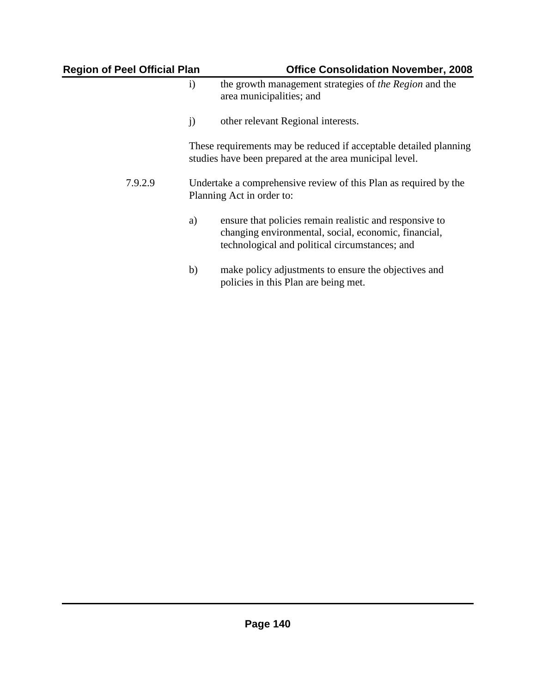| <b>Region of Peel Official Plan</b> | <b>Office Consolidation November, 2008</b>                                                                                                                        |  |
|-------------------------------------|-------------------------------------------------------------------------------------------------------------------------------------------------------------------|--|
| $\mathbf{i}$                        | the growth management strategies of the Region and the<br>area municipalities; and                                                                                |  |
| j)                                  | other relevant Regional interests.                                                                                                                                |  |
|                                     | These requirements may be reduced if acceptable detailed planning<br>studies have been prepared at the area municipal level.                                      |  |
| 7.9.2.9                             | Undertake a comprehensive review of this Plan as required by the<br>Planning Act in order to:                                                                     |  |
| a)                                  | ensure that policies remain realistic and responsive to<br>changing environmental, social, economic, financial,<br>technological and political circumstances; and |  |
| b)                                  | make policy adjustments to ensure the objectives and<br>policies in this Plan are being met.                                                                      |  |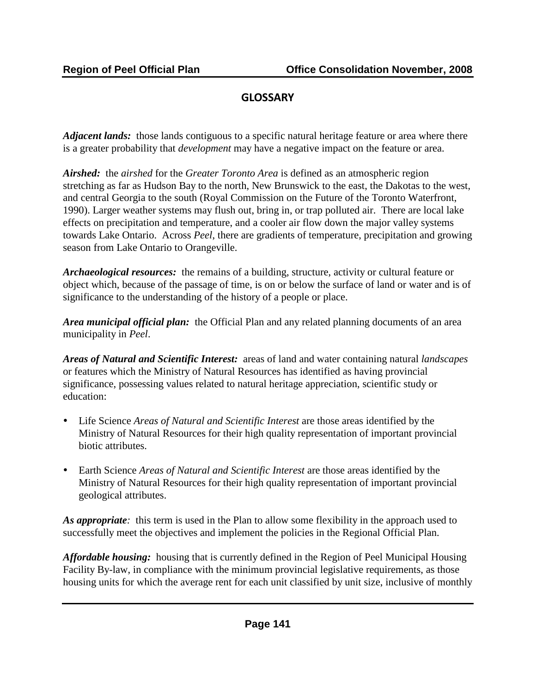# **GLOSSARY**

Adjacent lands: those lands contiguous to a specific natural heritage feature or area where there is a greater probability that *development* may have a negative impact on the feature or area.

*Airshed:* the *airshed* for the *Greater Toronto Area* is defined as an atmospheric region stretching as far as Hudson Bay to the north, New Brunswick to the east, the Dakotas to the west, and central Georgia to the south (Royal Commission on the Future of the Toronto Waterfront, 1990). Larger weather systems may flush out, bring in, or trap polluted air. There are local lake effects on precipitation and temperature, and a cooler air flow down the major valley systems towards Lake Ontario. Across *Peel*, there are gradients of temperature, precipitation and growing season from Lake Ontario to Orangeville.

*Archaeological resources:* the remains of a building, structure, activity or cultural feature or object which, because of the passage of time, is on or below the surface of land or water and is of significance to the understanding of the history of a people or place.

*Area municipal official plan:* the Official Plan and any related planning documents of an area municipality in *Peel*.

*Areas of Natural and Scientific Interest:*areas of land and water containing natural *landscapes* or features which the Ministry of Natural Resources has identified as having provincial significance, possessing values related to natural heritage appreciation, scientific study or education:

- Life Science *Areas of Natural and Scientific Interest* are those areas identified by the Ministry of Natural Resources for their high quality representation of important provincial biotic attributes.
- Earth Science *Areas of Natural and Scientific Interest* are those areas identified by the Ministry of Natural Resources for their high quality representation of important provincial geological attributes.

*As appropriate:* this term is used in the Plan to allow some flexibility in the approach used to successfully meet the objectives and implement the policies in the Regional Official Plan.

*Affordable housing:* housing that is currently defined in the Region of Peel Municipal Housing Facility By-law, in compliance with the minimum provincial legislative requirements, as those housing units for which the average rent for each unit classified by unit size, inclusive of monthly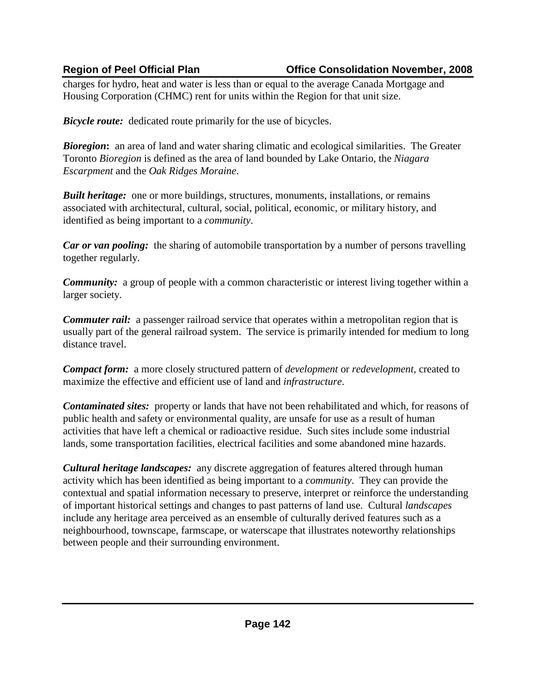charges for hydro, heat and water is less than or equal to the average Canada Mortgage and Housing Corporation (CHMC) rent for units within the Region for that unit size.

*Bicycle route:* dedicated route primarily for the use of bicycles.

**Bioregion:** an area of land and water sharing climatic and ecological similarities. The Greater Toronto *Bioregion* is defined as the area of land bounded by Lake Ontario, the *Niagara Escarpment* and the *Oak Ridges Moraine*.

*Built heritage:* one or more buildings, structures, monuments, installations, or remains associated with architectural, cultural, social, political, economic, or military history, and identified as being important to a *community*.

*Car or van pooling:* the sharing of automobile transportation by a number of persons travelling together regularly.

*Community:* a group of people with a common characteristic or interest living together within a larger society.

*Commuter rail:* a passenger railroad service that operates within a metropolitan region that is usually part of the general railroad system. The service is primarily intended for medium to long distance travel.

*Compact form:* a more closely structured pattern of *development* or *redevelopment*, created to maximize the effective and efficient use of land and *infrastructure*.

*Contaminated sites:* property or lands that have not been rehabilitated and which, for reasons of public health and safety or environmental quality, are unsafe for use as a result of human activities that have left a chemical or radioactive residue. Such sites include some industrial lands, some transportation facilities, electrical facilities and some abandoned mine hazards.

*Cultural heritage landscapes:* any discrete aggregation of features altered through human activity which has been identified as being important to a *community*. They can provide the contextual and spatial information necessary to preserve, interpret or reinforce the understanding of important historical settings and changes to past patterns of land use. Cultural *landscapes* include any heritage area perceived as an ensemble of culturally derived features such as a neighbourhood, townscape, farmscape, or waterscape that illustrates noteworthy relationships between people and their surrounding environment.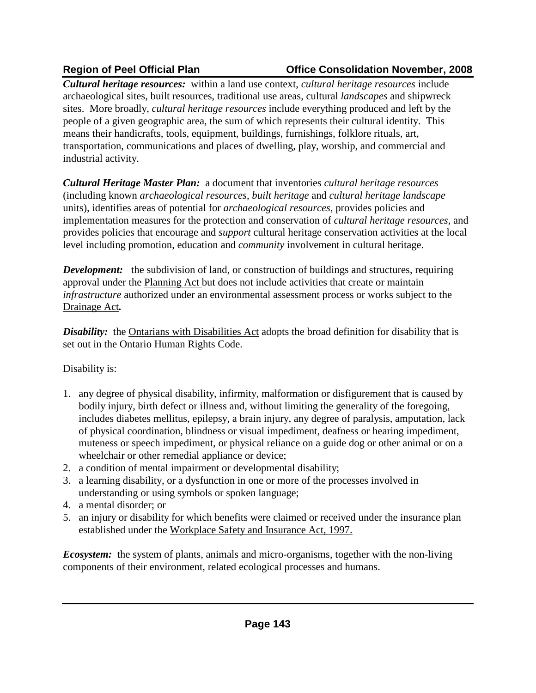*Cultural heritage resources:* within a land use context, *cultural heritage resources* include archaeological sites, built resources, traditional use areas, cultural *landscapes* and shipwreck sites. More broadly, *cultural heritage resources* include everything produced and left by the people of a given geographic area, the sum of which represents their cultural identity. This means their handicrafts, tools, equipment, buildings, furnishings, folklore rituals, art, transportation, communications and places of dwelling, play, worship, and commercial and industrial activity.

*Cultural Heritage Master Plan:*a document that inventories *cultural heritage resources* (including known *archaeological resources*, *built heritage* and *cultural heritage landscape* units), identifies areas of potential for *archaeological resources*, provides policies and implementation measures for the protection and conservation of *cultural heritage resources*, and provides policies that encourage and *support* cultural heritage conservation activities at the local level including promotion, education and *community* involvement in cultural heritage.

*Development:* the subdivision of land, or construction of buildings and structures, requiring approval under the Planning Act but does not include activities that create or maintain *infrastructure* authorized under an environmental assessment process or works subject to the Drainage Act*.* 

**Disability:** the Ontarians with Disabilities Act adopts the broad definition for disability that is set out in the Ontario Human Rights Code.

Disability is:

- 1. any degree of physical disability, infirmity, malformation or disfigurement that is caused by bodily injury, birth defect or illness and, without limiting the generality of the foregoing, includes diabetes mellitus, epilepsy, a brain injury, any degree of paralysis, amputation, lack of physical coordination, blindness or visual impediment, deafness or hearing impediment, muteness or speech impediment, or physical reliance on a guide dog or other animal or on a wheelchair or other remedial appliance or device;
- 2. a condition of mental impairment or developmental disability;
- 3. a learning disability, or a dysfunction in one or more of the processes involved in understanding or using symbols or spoken language;
- 4. a mental disorder; or
- 5. an injury or disability for which benefits were claimed or received under the insurance plan established under the Workplace Safety and Insurance Act, 1997.

*Ecosystem:* the system of plants, animals and micro-organisms, together with the non-living components of their environment, related ecological processes and humans.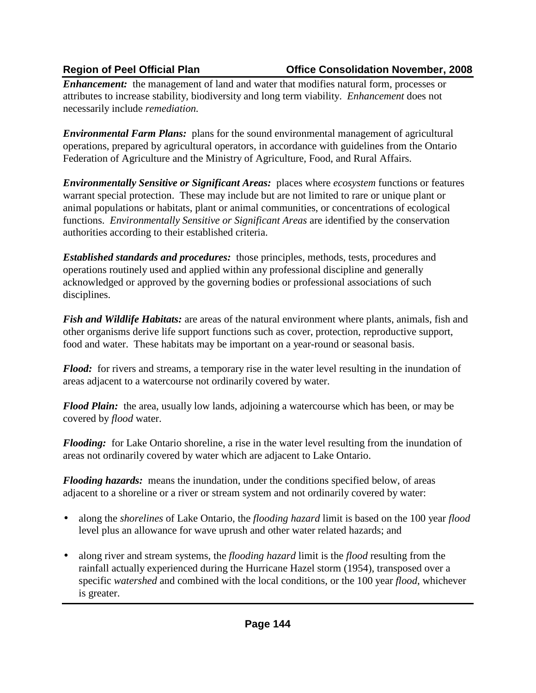*Enhancement:* the management of land and water that modifies natural form, processes or attributes to increase stability, biodiversity and long term viability. *Enhancement* does not necessarily include *remediation.*

*Environmental Farm Plans:* plans for the sound environmental management of agricultural operations, prepared by agricultural operators, in accordance with guidelines from the Ontario Federation of Agriculture and the Ministry of Agriculture, Food, and Rural Affairs.

*Environmentally Sensitive or Significant Areas:* places where *ecosystem* functions or features warrant special protection. These may include but are not limited to rare or unique plant or animal populations or habitats, plant or animal communities, or concentrations of ecological functions. *Environmentally Sensitive or Significant Areas* are identified by the conservation authorities according to their established criteria.

*Established standards and procedures:* those principles, methods, tests, procedures and operations routinely used and applied within any professional discipline and generally acknowledged or approved by the governing bodies or professional associations of such disciplines.

*Fish and Wildlife Habitats:* are areas of the natural environment where plants, animals, fish and other organisms derive life support functions such as cover, protection, reproductive support, food and water. These habitats may be important on a year-round or seasonal basis.

*Flood:* for rivers and streams, a temporary rise in the water level resulting in the inundation of areas adjacent to a watercourse not ordinarily covered by water.

*Flood Plain:* the area, usually low lands, adjoining a watercourse which has been, or may be covered by *flood* water.

*Flooding:* for Lake Ontario shoreline, a rise in the water level resulting from the inundation of areas not ordinarily covered by water which are adjacent to Lake Ontario.

*Flooding hazards:* means the inundation, under the conditions specified below, of areas adjacent to a shoreline or a river or stream system and not ordinarily covered by water:

- along the *shorelines* of Lake Ontario, the *flooding hazard* limit is based on the 100 year *flood* level plus an allowance for wave uprush and other water related hazards; and
- along river and stream systems, the *flooding hazard* limit is the *flood* resulting from the rainfall actually experienced during the Hurricane Hazel storm (1954), transposed over a specific *watershed* and combined with the local conditions, or the 100 year *flood*, whichever is greater.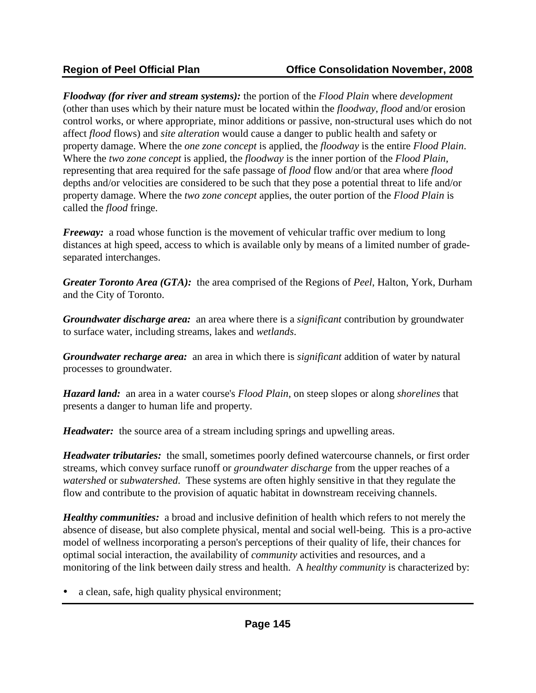*Floodway (for river and stream systems):* the portion of the *Flood Plain* where *development* (other than uses which by their nature must be located within the *floodway*, *flood* and/or erosion control works, or where appropriate, minor additions or passive, non-structural uses which do not affect *flood* flows) and *site alteration* would cause a danger to public health and safety or property damage. Where the *one zone concept* is applied, the *floodway* is the entire *Flood Plain*. Where the *two zone concept* is applied, the *floodway* is the inner portion of the *Flood Plain,* representing that area required for the safe passage of *flood* flow and/or that area where *flood* depths and/or velocities are considered to be such that they pose a potential threat to life and/or property damage. Where the *two zone concept* applies, the outer portion of the *Flood Plain* is called the *flood* fringe.

*Freeway:* a road whose function is the movement of vehicular traffic over medium to long distances at high speed, access to which is available only by means of a limited number of gradeseparated interchanges.

*Greater Toronto Area (GTA):* the area comprised of the Regions of *Peel*, Halton, York, Durham and the City of Toronto.

*Groundwater discharge area:* an area where there is a *significant* contribution by groundwater to surface water, including streams, lakes and *wetlands*.

*Groundwater recharge area:*an area in which there is *significant* addition of water by natural processes to groundwater.

*Hazard land:* an area in a water course's *Flood Plain*, on steep slopes or along *shorelines* that presents a danger to human life and property.

*Headwater:* the source area of a stream including springs and upwelling areas.

*Headwater tributaries:* the small, sometimes poorly defined watercourse channels, or first order streams, which convey surface runoff or *groundwater discharge* from the upper reaches of a *watershed* or *subwatershed*. These systems are often highly sensitive in that they regulate the flow and contribute to the provision of aquatic habitat in downstream receiving channels.

*Healthy communities:* a broad and inclusive definition of health which refers to not merely the absence of disease, but also complete physical, mental and social well-being. This is a pro-active model of wellness incorporating a person's perceptions of their quality of life, their chances for optimal social interaction, the availability of *community* activities and resources, and a monitoring of the link between daily stress and health. A *healthy community* is characterized by:

a clean, safe, high quality physical environment;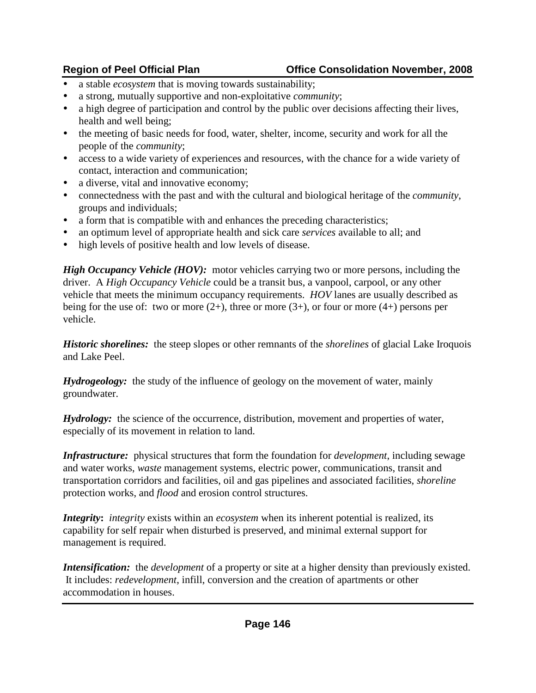- a stable *ecosystem* that is moving towards sustainability;
- a strong, mutually supportive and non-exploitative *community*;
- a high degree of participation and control by the public over decisions affecting their lives, health and well being;
- the meeting of basic needs for food, water, shelter, income, security and work for all the people of the *community*;
- access to a wide variety of experiences and resources, with the chance for a wide variety of contact, interaction and communication;
- a diverse, vital and innovative economy;
- connectedness with the past and with the cultural and biological heritage of the *community*, groups and individuals;
- a form that is compatible with and enhances the preceding characteristics;
- an optimum level of appropriate health and sick care *services* available to all; and
- high levels of positive health and low levels of disease.

*High Occupancy Vehicle (HOV):* motor vehicles carrying two or more persons, including the driver. A *High Occupancy Vehicle* could be a transit bus, a vanpool, carpool, or any other vehicle that meets the minimum occupancy requirements. *HOV* lanes are usually described as being for the use of: two or more  $(2+)$ , three or more  $(3+)$ , or four or more  $(4+)$  persons per vehicle.

*Historic shorelines:* the steep slopes or other remnants of the *shorelines* of glacial Lake Iroquois and Lake Peel.

*Hydrogeology:* the study of the influence of geology on the movement of water, mainly groundwater.

*Hydrology:* the science of the occurrence, distribution, movement and properties of water, especially of its movement in relation to land.

*Infrastructure:* physical structures that form the foundation for *development*, including sewage and water works, *waste* management systems, electric power, communications, transit and transportation corridors and facilities, oil and gas pipelines and associated facilities, *shoreline* protection works, and *flood* and erosion control structures.

*Integrity***:** *integrity* exists within an *ecosystem* when its inherent potential is realized, its capability for self repair when disturbed is preserved, and minimal external support for management is required.

*Intensification:* the *development* of a property or site at a higher density than previously existed. It includes: *redevelopment*, infill, conversion and the creation of apartments or other accommodation in houses.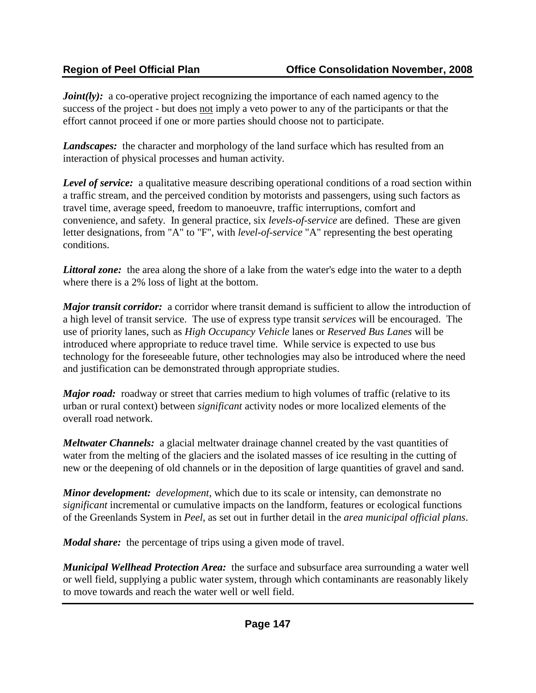*Joint(ly):* a co-operative project recognizing the importance of each named agency to the success of the project - but does not imply a veto power to any of the participants or that the effort cannot proceed if one or more parties should choose not to participate.

*Landscapes:* the character and morphology of the land surface which has resulted from an interaction of physical processes and human activity.

*Level of service:* a qualitative measure describing operational conditions of a road section within a traffic stream, and the perceived condition by motorists and passengers, using such factors as travel time, average speed, freedom to manoeuvre, traffic interruptions, comfort and convenience, and safety. In general practice, six *levels-of-service* are defined. These are given letter designations, from "A" to "F", with *level-of-service* "A" representing the best operating conditions.

*Littoral zone:* the area along the shore of a lake from the water's edge into the water to a depth where there is a 2% loss of light at the bottom.

*Major transit corridor:* a corridor where transit demand is sufficient to allow the introduction of a high level of transit service. The use of express type transit *services* will be encouraged. The use of priority lanes, such as *High Occupancy Vehicle* lanes or *Reserved Bus Lanes* will be introduced where appropriate to reduce travel time. While service is expected to use bus technology for the foreseeable future, other technologies may also be introduced where the need and justification can be demonstrated through appropriate studies.

*Major road:* roadway or street that carries medium to high volumes of traffic (relative to its urban or rural context) between *significant* activity nodes or more localized elements of the overall road network.

*Meltwater Channels:* a glacial meltwater drainage channel created by the vast quantities of water from the melting of the glaciers and the isolated masses of ice resulting in the cutting of new or the deepening of old channels or in the deposition of large quantities of gravel and sand.

*Minor development: development*, which due to its scale or intensity, can demonstrate no *significant* incremental or cumulative impacts on the landform, features or ecological functions of the Greenlands System in *Peel*, as set out in further detail in the *area municipal official plans*.

*Modal share:* the percentage of trips using a given mode of travel.

*Municipal Wellhead Protection Area:*the surface and subsurface area surrounding a water well or well field, supplying a public water system, through which contaminants are reasonably likely to move towards and reach the water well or well field.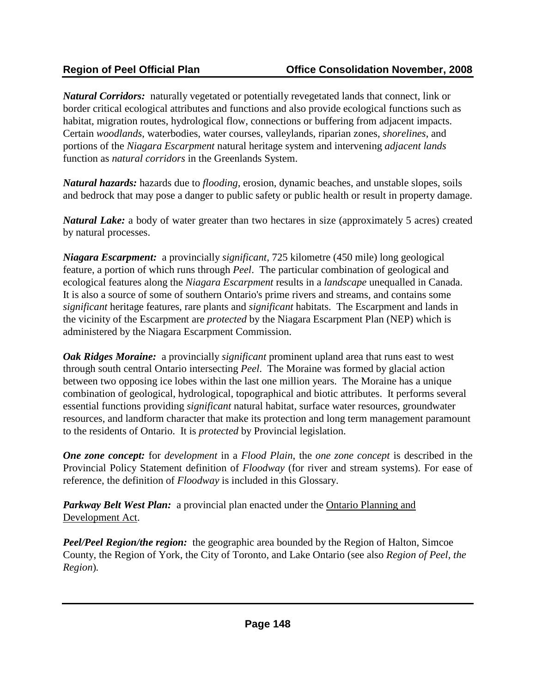*Natural Corridors:*naturally vegetated or potentially revegetated lands that connect, link or border critical ecological attributes and functions and also provide ecological functions such as habitat, migration routes, hydrological flow, connections or buffering from adjacent impacts. Certain *woodlands*, waterbodies, water courses, valleylands, riparian zones, *shorelines*, and portions of the *Niagara Escarpment* natural heritage system and intervening *adjacent lands* function as *natural corridors* in the Greenlands System.

*Natural hazards:* hazards due to *flooding*, erosion, dynamic beaches, and unstable slopes, soils and bedrock that may pose a danger to public safety or public health or result in property damage.

*Natural Lake:* a body of water greater than two hectares in size (approximately 5 acres) created by natural processes.

*Niagara Escarpment:* a provincially *significant*, 725 kilometre (450 mile) long geological feature, a portion of which runs through *Peel*. The particular combination of geological and ecological features along the *Niagara Escarpment* results in a *landscape* unequalled in Canada. It is also a source of some of southern Ontario's prime rivers and streams, and contains some *significant* heritage features, rare plants and *significant* habitats. The Escarpment and lands in the vicinity of the Escarpment are *protected* by the Niagara Escarpment Plan (NEP) which is administered by the Niagara Escarpment Commission.

*Oak Ridges Moraine:* a provincially *significant* prominent upland area that runs east to west through south central Ontario intersecting *Peel*. The Moraine was formed by glacial action between two opposing ice lobes within the last one million years. The Moraine has a unique combination of geological, hydrological, topographical and biotic attributes. It performs several essential functions providing *significant* natural habitat, surface water resources, groundwater resources, and landform character that make its protection and long term management paramount to the residents of Ontario. It is *protected* by Provincial legislation.

*One zone concept:* for *development* in a *Flood Plain*, the *one zone concept* is described in the Provincial Policy Statement definition of *Floodway* (for river and stream systems). For ease of reference, the definition of *Floodway* is included in this Glossary.

*Parkway Belt West Plan:* a provincial plan enacted under the Ontario Planning and Development Act.

*Peel/Peel Region/the region:* the geographic area bounded by the Region of Halton, Simcoe County, the Region of York, the City of Toronto, and Lake Ontario (see also *Region of Peel, the Region*)*.*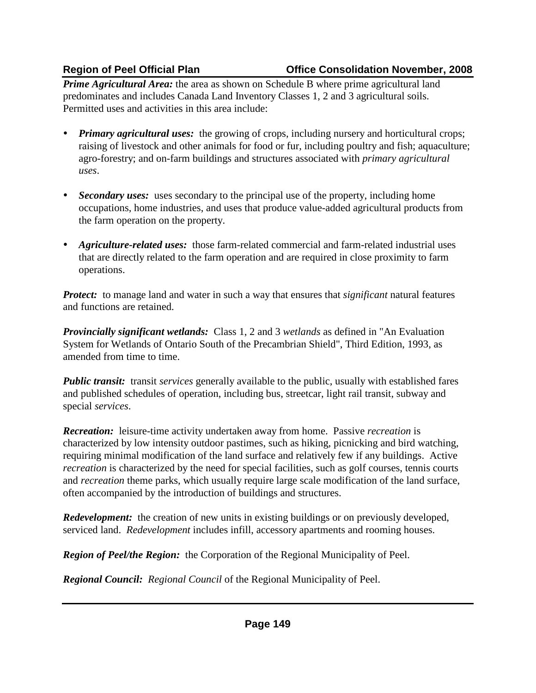*Prime Agricultural Area:* the area as shown on Schedule B where prime agricultural land predominates and includes Canada Land Inventory Classes 1, 2 and 3 agricultural soils. Permitted uses and activities in this area include:

- *Primary agricultural uses:* the growing of crops, including nursery and horticultural crops; raising of livestock and other animals for food or fur, including poultry and fish; aquaculture; agro-forestry; and on-farm buildings and structures associated with *primary agricultural uses*.
- *Secondary uses:* uses secondary to the principal use of the property, including home occupations, home industries, and uses that produce value-added agricultural products from the farm operation on the property.
- *Agriculture-related uses:* those farm-related commercial and farm-related industrial uses that are directly related to the farm operation and are required in close proximity to farm operations.

*Protect:* to manage land and water in such a way that ensures that *significant* natural features and functions are retained.

*Provincially significant wetlands:* Class 1, 2 and 3 *wetlands* as defined in "An Evaluation System for Wetlands of Ontario South of the Precambrian Shield", Third Edition, 1993, as amended from time to time.

*Public transit:* transit *services* generally available to the public, usually with established fares and published schedules of operation, including bus, streetcar, light rail transit, subway and special *services*.

*Recreation:* leisure-time activity undertaken away from home. Passive *recreation* is characterized by low intensity outdoor pastimes, such as hiking, picnicking and bird watching, requiring minimal modification of the land surface and relatively few if any buildings. Active *recreation* is characterized by the need for special facilities, such as golf courses, tennis courts and *recreation* theme parks, which usually require large scale modification of the land surface, often accompanied by the introduction of buildings and structures.

*Redevelopment:* the creation of new units in existing buildings or on previously developed, serviced land. *Redevelopment* includes infill, accessory apartments and rooming houses.

*Region of Peel/the Region:* the Corporation of the Regional Municipality of Peel.

*Regional Council: Regional Council* of the Regional Municipality of Peel.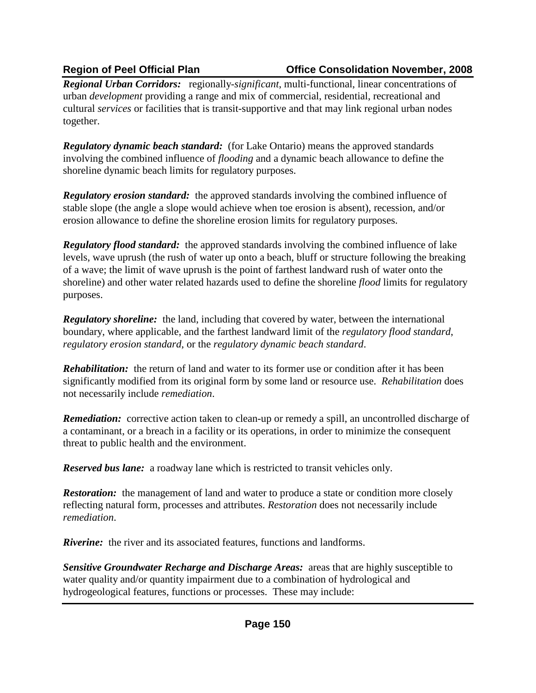*Regional Urban Corridors:* regionally-*significant*, multi-functional, linear concentrations of urban *development* providing a range and mix of commercial, residential, recreational and cultural *services* or facilities that is transit-supportive and that may link regional urban nodes together.

*Regulatory dynamic beach standard:* (for Lake Ontario) means the approved standards involving the combined influence of *flooding* and a dynamic beach allowance to define the shoreline dynamic beach limits for regulatory purposes.

*Regulatory erosion standard:* the approved standards involving the combined influence of stable slope (the angle a slope would achieve when toe erosion is absent), recession, and/or erosion allowance to define the shoreline erosion limits for regulatory purposes.

*Regulatory flood standard:* the approved standards involving the combined influence of lake levels, wave uprush (the rush of water up onto a beach, bluff or structure following the breaking of a wave; the limit of wave uprush is the point of farthest landward rush of water onto the shoreline) and other water related hazards used to define the shoreline *flood* limits for regulatory purposes.

*Regulatory shoreline:* the land, including that covered by water, between the international boundary, where applicable, and the farthest landward limit of the *regulatory flood standard*, *regulatory erosion standard*, or the *regulatory dynamic beach standard*.

**Rehabilitation:** the return of land and water to its former use or condition after it has been significantly modified from its original form by some land or resource use. *Rehabilitation* does not necessarily include *remediation*.

**Remediation:** corrective action taken to clean-up or remedy a spill, an uncontrolled discharge of a contaminant, or a breach in a facility or its operations, in order to minimize the consequent threat to public health and the environment.

*Reserved bus lane:* a roadway lane which is restricted to transit vehicles only.

**Restoration:** the management of land and water to produce a state or condition more closely reflecting natural form, processes and attributes. *Restoration* does not necessarily include *remediation*.

*Riverine:* the river and its associated features, functions and landforms.

*Sensitive Groundwater Recharge and Discharge Areas:* areas that are highly susceptible to water quality and/or quantity impairment due to a combination of hydrological and hydrogeological features, functions or processes. These may include: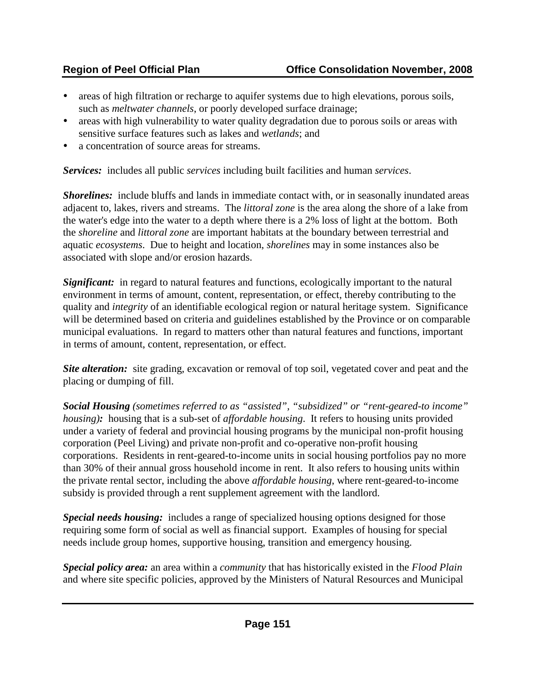- areas of high filtration or recharge to aquifer systems due to high elevations, porous soils, such as *meltwater channels*, or poorly developed surface drainage;
- areas with high vulnerability to water quality degradation due to porous soils or areas with sensitive surface features such as lakes and *wetlands*; and
- a concentration of source areas for streams.

*Services:* includes all public *services* including built facilities and human *services*.

**Shorelines:** include bluffs and lands in immediate contact with, or in seasonally inundated areas adjacent to, lakes, rivers and streams. The *littoral zone* is the area along the shore of a lake from the water's edge into the water to a depth where there is a 2% loss of light at the bottom. Both the *shoreline* and *littoral zone* are important habitats at the boundary between terrestrial and aquatic *ecosystems*. Due to height and location, *shorelines* may in some instances also be associated with slope and/or erosion hazards.

*Significant:* in regard to natural features and functions, ecologically important to the natural environment in terms of amount, content, representation, or effect, thereby contributing to the quality and *integrity* of an identifiable ecological region or natural heritage system. Significance will be determined based on criteria and guidelines established by the Province or on comparable municipal evaluations. In regard to matters other than natural features and functions, important in terms of amount, content, representation, or effect.

*Site alteration:* site grading, excavation or removal of top soil, vegetated cover and peat and the placing or dumping of fill.

*Social Housing (sometimes referred to as "assisted", "subsidized" or "rent-geared-to income" housing):* housing that is a sub-set of *affordable housing*. It refers to housing units provided under a variety of federal and provincial housing programs by the municipal non-profit housing corporation (Peel Living) and private non-profit and co-operative non-profit housing corporations. Residents in rent-geared-to-income units in social housing portfolios pay no more than 30% of their annual gross household income in rent. It also refers to housing units within the private rental sector, including the above *affordable housing*, where rent-geared-to-income subsidy is provided through a rent supplement agreement with the landlord.

*Special needs housing:* includes a range of specialized housing options designed for those requiring some form of social as well as financial support. Examples of housing for special needs include group homes, supportive housing, transition and emergency housing.

*Special policy area:* an area within a *community* that has historically existed in the *Flood Plain* and where site specific policies, approved by the Ministers of Natural Resources and Municipal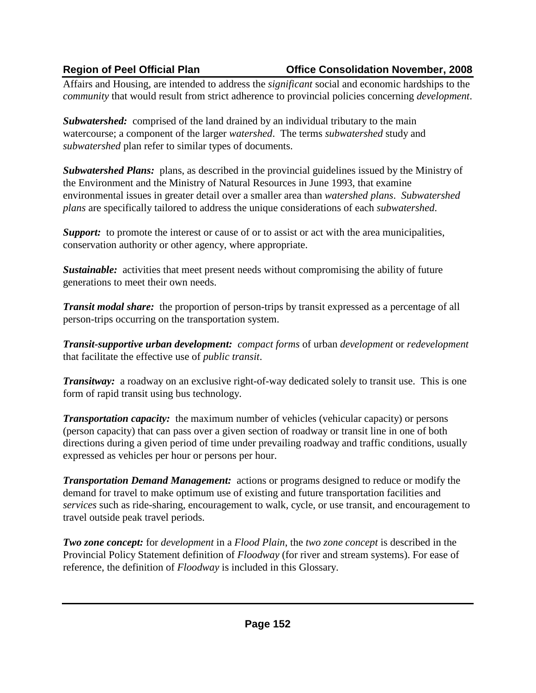Affairs and Housing, are intended to address the *significant* social and economic hardships to the *community* that would result from strict adherence to provincial policies concerning *development*.

*Subwatershed:* comprised of the land drained by an individual tributary to the main watercourse; a component of the larger *watershed*. The terms *subwatershed* study and *subwatershed* plan refer to similar types of documents.

*Subwatershed Plans:* plans, as described in the provincial guidelines issued by the Ministry of the Environment and the Ministry of Natural Resources in June 1993, that examine environmental issues in greater detail over a smaller area than *watershed plans*. *Subwatershed plans* are specifically tailored to address the unique considerations of each *subwatershed*.

*Support:* to promote the interest or cause of or to assist or act with the area municipalities, conservation authority or other agency, where appropriate.

**Sustainable:** activities that meet present needs without compromising the ability of future generations to meet their own needs.

*Transit modal share:* the proportion of person-trips by transit expressed as a percentage of all person-trips occurring on the transportation system.

*Transit-supportive urban development: compact forms* of urban *development* or *redevelopment* that facilitate the effective use of *public transit*.

*Transitway:* a roadway on an exclusive right-of-way dedicated solely to transit use. This is one form of rapid transit using bus technology.

*Transportation capacity:* the maximum number of vehicles (vehicular capacity) or persons (person capacity) that can pass over a given section of roadway or transit line in one of both directions during a given period of time under prevailing roadway and traffic conditions, usually expressed as vehicles per hour or persons per hour.

*Transportation Demand Management:* actions or programs designed to reduce or modify the demand for travel to make optimum use of existing and future transportation facilities and *services* such as ride-sharing, encouragement to walk, cycle, or use transit, and encouragement to travel outside peak travel periods.

*Two zone concept:* for *development* in a *Flood Plain*, the *two zone concept* is described in the Provincial Policy Statement definition of *Floodway* (for river and stream systems). For ease of reference, the definition of *Floodway* is included in this Glossary.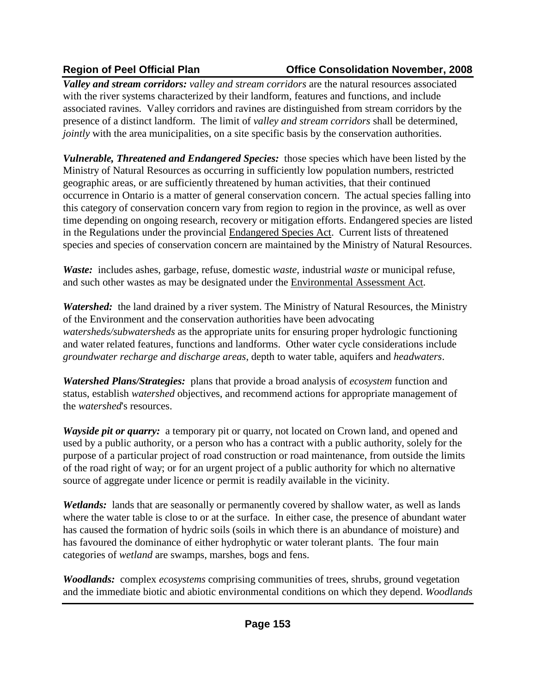*Valley and stream corridors: valley and stream corridors* are the natural resources associated with the river systems characterized by their landform, features and functions, and include associated ravines. Valley corridors and ravines are distinguished from stream corridors by the presence of a distinct landform. The limit of *valley and stream corridors* shall be determined, *jointly* with the area municipalities, on a site specific basis by the conservation authorities.

*Vulnerable, Threatened and Endangered Species:* those species which have been listed by the Ministry of Natural Resources as occurring in sufficiently low population numbers, restricted geographic areas, or are sufficiently threatened by human activities, that their continued occurrence in Ontario is a matter of general conservation concern. The actual species falling into this category of conservation concern vary from region to region in the province, as well as over time depending on ongoing research, recovery or mitigation efforts. Endangered species are listed in the Regulations under the provincial Endangered Species Act. Current lists of threatened species and species of conservation concern are maintained by the Ministry of Natural Resources.

*Waste:* includes ashes, garbage, refuse, domestic *waste*, industrial *waste* or municipal refuse, and such other wastes as may be designated under the Environmental Assessment Act.

*Watershed:* the land drained by a river system. The Ministry of Natural Resources, the Ministry of the Environment and the conservation authorities have been advocating *watersheds/subwatersheds* as the appropriate units for ensuring proper hydrologic functioning and water related features, functions and landforms. Other water cycle considerations include *groundwater recharge and discharge areas*, depth to water table, aquifers and *headwaters*.

*Watershed Plans/Strategies:* plans that provide a broad analysis of *ecosystem* function and status, establish *watershed* objectives, and recommend actions for appropriate management of the *watershed*'s resources.

*Wayside pit or quarry:* a temporary pit or quarry, not located on Crown land, and opened and used by a public authority, or a person who has a contract with a public authority, solely for the purpose of a particular project of road construction or road maintenance, from outside the limits of the road right of way; or for an urgent project of a public authority for which no alternative source of aggregate under licence or permit is readily available in the vicinity.

*Wetlands:* lands that are seasonally or permanently covered by shallow water, as well as lands where the water table is close to or at the surface. In either case, the presence of abundant water has caused the formation of hydric soils (soils in which there is an abundance of moisture) and has favoured the dominance of either hydrophytic or water tolerant plants. The four main categories of *wetland* are swamps, marshes, bogs and fens.

*Woodlands:* complex *ecosystems* comprising communities of trees, shrubs, ground vegetation and the immediate biotic and abiotic environmental conditions on which they depend. *Woodlands*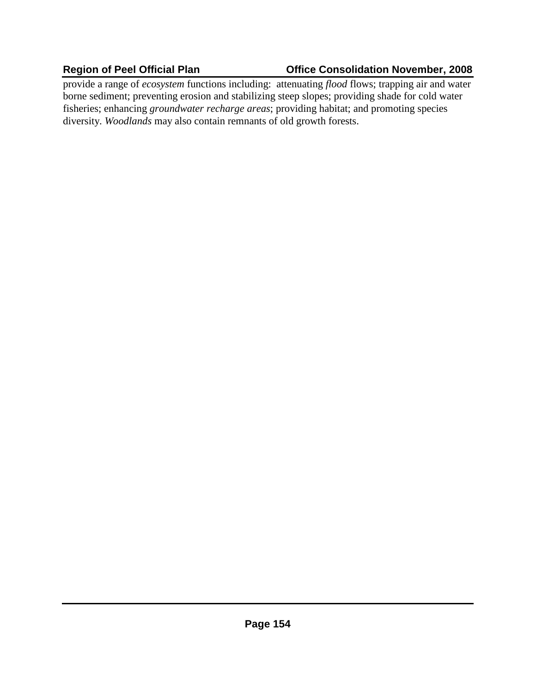provide a range of *ecosystem* functions including: attenuating *flood* flows; trapping air and water borne sediment; preventing erosion and stabilizing steep slopes; providing shade for cold water fisheries; enhancing *groundwater recharge areas*; providing habitat; and promoting species diversity. *Woodlands* may also contain remnants of old growth forests.